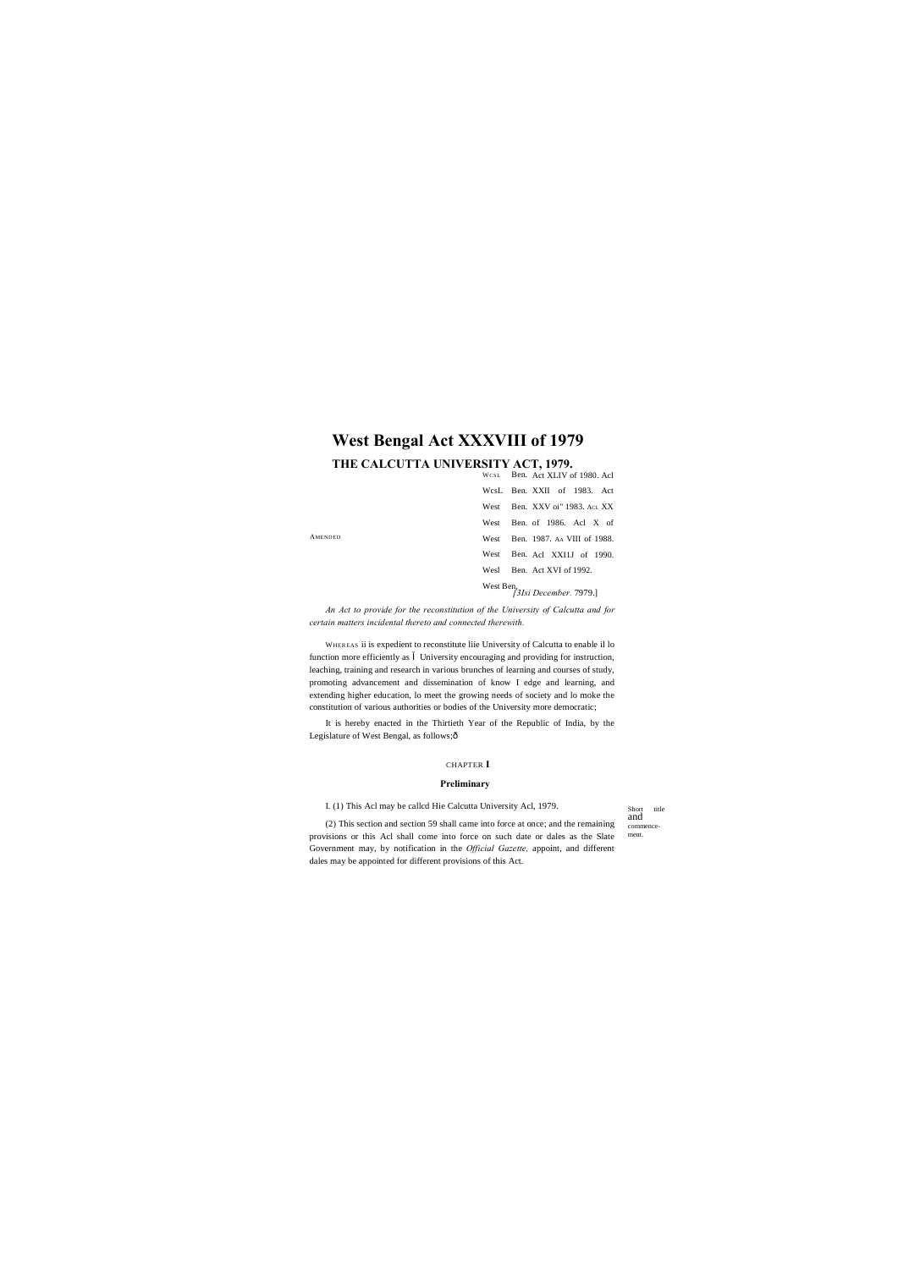WCSL Ben. Act XLIV of 1980. Acl WcsL Ben. XXII of 1983. Act West Ben. XXV oi" 1983. ACL XX West Ben. of 1986. Acl X of West Ben. 1987. AA VIII of 1988. West Ben. Acl XXI1J of 1990. Wesl Ben. Act XVI of 1992.

> Short title and commencement.

West Ben, *[3Isi December.* 7979.]

AMENDED

## **West Bengal Act XXXVIII of 1979**

### **THE CALCUTTA UNIVERSITY ACT, 1979.**

*An Act to provide for the reconstitution of the University of Calcutta and for certain matters incidental thereto and connected therewith.*

It is hereby enacted in the Thirtieth Year of the Republic of India, by the Legislature of West Bengal, as follows; $\hat{o}$ 

WHEREAS ii is expedient to reconstitute liie University of Calcutta to enable il lo function more efficiently as University encouraging and providing for instruction, leaching, training and research in various brunches of learning and courses of study, promoting advancement and dissemination of know I edge and learning, and extending higher education, lo meet the growing needs of society and lo moke the constitution of various authorities or bodies of the University more democratic;

#### CHAPTER **I**

#### **Preliminary**

I. (1) This Acl may be callcd Hie Calcutta University Acl, 1979.

(2) This section and section 59 shall came into force at once; and the remaining provisions or this Acl shall come into force on such date or dales as the Slate Government may, by notification in the *Official Gazette,* appoint, and different dales may be appointed for different provisions of this Act.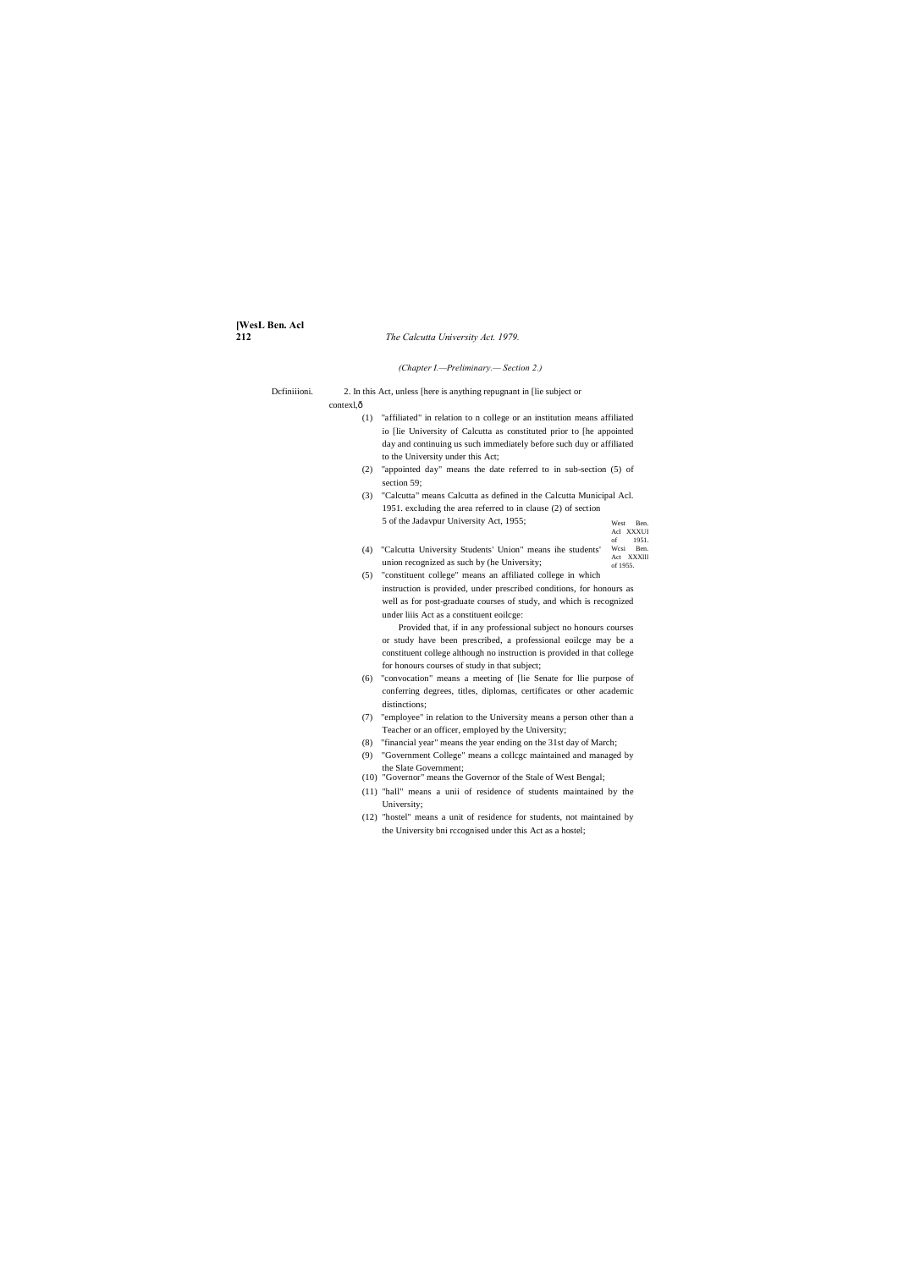# **[WesL Ben. Acl**

#### **212** *The Calcutta University Act. 1979.*

West Ben. Acl XXXUI of 1951. Wcsi Ben.

#### *(Chapter I.—Preliminary.— Section 2.)*

Dcfiniiioni. 2. In this Act, unless [here is anything repugnant in [lie subject or

contexl, $\hat{o}$ (1) "affiliated" in relation to n college or an institution means affiliated io [lie University of Calcutta as constituted prior to [he appointed day and continuing us such immediately before such duy or affiliated

- Act XXXIII of 1955. (4) "Calcutta University Students' Union" means ihe students' union recognized as such by (he University;
- (5) "constituent college" means an affiliated college in which instruction is provided, under prescribed conditions, for honours as well as for post-graduate courses of study, and which is recognized under liiis Act as a constituent eoilcge:
- to the University under this Act; (2) "appointed day" means the date referred to in sub-section (5) of section 59;
- (3) "Calcutta" means Calcutta as defined in the Calcutta Municipal Acl. 1951. excluding the area referred to in clause (2) of section 5 of the Jadavpur University Act, 1955;

Provided that, if in any professional subject no honours courses or study have been prescribed, a professional eoilcge may be a constituent college although no instruction is provided in that college for honours courses of study in that subject;

- (6) "convocation" means a meeting of [lie Senate for llie purpose of conferring degrees, titles, diplomas, certificates or other academic distinctions;
- (7) "employee" in relation to the University means a person other than a Teacher or an officer, employed by the University;
- (8) "financial year" means the year ending on the 31st day of March;
- (9) "Government College" means a collcgc maintained and managed by the Slate Government;
- (10) "Governor" means the Governor of the Stale of West Bengal;
- (11) "hall" means a unii of residence of students maintained by the University;
- (12) "hostel" means a unit of residence for students, not maintained by the University bni rccognised under this Act as a hostel;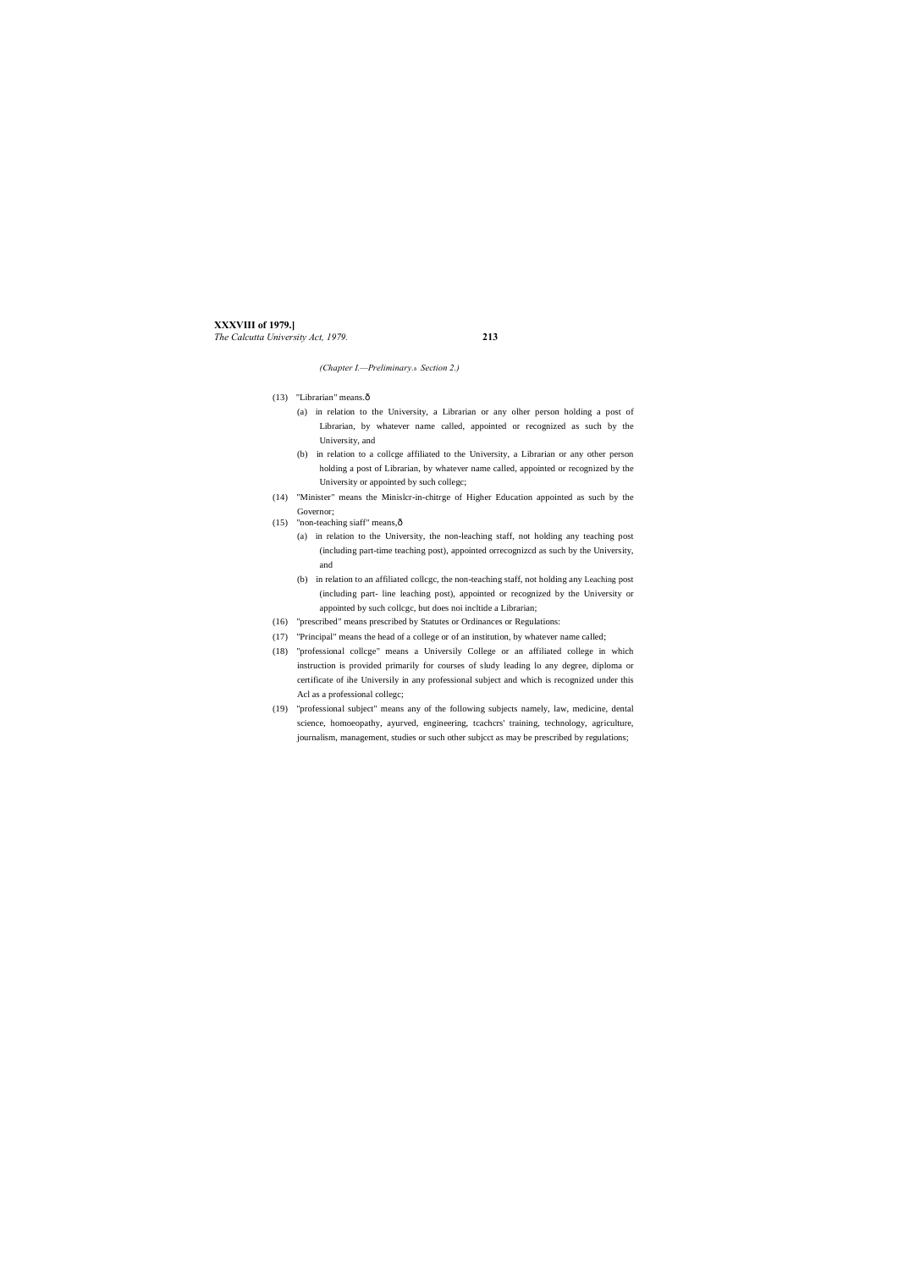## **XXXVIII of 1979.]**

*The Calcutta University Act, 1979.* **213**

*(Chapter I.—Preliminary.*— *Section 2.)*

- (13) "Librarian" means. $\hat{0}$ 
	- (a) in relation to the University, a Librarian or any olher person holding a post of Librarian, by whatever name called, appointed or recognized as such by the University, and
	- (b) in relation to a collcge affiliated to the University, a Librarian or any other person holding a post of Librarian, by whatever name called, appointed or recognized by the University or appointed by such collegc;
- (14) "Minister" means the Minislcr-in-chitrge of Higher Education appointed as such by the Governor;
- (15) "non-teaching siaff" means, $\hat{\text{o}}$ 
	- (a) in relation to the University, the non-leaching staff, not holding any teaching post (including part-time teaching post), appointed orrecognizcd as such by the University, and
	- (b) in relation to an affiliated collcgc, the non-teaching staff, not holding any Leaching post (including part- line leaching post), appointed or recognized by the University or appointed by such collcgc, but does noi incltide a Librarian;
- (16) "prescribed" means prescribed by Statutes or Ordinances or Regulations:
- (17) "Principal" means the head of a college or of an institution, by whatever name called;
- (18) "professional collcge" means a Universily College or an affiliated college in which instruction is provided primarily for courses of sludy leading lo any degree, diploma or certificate of ihe Universily in any professional subject and which is recognized under this Acl as a professional collegc;
- (19) "professional subject" means any of the following subjects namely, law, medicine, dental science, homoeopathy, ayurved, engineering, tcachcrs' training, technology, agriculture, journalism, management, studies or such other subjcct as may be prescribed by regulations;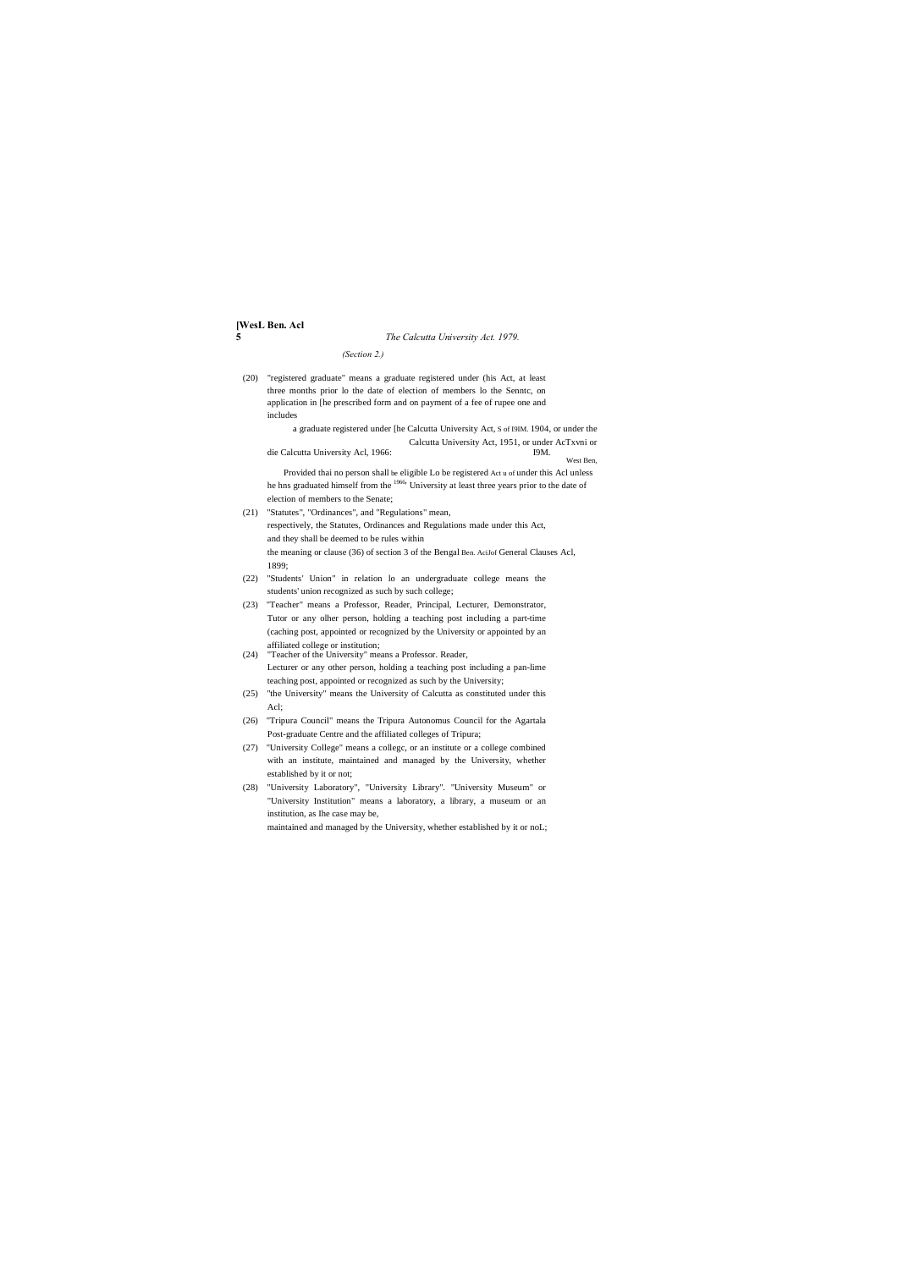## **[WesL Ben. Acl**

### **5** *The Calcutta University Act. 1979.*

#### *(Section 2.)*

(20) "registered graduate" means a graduate registered under (his Act, at least three months prior lo the date of election of members lo the Senntc, on application in [he prescribed form and on payment of a fee of rupee one and includes

> a graduate registered under [he Calcutta University Act, S of I9IM. 1904, or under the Calcutta University Act, 1951, or under AcTxvni or

die Calcutta University Acl, 1966: I9M. West Ben,

Provided thai no person shall be eligible Lo be registered Act u of under this Acl unless he hns graduated himself from the 1966' University at least three years prior to the date of election of members to the Senate;

- (21) "Statutes", "Ordinances", and "Regulations" mean, respectively, the Statutes, Ordinances and Regulations made under this Act, and they shall be deemed to be rules within the meaning or clause (36) of section 3 of the Bengal Ben. AciJof General Clauses Acl, 1899;
- (22) "Students' Union" in relation lo an undergraduate college means the students' union recognized as such by such college;
- (23) "Teacher" means a Professor, Reader, Principal, Lecturer, Demonstrator, Tutor or any olher person, holding a teaching post including a part-time (caching post, appointed or recognized by the University or appointed by an affiliated college or institution;

(24) "Teacher of the University" means a Professor. Reader, Lecturer or any other person, holding a teaching post including a pan-lime teaching post, appointed or recognized as such by the University;

- (25) "the University" means the University of Calcutta as constituted under this Acl;
- (26) "Tripura Council" means the Tripura Autonomus Council for the Agartala Post-graduate Centre and the affiliated colleges of Tripura;
- (27) "University College" means a collegc, or an institute or a college combined with an institute, maintained and managed by the University, whether established by it or not;
- (28) "University Laboratory", "University Library". "University Museum" or "University Institution" means a laboratory, a library, a museum or an institution, as Ihe case may be,

maintained and managed by the University, whether established by it or noL;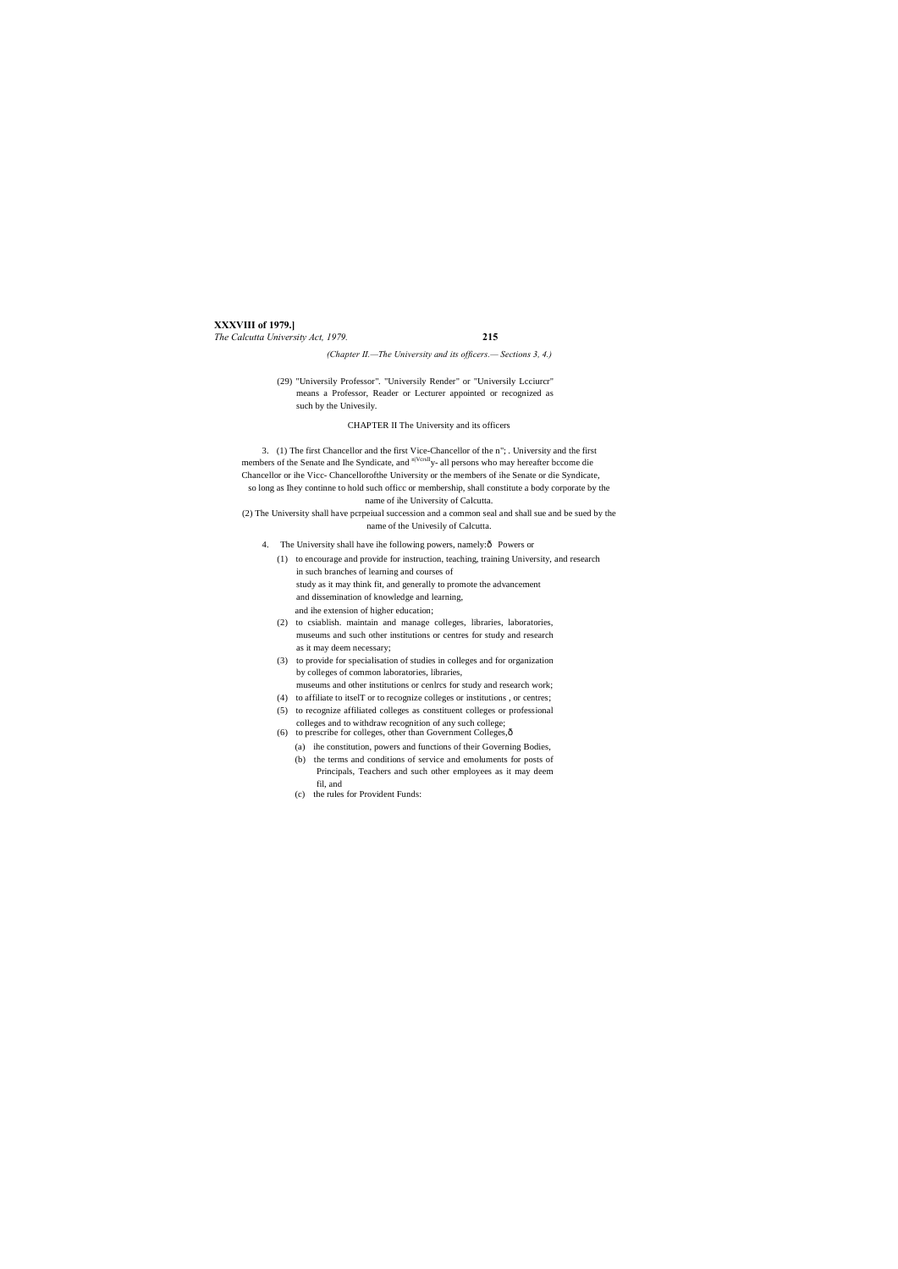#### **XXXVIII of 1979.]** *The Calcutta University Act, 1979.* **215**

*(Chapter II.—The University and its officers.— Sections 3, 4.)*

(29) "Universily Professor". "Universily Render" or "Universily Lcciurcr" means a Professor, Reader or Lecturer appointed or recognized as such by the Univesily.

CHAPTER II The University and its officers

3. (1) The first Chancellor and the first Vice-Chancellor of the n"; . University and the first members of the Senate and Ihe Syndicate, and <sup>n|VcrslI</sup>y- all persons who may hereafter bccome die Chancellor or ihe Vicc- Chancellorofthe University or the members of ihe Senate or die Syndicate, so long as Ihey continne to hold such officc or membership, shall constitute a body corporate by the name of ihe University of Calcutta.

(2) The University shall have pcrpeiual succession and a common seal and shall sue and be sued by the name of the Univesily of Calcutta.

- 4. The University shall have ihe following powers, namely: $\delta$  Powers or
	- (1) to encourage and provide for instruction, teaching, training University, and research in such branches of learning and courses of study as it may think fit, and generally to promote the advancement and dissemination of knowledge and learning, and ihe extension of higher education;
	- (2) to csiablish. maintain and manage colleges, libraries, laboratories, museums and such other institutions or centres for study and research as it may deem necessary;
	- (3) to provide for specialisation of studies in colleges and for organization by colleges of common laboratories, libraries, museums and other institutions or cenlrcs for study and research work;
		-
	- (4) to affiliate to itselT or to recognize colleges or institutions , or centres;
	- (5) to recognize affiliated colleges as constituent colleges or professional
	- colleges and to withdraw recognition of any such college; (6) to prescribe for colleges, other than Government Colleges, $\hat{o}$ 
		- (a) ihe constitution, powers and functions of their Governing Bodies,
		- (b) the terms and conditions of service and emoluments for posts of Principals, Teachers and such other employees as it may deem fil, and
		- (c) the rules for Provident Funds: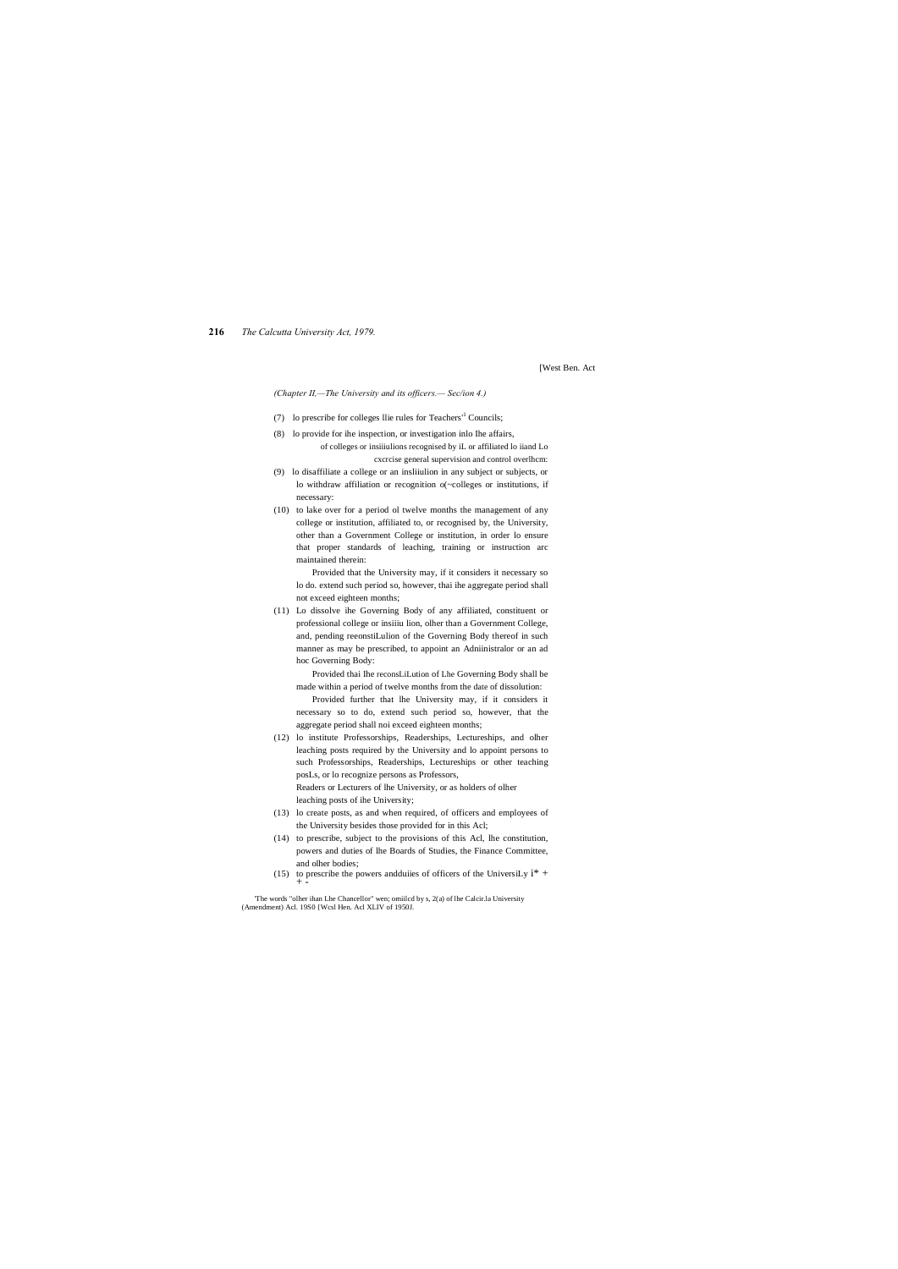**216** *The Calcutta University Act, 1979.*

[West Ben. Act

*(Chapter II,—The University and its officers.— Sec/ion 4.)*

- (7) lo prescribe for colleges llie rules for Teachers'<sup>1</sup> Councils;
- (8) lo provide for ihe inspection, or investigation inlo Ihe affairs, of colleges or insiiiulions recognised by iL or affiliated lo iiand Lo cxcrcise general supervision and control overlhcm:
- (9) lo disaffiliate a college or an insliiulion in any subject or subjects, or lo withdraw affiliation or recognition o(~colleges or institutions, if necessary:
- (10) to lake over for a period ol twelve months the management of any college or institution, affiliated to, or recognised by, the University, other than a Government College or institution, in order lo ensure that proper standards of leaching, training or instruction arc maintained therein:

Provided that the University may, if it considers it necessary so lo do. extend such period so, however, thai ihe aggregate period shall not exceed eighteen months;

- (13) lo create posts, as and when required, of officers and employees of the University besides those provided for in this Acl;
- (14) to prescribe, subject to the provisions of this Acl, lhe constitution, powers and duties of lhe Boards of Studies, the Finance Committee, and olher bodies;
- (15) to prescribe the powers and duiies of officers of the UniversiLy  $i^*$  +  $+$  -

(11) Lo dissolve ihe Governing Body of any affiliated, constituent or professional college or insiiiu lion, olher than a Government College, and, pending reeonstiLulion of the Governing Body thereof in such manner as may be prescribed, to appoint an Adniinistralor or an ad hoc Governing Body:

Provided thai Ihe reconsLiLution of Lhe Governing Body shall be made within a period of twelve months from the date of dissolution:

Provided further that lhe University may, if it considers it necessary so to do, extend such period so, however, that the aggregate period shall noi exceed eighteen months;

(12) lo institute Professorships, Readerships, Lectureships, and olher leaching posts required by the University and lo appoint persons to such Professorships, Readerships, Lectureships or other teaching posLs, or lo recognize persons as Professors, Readers or Lecturers of lhe University, or as holders of olher

leaching posts of ihe University;

'The words "olher ihan Lhe Chancellor" wen; omiilcd by s, 2(a) of lhe Calcir.la University (Amendment) Acl. 19S0 {Wcsl Hen. Acl XLIV of 1950J.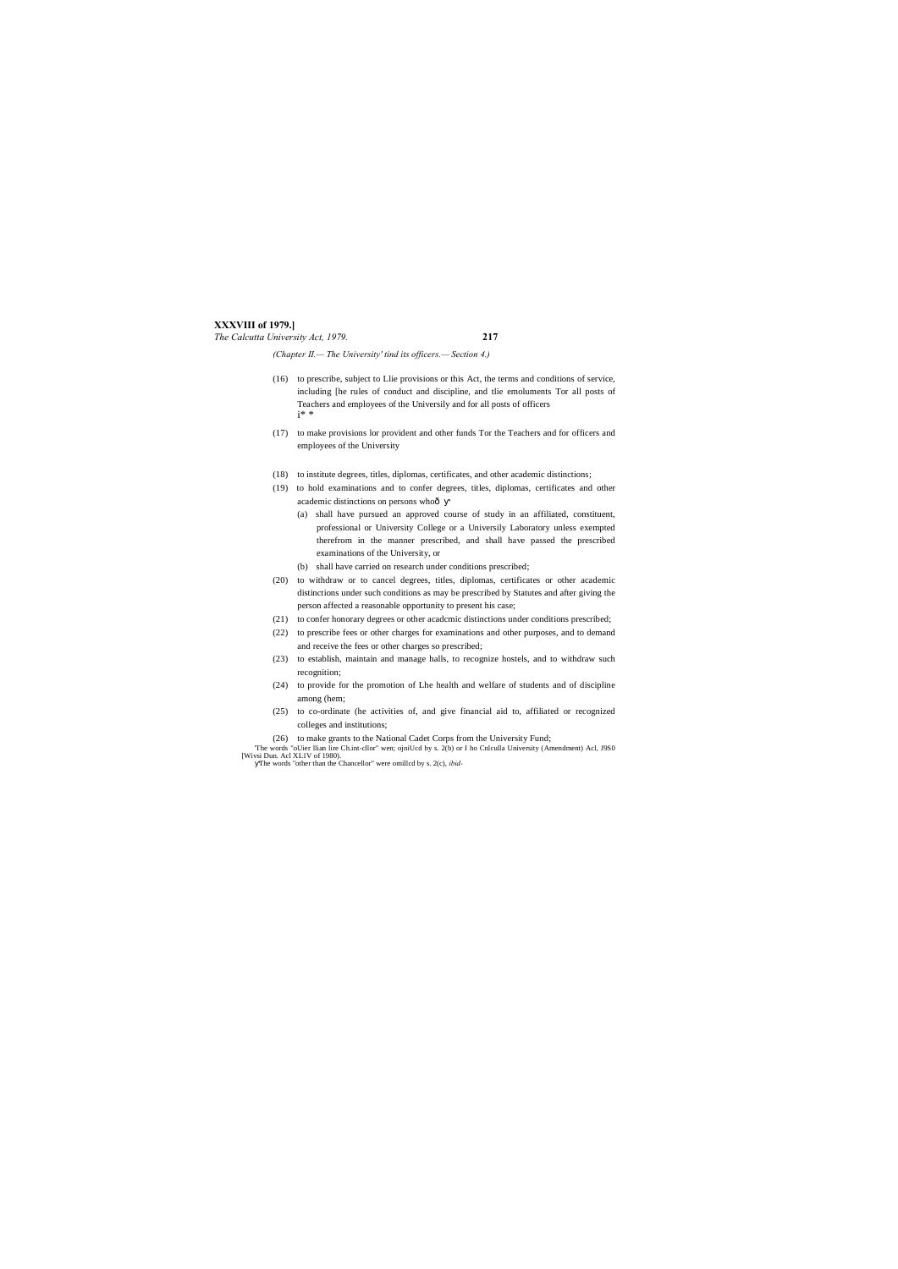#### **XXXVIII of 1979.]** *The Calcutta University Act, 1979.* **217**

- (16) to prescribe, subject to Llie provisions or this Act, the terms and conditions of service, including [he rules of conduct and discipline, and tlie emoluments Tor all posts of Teachers and employees of the Universily and for all posts of officers i\* \*
- (17) to make provisions lor provident and other funds Tor the Teachers and for officers and employees of the University
- (18) to institute degrees, titles, diplomas, certificates, and other academic distinctions;
- (19) to hold examinations and to confer degrees, titles, diplomas, certificates and other academic distinctions on persons whoô
	- (a) shall have pursued an approved course of study in an affiliated, constituent, professional or University College or a Universily Laboratory unless exempted therefrom in the manner prescribed, and shall have passed the prescribed examinations of the University, or
	- (b) shall have carried on research under conditions prescribed;
- (20) to withdraw or to cancel degrees, titles, diplomas, certificates or other academic distinctions under such conditions as may be prescribed by Statutes and after giving the person affected a reasonable opportunity to present his case;
- (21) to confer honorary degrees or other acadcmic distinctions under conditions prescribed;
- (22) to prescribe fees or other charges for examinations and other purposes, and to demand and receive the fees or other charges so prescribed;
- (23) to establish, maintain and manage halls, to recognize hostels, and to withdraw such recognition;
- (24) to provide for the promotion of Lhe health and welfare of students and of discipline among (hem;
- (25) to co-ordinate (he activities of, and give financial aid to, affiliated or recognized colleges and institutions;
- (26) to make grants to the National Cadet Corps from the University Fund;
- The words "oUier Ilian lire Ch.int-cllor" wen; ojniUcd by s. 2(b) or I ho Cnlculla University (Amendment) Acl, J9S0 [Wivsi Dun. Acl XL1V of 1980).<br>The words "other than the Chancellor" were omillcd by s. 2(c), *ibid*-

*(Chapter II.— The University' tind its officers.— Section 4.)*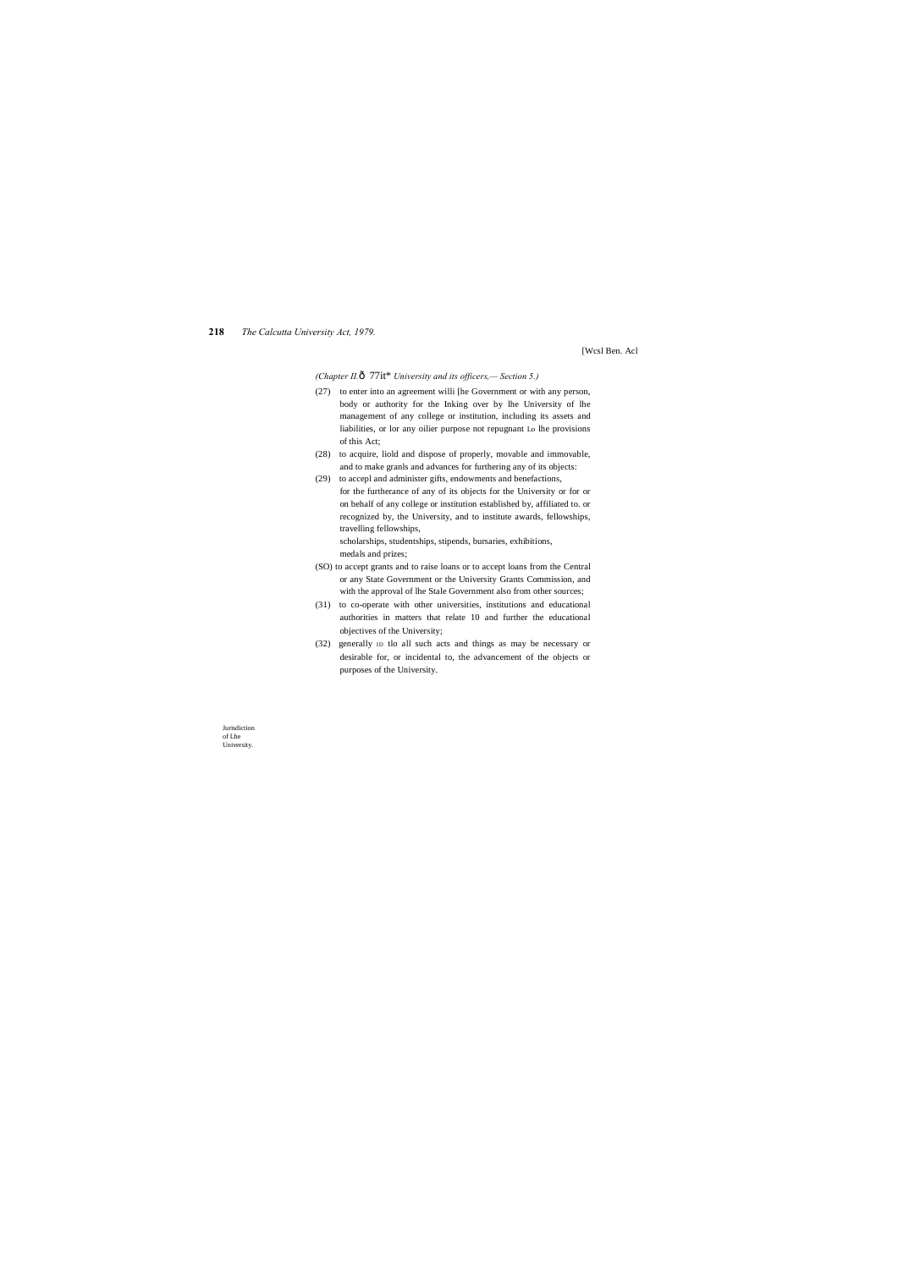#### **218** *The Calcutta University Act, 1979.*

Jurisdiction of Lhe University.

[Wcsl Ben. Acl

*(Chapter II.*—77it\* *University and its officers,— Section 5.)*

- (27) to enter into an agreement willi [he Government or with any person, body or authority for the Inking over by lhe University of lhe management of any college or institution, including its assets and liabilities, or lor any oilier purpose not repugnant Lo lhe provisions of this Act;
- (28) to acquire, liold and dispose of properly, movable and immovable, and to make granls and advances for furthering any of its objects:
- (29) to accepl and administer gifts, endowments and benefactions, for the furtherance of any of its objects for the University or for or on behalf of any college or institution established by, affiliated to. or recognized by, the University, and to institute awards, fellowships, travelling fellowships,

scholarships, studentships, stipends, bursaries, exhibitions, medals and prizes;

- (SO) to accept grants and to raise loans or to accept loans from the Central or any State Government or the University Grants Commission, and with the approval of lhe Stale Government also from other sources;
- (31) to co-operate with other universities, institutions and educational authorities in matters that relate 10 and further the educational objectives of the University;
- (32) generally ID tlo all such acts and things as may be necessary or desirable for, or incidental to, the advancement of the objects or purposes of the University.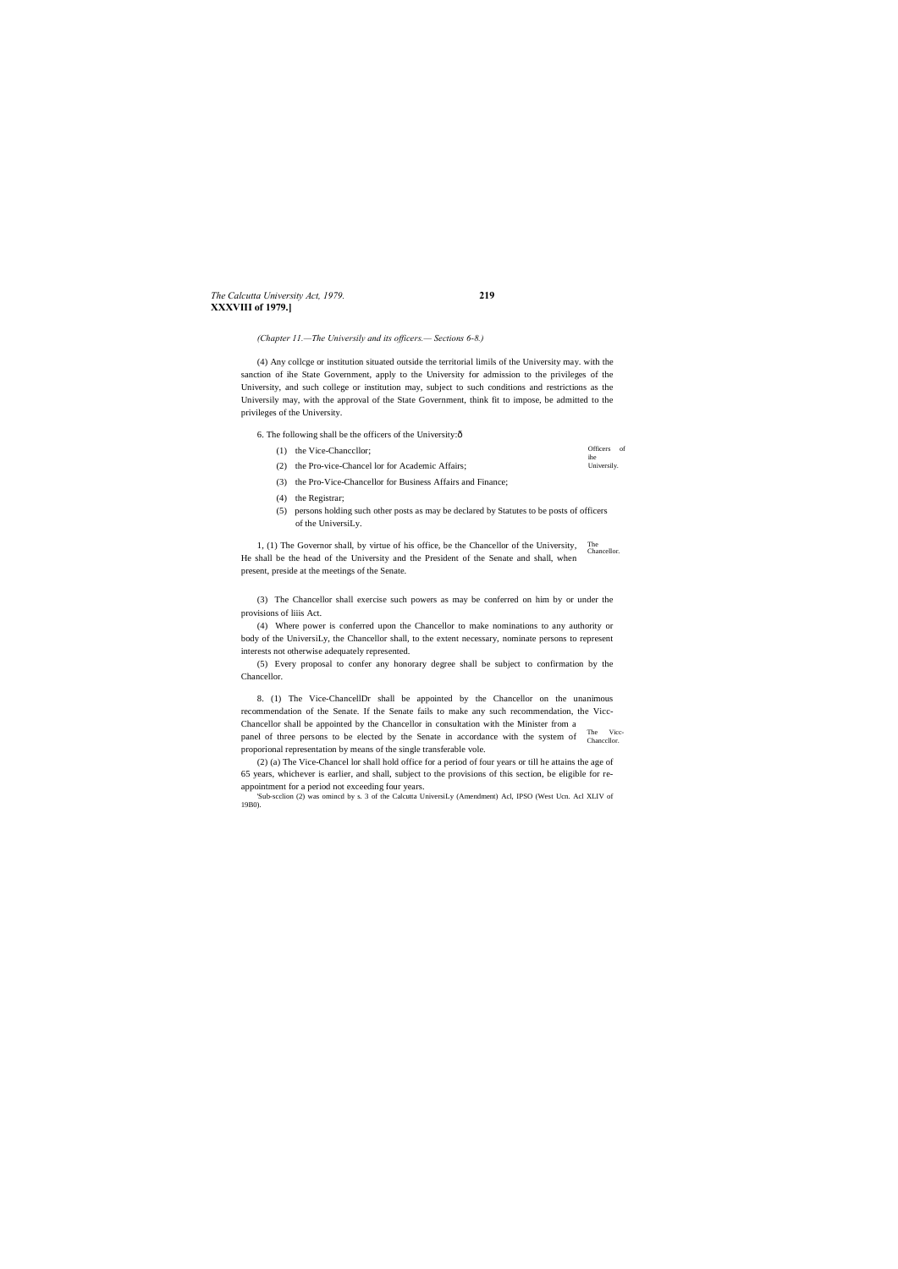#### *The Calcutta University Act, 1979.* **219 XXXVIII of 1979.]**

*(Chapter 11.—The Universily and its officers.— Sections 6-8.)*

(4) Any collcge or institution situated outside the territorial limils of the University may. with the sanction of ihe State Government, apply to the University for admission to the privileges of the University, and such college or institution may, subject to such conditions and restrictions as the Universily may, with the approval of the State Government, think fit to impose, be admitted to the privileges of the University.

6. The following shall be the officers of the University: $\delta$ 

| (1) the Vice-Chancellor;                           | Officers of<br>ihe |  |
|----------------------------------------------------|--------------------|--|
| (2) the Pro-vice-Chancel lor for Academic Affairs; | Universily.        |  |

1, (1) The Governor shall, by virtue of his office, be the Chancellor of the University, The Chancellor. He shall be the head of the University and the President of the Senate and shall, when present, preside at the meetings of the Senate.

- (3) the Pro-Vice-Chancellor for Business Affairs and Finance;
- (4) the Registrar;
- (5) persons holding such other posts as may be declared by Statutes to be posts of officers of the UniversiLy.

The Viccpanel of three persons to be elected by the Senate in accordance with the system of Chancellor. 8. (1) The Vice-ChancellDr shall be appointed by the Chancellor on the unanimous recommendation of the Senate. If the Senate fails to make any such recommendation, the Vicc-Chancellor shall be appointed by the Chancellor in consultation with the Minister from a proporional representation by means of the single transferable vole.

(3) The Chancellor shall exercise such powers as may be conferred on him by or under the provisions of liiis Act.

(4) Where power is conferred upon the Chancellor to make nominations to any authority or body of the UniversiLy, the Chancellor shall, to the extent necessary, nominate persons to represent interests not otherwise adequately represented.

(5) Every proposal to confer any honorary degree shall be subject to confirmation by the Chancellor.

(2) (a) The Vice-Chancel lor shall hold office for a period of four years or till he attains the age of 65 years, whichever is earlier, and shall, subject to the provisions of this section, be eligible for reappointment for a period not exceeding four years.

'Sub-scclion (2) was omincd by s. 3 of the Calcutta UniversiLy (Amendment) Acl, IPSO (West Ucn. Acl XLIV of 19B0).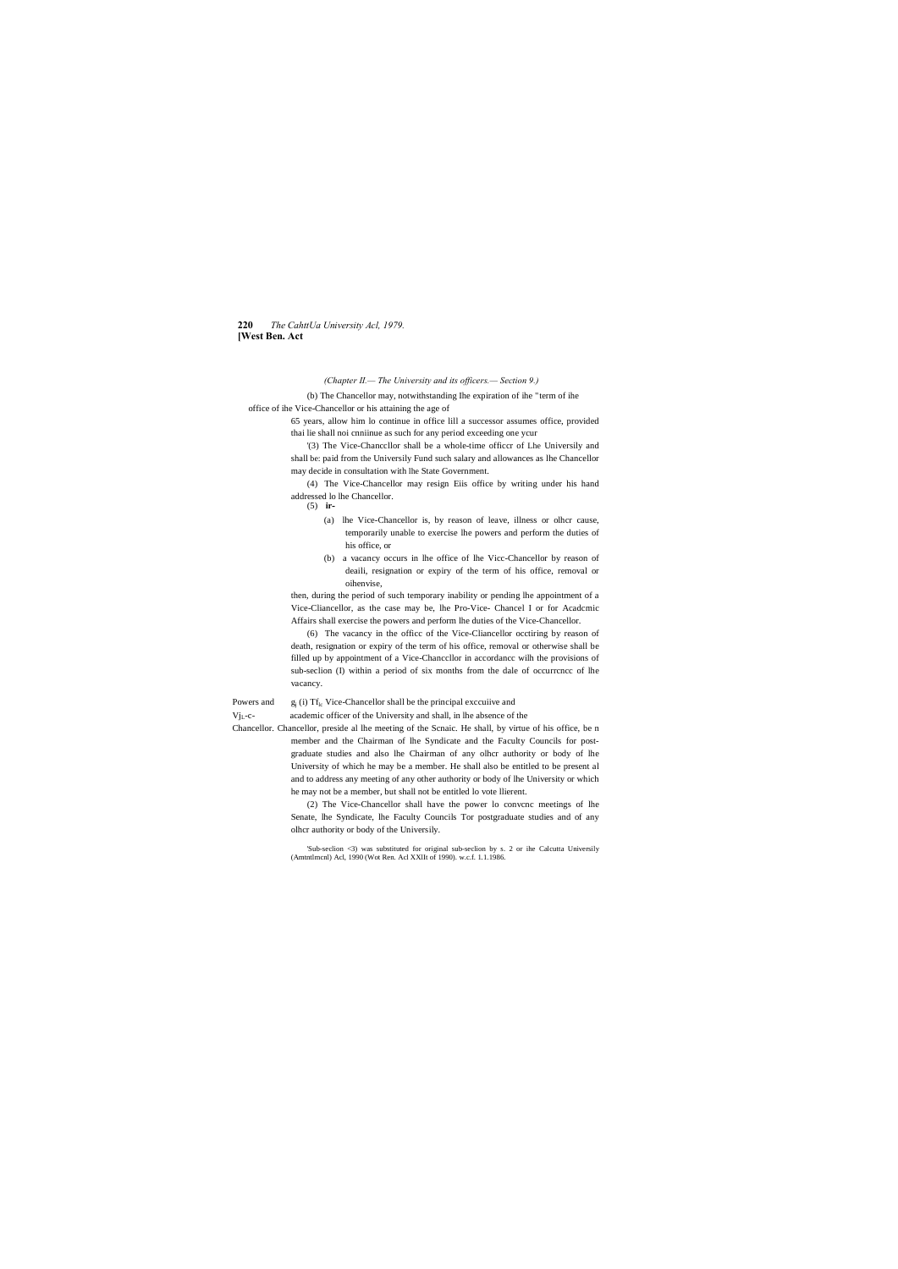#### **220** *The CahttUa University Acl, 1979.* **[West Ben. Act**

#### *(Chapter II.— The University and its officers.— Section 9.)*

(b) The Chancellor may, notwithstanding Ihe expiration of ihe "term of ihe office of ihe Vice-Chancellor or his attaining the age of

> 65 years, allow him lo continue in office lill a successor assumes office, provided thai lie shall noi cnniinue as such for any period exceeding one ycur

> '(3) The Vice-Chanccllor shall be a whole-time officcr of Lhe Universily and shall be: paid from the Universily Fund such salary and allowances as lhe Chancellor may decide in consultation with lhe State Government.

> (4) The Vice-Chancellor may resign Eiis office by writing under his hand addressed lo lhe Chancellor.

(5) **ir-**

- (a) lhe Vice-Chancellor is, by reason of leave, illness or olhcr cause, temporarily unable to exercise lhe powers and perform the duties of his office, or
- (b) a vacancy occurs in lhe office of lhe Vicc-Chancellor by reason of deaili, resignation or expiry of the term of his office, removal or oihenvise,

then, during the period of such temporary inability or pending lhe appointment of a Vice-Cliancellor, as the case may be, lhe Pro-Vice- Chancel I or for Acadcmic Affairs shall exercise the powers and perform lhe duties of the Vice-Chancellor.

(6) The vacancy in the officc of the Vice-Cliancellor occtiring by reason of death, resignation or expiry of the term of his office, removal or otherwise shall be filled up by appointment of a Vice-Chanccllor in accordancc wilh the provisions of sub-seclion (I) within a period of six months from the dale of occurrcncc of lhe vacancy.

Powers and g<sub>j</sub> (i) Tf<sub>lc</sub> Vice-Chancellor shall be the principal exccuiive and

VjL-c- academic officer of the University and shall, in lhe absence of the

Chancellor. Chancellor, preside al lhe meeting of the Scnaic. He shall, by virtue of his office, be n member and the Chairman of lhe Syndicate and the Faculty Councils for postgraduate studies and also lhe Chairman of any olhcr authority or body of lhe University of which he may be a member. He shall also be entitled to be present al and to address any meeting of any other authority or body of lhe University or which he may not be a member, but shall not be entitled lo vote llierent.

> (2) The Vice-Chancellor shall have the power lo convcnc meetings of lhe Senate, lhe Syndicate, lhe Faculty Councils Tor postgraduate studies and of any olhcr authority or body of the Universily.

> 'Sub-seclion <3) was substituted for original sub-seclion by s. 2 or ihe Calcutta Universily (Amtntlmcnl) Acl, 1990 (Wot Ren. Acl XXlIt of 1990). w.c.f. 1.1.1986.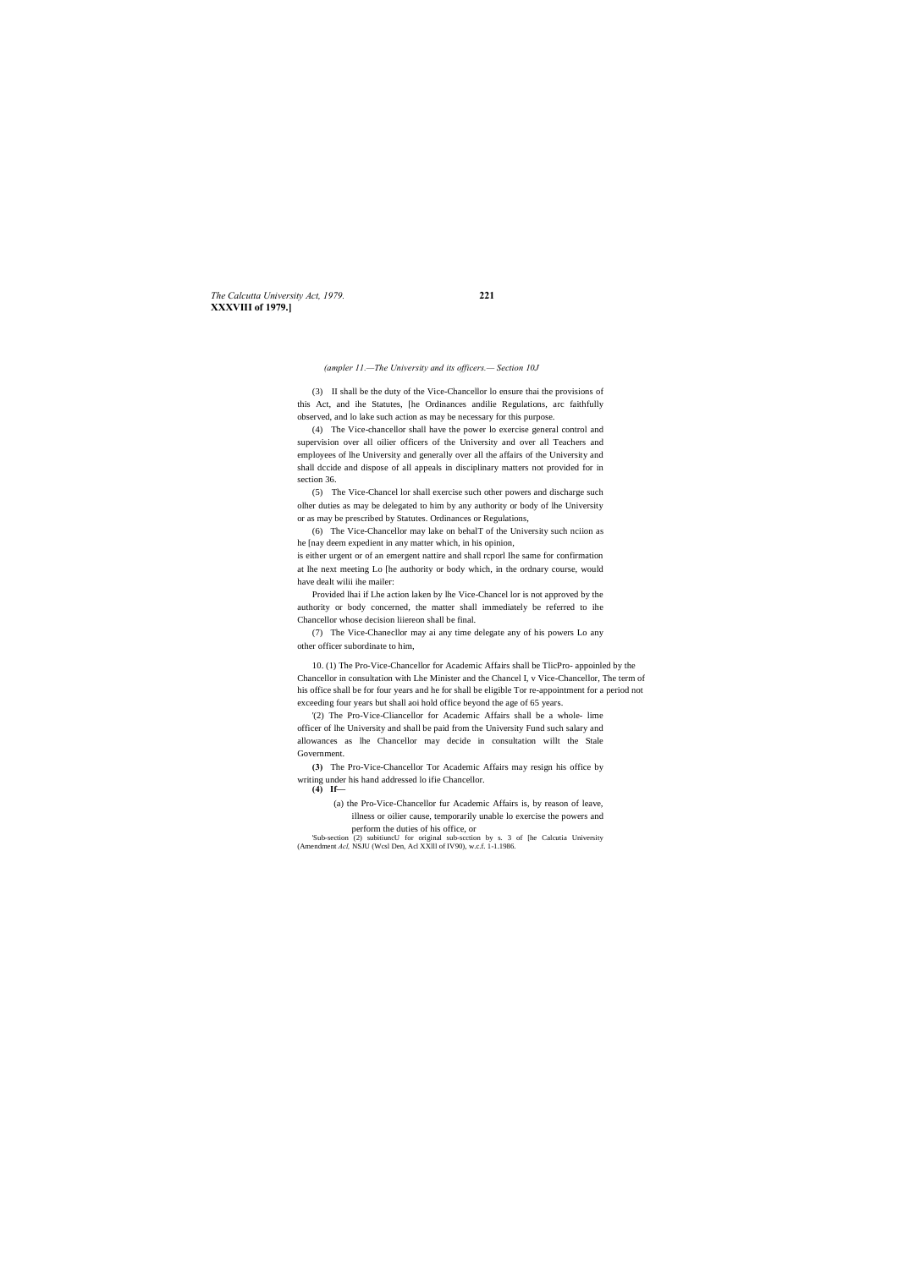*The Calcutta University Act, 1979.* **221 XXXVIII of 1979.]**

*(ampler 11.—The University and its officers.— Section 10J*

(3) II shall be the duty of the Vice-Chancellor lo ensure thai the provisions of this Act, and ihe Statutes, [he Ordinances andilie Regulations, arc faithfully observed, and lo lake such action as may be necessary for this purpose.

(4) The Vice-chancellor shall have the power lo exercise general control and supervision over all oilier officers of the University and over all Teachers and employees of lhe University and generally over all the affairs of the University and shall dccide and dispose of all appeals in disciplinary matters not provided for in section 36.

(5) The Vice-Chancel lor shall exercise such other powers and discharge such olher duties as may be delegated to him by any authority or body of lhe University or as may be prescribed by Statutes. Ordinances or Regulations,

(6) The Vice-Chancellor may lake on behalT of the University such nciion as he [nay deem expedient in any matter which, in his opinion,

is either urgent or of an emergent nattire and shall rcporl Ihe same for confirmation at lhe next meeting Lo [he authority or body which, in the ordnary course, would have dealt wilii ihe mailer:

Provided lhai if Lhe action laken by lhe Vice-Chancel lor is not approved by the authority or body concerned, the matter shall immediately be referred to ihe Chancellor whose decision liiereon shall be final.

(7) The Vice-Chanecllor may ai any time delegate any of his powers Lo any other officer subordinate to him,

10. (1) The Pro-Vice-Chancellor for Academic Affairs shall be TlicPro- appoinled by the Chancellor in consultation with Lhe Minister and the Chancel I, v Vice-Chancellor, The term of his office shall be for four years and he for shall be eligible Tor re-appointment for a period not exceeding four years but shall aoi hold office beyond the age of 65 years.

'(2) The Pro-Vice-Cliancellor for Academic Affairs shall be a whole- lime officer of lhe University and shall be paid from the University Fund such salary and allowances as lhe Chancellor may decide in consultation willt the Stale Government.

**(3)** The Pro-Vice-Chancellor Tor Academic Affairs may resign his office by writing under his hand addressed lo ifie Chancellor.

**(4) If—**

(a) the Pro-Vice-Chancellor fur Academic Affairs is, by reason of leave, illness or oilier cause, temporarily unable lo exercise the powers and perform the duties of his office, or

'Sub-section (2) subitiuncU for original sub-scction by s. 3 of [he Calcutia University (Amendment *Acl,* NSJU (Wcsl Den, Acl XXlll of IV90), w.c.f. 1-1.1986.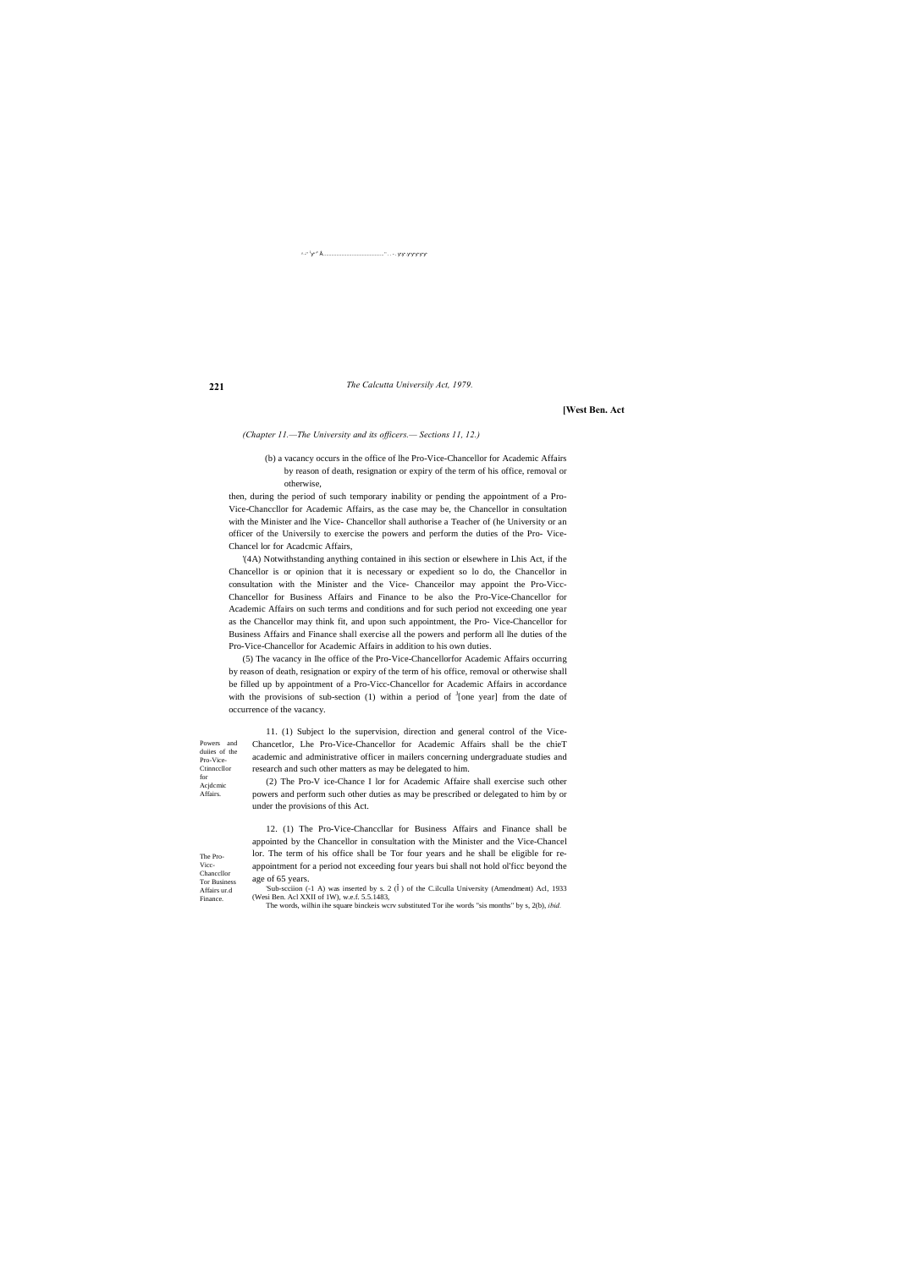**221**

Powers and duiies of the Pro-Vice-**Ctinnccllor** for Acjdcmic Affairs.

The Pro-Vicc-Chanccllor Tor Business Affairs ur.d Finance.

^ -'' <sup>1</sup> ' '<sup>v</sup> • ................................................ '' . . - . . .

*The Calcutta Universily Act, 1979.*

**[West Ben. Act**

*(Chapter 11.—The University and its officers.— Sections 11, 12.)*

(b) a vacancy occurs in the office of lhe Pro-Vice-Chancellor for Academic Affairs by reason of death, resignation or expiry of the term of his office, removal or otherwise,

then, during the period of such temporary inability or pending the appointment of a Pro-Vice-Chanccllor for Academic Affairs, as the case may be, the Chancellor in consultation with the Minister and lhe Vice- Chancellor shall authorise a Teacher of (he University or an officer of the Universily to exercise the powers and perform the duties of the Pro- Vice-Chancel lor for Acadcmic Affairs,

'(4A) Notwithstanding anything contained in ihis section or elsewhere in Lhis Act, if the Chancellor is or opinion that it is necessary or expedient so lo do, the Chancellor in consultation with the Minister and the Vice- Chanceilor may appoint the Pro-Vicc-Chancellor for Business Affairs and Finance to be also the Pro-Vice-Chancellor for Academic Affairs on such terms and conditions and for such period not exceeding one year as the Chancellor may think fit, and upon such appointment, the Pro- Vice-Chancellor for Business Affairs and Finance shall exercise all the powers and perform all lhe duties of the Pro-Vice-Chancellor for Academic Affairs in addition to his own duties.

'Sub-scciion (-1 A) was inserted by s. 2 () of the C.ilculla University (Amendment) Acl, 1933 (Wesi Ben. Acl XXII of 1W), w.e.f. 5.5.1483,

(5) The vacancy in Ihe office of the Pro-Vice-Chancellorfor Academic Affairs occurring by reason of death, resignation or expiry of the term of his office, removal or otherwise shall be filled up by appointment of a Pro-Vicc-Chancellor for Academic Affairs in accordance with the provisions of sub-section (1) within a period of  $\frac{1}{2}$  [one year] from the date of occurrence of the vacancy.

11. (1) Subject lo the supervision, direction and general control of the Vice-Chancetlor, Lhe Pro-Vice-Chancellor for Academic Affairs shall be the chieT academic and administrative officer in mailers concerning undergraduate studies and research and such other matters as may be delegated to him.

(2) The Pro-V ice-Chance I lor for Academic Affaire shall exercise such other powers and perform such other duties as may be prescribed or delegated to him by or under the provisions of this Act.

12. (1) The Pro-Vice-Chanccllar for Business Affairs and Finance shall be appointed by the Chancellor in consultation with the Minister and the Vice-Chancel lor. The term of his office shall be Tor four years and he shall be eligible for reappointment for a period not exceeding four years bui shall not hold ol'ficc beyond the age of 65 years.

The words, wilhin ihe square binckeis wcrv substituted Tor ihe words "sis months" by s, 2(b), *ibid.*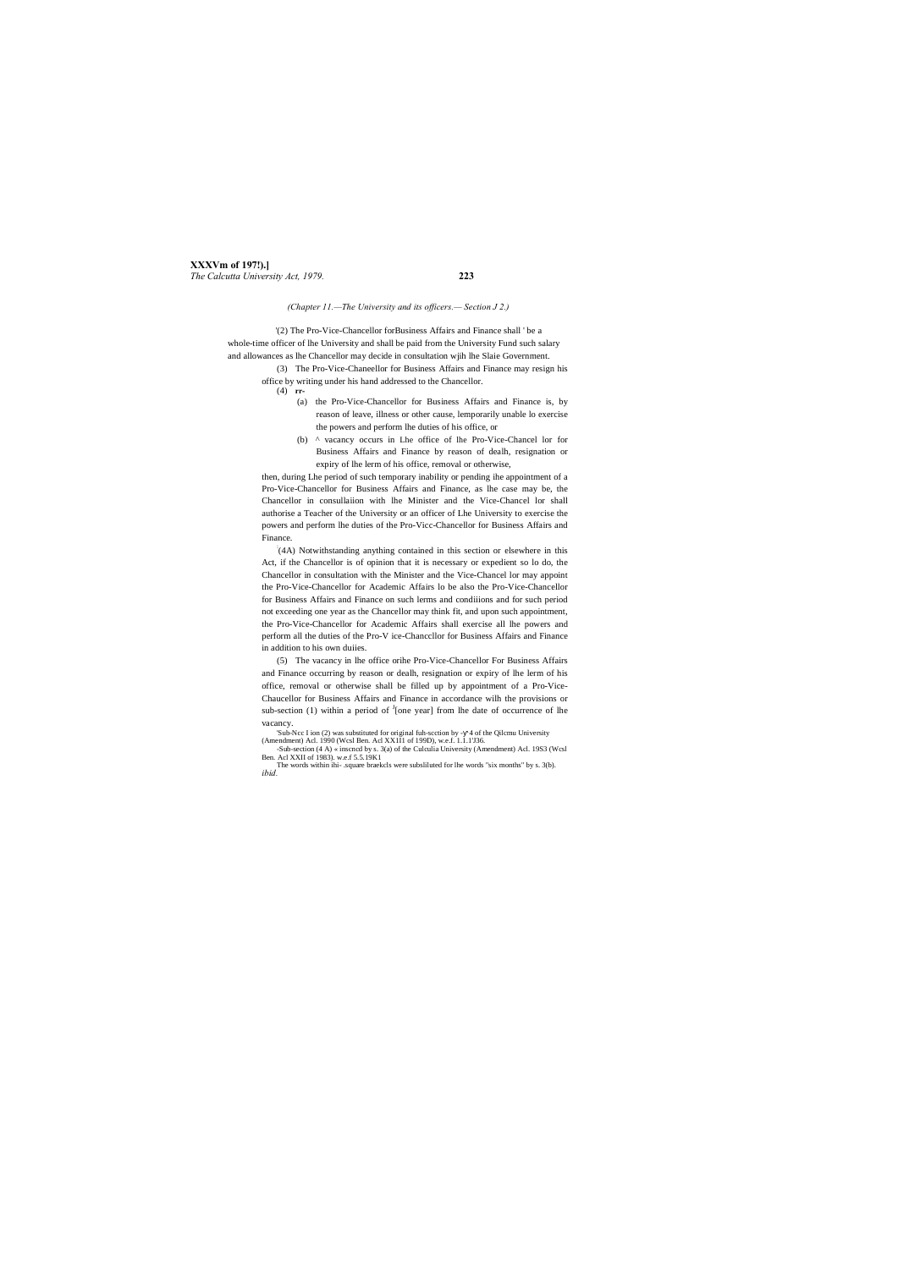**XXXVm of 197!).]** *The Calcutta University Act, 1979.* **223**

*(Chapter 11.—The University and its officers.— Section J 2.)*

'(2) The Pro-Vice-Chancellor forBusiness Affairs and Finance shall ' be a whole-time officer of lhe University and shall be paid from the University Fund such salary and allowances as lhe Chancellor may decide in consultation wjih lhe Slaie Government.

> (3) The Pro-Vice-Chaneellor for Business Affairs and Finance may resign his office by writing under his hand addressed to the Chancellor.

(4) **rr-**

- (a) the Pro-Vice-Chancellor for Business Affairs and Finance is, by reason of leave, illness or other cause, lemporarily unable lo exercise the powers and perform lhe duties of his office, or
- (b) ^ vacancy occurs in Lhe office of lhe Pro-Vice-Chancel lor for Business Affairs and Finance by reason of dealh, resignation or expiry of lhe lerm of his office, removal or otherwise,

then, during Lhe period of such temporary inability or pending ihe appointment of a Pro-Vice-Chancellor for Business Affairs and Finance, as lhe case may be, the Chancellor in consullaiion with lhe Minister and the Vice-Chancel lor shall authorise a Teacher of the University or an officer of Lhe University to exercise the powers and perform lhe duties of the Pro-Vicc-Chancellor for Business Affairs and Finance.

: (4A) Notwithstanding anything contained in this section or elsewhere in this Act, if the Chancellor is of opinion that it is necessary or expedient so lo do, the Chancellor in consultation with the Minister and the Vice-Chancel lor may appoint the Pro-Vice-Chancellor for Academic Affairs lo be also the Pro-Vice-Chancellor for Business Affairs and Finance on such lerms and condiiions and for such period not exceeding one year as the Chancellor may think fit, and upon such appointment, the Pro-Vice-Chancellor for Academic Affairs shall exercise all lhe powers and perform all the duties of the Pro-V ice-Chanccllor for Business Affairs and Finance in addition to his own duiies.

(5) The vacancy in lhe office orihe Pro-Vice-Chancellor For Business Affairs and Finance occurring by reason or dealh, resignation or expiry of lhe lerm of his office, removal or otherwise shall be filled up by appointment of a Pro-Vice-Chaucellor for Business Affairs and Finance in accordance wilh the provisions or sub-section (1) within a period of  $\frac{1}{2}$  [one year] from lhe date of occurrence of lhe vacancy.

'Sub-Ncc I ion (2) was substituted for original fuh-scction by - 4 of the Qilcmu University

(Amendment) Acl. 1990 (Wcsl Ben. Acl XX1I1 of 199D), w.e.f. 1.1.1'J36. -Sub-section (4 A) « inscncd by s. 3(a) of the Culculia University (Amendment) Acl. 19S3 (Wcsl

Ben. Acl XXII of 1983). w.e.f 5.5.19K1 The words within ihi- .square braekcls were subsliluted for lhe words "six months" by s. 3(b). *ibid.*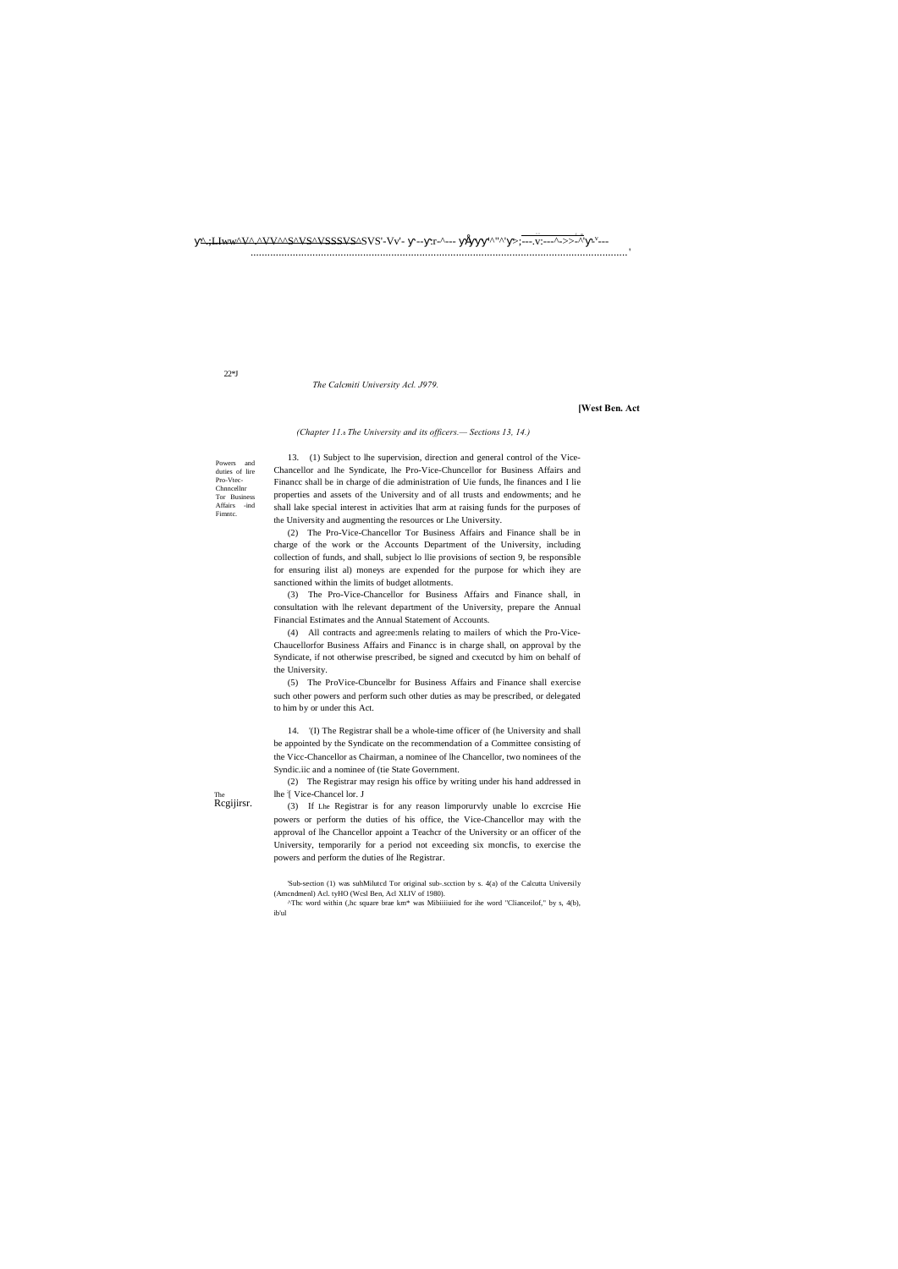## $\Delta$ :/Llww $\Delta V \Delta \Delta V$  $\Delta V$   $\Delta V$   $\Delta S \Delta V$   $\Delta S$   $\Delta V$   $\Delta S$   $\Delta V$   $\Delta V$   $\Delta V$   $\Delta V$   $\Delta V$   $\Delta V$   $\Delta V$   $\Delta V$   $\Delta V$   $\Delta S$   $\Delta V$   $\Delta S$   $\Delta V$   $\Delta V$   $\Delta V$   $\Delta V$   $\Delta V$   $\Delta S$   $\Delta V$   $\Delta S$   $\Delta V$   $\Delta V$   $\Delta V$   $\Delta S$   $\Delta V$   $\Delta S$   $\Delta V$

 $22*J$ 

#### The Calcmiti University Acl. J979.

#### [West Ben. Act

#### (Chapter 11. The University and its officers. - Sections 13, 14.)

Powers and duties of lire<br>Pro-Vtec-Chnncelln Tor Business Affairs -ind Fimntc

13. (1) Subject to lhe supervision, direction and general control of the Vice-Chancellor and lhe Syndicate, lhe Pro-Vice-Chuncellor for Business Affairs and Finance shall be in charge of die administration of Uie funds, lhe finances and I lie properties and assets of the University and of all trusts and endowments; and he shall lake special interest in activities lhat arm at raising funds for the purposes of the University and augmenting the resources or Lhe University.

(2) The Pro-Vice-Chancellor Tor Business Affairs and Finance shall be in charge of the work or the Accounts Department of the University, including collection of funds, and shall, subject lo llie provisions of section 9, be responsible for ensuring ilist al) moneys are expended for the purpose for which ihey are sanctioned within the limits of budget allotments.

(3) The Pro-Vice-Chancellor for Business Affairs and Finance shall, in consultation with lhe relevant department of the University, prepare the Annual Financial Estimates and the Annual Statement of Accounts.

(4) All contracts and agree:menls relating to mailers of which the Pro-Vice-Chaucellorfor Business Affairs and Financc is in charge shall, on approval by the Syndicate, if not otherwise prescribed, be signed and cxecutcd by him on behalf of the University.

(5) The ProVice-Cbuncelbr for Business Affairs and Finance shall exercise such other powers and perform such other duties as may be prescribed, or delegated to him by or under this Act.

14. (I) The Registrar shall be a whole-time officer of (he University and shall be appointed by the Syndicate on the recommendation of a Committee consisting of the Vicc-Chancellor as Chairman, a nominee of lhe Chancellor, two nominees of the Syndic.iic and a nominee of (tie State Government.

(2) The Registrar may resign his office by writing under his hand addressed in lhe [ Vice-Chancel lor. J

(3) If Lhe Registrar is for any reason limporurvly unable lo excrcise Hie powers or perform the duties of his office, the Vice-Chancellor may with the approval of lhe Chancellor appoint a Teacher of the University or an officer of the University, temporarily for a period not exceeding six moncfis, to exercise the powers and perform the duties of lhe Registrar.

'Sub-section (1) was suhMiluted Tor original sub-.section by s. 4(a) of the Calcutta Universily (Amcndmenl) Acl. tyHO (Wcsl Ben, Acl XLIV of 1980).

Regijirsr.

<sup>&</sup>quot;The word within (,he square brae km\* was Mibiiiiuied for ihe word "Clianceilof," by s, 4(b), ib'ul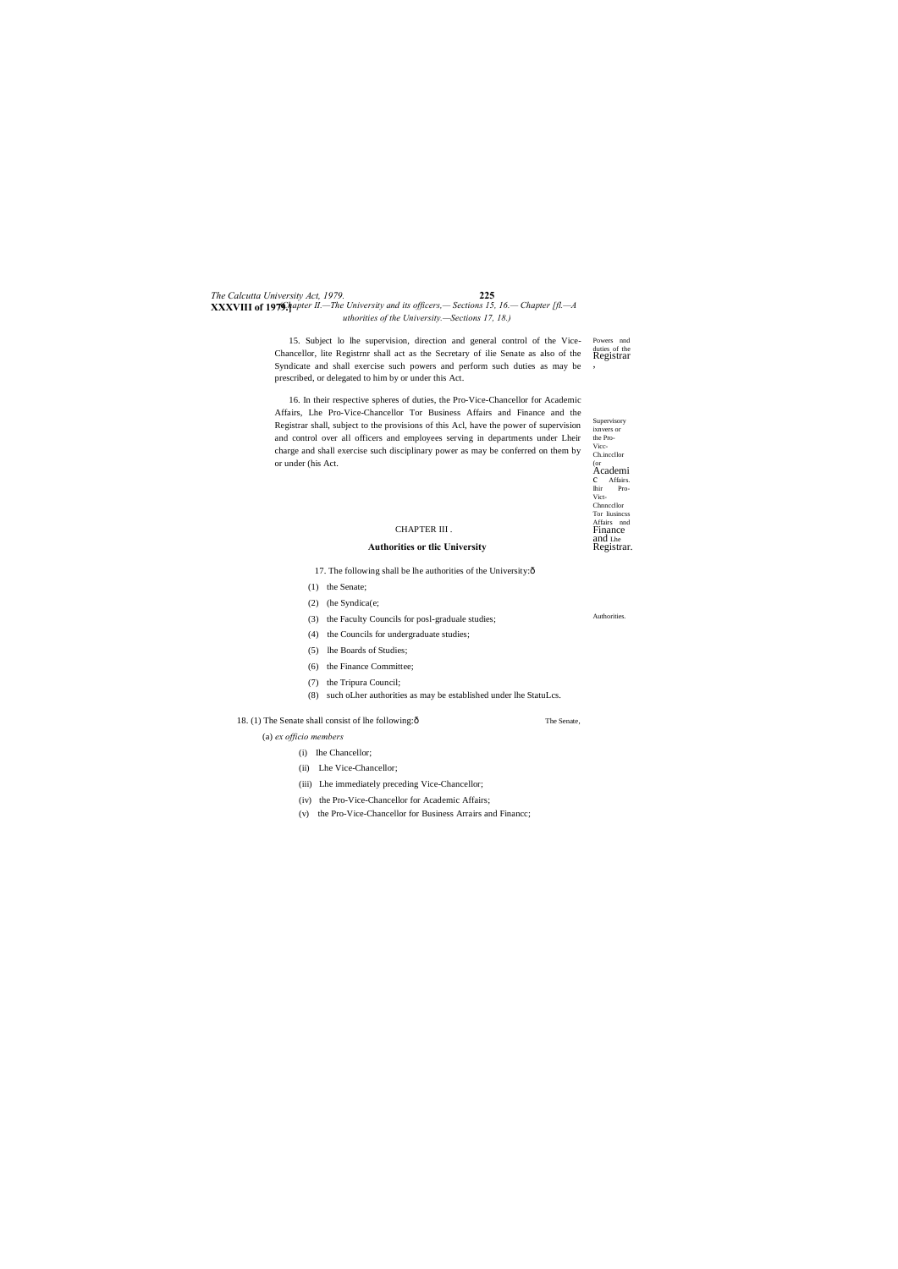Vicc-Ch.inccllor <sub>(or</sub><br>Academi c Affairs. Ihir Pro-Vict-**Chnnccllor** Tor liusincss Affairs nnd Finance and Lhe Registrar.

#### *The Calcutta University Act, 1979.* **225 XXXVIII of 1979.** $\nparallel$ *Apter II.*—*The University and its officers,*— *Sections 15, 16.*— *Chapter [fl.*—*A uthorities of the University.—Sections 17, 18.)*

Authorities.

15. Subject lo lhe supervision, direction and general control of the Vice-Powers nnd Chancellor, lite Registrnr shall act as the Secretary of ilie Senate as also of the Registrar , Syndicate and shall exercise such powers and perform such duties as may be prescribed, or delegated to him by or under this Act.

Supervisory ixnvers or the Pro-16. In their respective spheres of duties, the Pro-Vice-Chancellor for Academic Affairs, Lhe Pro-Vice-Chancellor Tor Business Affairs and Finance and the Registrar shall, subject to the provisions of this Acl, have the power of supervision and control over all officers and employees serving in departments under Lheir charge and shall exercise such disciplinary power as may be conferred on them by or under (his Act.

#### CHAPTER III .

#### **Authorities or tlic University**

17. The following shall be lhe authorities of the University: $\hat{o}$ 

- (1) the Senate;
- (2) (he Syndica(e;
- (3) the Faculty Councils for posl-graduale studies;
- (4) the Councils for undergraduate studies;
- (5) lhe Boards of Studies;
- (6) the Finance Committee;
- (7) the Tripura Council;
- (8) such oLher authorities as may be established under lhe StatuLcs.

#### 18. (1) The Senate shall consist of lhe following: $\hat{o}$  The Senate,

(a) *ex officio members*

(i) Ihe Chancellor;

- (ii) Lhe Vice-Chancellor;
- (iii) Lhe immediately preceding Vice-Chancellor;

(iv) the Pro-Vice-Chancellor for Academic Affairs;

(v) the Pro-Vice-Chancellor for Business Arrairs and Financc;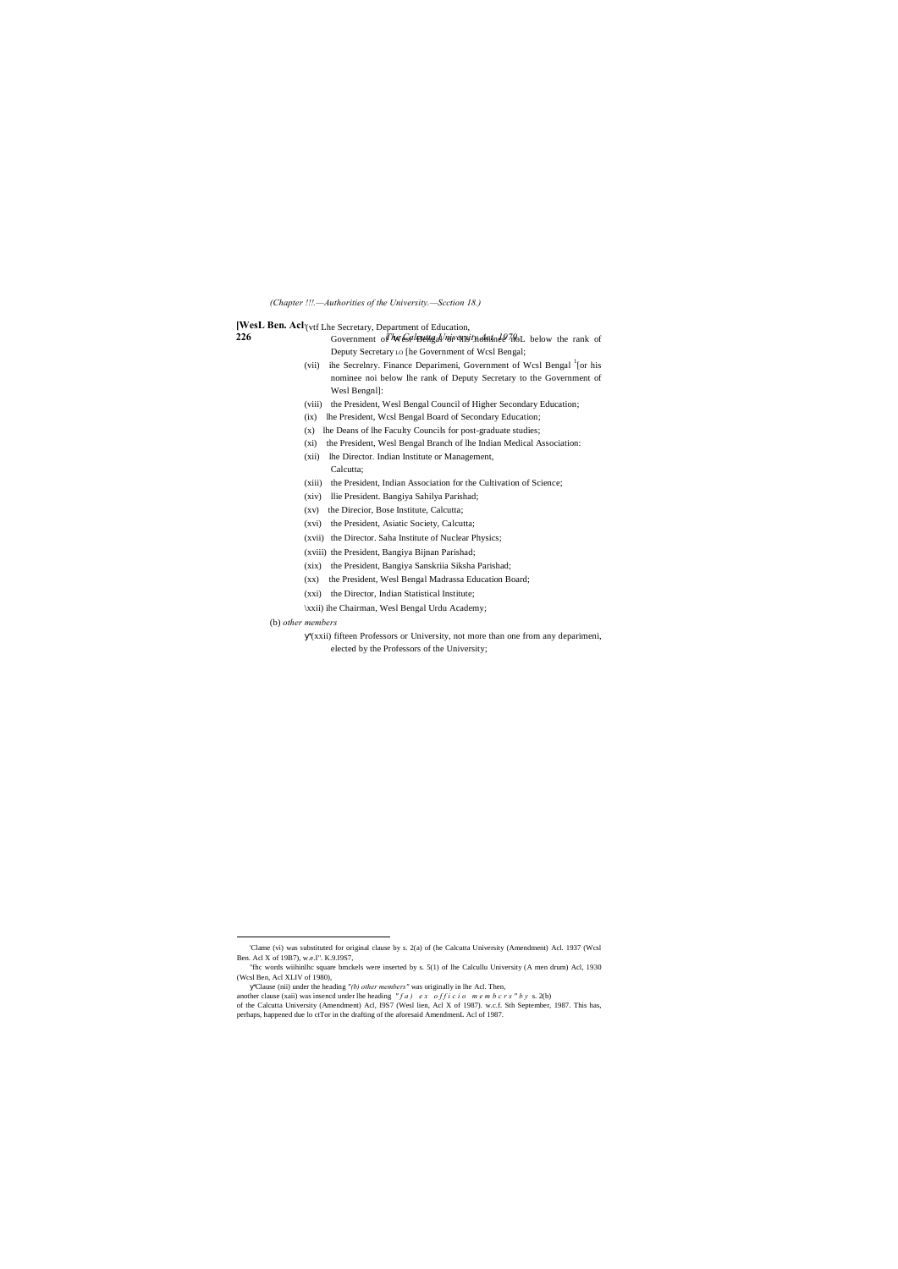*(Chapter !!!.—Authorities of the University.—Scction 18.)*

[WesL Ben. Acl<sup>'</sup>(vtf Lhe Secretary, Department of Education,

- **226 The Covernment of Ne Calcuttgal niversity Active The Leap of the rank of** Deputy Secretary LO [he Government of Wcsl Bengal;
	- (vii) ihe Secrelnry. Finance Deparimeni, Government of Wcsl Bengal <sup>1</sup>[or his nominee noi below lhe rank of Deputy Secretary to the Government of Wesl Bengnl]:
	- (viii) the President, Wesl Bengal Council of Higher Secondary Education;
	- (ix) lhe President, Wcsl Bengal Board of Secondary Education;
	- (x) lhe Deans of lhe Faculty Councils for post-graduate studies;
	- (xi) the President, Wesl Bengal Branch of lhe Indian Medical Association:
	- (xii) lhe Director. Indian Institute or Management, Calcutta;
	- (xiii) the President, Indian Association for the Cultivation of Science;
	- (xiv) llie President. Bangiya Sahilya Parishad;
	- (xv) the Direcior, Bose Institute, Calcutta;
	- (xvi) the President, Asiatic Society, Calcutta;
	- (xvii) the Director. Saha Institute of Nuclear Physics;
	- (xviii) the President, Bangiya Bijnan Parishad;
	- (xix) the President, Bangiya Sanskriia Siksha Parishad;
	- (xx) the President, Wesl Bengal Madrassa Education Board;
	- (xxi) the Director, Indian Statistical Institute;

'Clause (nii) under the heading "(b) other members" was originally in lhe Acl. Then, another clause (xaii) was insencd under lhe heading  $'' f a$ )  $ex$  of f i c i o m e m b c r s  $''$  b y s. 2(b) of the Calcutta University (Amendment) Acl, I9S7 (Wesl lien, Acl X of 1987). w.c.f. Sth September, 1987. This has, perhaps, happened due lo ctTor in the drafting of the aforesaid AmendmenL Acl of 1987.

\xxii) ihe Chairman, Wesl Bengal Urdu Academy;

#### (b) *other members*

'(xxii) fifteen Professors or University, not more than one from any deparimeni, elected by the Professors of the University;

"fhc words wiihinlhc square bmckels were inserted by s. 5(1) of lhe Calcullu University (A men drum) Acl, 1930 (Wcsl Ben, Acl XLIV of 1980),

<sup>&#</sup>x27;Clame (vi) was substituted for original clause by s. 2(a) of (he Calcutta University (Amendment) Acl. 1937 (Wcsl Ben. Acl X of 19B7), w.e.I". K.9.I9S7,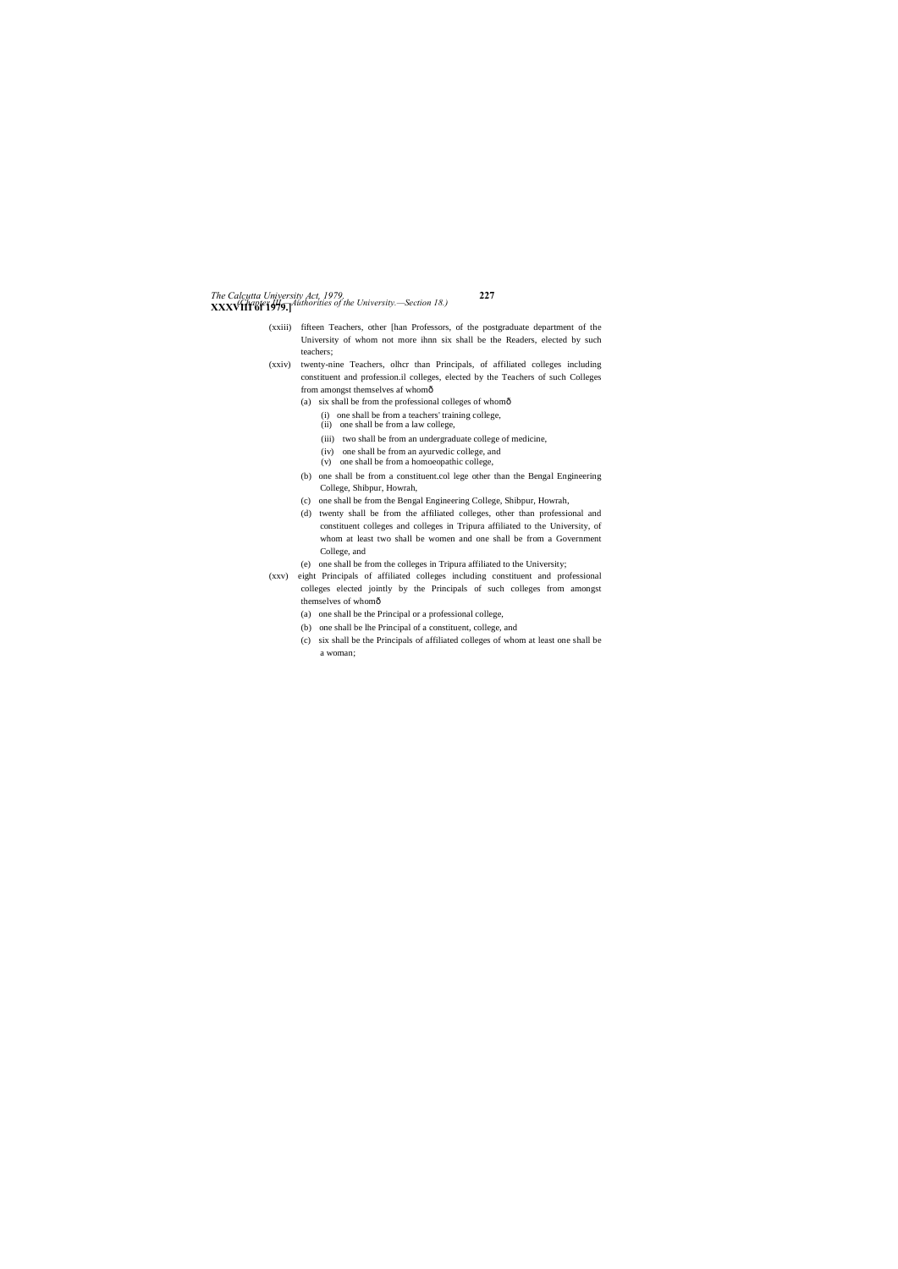## *The Calcutta University Act, 1979.* **227 XXXVIII of 1979.]** *(Chapter III.—Authorities of the University.—Section 18.)*

- (xxiii) fifteen Teachers, other [han Professors, of the postgraduate department of the University of whom not more ihnn six shall be the Readers, elected by such teachers;
- (xxiv) twenty-nine Teachers, olhcr than Principals, of affiliated colleges including constituent and profession.il colleges, elected by the Teachers of such Colleges from amongst themselves af whomô
	- (a) six shall be from the professional colleges of whom—
		- (i) one shall be from a teachers' training college,
		- (ii) one shall be from a law college,
		- (iii) two shall be from an undergraduate college of medicine,
		- (iv) one shall be from an ayurvedic college, and
		- (v) one shall be from a homoeopathic college,
	- (b) one shall be from a constituent.col lege other than the Bengal Engineering College, Shibpur, Howrah,
	- (c) one shall be from the Bengal Engineering College, Shibpur, Howrah,
	- (d) twenty shall be from the affiliated colleges, other than professional and constituent colleges and colleges in Tripura affiliated to the University, of whom at least two shall be women and one shall be from a Government College, and
	- (e) one shall be from the colleges in Tripura affiliated to the University;
- (xxv) eight Principals of affiliated colleges including constituent and professional colleges elected jointly by the Principals of such colleges from amongst themselves of whomô
	- (a) one shall be the Principal or a professional college,
	- (b) one shall be lhe Principal of a constituent, college, and
	- (c) six shall be the Principals of affiliated colleges of whom at least one shall be a woman;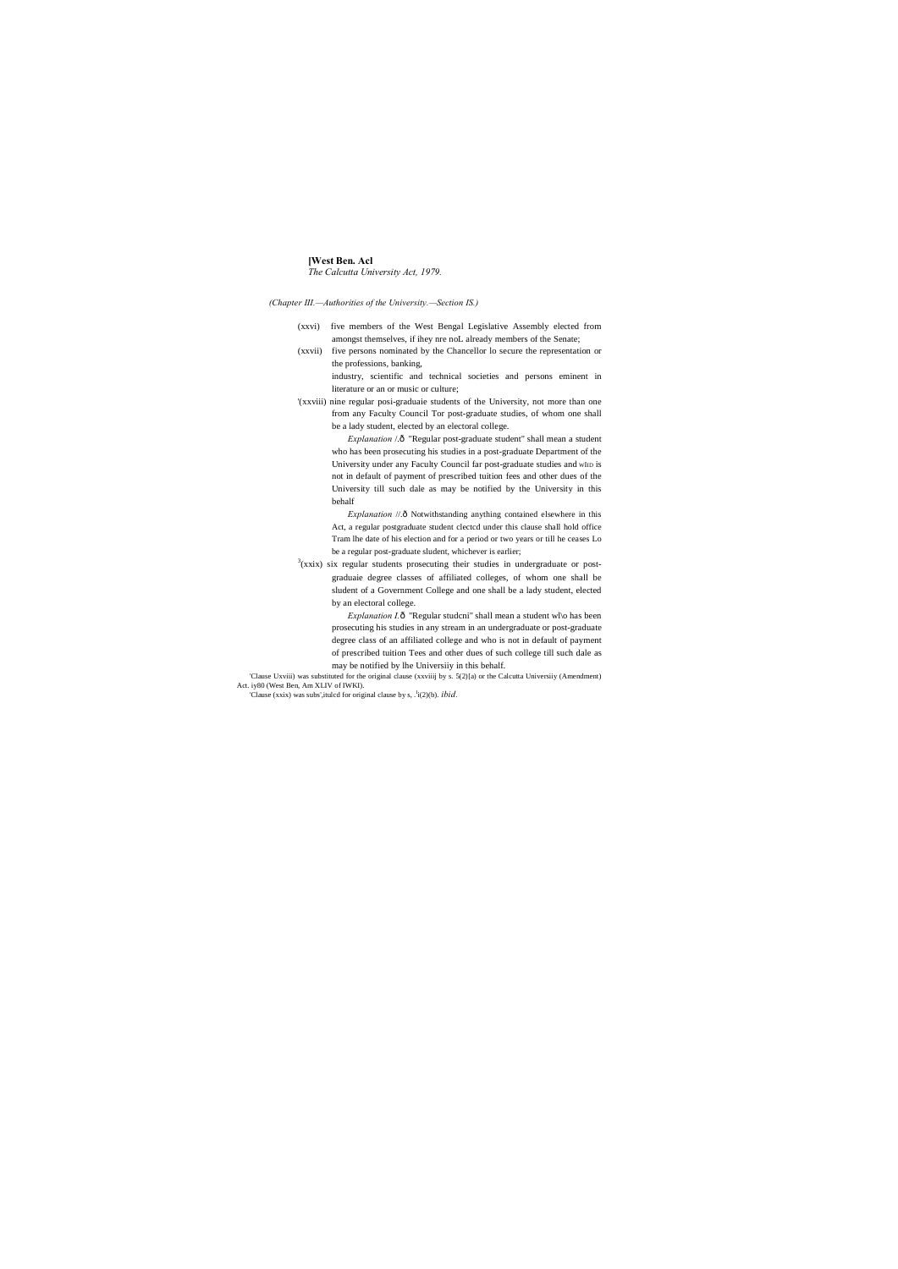#### **[West Ben. Acl** *The Calcutta University Act, 1979.*

*(Chapter III.—Authorities of the University.—Section IS.)*

- (xxvi) five members of the West Bengal Legislative Assembly elected from amongst themselves, if ihey nre noL already members of the Senate;
- (xxvii) five persons nominated by the Chancellor lo secure the representation or the professions, banking,
	- industry, scientific and technical societies and persons eminent in literature or an or music or culture;
- '(xxviii) nine regular posi-graduaie students of the University, not more than one from any Faculty Council Tor post-graduate studies, of whom one shall be a lady student, elected by an electoral college.

*Explanation* /.ô "Regular post-graduate student" shall mean a student who has been prosecuting his studies in a post-graduate Department of the University under any Faculty Council far post-graduate studies and wIID is not in default of payment of prescribed tuition fees and other dues of the University till such dale as may be notified by the University in this behalf

*Explanation* //.ô Notwithstanding anything contained elsewhere in this Act, a regular postgraduate student clectcd under this clause shall hold office Tram lhe date of his election and for a period or two years or till he ceases Lo be a regular post-graduate sludent, whichever is earlier;

 $3(xxix)$  six regular students prosecuting their studies in undergraduate or postgraduaie degree classes of affiliated colleges, of whom one shall be sludent of a Government College and one shall be a lady student, elected by an electoral college.

> *Explanation I.* ô "Regular studcni" shall mean a student wl\o has been prosecuting his studies in any stream in an undergraduate or post-graduate degree class of an affiliated college and who is not in default of payment of prescribed tuition Tees and other dues of such college till such dale as may be notified by lhe Universiiy in this behalf.

'Clause Uxviii) was substituted for the original clause (xxviiij by s. 5(2)[a) or the Calcutta Universiiy (Amendment) Act. iy80 (West Ben, Am XLIV of IWKI).

'Clause (xxix) was subs',itulcd for original clause by s, .<sup>I</sup>i(2)(b). *ibid.*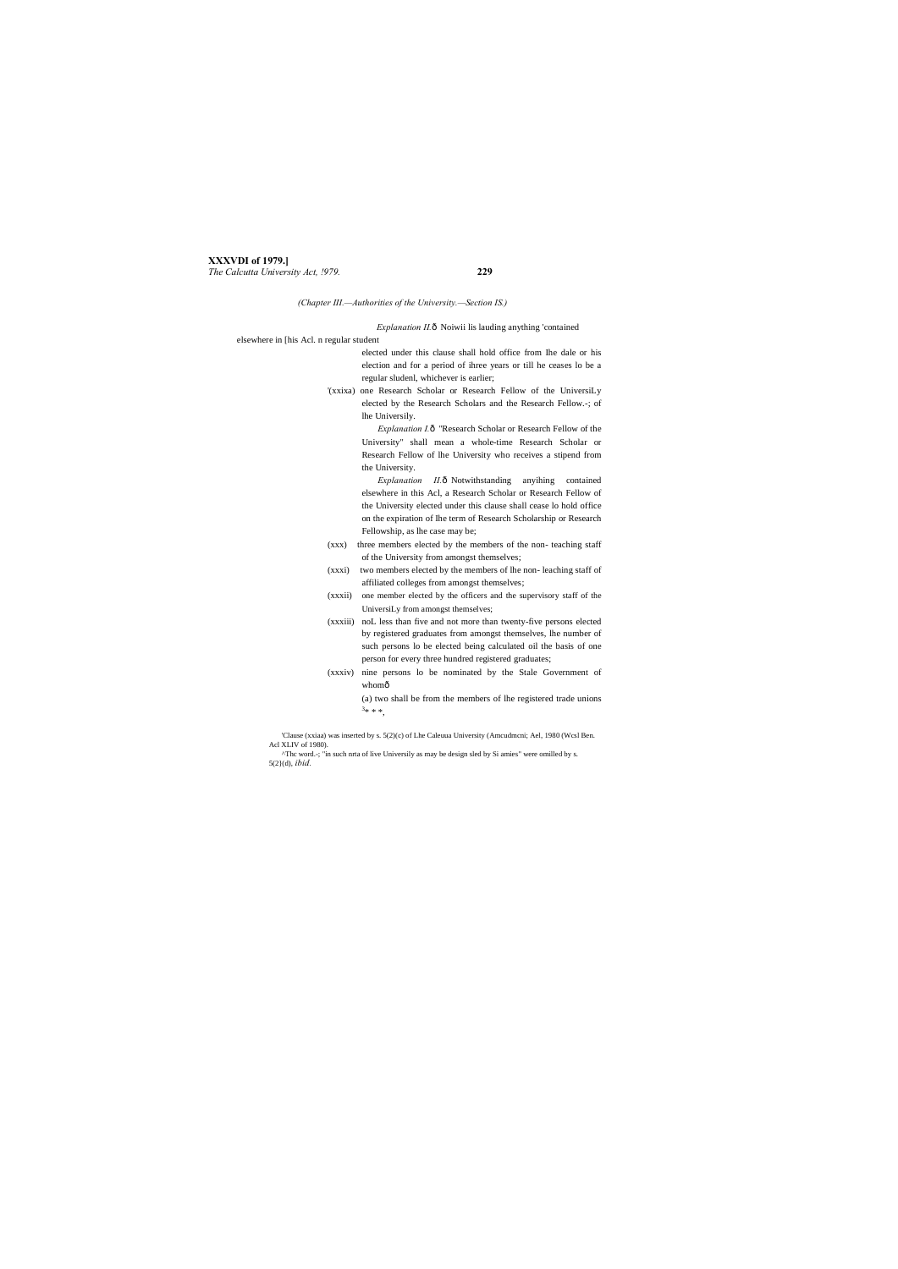#### **XXXVDI of 1979.]** *The Calcutta University Act, !979.* **229**

*(Chapter III.—Authorities of the University.—Section IS.)*

*Explanation II.* ô Noiwii lis lauding anything 'contained

elsewhere in [his Acl. n regular student

*Explanation I.* $\hat{o}$  "Research Scholar or Research Fellow of the University" shall mean a whole-time Research Scholar or Research Fellow of lhe University who receives a stipend from the University.

- elected under this clause shall hold office from Ihe dale or his election and for a period of ihree years or till he ceases lo be a regular sludenl, whichever is earlier;
- '(xxixa) one Research Scholar or Research Fellow of the UniversiLy elected by the Research Scholars and the Research Fellow.-; of lhe Universily.

*Explanation II.* ô Notwithstanding anyihing contained elsewhere in this Acl, a Research Scholar or Research Fellow of the University elected under this clause shall cease lo hold office on the expiration of Ihe term of Research Scholarship or Research Fellowship, as lhe case may be;

- (xxx) three members elected by the members of the non- teaching staff of the University from amongst themselves;
- (xxxi) two members elected by the members of lhe non- leaching staff of affiliated colleges from amongst themselves;
- (xxxii) one member elected by the officers and the supervisory staff of the UniversiLy from amongst themselves;
- (xxxiii) noL less than five and not more than twenty-five persons elected by registered graduates from amongst themselves, lhe number of such persons lo be elected being calculated oil the basis of one person for every three hundred registered graduates;
- (xxxiv) nine persons lo be nominated by the Stale Government of whomô

(a) two shall be from the members of lhe registered trade unions  $3***$ ,

'Clause (xxiaa) was inserted by s. 5(2)(c) of Lhe Caleuua University (Amcudmcni; Ael, 1980 (Wcsl Ben. Acl XLIV of 1980).

^Thc word.-; "in such nrta of live Universily as may be design sled by Si amies" were omilled by s. 5(2}(d), *ibid.*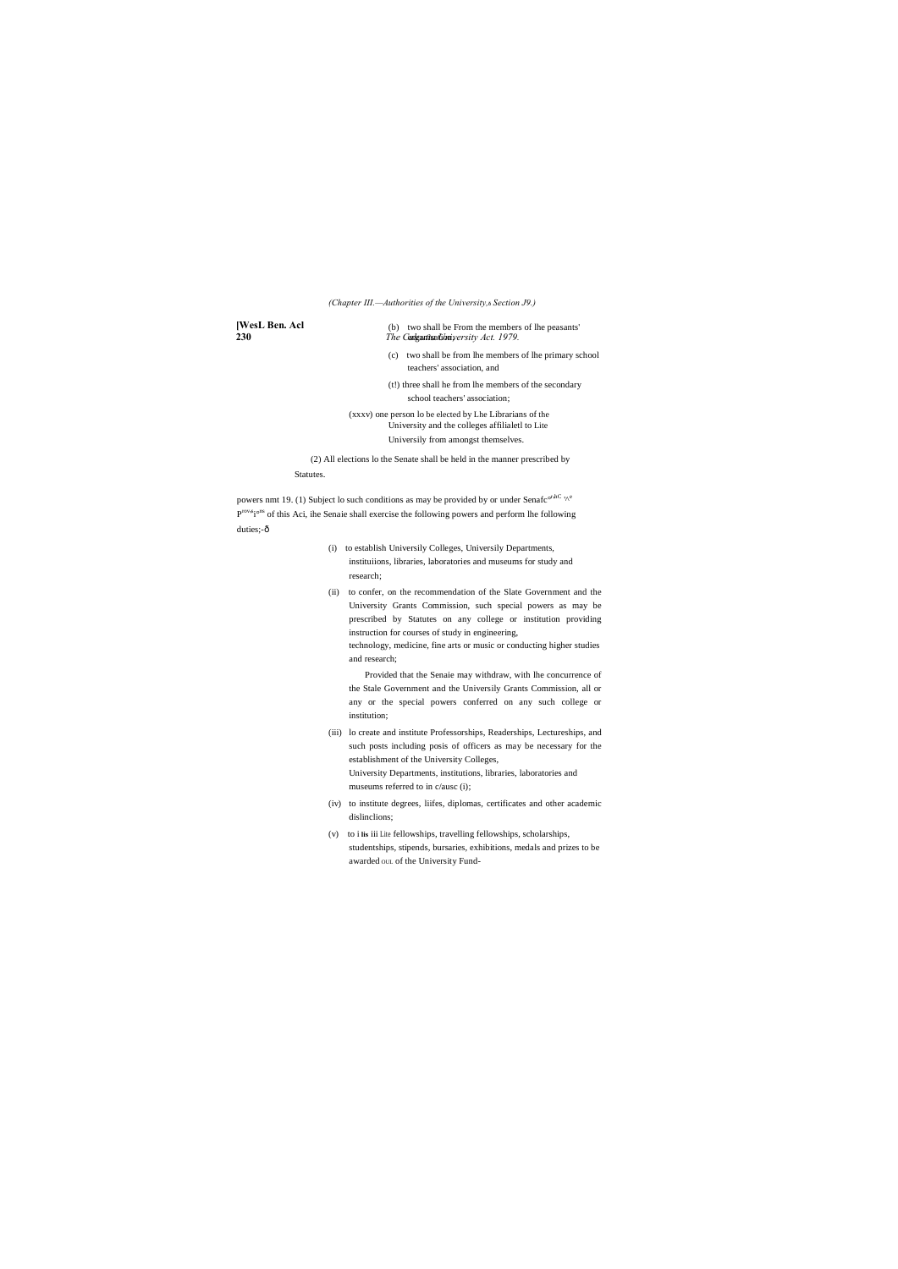**[WesL Ben. Acl**

**230** *The Codgutts university Act.* 1979. (b) two shall be From the members of lhe peasants'

#### *(Chapter III.—Authorities of the University,*—*Section J9.)*

(c) two shall be from lhe members of lhe primary school teachers' association, and

(t!) three shall he from lhe members of the secondary school teachers' association;

(xxxv) one person lo be elected by Lhe Librarians of the University and the colleges affilialetl to Lite Universily from amongst themselves.

(2) All elections lo the Senate shall be held in the manner prescribed by Statutes.

powers nmt 19. (1) Subject lo such conditions as may be provided by or under Senafc<sup>orhC</sup> '<sup>oe</sup> P<sup>rov,6</sup>i<sup>ons</sup> of this Aci, ihe Senaie shall exercise the following powers and perform lhe following duties;-ô

- (i) to establish Universily Colleges, Universily Departments, instituiions, libraries, laboratories and museums for study and research;
- (ii) to confer, on the recommendation of the Slate Government and the University Grants Commission, such special powers as may be prescribed by Statutes on any college or institution providing instruction for courses of study in engineering, technology, medicine, fine arts or music or conducting higher studies

and research;

Provided that the Senaie may withdraw, with lhe concurrence of the Stale Government and the Universily Grants Commission, all or any or the special powers conferred on any such college or institution;

- (iii) lo create and institute Professorships, Readerships, Lectureships, and such posts including posis of officers as may be necessary for the establishment of the University Colleges, University Departments, institutions, libraries, laboratories and museums referred to in c/ausc (i);
- (iv) to institute degrees, liifes, diplomas, certificates and other academic dislinclions;
- (v) to i **lis** iii Lite fellowships, travelling fellowships, scholarships, studentships, stipends, bursaries, exhibitions, medals and prizes to be awarded OUL of the University Fund-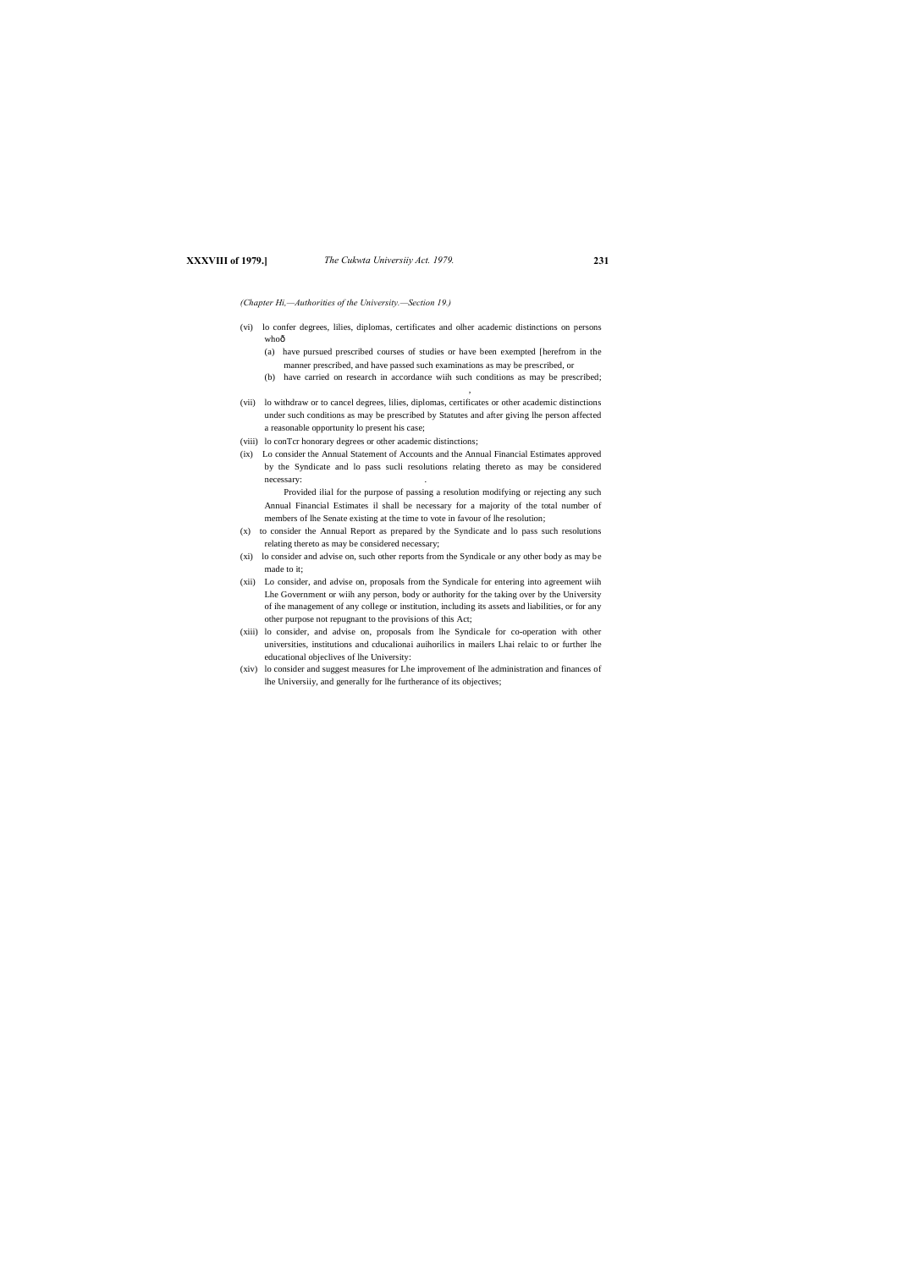### **XXXVIII of 1979.]** *The Cukwta Universiiy Act. 1979.* **231**

*(Chapter Hi,—Authorities of the University.—Section 19.)*

- (vi) lo confer degrees, lilies, diplomas, certificates and olher academic distinctions on persons whoô
	- (a) have pursued prescribed courses of studies or have been exempted [herefrom in the manner prescribed, and have passed such examinations as may be prescribed, or
	- (b) have carried on research in accordance wiih such conditions as may be prescribed;

,

- (vii) lo withdraw or to cancel degrees, lilies, diplomas, certificates or other academic distinctions under such conditions as may be prescribed by Statutes and after giving lhe person affected a reasonable opportunity lo present his case;
- (viii) lo conTcr honorary degrees or other academic distinctions;
- (ix) Lo consider the Annual Statement of Accounts and the Annual Financial Estimates approved by the Syndicate and lo pass sucli resolutions relating thereto as may be considered necessary: .

Provided ilial for the purpose of passing a resolution modifying or rejecting any such Annual Financial Estimates il shall be necessary for a majority of the total number of members of lhe Senate existing at the time to vote in favour of lhe resolution;

- (x) to consider the Annual Report as prepared by the Syndicate and lo pass such resolutions relating thereto as may be considered necessary;
- (xi) lo consider and advise on, such other reports from the Syndicale or any other body as may be made to it;
- (xii) Lo consider, and advise on, proposals from the Syndicale for entering into agreement wiih Lhe Government or wiih any person, body or authority for the taking over by the University of ihe management of any college or institution, including its assets and liabilities, or for any other purpose not repugnant to the provisions of this Act;
- (xiii) lo consider, and advise on, proposals from lhe Syndicale for co-operation with other universities, institutions and cducalionai auihorilics in mailers Lhai relaic to or further lhe educational objeclives of lhe University:
- (xiv) lo consider and suggest measures for Lhe improvement of lhe administration and finances of lhe Universiiy, and generally for lhe furtherance of its objectives;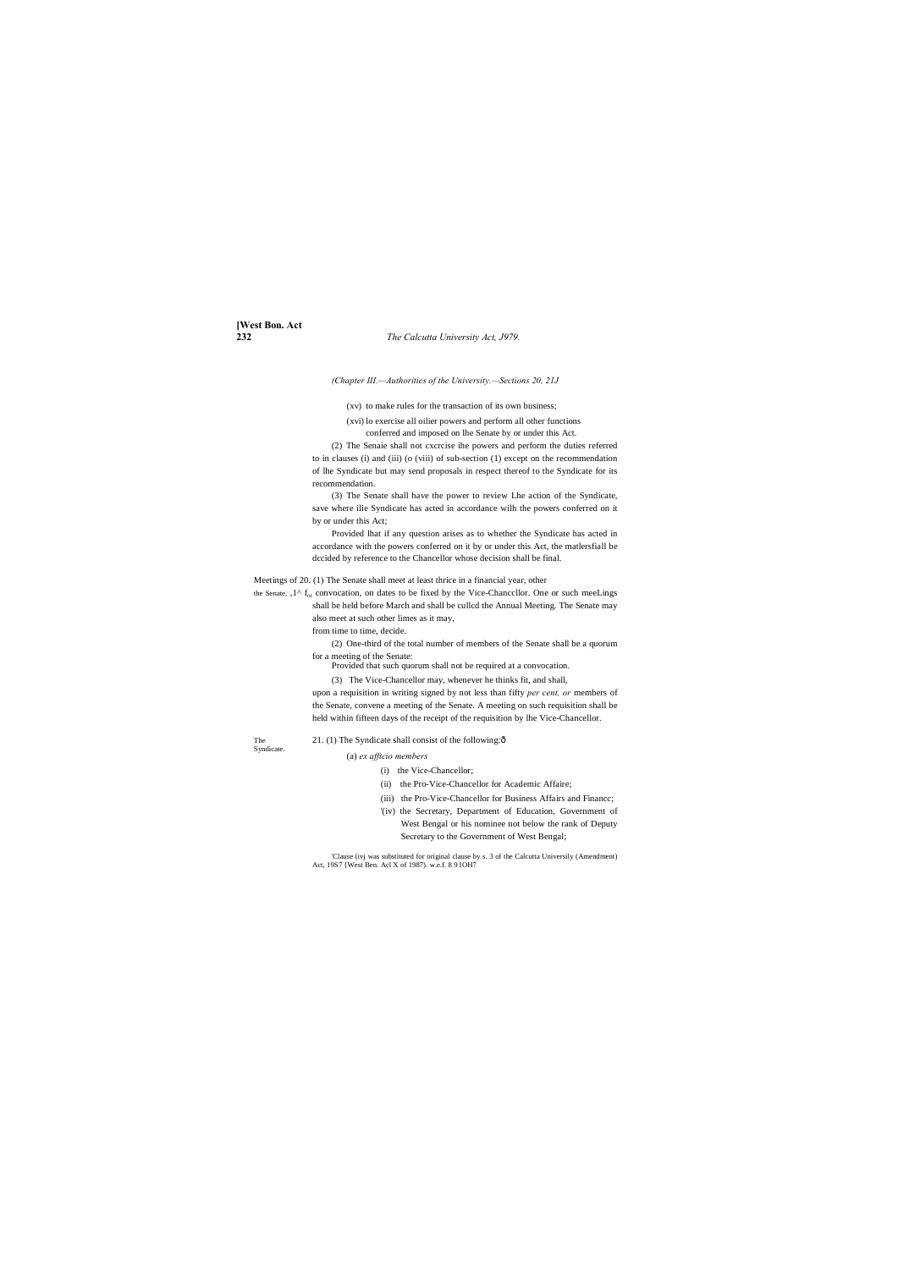**[West Bon. Act**

#### **232** *The Calcutta University Act, J979.*

*(Chapter III.—Authorities of the University.—Sections 20, 21J*

(xv) to make rules for the transaction of its own business;

(xvi) lo exercise all oilier powers and perform all other functions conferred and imposed on lhe Senate by or under this Act.

(2) The Senaie shall not cxcrcise ihe powers and perform the duties referred to in clauses (i) and (iii) (o (viii) of sub-section (1) except on the recommendation of lhe Syndicate but may send proposals in respect thereof to the Syndicate for its recommendation.

the Senate, , 1^ f<sub>or</sub> convocation, on dates to be fixed by the Vice-Chanccllor. One or such meeLings shall be held before March and shall be cullcd the Annual Meeting. The Senate may also meet at such other limes as it may,

(3) The Senate shall have the power to review Lhe action of the Syndicate, save where ilie Syndicate has acted in accordance wilh the powers conferred on it by or under this Act;

Provided lhat if any question arises as to whether the Syndicate has acted in accordance with the powers conferred on it by or under this Act, the matlersfiall be dccided by reference to the Chancellor whose decision shall be final.

Meetings of 20. (1) The Senate shall meet at least thrice in a financial year, other

from time to time, decide.

(2) One-third of the total number of members of the Senate shall be a quorum for a meeting of the Senate:

Provided that such quorum shall not be required at a convocation.

(3) The Vice-Chancellor may, whenever he thinks fit, and shall,

upon a requisition in writing signed by not less than fifty *per cent, or* members of the Senate, convene a meeting of the Senate. A meeting on such requisition shall be held within fifteen days of the receipt of the requisition by lhe Vice-Chancellor.

Syndicate.

#### The 21. (1) The Syndicate shall consist of the following: $\delta$

#### (a) *ex afftcio members*

- (i) the Vice-Chancellor;
- (ii) the Pro-Vice-Chancellor for Academic Affaire;
- (iii) the Pro-Vice-Chancellor for Business Affairs and Financc;
- '(iv) the Secretary, Department of Education, Government of West Bengal or his nominee not below the rank of Deputy Secretary to the Government of West Bengal;

'Clause (ivj was substituted for original clause by s. 3 of the Calcutta Universily (Amendment) Act, 19S7 {West Ben. Acl X of 1987). w.e.f. 8 9 IOH7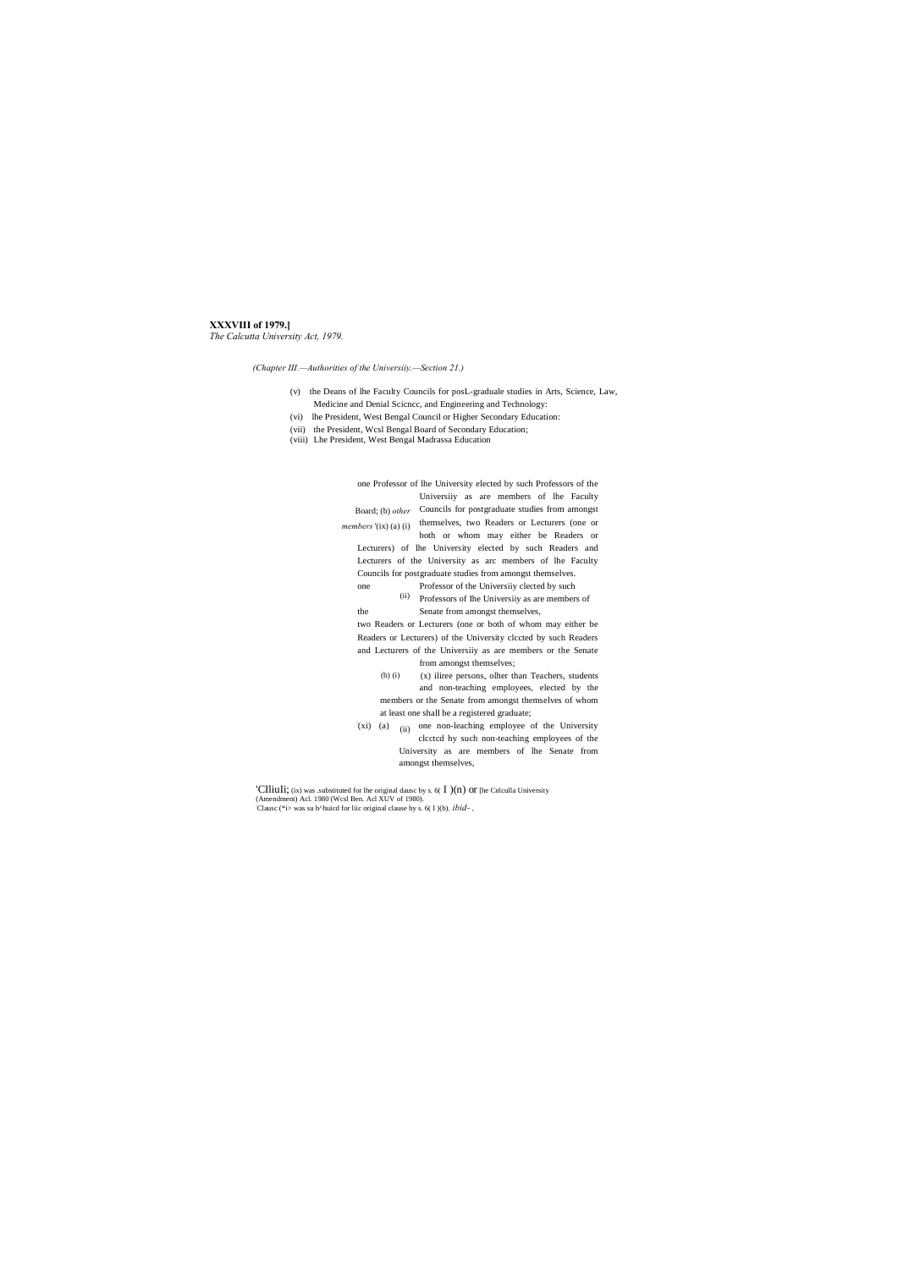#### XXXVIII of 1979.]

The Calcutta University Act, 1979.

(Chapter III.--Authorities of the University.-Section 21.)

- (v) the Deans of lhe Faculty Councils for posL-graduale studies in Arts, Science, Law, Medicine and Denial Science, and Engineering and Technology:
- (vi) lhe President, West Bengal Council or Higher Secondary Education:
- (vii) the President, Wcsl Bengal Board of Secondary Education;<br>(viii) Lhe President, West Bengal Madrassa Education
- 

one Professor of lhe University elected by such Professors of the University as are members of lhe Faculty Board; (b) other Councils for postgraduate studies from amongst themselves, two Readers or Lecturers (one or members '(ix) (a) (i) both or whom may either be Readers or Lecturers) of lhe University elected by such Readers and Lecturers of the University as arc members of lhe Faculty Councils for postgraduate studies from amongst themselves. Professor of the University clected by such one (ii) Professors of Ihe University as are members of Senate from amongst themselves, the two Readers or Lecturers (one or both of whom may either be Readers or Lecturers) of the University clccted by such Readers and Lecturers of the University as are members or the Senate from amongst themselves;  $(b)$  $(i)$ (x) iliree persons, olher than Teachers, students

- and non-teaching employees, elected by the members or the Senate from amongst themselves of whom at least one shall be a registered graduate;
- $f(xi)$  (a) (ii) one non-leaching employee of the University clcctcd hy such non-teaching employees of the University as are members of lhe Senate from amongst themselves,

'CIliuIi; (ix) was .substituted for the original dausc by s. 6(  $I$  )(n) or [he Cnlculla University (Amendment) Acl. 1980 (Wcsl Ben. Acl XUV of 1980). Clause (\*i> was su h^huicd for liic original clause hy s. 6(1)(b).  $ibid-$ ,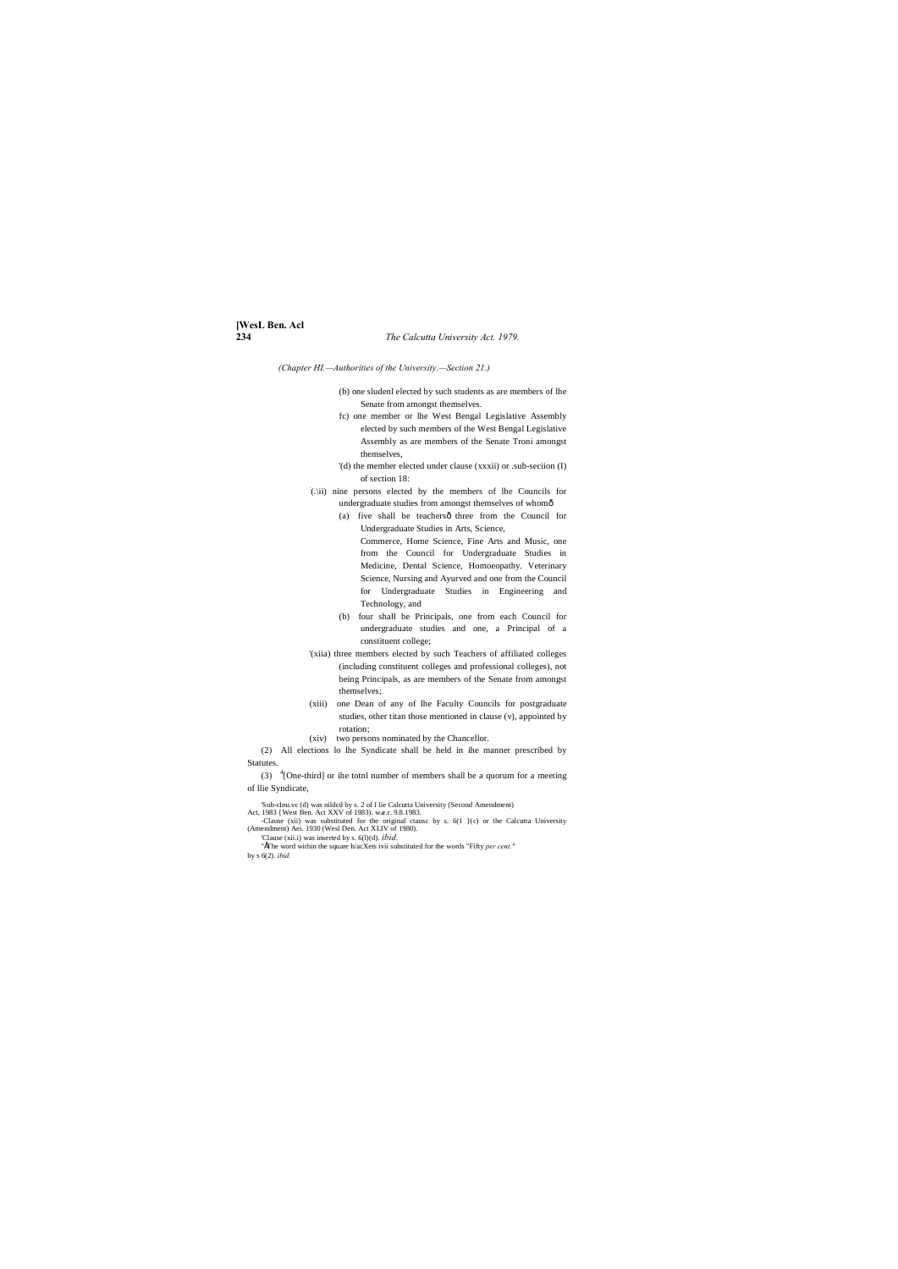# **[WesL Ben. Acl**

#### **234** *The Calcutta University Act. 1979.*

*(Chapter HI.—Authorities of the University.—Section 21.)*

- (b) one sludenl elected by such students as are members of lhe Senate from amongst themselves.
- fc) one member or lhe West Bengal Legislative Assembly elected by such members of the West Bengal Legislative Assembly as are members of the Senate Troni amongst themselves,
- '(d) the member elected under clause (xxxii) or .sub-seciion (I) of section 18:
- : (.\ii) nine persons elected by the members of lhe Councils for undergraduate studies from amongst themselves of whom—
	- (a) five shall be teachersô three from the Council for Undergraduate Studies in Arts, Science, Commerce, Home Science, Fine Arts and Music, one from the Council for Undergraduate Studies in Medicine, Dental Science, Homoeopathy. Veterinary Science, Nursing and Ayurved and one from the Council for Undergraduate Studies in Engineering and Technology, and
	- (b) four shall be Principals, one from each Council for undergraduate studies and one, a Principal of a constituent college;
- '(xiia) three members elected by such Teachers of affiliated colleges (including constituent colleges and professional colleges), not being Principals, as are members of the Senate from amongst themselves;
- (xiii) one Dean of any of lhe Faculty Councils for postgraduate studies, other titan those mentioned in clause (v), appointed by rotation;
- (xiv) two persons nominated by the Chancellor.

(3)  $\frac{4}{2}$  [One-third] or ihe totnl number of members shall be a quorum for a meeting of llie Syndicate,

Sub-clnu.vc (d) was nilded by s. 2 of I lie Calcutta University (Second Amendment)<br>Act, 1983 {West Ben. Act XXV of 1983}. w.e.r. 9.8.1983.<br>Clause (xii) was substituted for the original ctause by s. 6(1) {c} or the Calcutta

"EThe word within the square h/acXets ivii substituted for the words "Fifty *per cent."* by s 6(2). *ibid.*

(2) All elections lo lhe Syndicate shall be held in ihe manner prescribed by Statutes.

(Amendment) Aei. 1930 (Wesl Den. Act XLIV of 1980). 'Clause (xii.i) was inserted by s. 6(l)(d). *ibid.*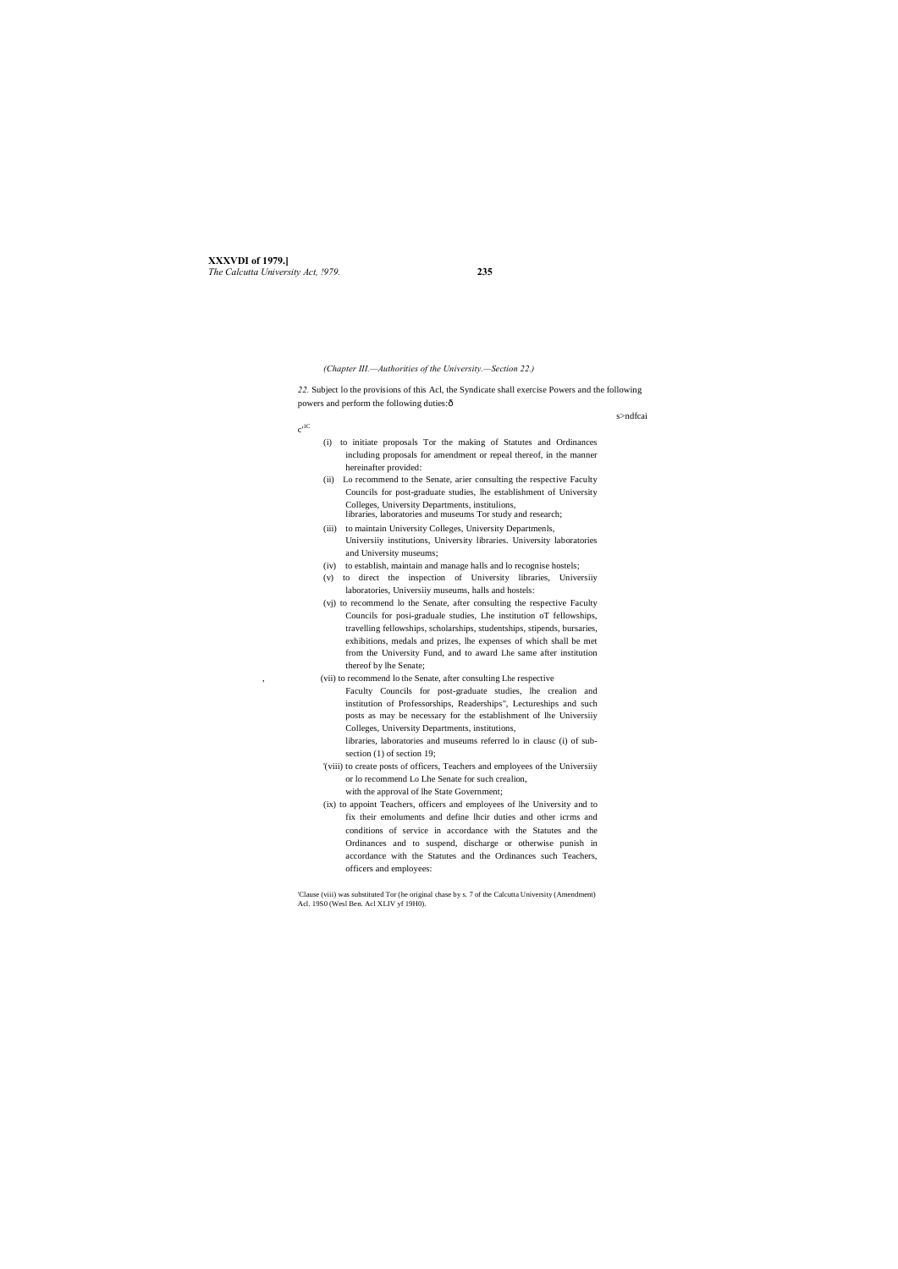**XXXVDI of 1979.]** *The Calcutta University Act, !979.* **235**

*22.* Subject lo the provisions of this Acl, the Syndicate shall exercise Powers and the following powers and perform the following duties: $\hat{o}$ 

 $c'$ <sup>1C</sup>

*(Chapter III.—Authorities of the University.—Section 22.)*

#### s>ndfcai

- (i) to initiate proposals Tor the making of Statutes and Ordinances including proposals for amendment or repeal thereof, in the manner hereinafter provided:
- (ii) Lo recommend to the Senate, arier consulting the respective Faculty Councils for post-graduate studies, lhe establishment of University Colleges, University Departments, institulions, libraries, laboratories and museums Tor study and research;
- (iii) to maintain University Colleges, University Departmenls, Universiiy institutions, University libraries. University laboratories and University museums;
- (iv) to establish, maintain and manage halls and lo recognise hostels;
- (v) to direct the inspection of University libraries, Universiiy laboratories, Universiiy museums, halls and hostels:
- (vj) to recommend lo the Senate, after consulting the respective Faculty Councils for posi-graduale studies, Lhe institution oT fellowships, travelling fellowships, scholarships, studentships, stipends, bursaries, exhibitions, medals and prizes, lhe expenses of which shall be met from the University Fund, and to award Lhe same after institution thereof by lhe Senate;

, (vii) to recommend lo the Senate, after consulting Lhe respective

Faculty Councils for post-graduate studies, lhe crealion and institution of Professorships, Readerships", Lectureships and such posts as may be necessary for the establishment of lhe Universiiy Colleges, University Departments, institutions,

libraries, laboratories and museums referred lo in clausc (i) of subsection (1) of section 19;

- '(viii) to create posts of officers, Teachers and employees of the Universiiy or lo recommend Lo Lhe Senate for such crealion, with the approval of lhe State Government;
- (ix) to appoint Teachers, officers and employees of lhe University and to fix their emoluments and define lhcir duties and other icrms and conditions of service in accordance with the Statutes and the Ordinances and to suspend, discharge or otherwise punish in accordance with the Statutes and the Ordinances such Teachers, officers and employees:

'Clause (viii) was substituted Tor (he original chase by s. 7 of the Calcutta University (Amendment) Acl. 19S0 (Wesl Ben. Acl XLIV yf 19H0).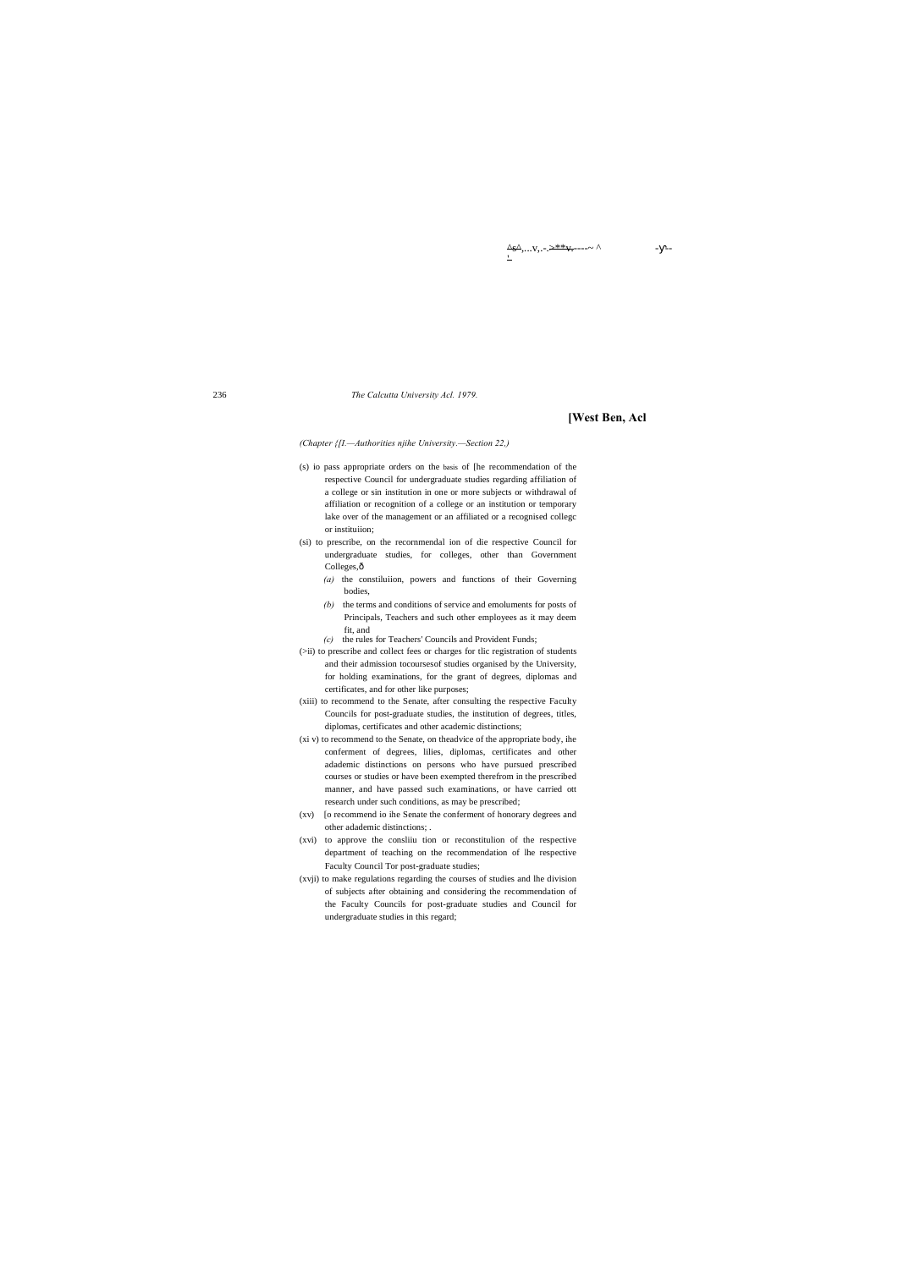<u>^s^,</u>...v,.-.<del>>\*\*v.</del>---~ ^ - - - - -

#### 236 *The Calcutta University Acl. 1979.*

#### **[West Ben, Acl**

*(Chapter {[I.—Authorities njihe University.—Section 22,)*

- (s) io pass appropriate orders on the basis of [he recommendation of the respective Council for undergraduate studies regarding affiliation of a college or sin institution in one or more subjects or withdrawal of affiliation or recognition of a college or an institution or temporary lake over of the management or an affiliated or a recognised collegc or instituiion;
- (si) to prescribe, on the recornmendal ion of die respective Council for undergraduate studies, for colleges, other than Government Colleges, $\hat{o}$ 
	- *(a)* the constiluiion, powers and functions of their Governing bodies,
	- *(b)* the terms and conditions of service and emoluments for posts of Principals, Teachers and such other employees as it may deem fit, and
	- *(c)* the rules for Teachers' Councils and Provident Funds;
- (>ii) to prescribe and collect fees or charges for tlic registration of students and their admission tocoursesof studies organised by the University, for holding examinations, for the grant of degrees, diplomas and certificates, and for other like purposes;
- (xiii) to recommend to the Senate, after consulting the respective Faculty Councils for post-graduate studies, the institution of degrees, titles, diplomas, certificates and other academic distinctions;
- (xi v) to recommend to the Senate, on theadvice of the appropriate body, ihe conferment of degrees, lilies, diplomas, certificates and other adademic distinctions on persons who have pursued prescribed courses or studies or have been exempted therefrom in the prescribed manner, and have passed such examinations, or have carried ott research under such conditions, as may be prescribed;
- (xv) [o recommend io ihe Senate the conferment of honorary degrees and other adademic distinctions; .
- (xvi) to approve the consliiu tion or reconstitulion of the respective department of teaching on the recommendation of lhe respective Faculty Council Tor post-graduate studies;
- (xvji) to make regulations regarding the courses of studies and lhe division of subjects after obtaining and considering the recommendation of the Faculty Councils for post-graduate studies and Council for undergraduate studies in this regard;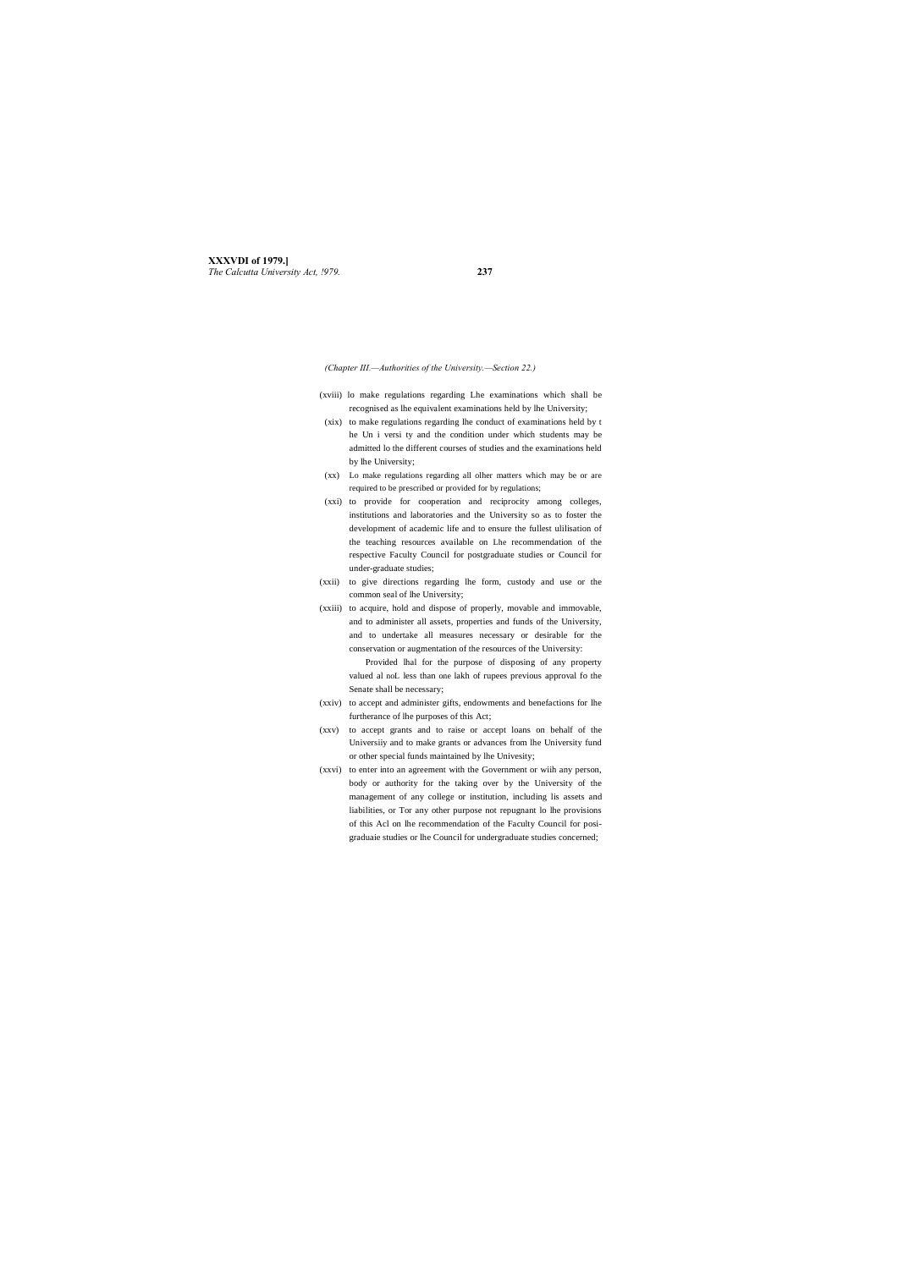**XXXVDI of 1979.]** *The Calcutta University Act, !979.* **237**

*(Chapter III.—Authorities of the University.—Section 22.)*

- (xviii) lo make regulations regarding Lhe examinations which shall be recognised as lhe equivalent examinations held by lhe University;
- (xix) to make regulations regarding lhe conduct of examinations held by t he Un i versi ty and the condition under which students may be admitted lo the different courses of studies and the examinations held by lhe University;
- (xx) Lo make regulations regarding all olher matters which may be or are required to be prescribed or provided for by regulations;
- (xxi) to provide for cooperation and reciprocity among colleges, institutions and laboratories and the University so as to foster the development of academic life and to ensure the fullest ulilisation of the teaching resources available on Lhe recommendation of the respective Faculty Council for postgraduate studies or Council for under-graduate studies;
- (xxii) to give directions regarding lhe form, custody and use or the common seal of lhe University;
- (xxiii) to acquire, hold and dispose of properly, movable and immovable, and to administer all assets, properties and funds of the University, and to undertake all measures necessary or desirable for the conservation or augmentation of the resources of the University:

Provided lhal for the purpose of disposing of any property valued al noL less than one lakh of rupees previous approval fo the Senate shall be necessary;

- (xxiv) to accept and administer gifts, endowments and benefactions for lhe furtherance of lhe purposes of this Act;
- (xxv) to accept grants and to raise or accept loans on behalf of the Universiiy and to make grants or advances from lhe University fund or other special funds maintained by lhe Univesity;
- (xxvi) to enter into an agreement with the Government or wiih any person, body or authority for the taking over by the University of the management of any college or institution, including lis assets and liabilities, or Tor any other purpose not repugnant lo lhe provisions of this Acl on lhe recommendation of the Faculty Council for posigraduaie studies or lhe Council for undergraduate studies concerned;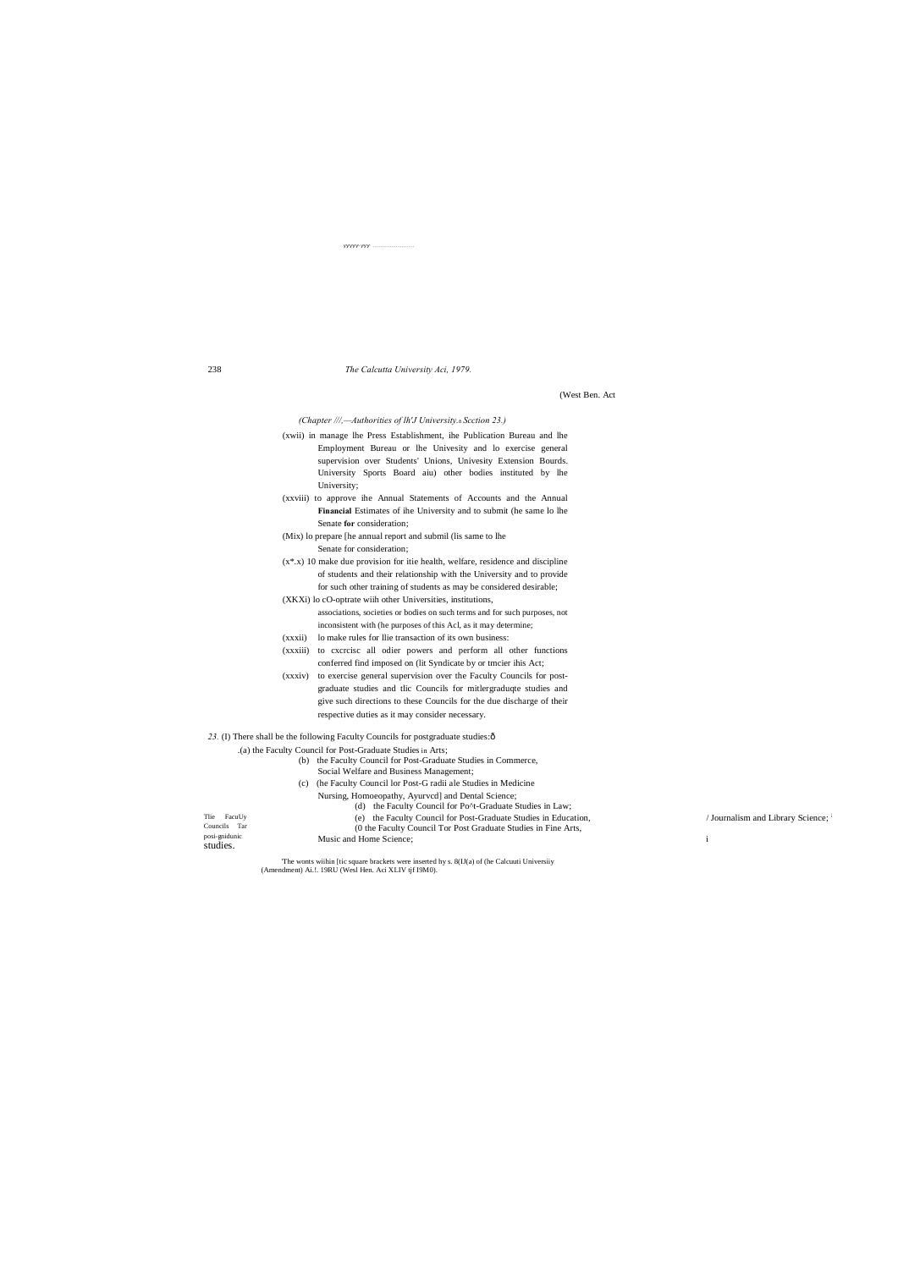#### The Calcutta University Aci, 1979.

(West Ben. Act

(Chapter ///,--Authorities of lh'J University.& Scction 23.)

- (xwii) in manage lhe Press Establishment, ihe Publication Bureau and lhe Employment Bureau or lhe Univesity and lo exercise general supervision over Students' Unions, Univesity Extension Bourds. University Sports Board aiu) other bodies instituted by lhe University;
- (xxviii) to approve ihe Annual Statements of Accounts and the Annual Financial Estimates of ihe University and to submit (he same lo lhe Senate for consideration;
- (Mix) lo prepare [he annual report and submil (lis same to lhe Senate for consideration;
- $(x^*,x)$  10 make due provision for itie health, welfare, residence and discipline of students and their relationship with the University and to provide for such other training of students as may be considered desirable;
- (XKXi) lo cO-optrate with other Universities, institutions, associations, societies or bodies on such terms and for such purposes, not
- inconsistent with (he purposes of this Acl, as it may determine;
- (xxxii) lo make rules for llie transaction of its own business:
- (xxxiii) to exercise all odier powers and perform all other functions conferred find imposed on (lit Syndicate by or tmcier ihis Act;
- (xxxiv) to exercise general supervision over the Faculty Councils for postgraduate studies and tlic Councils for mitlergraduqte studies and give such directions to these Councils for the due discharge of their respective duties as it may consider necessary.

23. (I) There shall be the following Faculty Councils for postgraduate studies: ô

| (a) the Faculty Council for Post-Graduate Studies in Arts |  |  |  |  |  |  |  |  |  |  |  |  |
|-----------------------------------------------------------|--|--|--|--|--|--|--|--|--|--|--|--|
|-----------------------------------------------------------|--|--|--|--|--|--|--|--|--|--|--|--|

- (b) the Faculty Council for Post-Graduate Studies in Commerce, Social Welfare and Business Management;
- (c) (he Faculty Council lor Post-G radii ale Studies in Medicine Nursing, Homoeopathy, Ayurvcd] and Dental Science; (d) the Faculty Council for Po^t-Graduate Studies in Law; Tlie FacuUy (e) the Faculty Council for Post-Graduate Studies in Education, Councils Tar (0 the Faculty Council Tor Post Graduate Studies in Fine Arts, posi-gnidunic Music and Home Science; studies.

/ Journalism and Library Science;

 $\mathbf{i}$ 

The wonts wiihin [tic square brackets were inserted hy s. 8(IJ(a) of (he Calcuuti Universiiy (Amendment) Ai.!. 19RU (West Hen. Aci XLIV tjf I9M0).

238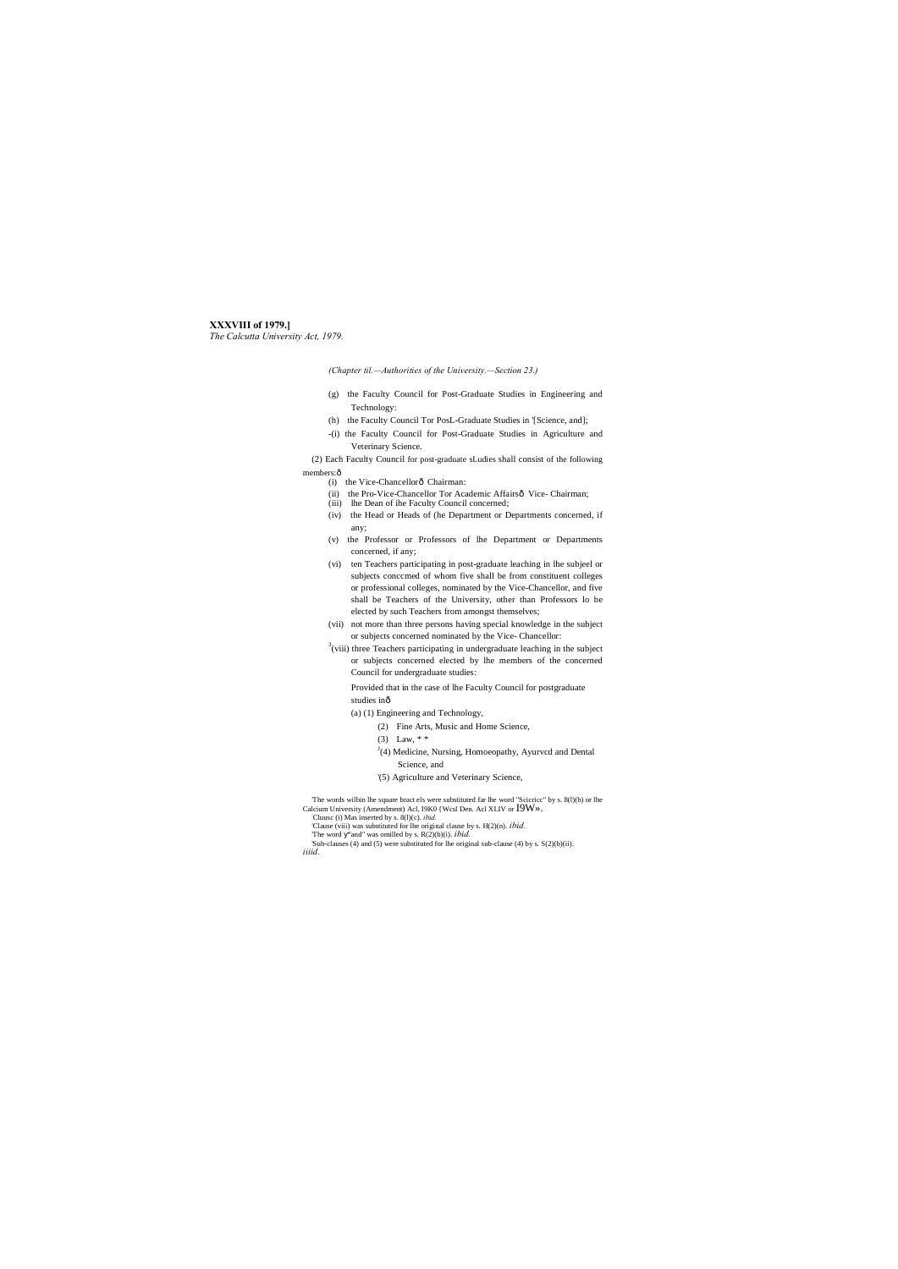# **XXXVIII of 1979.]**

*The Calcutta University Act, 1979.*

*(Chapter til.—Authorities of the University.—Section 23.)*

(2) Each Faculty Council for post-graduate sLudies shall consist of the following members: ô

- (g) the Faculty Council for Post-Graduate Studies in Engineering and Technology:
- (h) the Faculty Council Tor PosL-Graduate Studies in '[Science, and];
- -(i) the Faculty Council for Post-Graduate Studies in Agriculture and Veterinary Science.

- (i) the Vice-Chancellorô Chairman:
- (ii) the Pro-Vice-Chancellor Tor Academic Affairsô Vice- Chairman;
- (iii) lhe Dean of ihe Faculty Council concerned;
- (iv) the Head or Heads of (he Department or Departments concerned, if any;
- (v) the Professor or Professors of lhe Department or Departments concerned, if any;
- (vi) ten Teachers participating in post-graduate leaching in lhe subjeel or subjects conccmed of whom five shall be from constituent colleges or professional colleges, nominated by the Vice-Chancellor, and five shall be Teachers of the University, other than Professors lo be elected by such Teachers from amongst themselves;
- (vii) not more than three persons having special knowledge in the subject or subjects concerned nominated by the Vice- Chancellor:
- $3$ (viii) three Teachers participating in undergraduate leaching in the subject or subjects concerned elected by lhe members of the concerned Council for undergraduate studies:

Provided that in the case of lhe Faculty Council for postgraduate studies inô

- (a) (1) Engineering and Technology,
	- (2) Fine Arts, Music and Home Science,
	- (3) Law, \* \*
	- $J$ (4) Medicine, Nursing, Homoeopathy, Ayurvcd and Dental
		- Science, and
	- '(5) Agriculture and Veterinary Science,

The words wilbin lhe square bract els were substituted far lhe word "Scicricc" by s. 8(l)(b) or lhe Calcium University (Amendment) Acl, I9K0 {Wcsl Den. Acl XLIV or  $\text{I9W} \gg$ .

Cluusc (i) Mas inserted by s. 8(l)(c). *ibid.*

'Clause (viii) was substituted for lhe original clause by s. H(2)(n). *ibid.* 'The word "and" was omilled by s. R(2)(b)(i). *ibid.*

'Sub-clauses (4) and (5) were substituted for lhe original sub-clause (4) by s. S(2)(b)(ii). *iiiid.*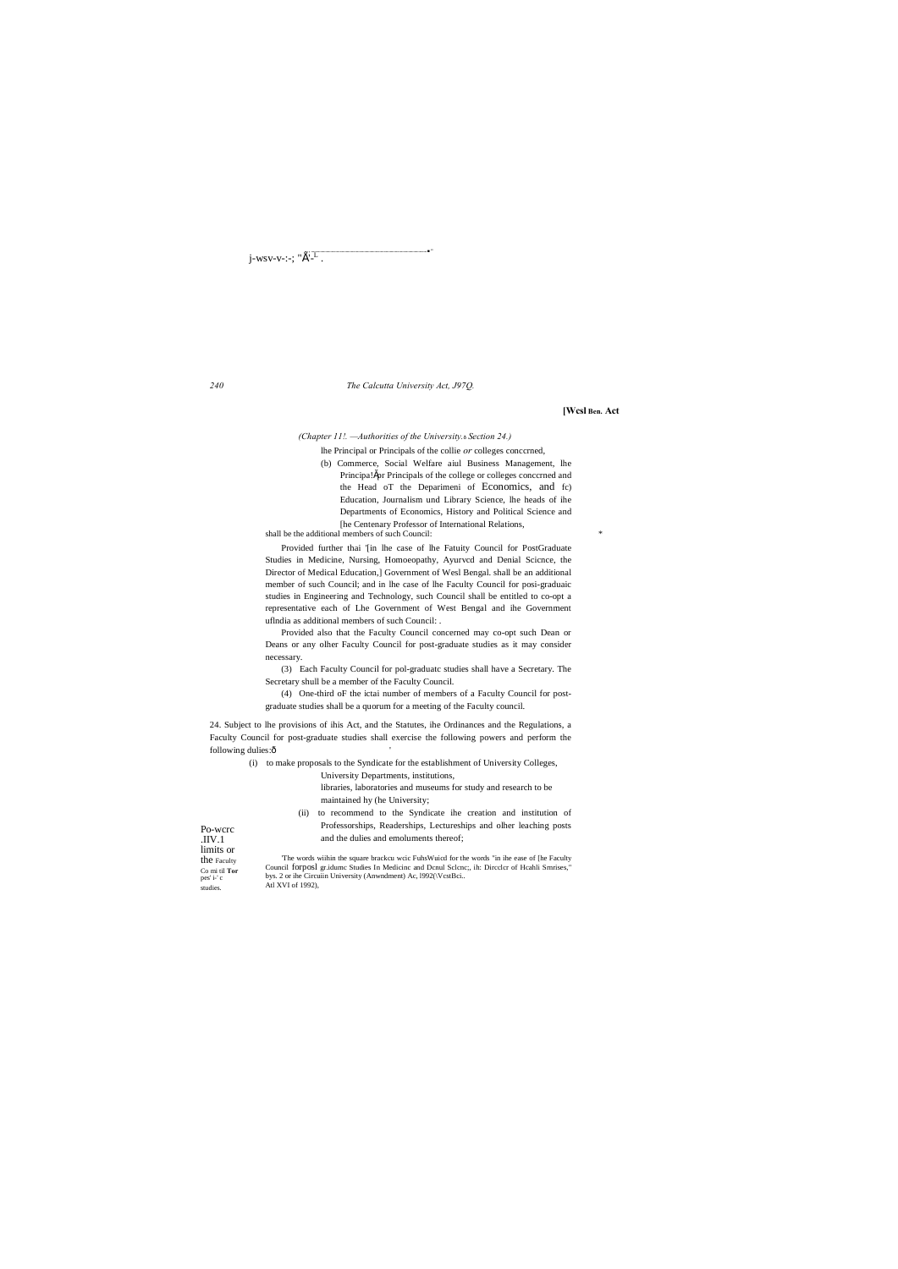j-wsv-v-:-; " $\hat{E}^{\cdot}-$ ".

 $240\,$ 

## The Calcutta University Act, J97Q.

[Wcsl Ben. Act

(Chapter 11!. - Authorities of the University.<sup>8</sup> Section 24.)

lhe Principal or Principals of the collie or colleges concerned,

(b) Commerce, Social Welfare aiul Business Management, lhe Principa!špr Principals of the college or colleges concerned and the Head oT the Deparimeni of Economics, and fc) Education, Journalism und Library Science, lhe heads of ihe Departments of Economics, History and Political Science and The Centenary Professor of International Relations,

shall be the additional members of such Council:

Provided further thai '[in lhe case of lhe Fatuity Council for PostGraduate Studies in Medicine, Nursing, Homoeopathy, Ayurvcd and Denial Science, the Director of Medical Education,] Government of Wesl Bengal. shall be an additional member of such Council; and in lhe case of lhe Faculty Council for posi-graduaic studies in Engineering and Technology, such Council shall be entitled to co-opt a representative each of Lhe Government of West Bengal and ihe Government uflndia as additional members of such Council: .

Provided also that the Faculty Council concerned may co-opt such Dean or Deans or any olher Faculty Council for post-graduate studies as it may consider necessary.

(3) Each Faculty Council for pol-graduate studies shall have a Secretary. The Secretary shull be a member of the Faculty Council.

(4) One-third oF the ictai number of members of a Faculty Council for postgraduate studies shall be a quorum for a meeting of the Faculty council.

24. Subject to lhe provisions of ihis Act, and the Statutes, ihe Ordinances and the Regulations, a Faculty Council for post-graduate studies shall exercise the following powers and perform the following dulies:ô

(i) to make proposals to the Syndicate for the establishment of University Colleges,

University Departments, institutions,

libraries, laboratories and museums for study and research to be maintained hy (he University;

(ii) to recommend to the Syndicate ihe creation and institution of Professorships, Readerships, Lectureships and olher leaching posts and the dulies and emoluments thereof;

Po-wcrc  $\rm{JIV}.1$ limits or the Faculty Co mi til Tor pes' i-' c studies.

The words wiihin the square brackcu wcic FuhsWuicd for the words "in ihe ease of [he Faculty Council forposl gr.idume Studies In Medicine and Denul Sclene;, ih: Directer of Heahli Smrises, bys. 2 or ihe Circuiin University (Anwndment) Ac, 1992(\VcstBci.. Atl XVI of 1992),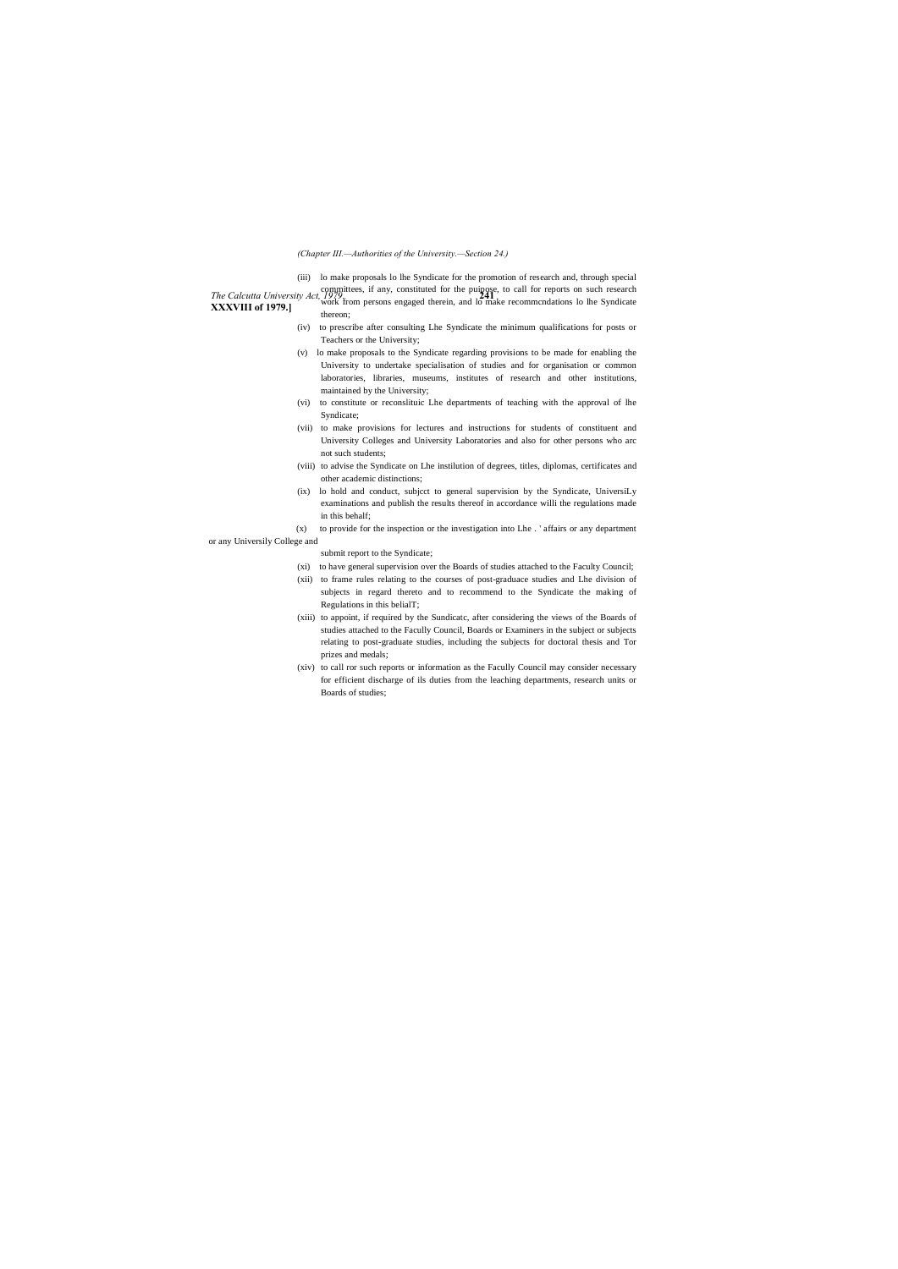**XXXVIII of 1979.]**

# *(Chapter III.—Authorities of the University.—Section 24.)*

(iii) lo make proposals lo lhe Syndicate for the promotion of research and, through special

- *The Calcutta University Act, 1979*. **241** Committees, if any, constituted for the puipose, to call for reports on such research
	- work from persons engaged therein, and lo make recommendations lo lhe Syndicate thereon;
	- (iv) to prescribe after consulting Lhe Syndicate the minimum qualifications for posts or Teachers or the University;
	- (v) lo make proposals to the Syndicate regarding provisions to be made for enabling the University to undertake specialisation of studies and for organisation or common laboratories, libraries, museums, institutes of research and other institutions, maintained by the University;
	- (vi) to constitute or reconslituic Lhe departments of teaching with the approval of lhe Syndicate;
	- (vii) to make provisions for lectures and instructions for students of constituent and University Colleges and University Laboratories and also for other persons who arc not such students;
	- (viii) to advise the Syndicate on Lhe instilution of degrees, titles, diplomas, certificates and other academic distinctions;
	- (ix) lo hold and conduct, subjcct to general supervision by the Syndicate, UniversiLy examinations and publish the results thereof in accordance willi the regulations made in this behalf;
- (x) to provide for the inspection or the investigation into Lhe . ' affairs or any department or any Universily College and
	- submit report to the Syndicate;
	- (xi) to have general supervision over the Boards of studies attached to the Faculty Council;
	- (xii) to frame rules relating to the courses of post-graduace studies and Lhe division of subjects in regard thereto and to recommend to the Syndicate the making of Regulations in this belialT;
	- (xiii) to appoint, if required by the Sundicatc, after considering the views of the Boards of studies attached to the Facully Council, Boards or Examiners in the subject or subjects relating to post-graduate studies, including the subjects for doctoral thesis and Tor prizes and medals;
	- (xiv) to call ror such reports or information as the Facully Council may consider necessary for efficient discharge of ils duties from the leaching departments, research units or Boards of studies;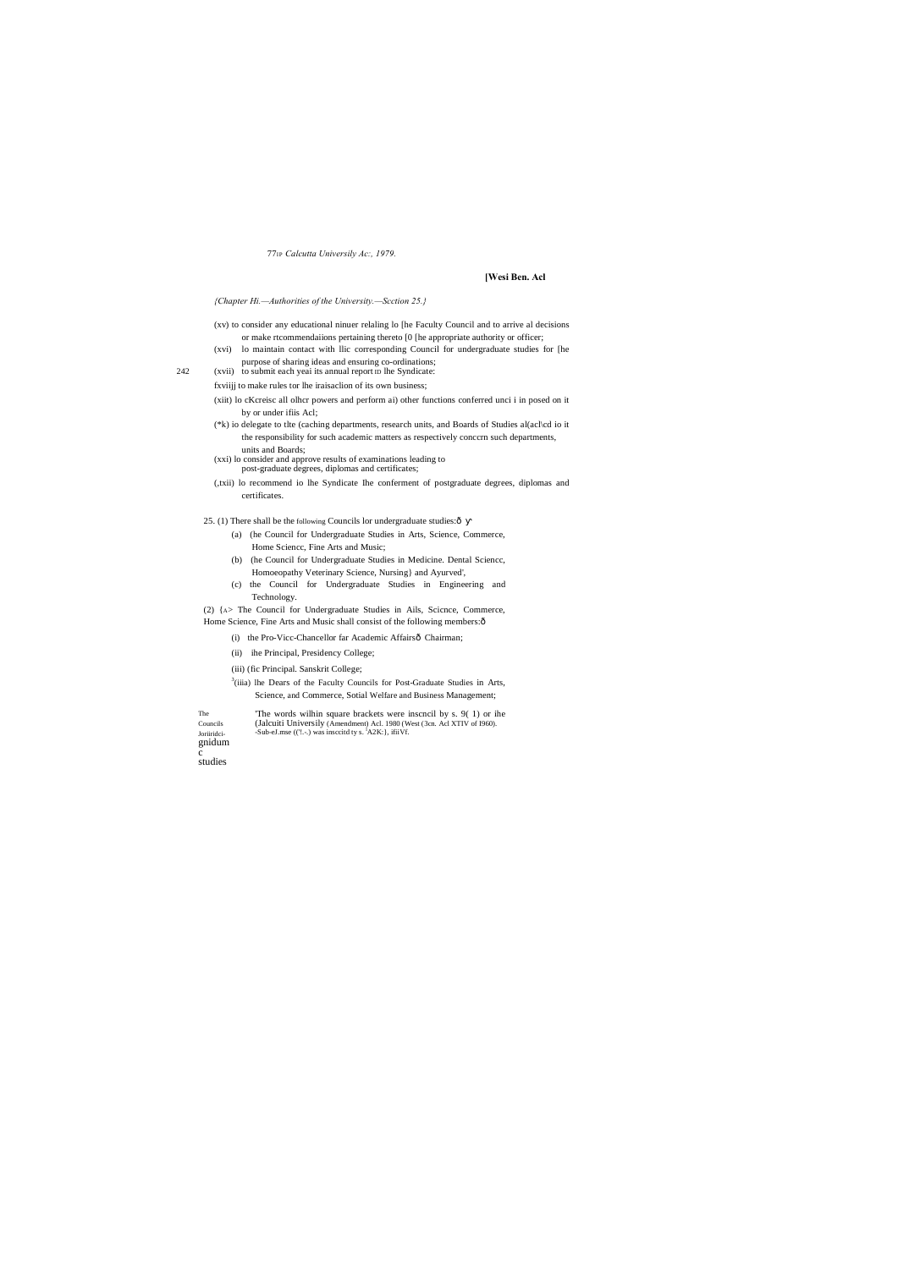77<sub>IP</sub> Calcutta Universily Ac:, 1979.

# [Wesi Ben. Acl

{Chapter Hi.—Authorities of the University.—Scction 25.}

- (xv) to consider any educational ninuer relating lo [he Faculty Council and to arrive al decisions or make rtcommendaiions pertaining thereto [0 [he appropriate authority or officer;
- (xvi) lo maintain contact with llic corresponding Council for undergraduate studies for [he purpose of sharing ideas and ensuring co-ordinations;
- (xvii) to submit each yeal its annual report in the Syndicate:
- fxviijj to make rules tor lhe iraisaclion of its own business;
- (xiit) lo cKcreisc all olhcr powers and perform ai) other functions conferred unci i in posed on it by or under ifiis Acl;
- (\*k) io delegate to tlte (caching departments, research units, and Boards of Studies al(acl\cd io it the responsibility for such academic matters as respectively concern such departments, units and Boards;
- (xxi) lo consider and approve results of examinations leading to post-graduate degrees, diplomas and certificates;
- (,txii) lo recommend io lhe Syndicate Ihe conferment of postgraduate degrees, diplomas and certificates.

25. (1) There shall be the following Councils lor undergraduate studies: ô

- (a) (he Council for Undergraduate Studies in Arts, Science, Commerce, Home Science, Fine Arts and Music;
- (b) (he Council for Undergraduate Studies in Medicine. Dental Sciencc, Homoeopathy Veterinary Science, Nursing} and Ayurved',
- (c) the Council for Undergraduate Studies in Engineering and Technology.

(2) {A> The Council for Undergraduate Studies in Ails, Science, Commerce, Home Science, Fine Arts and Music shall consist of the following members:ô

- (i) the Pro-Vicc-Chancellor far Academic Affairsô Chairman;
- (ii) ihe Principal, Presidency College;

(iii) (fic Principal. Sanskrit College;

<sup>3</sup>(iiia) lhe Dears of the Faculty Councils for Post-Graduate Studies in Arts, Science, and Commerce, Sotial Welfare and Business Management;

The Councils Joriiridcignidum

242

The words wilhin square brackets were inscncil by s. 9(1) or ihe (Jalcuiti Universily (Amendment) Acl. 1980 (West (3cn. Acl XTIV of 1960). -Sub-eJ.mse (('!.-.) was insccitd ty s.  ${}^{1}$ A2K: }, ifiiVf.

studies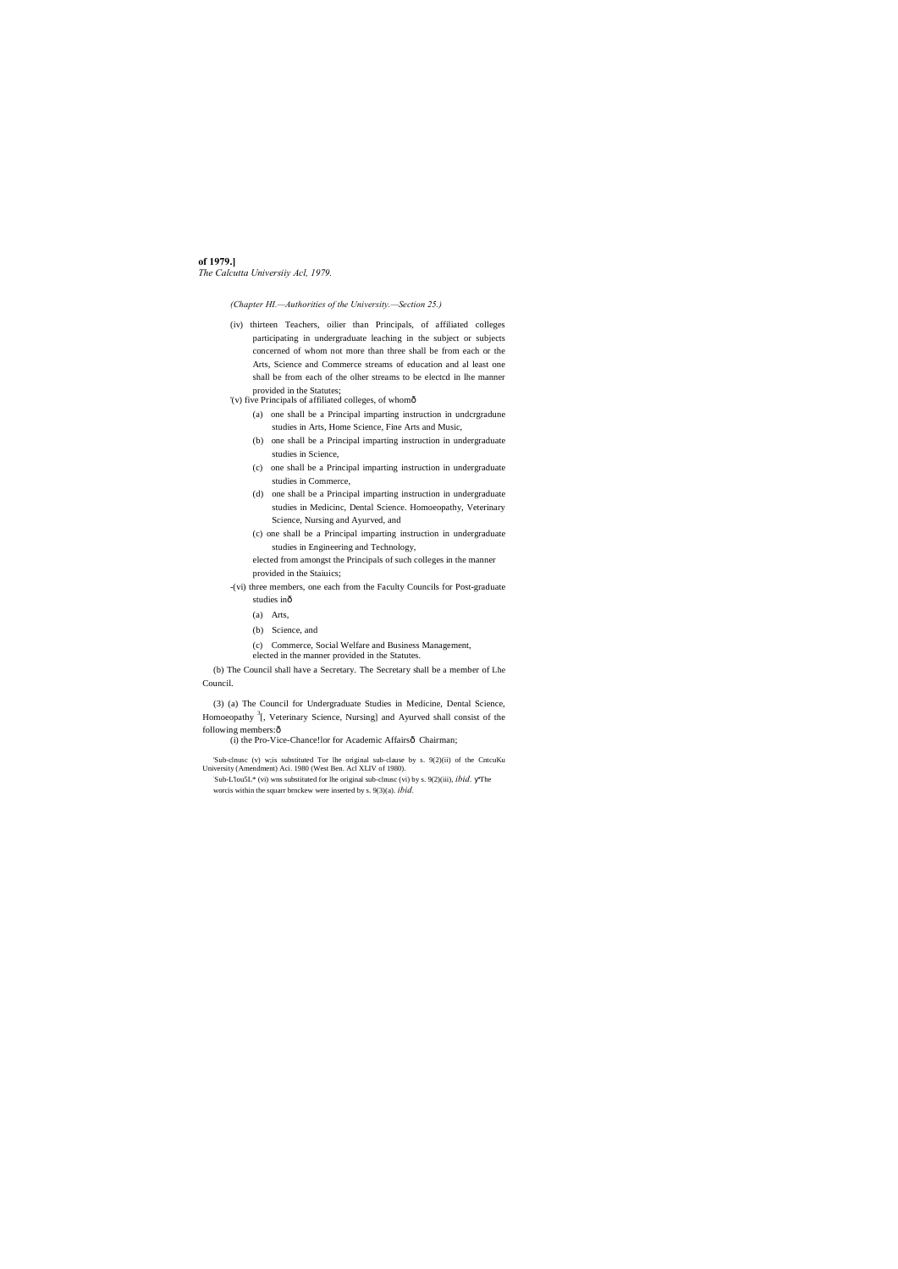**of 1979.]** *The Calcutta Universiiy Acl, 1979.*

*(Chapter HI.—Authorities of the University.—Section 25.)*

(3) (a) The Council for Undergraduate Studies in Medicine, Dental Science, Homoeopathy <sup>3</sup>[, Veterinary Science, Nursing] and Ayurved shall consist of the following members: ô

(i) the Pro-Vice-Chance!lor for Academic Affairsô Chairman;

- (iv) thirteen Teachers, oilier than Principals, of affiliated colleges participating in undergraduate leaching in the subject or subjects concerned of whom not more than three shall be from each or the Arts, Science and Commerce streams of education and al least one shall be from each of the olher streams to be electcd in lhe manner provided in the Statutes;
- '(v) five Principals of affiliated colleges, of whomô
	- (a) one shall be a Principal imparting instruction in undcrgradune studies in Arts, Home Science, Fine Arts and Music,
	- (b) one shall be a Principal imparting instruction in undergraduate studies in Science,
	- (c) one shall be a Principal imparting instruction in undergraduate studies in Commerce,
	- (d) one shall be a Principal imparting instruction in undergraduate studies in Medicinc, Dental Science. Homoeopathy, Veterinary Science, Nursing and Ayurved, and
	- (c) one shall be a Principal imparting instruction in undergraduate studies in Engineering and Technology,
	- elected from amongst the Principals of such colleges in the manner provided in the Staiuics;
- -(vi) three members, one each from the Faculty Councils for Post-graduate studies inô
	- (a) Arts,
	-
	- (b) Science, and
	- (c) Commerce, Social Welfare and Business Management,
	- elected in the manner provided in the Statutes.

(b) The Council shall have a Secretary. The Secretary shall be a member of Lhe Council.

'Sub-clnusc (v) w;is substituted Tor lhe original sub-clause by s. 9(2)(ii) of the CntcuKu University (Amendment) Aci. 1980 (West Ben. Acl XLIV of 1980). : Sub-L'lou5L\* (vi) wns substituted for lhe original sub-clnusc (vi) by s. 9(2)(iii), *ibid.* 'The worcis within the squarr brnckew were inserted by s. 9(3)(a). *ibid.*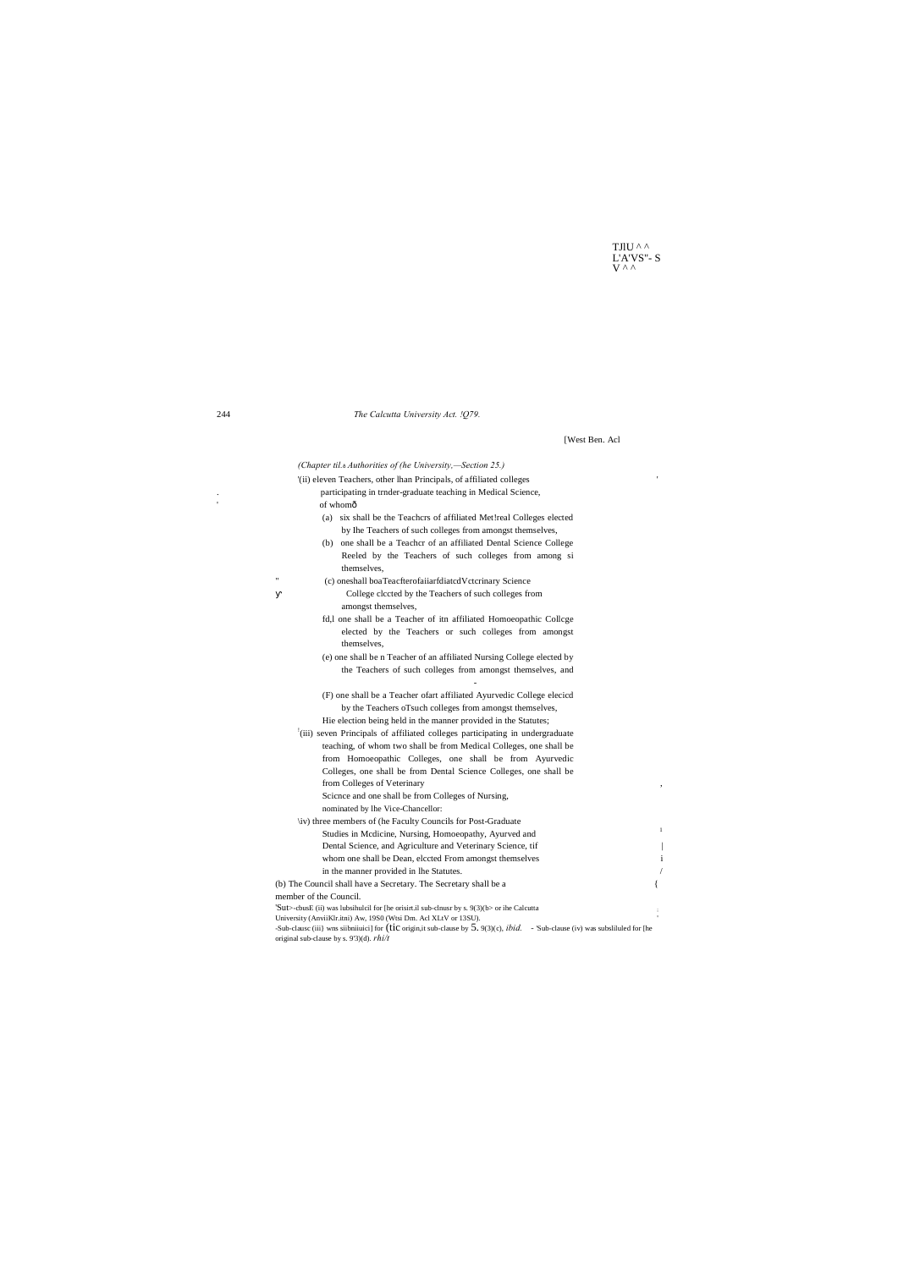TJlU $^\wedge$  ^  $L'A'VS''-S$ 

 $\,1\,$ 

 $\overline{\phantom{a}}$ 

 $\mathbf{i}$ 

 $\sqrt{ }$ 

 $\{$ 

[West Ben. Acl

# The Calcutta University Act. !Q79.

(Chapter til.<sup>6</sup> Authorities of (he University,—Section 25.) '(ii) eleven Teachers, other lhan Principals, of affiliated colleges participating in trnder-graduate teaching in Medical Science, of whomô (a) six shall be the Teachcrs of affiliated Met!real Colleges elected by Ihe Teachers of such colleges from amongst themselves, (b) one shall be a Teachcr of an affiliated Dental Science College Reeled by the Teachers of such colleges from among si themselves, (c) oneshall boaTeacfterofaiiarfdiatedVctcrinary Science College clccted by the Teachers of such colleges from amongst themselves, fd,l one shall be a Teacher of itn affiliated Homoeopathic College elected by the Teachers or such colleges from amongst themselves, (e) one shall be n Teacher of an affiliated Nursing College elected by the Teachers of such colleges from amongst themselves, and (F) one shall be a Teacher ofart affiliated Ayurvedic College elecicd by the Teachers oTsuch colleges from amongst themselves, Hie election being held in the manner provided in the Statutes; <sup>1</sup>(iii) seven Principals of affiliated colleges participating in undergraduate teaching, of whom two shall be from Medical Colleges, one shall be from Homoeopathic Colleges, one shall be from Ayurvedic Colleges, one shall be from Dental Science Colleges, one shall be from Colleges of Veterinary Science and one shall be from Colleges of Nursing, nominated by lhe Vice-Chancellor: \iv) three members of (he Faculty Councils for Post-Graduate Studies in Mcdicine, Nursing, Homoeopathy, Ayurved and Dental Science, and Agriculture and Veterinary Science, tif whom one shall be Dean, elccted From amongst themselves in the manner provided in lhe Statutes. (b) The Council shall have a Secretary. The Secretary shall be a

member of the Council.

'Sut>-cbusE (ii) was lubsihulcil for [he orisirt.il sub-clnusr by s. 9(3)(b> or ihe Calcutta University (AnviiKlr.itni) Aw, 19S0 (Wtsi Dm. Acl XLtV or 13SU). -Sub-clause (iii) wns siibniiuici] for (tic origin, it sub-clause by  $5.9(3)(c)$ ,  $ibid.$  - 'Sub-clause (iv) was subslituted for [he original sub-clause by s. 9'3)(d).  $rhi/t$ 

244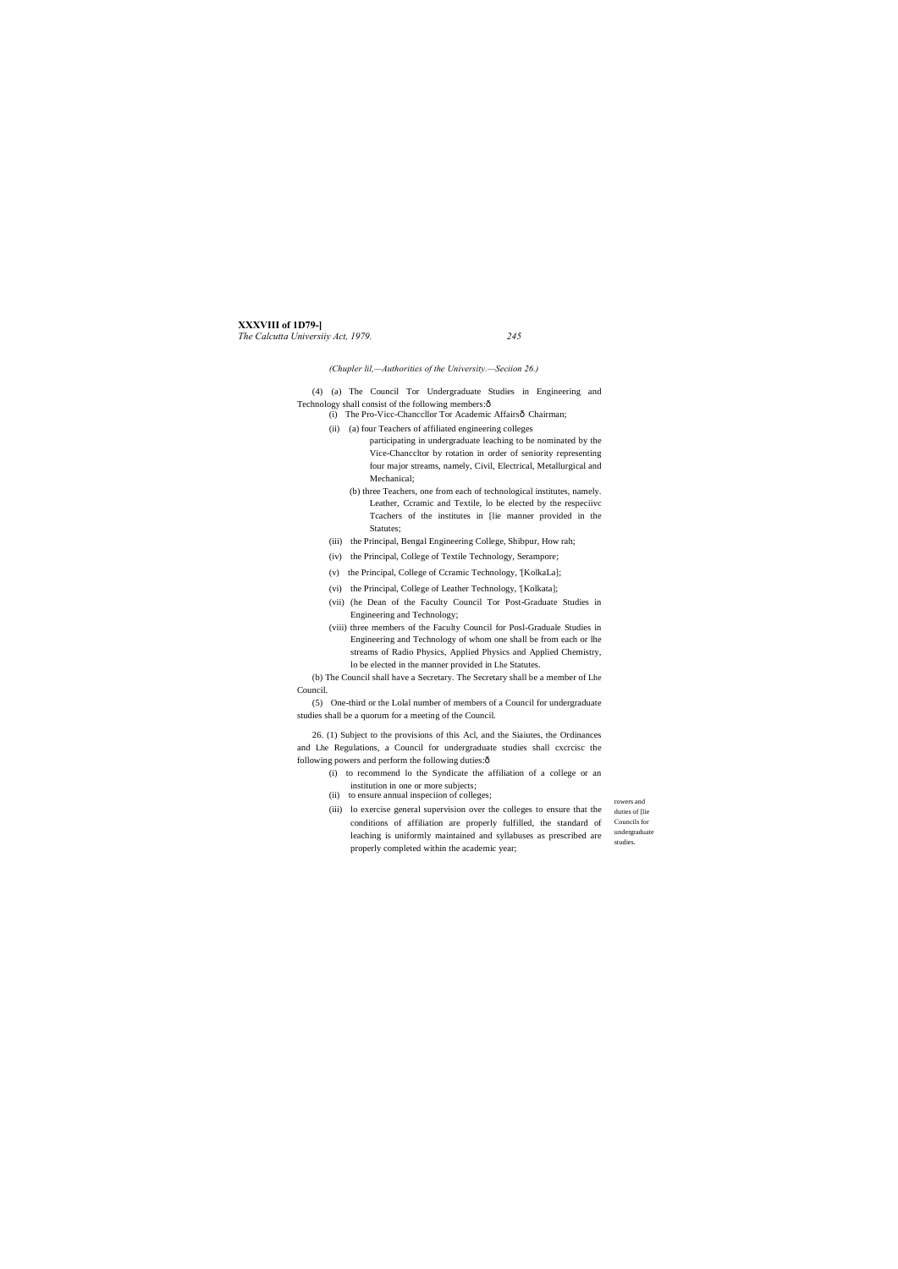# **XXXVIII of 1D79-]**

*The Calcutta Universiiy Act, 1979. 245*

rowers and duties of [lie Councils for undergraduate studies.

(4) (a) The Council Tor Undergraduate Studies in Engineering and Technology shall consist of the following members: $\hat{o}$ 

*(Chupler lil,—Authorities of the University.—Seciion 26.)*

- (i) The Pro-Vicc-Chancellor Tor Academic Affairsô Chairman;
- (ii) (a) four Teachers of affiliated engineering colleges participating in undergraduate leaching to be nominated by the Vice-Chanccltor by rotation in order of seniority representing four major streams, namely, Civil, Electrical, Metallurgical and Mechanical;
	- (b) three Teachers, one from each of technological institutes, namely. Leather, Ccramic and Textile, lo be elected by the respeciivc Tcachers of the institutes in [lie manner provided in the Statutes;
- (iii) the Principal, Bengal Engineering College, Shibpur, How rah;
- (iv) the Principal, College of Textile Technology, Serampore;
- (v) the Principal, College of Ccramic Technology, '[KolkaLa];
- (vi) the Principal, College of Leather Technology, '[Kolkata];
- (vii) (he Dean of the Faculty Council Tor Post-Graduate Studies in Engineering and Technology;
- (viii) three members of the Faculty Council for Posl-Graduale Studies in Engineering and Technology of whom one shall be from each or lhe streams of Radio Physics, Applied Physics and Applied Chemistry, lo be elected in the manner provided in Lhe Statutes.

26. (1) Subject to the provisions of this Acl, and the Siaiutes, the Ordinances and Lhe Regulations, a Council for undergraduate studies shall cxcrcisc the following powers and perform the following duties: $\hat{o}$ 

(b) The Council shall have a Secretary. The Secretary shall be a member of Lhe Council.

(5) One-third or the Lolal number of members of a Council for undergraduate studies shall be a quorum for a meeting of the Council.

- (i) to recommend lo the Syndicate the affiliation of a college or an
- institution in one or more subjects;
- (ii) to ensure annual inspeciion of colleges;
- (iii) lo exercise general supervision over the colleges to ensure that the conditions of affiliation are properly fulfilled, the standard of leaching is uniformly maintained and syllabuses as prescribed are properly completed within the academic year;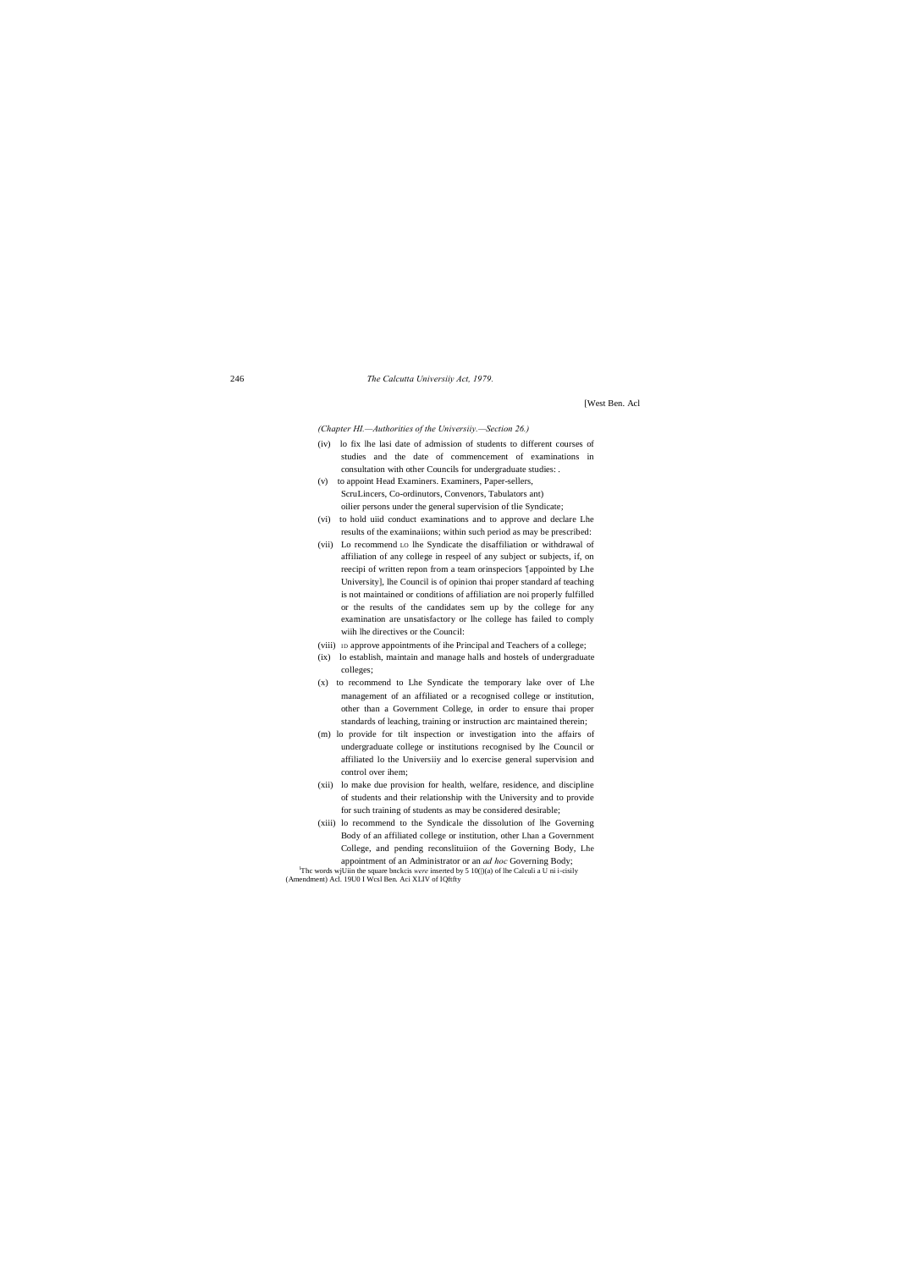### 246 *The Calcutta Universiiy Act, 1979.*

[West Ben. Acl

*(Chapter HI.—Authorities of the Universiiy.—Section 26.)*

appointment of an Administrator or an *ad hoc* Governing Body; <sup>1</sup>Thc words wjUiin the square bnckcis *were* inserted by 5 10( $|$ )(a) of lhe Calculi a U ni i-cisily (Amendment) Acl. 19U0 I Wcsl Ben. Aci XLIV of IQftfty

- (iv) lo fix lhe lasi date of admission of students to different courses of studies and the date of commencement of examinations in consultation with other Councils for undergraduate studies: .
- (v) to appoint Head Examiners. Examiners, Paper-sellers, ScruLincers, Co-ordinutors, Convenors, Tabulators ant) oilier persons under the general supervision of tlie Syndicate;
- (vi) to hold uiid conduct examinations and to approve and declare Lhe results of the examinaiions; within such period as may be prescribed:
- (vii) Lo recommend LO lhe Syndicate the disaffiliation or withdrawal of affiliation of any college in respeel of any subject or subjects, if, on reecipi of written repon from a team orinspeciors '[appointed by Lhe University], lhe Council is of opinion thai proper standard af teaching is not maintained or conditions of affiliation are noi properly fulfilled or the results of the candidates sem up by the college for any examination are unsatisfactory or lhe college has failed to comply wiih lhe directives or the Council:
- (viii) ID approve appointments of ihe Principal and Teachers of a college;
- (ix) lo establish, maintain and manage halls and hostels of undergraduate colleges;
- (x) to recommend to Lhe Syndicate the temporary lake over of Lhe management of an affiliated or a recognised college or institution, other than a Government College, in order to ensure thai proper standards of leaching, training or instruction arc maintained therein;
- (m) lo provide for tilt inspection or investigation into the affairs of undergraduate college or institutions recognised by lhe Council or affiliated lo the Universiiy and lo exercise general supervision and control over ihem;
- (xii) lo make due provision for health, welfare, residence, and discipline of students and their relationship with the University and to provide for such training of students as may be considered desirable;
- (xiii) lo recommend to the Syndicale the dissolution of lhe Governing Body of an affiliated college or institution, other Lhan a Government College, and pending reconslituiion of the Governing Body, Lhe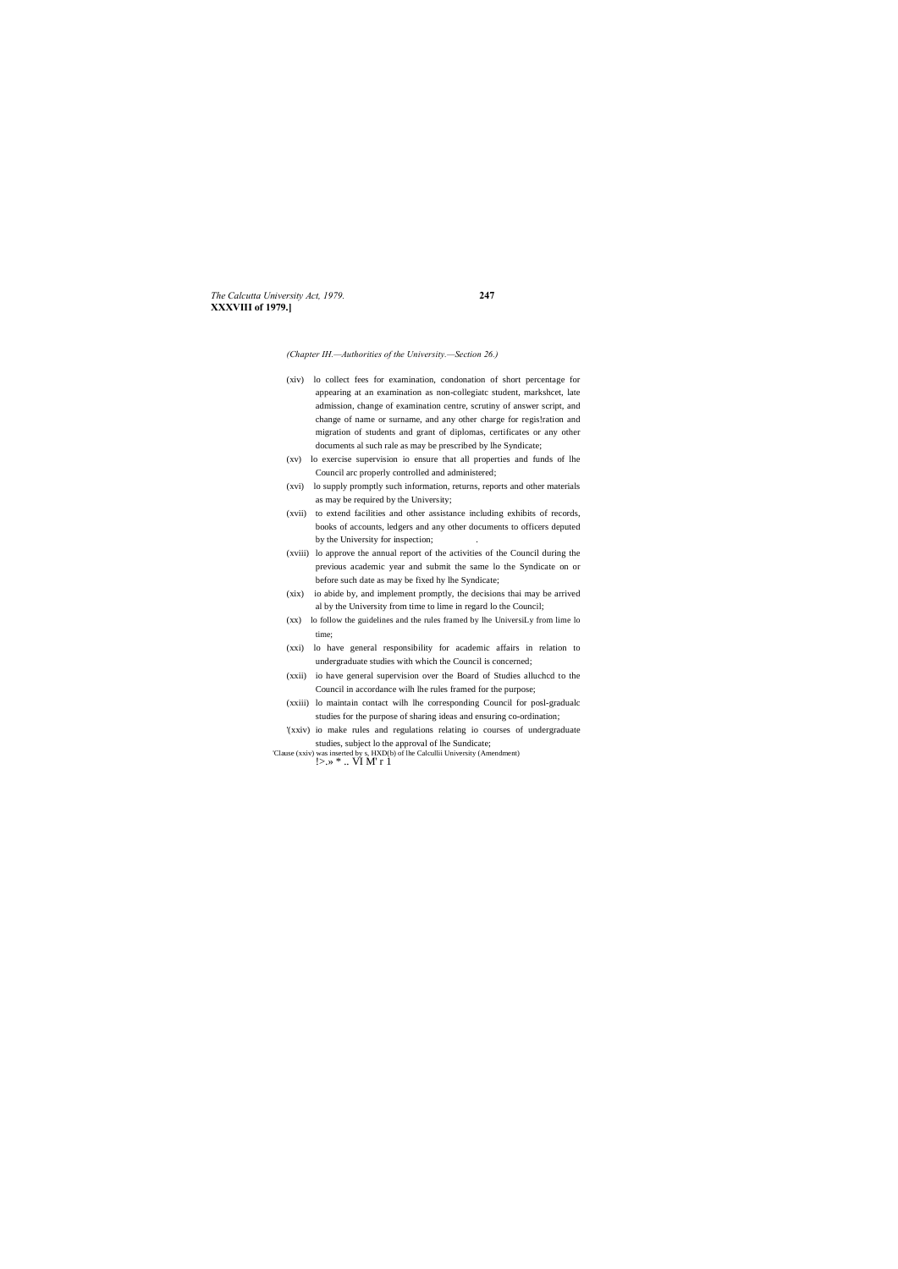*The Calcutta University Act, 1979.* **247 XXXVIII of 1979.]**

*(Chapter IH.—Authorities of the University.—Section 26.)*

- (xiv) lo collect fees for examination, condonation of short percentage for appearing at an examination as non-collegiatc student, markshcet, late admission, change of examination centre, scrutiny of answer script, and change of name or surname, and any other charge for regis!ration and migration of students and grant of diplomas, certificates or any other documents al such rale as may be prescribed by lhe Syndicate;
- (xv) lo exercise supervision io ensure that all properties and funds of lhe Council arc properly controlled and administered;
- (xvi) lo supply promptly such information, returns, reports and other materials as may be required by the University;
- (xvii) to extend facilities and other assistance including exhibits of records, books of accounts, ledgers and any other documents to officers deputed by the University for inspection;
- (xviii) lo approve the annual report of the activities of the Council during the previous academic year and submit the same lo the Syndicate on or before such date as may be fixed hy lhe Syndicate;
- (xix) io abide by, and implement promptly, the decisions thai may be arrived al by the University from time to lime in regard lo the Council;
- (xx) lo follow the guidelines and the rules framed by lhe UniversiLy from lime lo time;
- (xxi) lo have general responsibility for academic affairs in relation to undergraduate studies with which the Council is concerned;
- (xxii) io have general supervision over the Board of Studies alluchcd to the Council in accordance wilh lhe rules framed for the purpose;
- (xxiii) lo maintain contact wilh lhe corresponding Council for posl-gradualc studies for the purpose of sharing ideas and ensuring co-ordination;
- '(xxiv) io make rules and regulations relating io courses of undergraduate studies, subject lo the approval of lhe Sundicate;

'Clause (xxiv) was inserted by s, HXD(b) of lhe Calcullii University (Amendment)<br>  $! > . \times^*$  .. VI M' r 1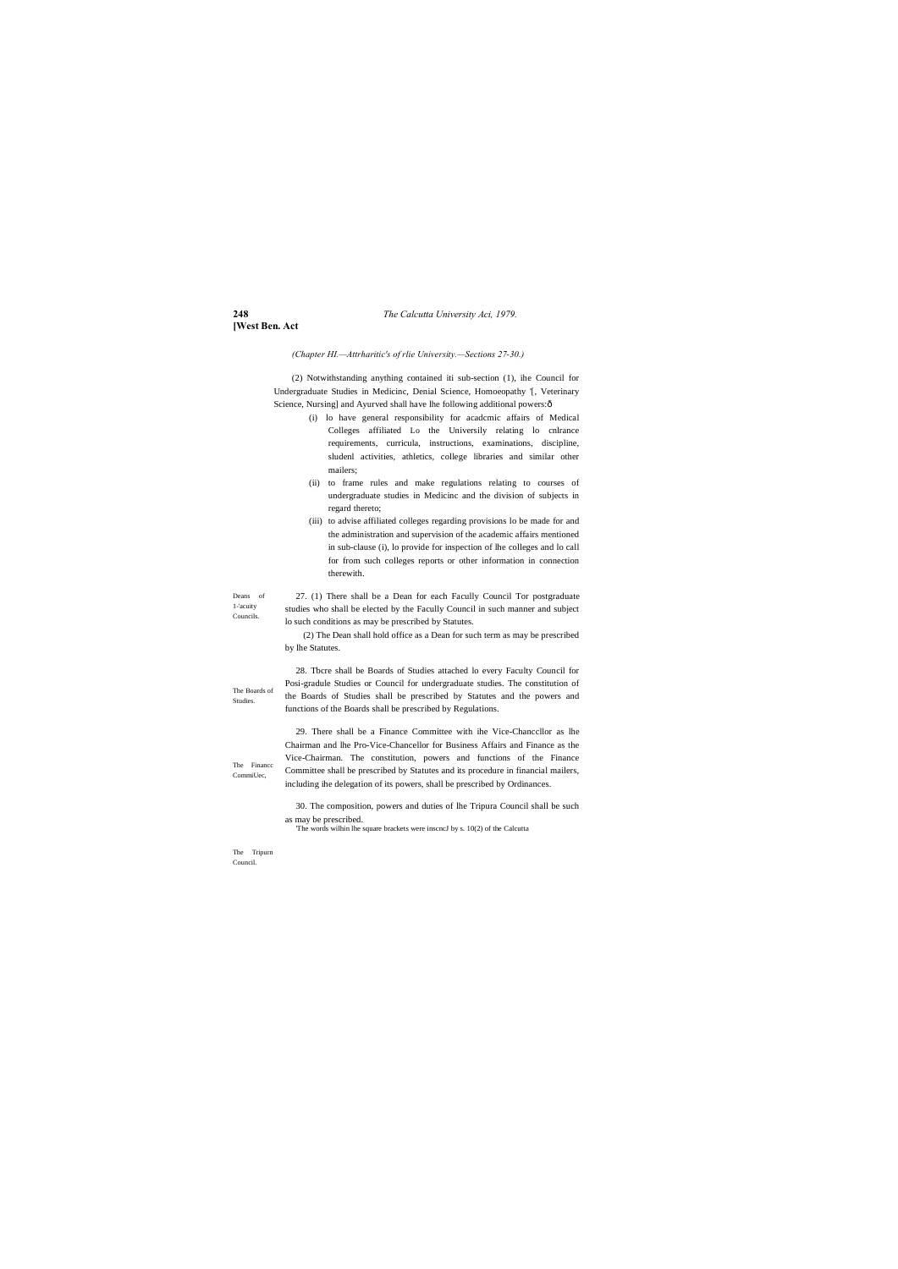# **248** *The Calcutta University Aci, 1979.*

# **[West Ben. Act**

1-'acuity Councils.

The Boards of Studies.

(2) Notwithstanding anything contained iti sub-section (1), ihe Council for Undergraduate Studies in Medicinc, Denial Science, Homoeopathy '[, Veterinary Science, Nursing] and Ayurved shall have lhe following additional powers: $\hat{o}$ 

The Financc CommiUec,

The Tripurn Council.

# *(Chapter HI.—Attrharitic's of rlie University.—Sections 27-30.)*

Deans of 27. (1) There shall be a Dean for each Facully Council Tor postgraduate studies who shall be elected by the Facully Council in such manner and subject lo such conditions as may be prescribed by Statutes.

- (i) lo have general responsibility for acadcmic affairs of Medical Colleges affiliated Lo the Universily relating lo cnlrance requirements, curricula, instructions, examinations, discipline, sludenl activities, athletics, college libraries and similar other mailers;
- (ii) to frame rules and make regulations relating to courses of undergraduate studies in Medicinc and the division of subjects in regard thereto;
- (iii) to advise affiliated colleges regarding provisions lo be made for and the administration and supervision of the academic affairs mentioned in sub-clause (i), lo provide for inspection of lhe colleges and lo call for from such colleges reports or other information in connection therewith.

(2) The Dean shall hold office as a Dean for such term as may be prescribed by lhe Statutes.

28. Tbcre shall be Boards of Studies attached lo every Faculty Council for Posi-gradule Studies or Council for undergraduate studies. The constitution of the Boards of Studies shall be prescribed by Statutes and the powers and functions of the Boards shall be prescribed by Regulations.

29. There shall be a Finance Committee with ihe Vice-Chanccllor as lhe Chairman and lhe Pro-Vice-Chancellor for Business Affairs and Finance as the Vice-Chairman. The constitution, powers and functions of the Finance Committee shall be prescribed by Statutes and its procedure in financial mailers, including ihe delegation of its powers, shall be prescribed by Ordinances.

30. The composition, powers and duties of lhe Tripura Council shall be such as may be prescribed.

'The words wilhin lhe square brackets were inscncJ by s. 10(2) of the Calcutta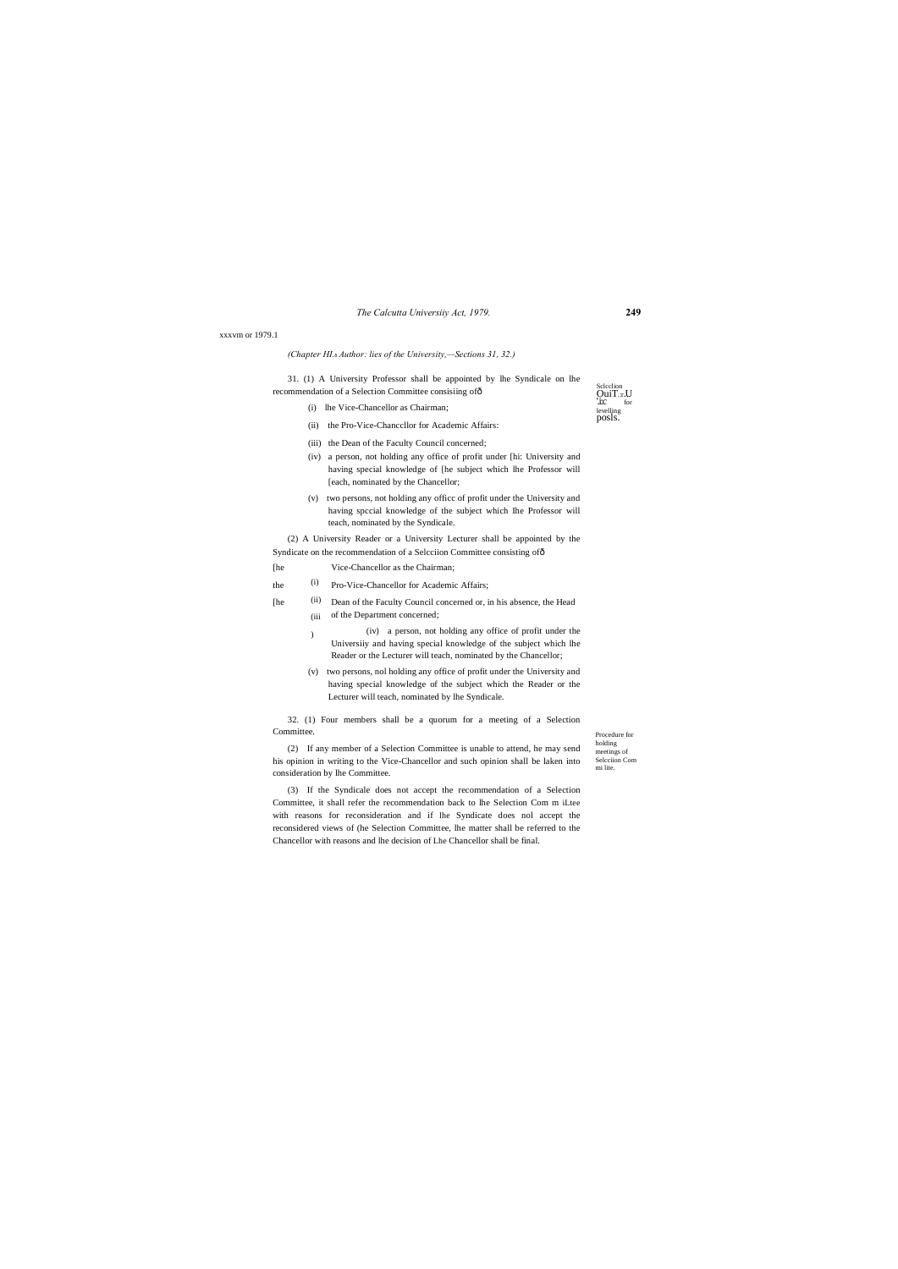# *The Calcutta Universiiy Act, 1979.* **249**

Sclection<br>**OuiT**.:r.U<br>'**.i:c** for levelling posls.

Procedure for holding meetings of Selcciion Com mi lite.

### xxxvm or 1979.1

### *(Chapter HI.*—*Author: lies of the University,—Sections 31, 32.)*

31. (1) A University Professor shall be appointed by lhe Syndicale on lhe recommendation of a Selection Committee consisiing of—

- (i) lhe Vice-Chancellor as Chairman;
- (ii) the Pro-Vice-Chanccllor for Academic Affairs:
- (iii) the Dean of the Faculty Council concerned;
- (iv) a person, not holding any office of profit under [hi: University and having special knowledge of [he subject which lhe Professor will [each, nominated by the Chancellor;
- (v) two persons, not holding any officc of profit under the University and having spccial knowledge of the subject which Ihe Professor will teach, nominated by the Syndicale.

(2) A University Reader or a University Lecturer shall be appointed by the Syndicate on the recommendation of a Selcciion Committee consisting of—

- [he Vice-Chancellor as the Chairman;
- (i) the <sup>(i)</sup> Pro-Vice-Chancellor for Academic Affairs;
- (ii) (iii of the Department concerned; [he Dean of the Faculty Council concerned or, in his absence, the Head
	- ) (iv) a person, not holding any office of profit under the Universiiy and having special knowledge of the subject which lhe Reader or the Lecturer will teach, nominated by the Chancellor;
	- (v) two persons, nol holding any office of profit under the University and having special knowledge of the subject which the Reader or the Lecturer will teach, nominated by lhe Syndicale.

32. (1) Four members shall be a quorum for a meeting of a Selection Committee.

(2) If any member of a Selection Committee is unable to attend, he may send his opinion in writing to the Vice-Chancellor and such opinion shall be laken into consideration by lhe Committee.

(3) If the Syndicale does not accept the recommendation of a Selection Committee, it shall refer the recommendation back to lhe Selection Com m iLtee with reasons for reconsideration and if lhe Syndicate does nol accept the reconsidered views of (he Selection Committee, lhe matter shall be referred to the Chancellor with reasons and lhe decision of Lhe Chancellor shall be final.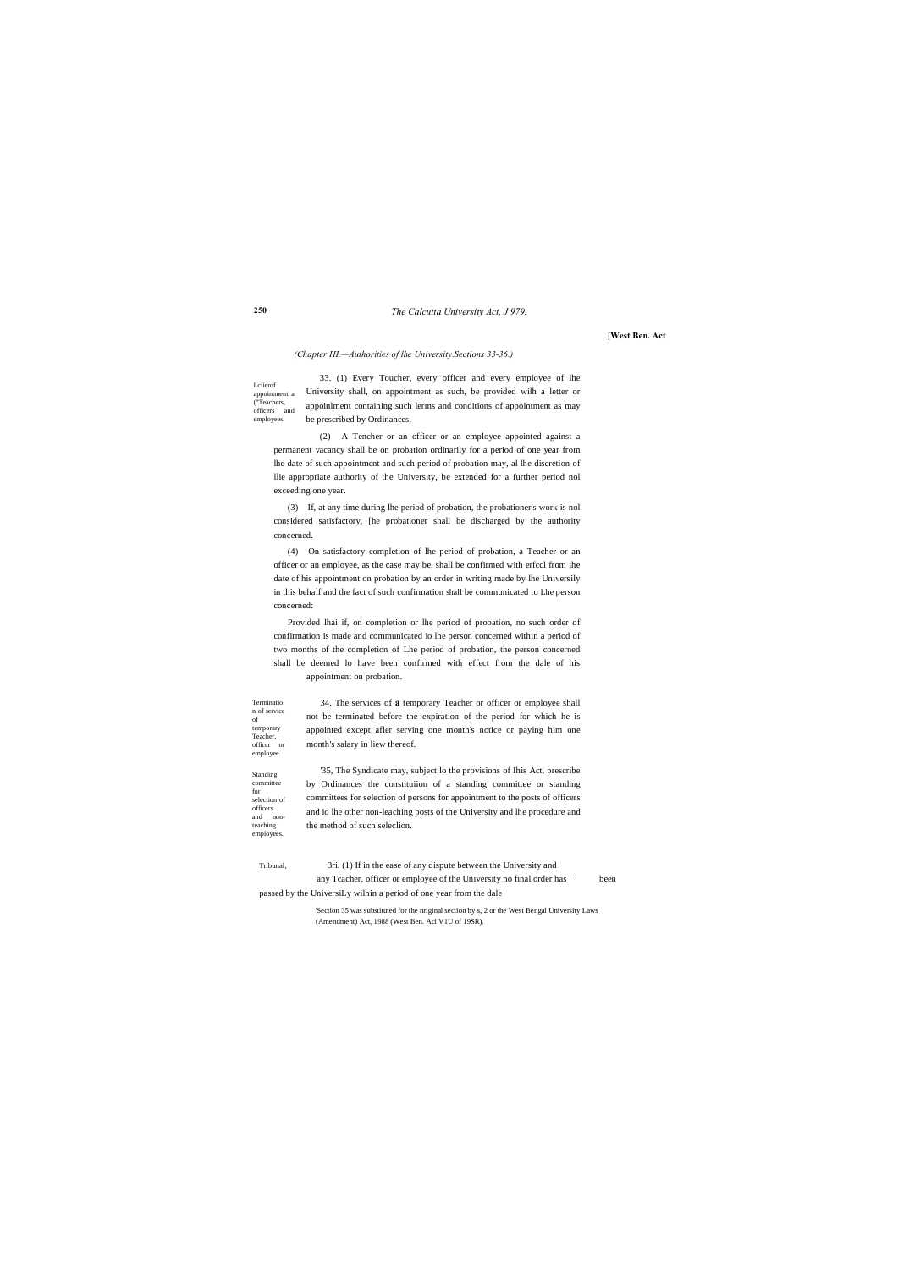# *The Calcutta University Act, J 979.*

### **250**

**[West Ben. Act**

officer or employee. Standing committee for selection of officers and nonteaching employees.

Terminatio n of service of temporary Teacher,

Lciierof appointment a ("Teachers, officers and employees. 33. (1) Every Toucher, every officer and every employee of lhe University shall, on appointment as such, be provided wilh a letter or appoinlment containing such lerms and conditions of appointment as may be prescribed by Ordinances,

### *(Chapter HI.—Authorities of lhe University.Sections 33-36.)*

(2) A Tencher or an officer or an employee appointed against a permanent vacancy shall be on probation ordinarily for a period of one year from lhe date of such appointment and such period of probation may, al lhe discretion of llie appropriate authority of the University, be extended for a further period nol exceeding one year.

(3) If, at any time during lhe period of probation, the probationer's work is nol considered satisfactory, [he probationer shall be discharged by the authority concerned.

(4) On satisfactory completion of lhe period of probation, a Teacher or an officer or an employee, as the case may be, shall be confirmed with erfccl from ihe date of his appointment on probation by an order in writing made by lhe Universily in this behalf and the fact of such confirmation shall be communicated to Lhe person concerned:

Provided lhai if, on completion or lhe period of probation, no such order of confirmation is made and communicated io lhe person concerned within a period of two months of the completion of Lhe period of probation, the person concerned shall be deemed lo have been confirmed with effect from the dale of his appointment on probation.

34, The services of **a** temporary Teacher or officer or employee shall not be terminated before the expiration of the period for which he is appointed except afler serving one month's notice or paying him one month's salary in liew thereof.

'35, The Syndicate may, subject lo the provisions of Ihis Act, prescribe by Ordinances the constituiion of a standing committee or standing committees for selection of persons for appointment to the posts of officers and io lhe other non-leaching posts of the University and lhe procedure and the method of such seleclion.

Tribunal, 3ri. (1) If in the ease of any dispute between the University and any Tcacher, officer or employee of the University no final order has ' been

passed by the UniversiLy wilhin a period of one year from the dale

'Section 35 was substituted for the nriginal section by s, 2 or the West Bengal University Laws (Amendment) Act, 1988 (West Ben. Acl V1U of 19SR).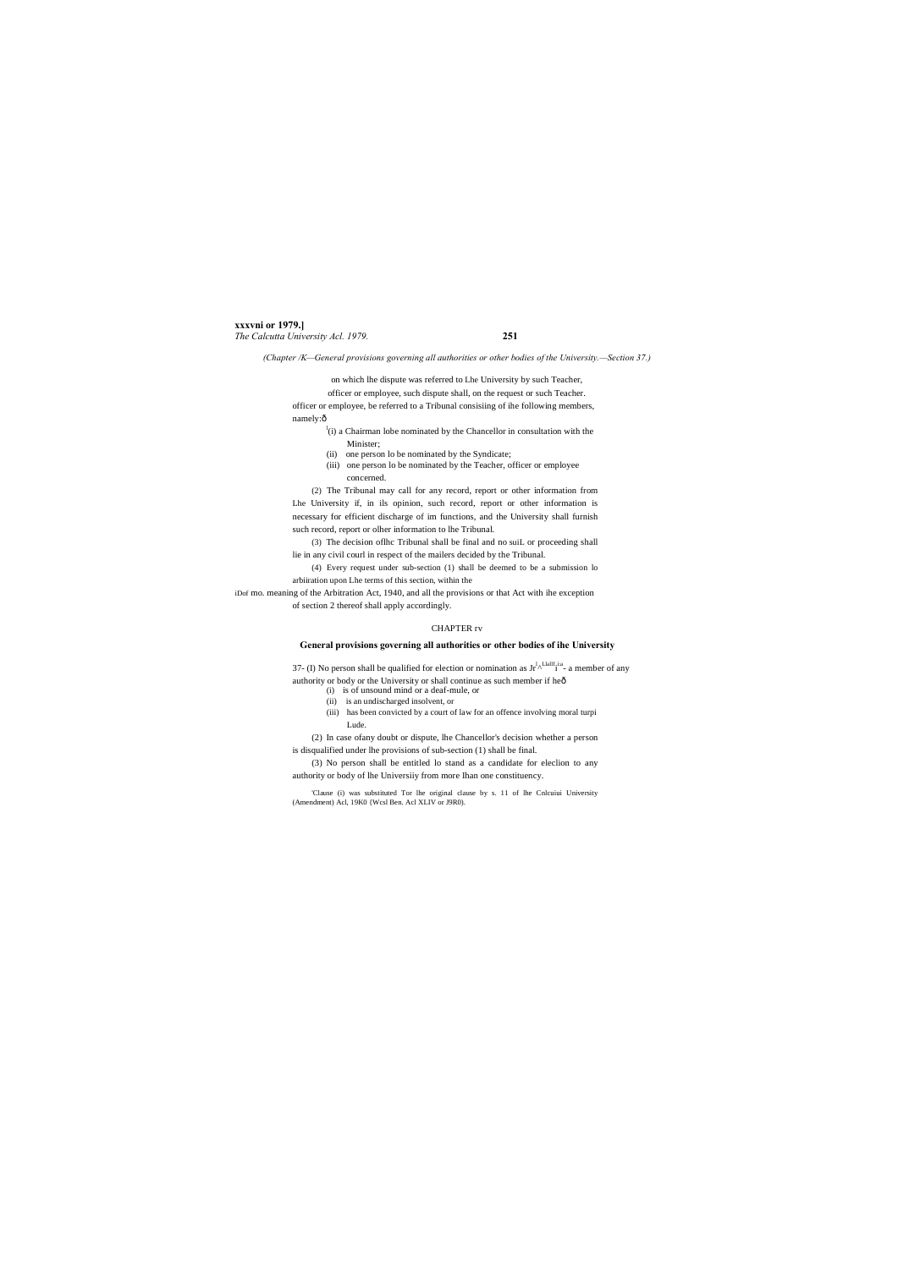# **xxxvni or 1979.]** *The Calcutta University Acl. 1979.* **251**

*(Chapter /K—General provisions governing all authorities or other bodies of the University.—Section 37.)*

officer or employee, such dispute shall, on the request or such Teacher. officer or employee, be referred to a Tribunal consisiing of ihe following members, namely:ô

 $\alpha$ <sup>l</sup>(i) a Chairman lobe nominated by the Chancellor in consultation with the

on which lhe dispute was referred to Lhe University by such Teacher,

- Minister;
- (ii) one person lo be nominated by the Syndicate;
- (iii) one person lo be nominated by the Teacher, officer or employee concerned.

(2) The Tribunal may call for any record, report or other information from Lhe University if, in ils opinion, such record, report or other information is necessary for efficient discharge of im functions, and the University shall furnish such record, report or olher information to lhe Tribunal.

(3) The decision oflhc Tribunal shall be final and no suiL or proceeding shall lie in any civil courl in respect of the mailers decided by the Tribunal.

(4) Every request under sub-section (1) shall be deemed to be a submission lo arbiiration upon Lhe terms of this section, within the

iDof mo. meaning of the Arbitration Act, 1940, and all the provisions or that Act with ihe exception of section 2 thereof shall apply accordingly.

# CHAPTER rv

# **General provisions governing all authorities or other bodies of ihe University**

37- (I) No person shall be qualified for election or nomination as  $Jr^{1,\text{Llallif-ia}}$  a member of any authority or body or the University or shall continue as such member if heô

- (i) is of unsound mind or a deaf-mule, or
- (ii) is an undischarged insolvent, or
- (iii) has been convicted by a court of law for an offence involving moral turpi Lude.

(2) In case ofany doubt or dispute, lhe Chancellor's decision whether a person is disqualified under lhe provisions of sub-section (1) shall be final.

(3) No person shall be entitled lo stand as a candidate for eleclion to any authority or body of lhe Universiiy from more Ihan one constituency.

'Clause (i) was substituted Tor lhe original clause by s. 11 of lhe Cnlcuiui University (Amendment) Acl, 19K0 {Wcsl Ben. Acl XLIV or J9R0).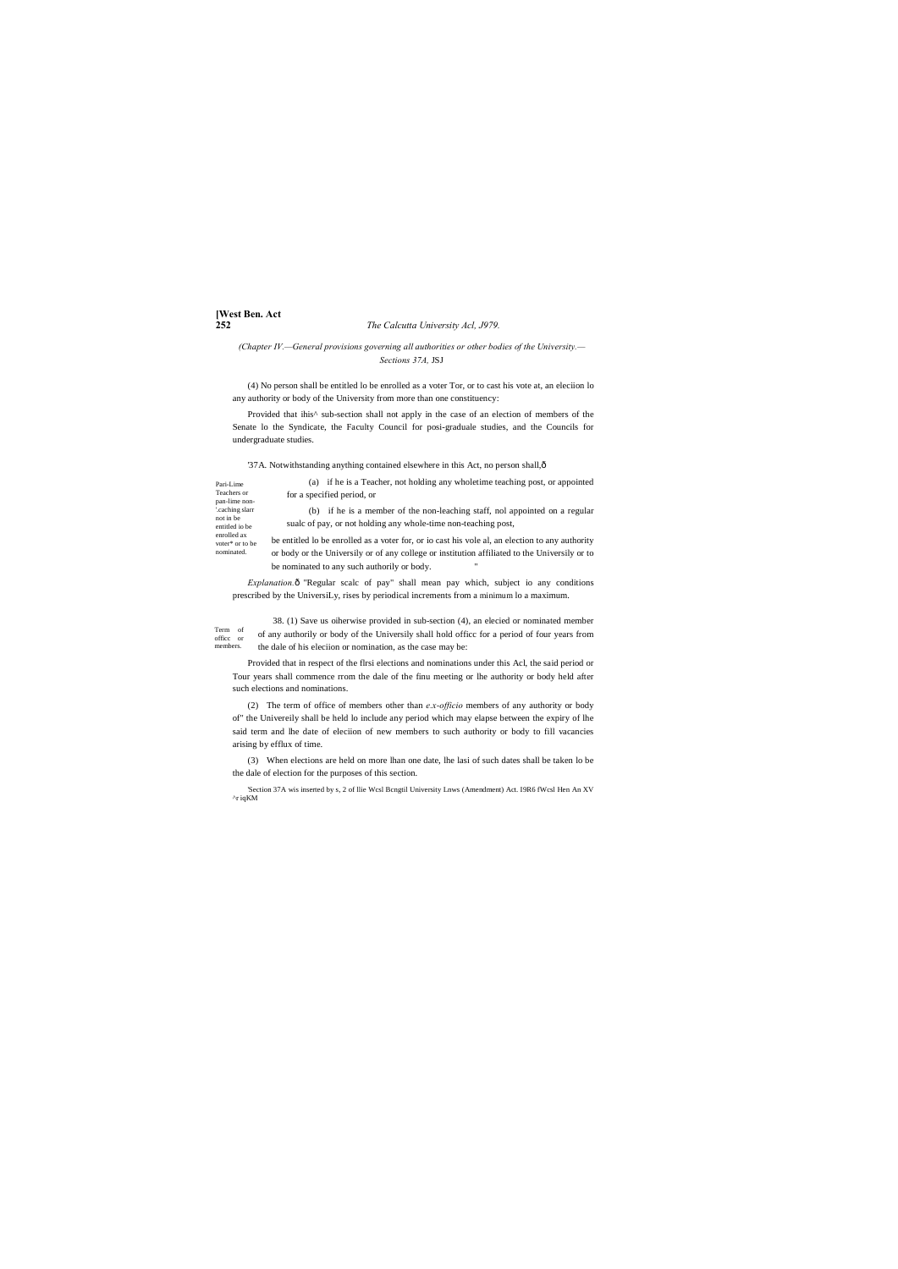# **[West Ben. Act**

### **252** *The Calcutta University Acl, J979.*

*(Chapter IV.—General provisions governing all authorities or other bodies of the University.— Sections 37A,* JSJ

Provided that ihis<sup>^</sup> sub-section shall not apply in the case of an election of members of the Senate lo the Syndicate, the Faculty Council for posi-graduale studies, and the Councils for undergraduate studies.

'37A. Notwithstanding anything contained elsewhere in this Act, no person shall, $\hat{o}$ 

(4) No person shall be entitled lo be enrolled as a voter Tor, or to cast his vote at, an eleciion lo any authority or body of the University from more than one constituency:

Pari-Lime Teachers or pan-lime non- '.caching slarr not in be entitled io be enrolled ax voter\* or to be nominated. for a specified period, or

be entitled lo be enrolled as a voter for, or io cast his vole al, an election to any authority or body or the Universily or of any college or institution affiliated to the Universily or to be nominated to any such authorily or body.

*Explanation.* $\hat{o}$  "Regular scalc of pay" shall mean pay which, subject io any conditions prescribed by the UniversiLy, rises by periodical increments from a minimum lo a maximum.

(a) if he is a Teacher, not holding any wholetime teaching post, or appointed

Term of officc or members. 38. (1) Save us oiherwise provided in sub-section (4), an elecied or nominated member of any authorily or body of the Universily shall hold officc for a period of four years from the dale of his eleciion or nomination, as the case may be:

(b) if he is a member of the non-leaching staff, nol appointed on a regular sualc of pay, or not holding any whole-time non-teaching post,

Provided that in respect of the flrsi elections and nominations under this Acl, the said period or Tour years shall commence rrom the dale of the finu meeting or lhe authority or body held after such elections and nominations.

(2) The term of office of members other than *e.x-officio* members of any authority or body of" the Univereily shall be held lo include any period which may elapse between the expiry of lhe said term and lhe date of eleciion of new members to such authority or body to fill vacancies arising by efflux of time.

(3) When elections are held on more lhan one date, lhe lasi of such dates shall be taken lo be the dale of election for the purposes of this section.

'Section 37A wis inserted by s, 2 of llie Wcsl Bcngtil University Lnws (Amendment) Act. I9R6 fWcsl Hen An XV ^r iqKM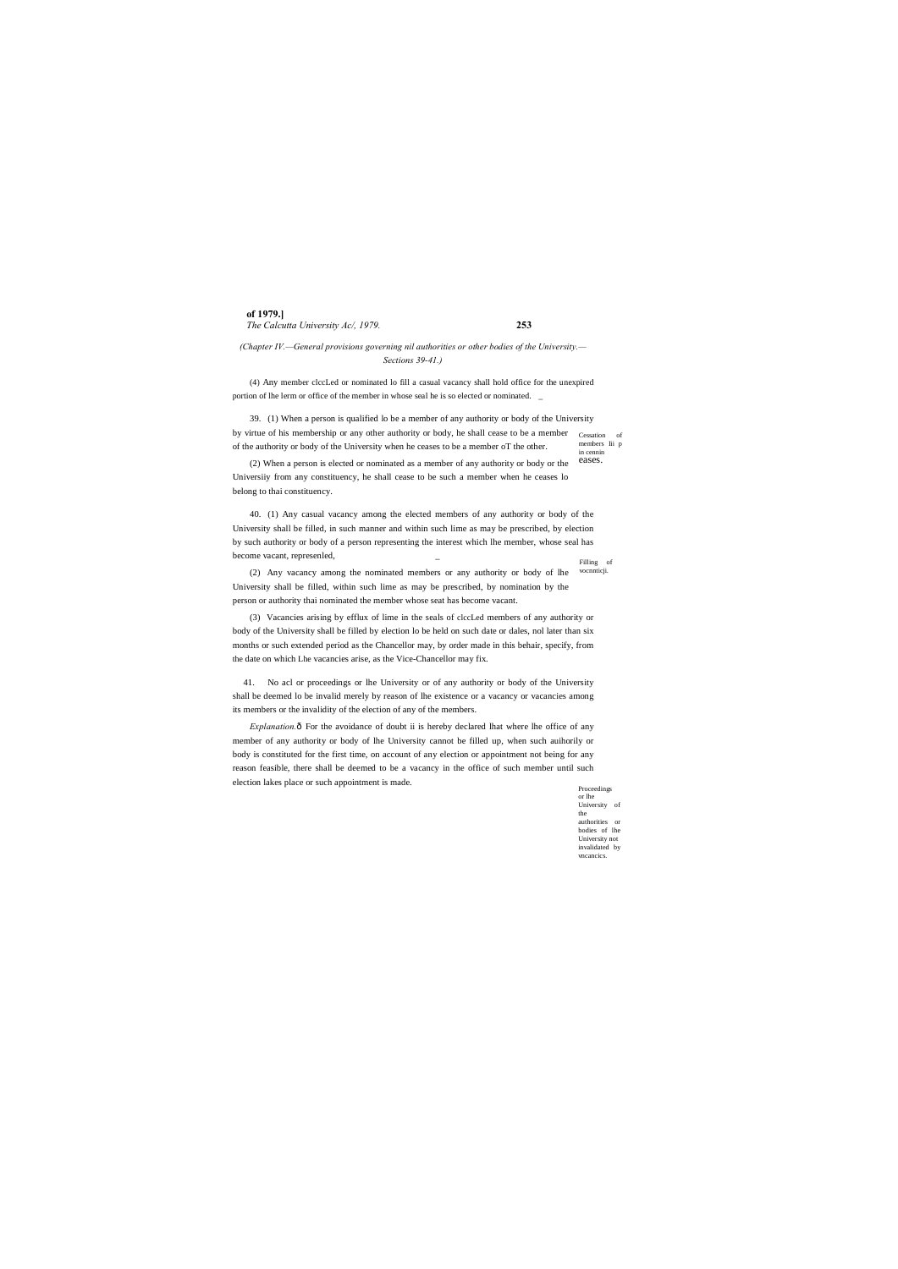# **of 1979.]** *The Calcutta University Ac/, 1979.* **253**

eases.

(4) Any member clccLed or nominated lo fill a casual vacancy shall hold office for the unexpired portion of lhe lerm or office of the member in whose seal he is so elected or nominated.

> Proceedings or lhe University of the authorities or bodies of lhe University not invalidated by vncancics.

*(Chapter IV.—General provisions governing nil authorities or other bodies of the University.— Sections 39-41.)*

Cessation of members Iii p in cennin 39. (1) When a person is qualified lo be a member of any authority or body of the University by virtue of his membership or any other authority or body, he shall cease to be a member of the authority or body of the University when he ceases to be a member oT the other.

Filling of 40. (1) Any casual vacancy among the elected members of any authority or body of the University shall be filled, in such manner and within such lime as may be prescribed, by election by such authority or body of a person representing the interest which lhe member, whose seal has become vacant, represenled, \_

vocnnticji. (2) Any vacancy among the nominated members or any authority or body of lhe University shall be filled, within such lime as may be prescribed, by nomination by the person or authority thai nominated the member whose seat has become vacant.

(2) When a person is elected or nominated as a member of any authority or body or the Universiiy from any constituency, he shall cease to be such a member when he ceases lo belong to thai constituency.

*Explanation.* ô For the avoidance of doubt ii is hereby declared lhat where lhe office of any member of any authority or body of lhe University cannot be filled up, when such auihorily or body is constituted for the first time, on account of any election or appointment not being for any reason feasible, there shall be deemed to be a vacancy in the office of such member until such election lakes place or such appointment is made.

(3) Vacancies arising by efflux of lime in the seals of clccLed members of any authority or body of the University shall be filled by election lo be held on such date or dales, nol later than six months or such extended period as the Chancellor may, by order made in this behair, specify, from the date on which Lhe vacancies arise, as the Vice-Chancellor may fix.

41. No acl or proceedings or lhe University or of any authority or body of the University shall be deemed lo be invalid merely by reason of lhe existence or a vacancy or vacancies among its members or the invalidity of the election of any of the members.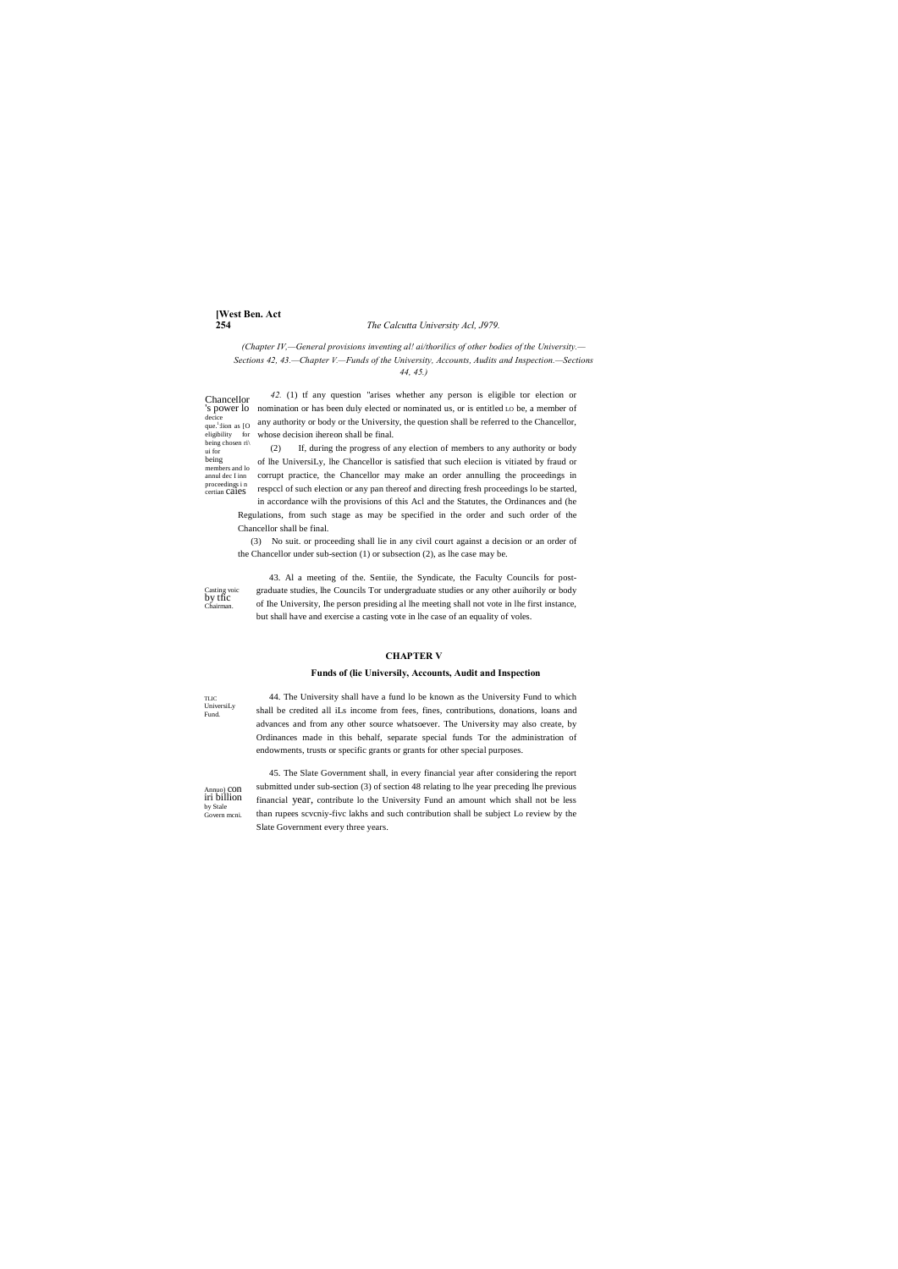# [West Ben. Act 254

# The Calcutta University Acl, J979.

(Chapter IV,-General provisions inventing al! ai/thorilics of other bodies of the University.-Sections 42, 43. - Chapter V. - Funds of the University, Accounts, Audits and Inspection. - Sections  $44, 45.$ )

42. (1) tf any question "arises whether any person is eligible tor election or Chancellor 's power lo nomination or has been duly elected or nominated us, or is entitled Lo be, a member of decice<br>que.<sup>1</sup>:lion as [O any authority or body or the University, the question shall be referred to the Chancellor, eligibility for whose decision ihereon shall be final. being chosen ri $\mid$ 

If, during the progress of any election of members to any authority or body  $(2)$ of lhe UniversiLy, lhe Chancellor is satisfied that such election is vitiated by fraud or members and lo annul dec $\rm I$ inn corrupt practice, the Chancellor may make an order annulling the proceedings in proceedings in<br>certian Ca1eS respect of such election or any pan thereof and directing fresh proceedings lo be started,

in accordance wilh the provisions of this Acl and the Statutes, the Ordinances and (he Regulations, from such stage as may be specified in the order and such order of the Chancellor shall be final.

(3) No suit. or proceeding shall lie in any civil court against a decision or an order of the Chancellor under sub-section (1) or subsection (2), as lhe case may be.

Casting voic<br>by tfic Chairman

ui for being

> 43. Al a meeting of the. Sentiie, the Syndicate, the Faculty Councils for postgraduate studies, lhe Councils Tor undergraduate studies or any other auihorily or body of Ihe University, Ihe person presiding al lhe meeting shall not vote in lhe first instance, but shall have and exercise a casting vote in lhe case of an equality of voles.

# **CHAPTER V**

### Funds of (lie Universily, Accounts, Audit and Inspection

**TLIC** UniversiLy Fund.

44. The University shall have a fund lo be known as the University Fund to which shall be credited all iLs income from fees, fines, contributions, donations, loans and advances and from any other source whatsoever. The University may also create, by Ordinances made in this behalf, separate special funds Tor the administration of endowments, trusts or specific grants or grants for other special purposes.

Annuo) CON<br>iri billion by Stale Govern meni

45. The Slate Government shall, in every financial year after considering the report submitted under sub-section (3) of section 48 relating to lhe year preceding lhe previous financial year, contribute lo the University Fund an amount which shall not be less than rupees scvcniy-five lakhs and such contribution shall be subject Lo review by the Slate Government every three years.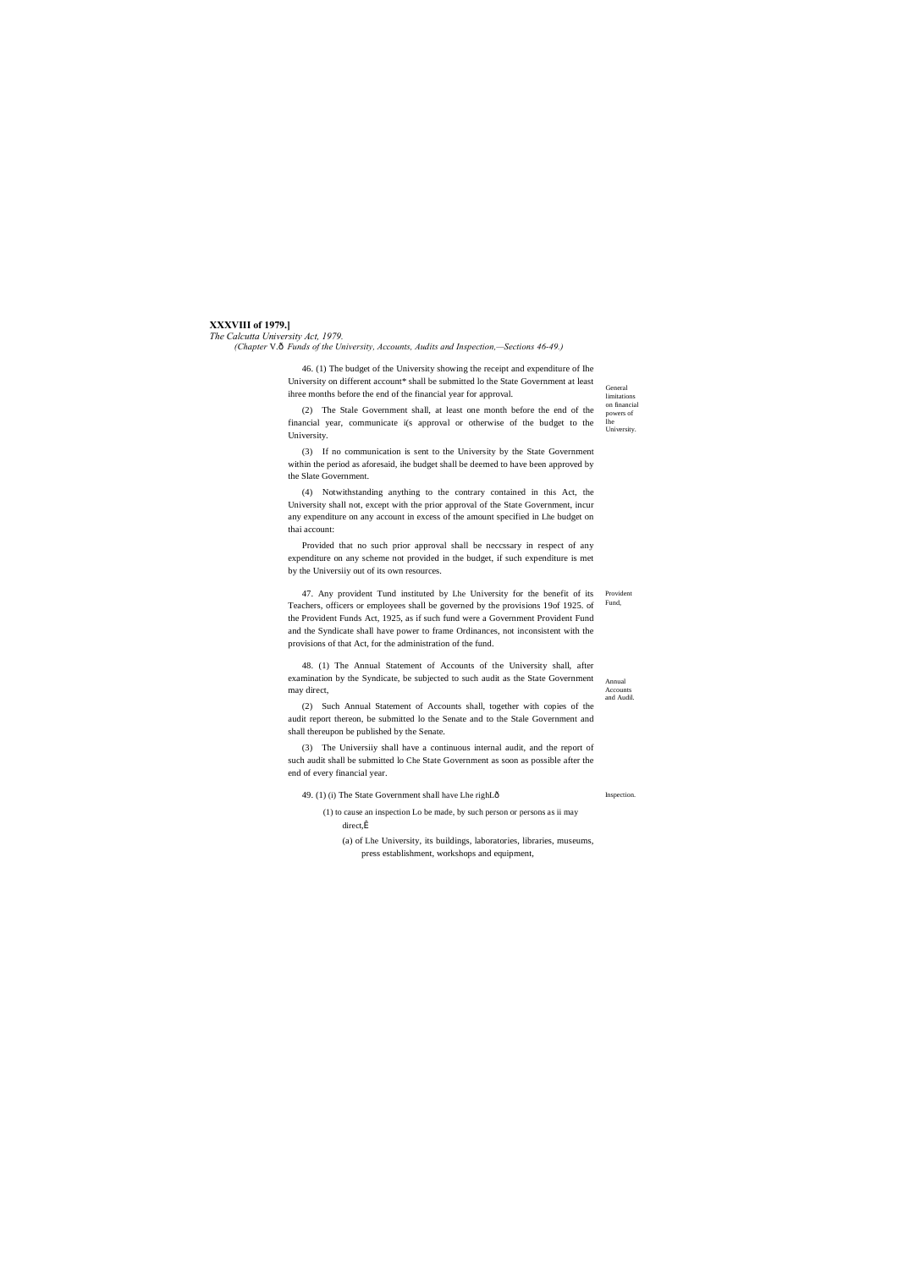# **XXXVIII of 1979.]**

### *The Calcutta University Act, 1979.*

**Accounts** and Audil.

Annual

**Inspection** 

General limitations on financial powers of lhe University.

*(Chapter* V.—*Funds of the University, Accounts, Audits and Inspection,—Sections 46-49.)*

46. (1) The budget of the University showing the receipt and expenditure of Ihe University on different account\* shall be submitted lo the State Government at least ihree months before the end of the financial year for approval.

(2) The Stale Government shall, at least one month before the end of the financial year, communicate i(s approval or otherwise of the budget to the University.

(3) If no communication is sent to the University by the State Government within the period as aforesaid, ihe budget shall be deemed to have been approved by the Slate Government.

47. Any provident Tund instituted by Lhe University for the benefit of its Provident Fund, Teachers, officers or employees shall be governed by the provisions 19of 1925. of the Provident Funds Act, 1925, as if such fund were a Government Provident Fund and the Syndicate shall have power to frame Ordinances, not inconsistent with the provisions of that Act, for the administration of the fund.

(4) Notwithstanding anything to the contrary contained in this Act, the University shall not, except with the prior approval of the State Government, incur any expenditure on any account in excess of the amount specified in Lhe budget on thai account:

> (1) to cause an inspection Lo be made, by such person or persons as ii may direct, $\hat{I}$

Provided that no such prior approval shall be neccssary in respect of any expenditure on any scheme not provided in the budget, if such expenditure is met by the Universiiy out of its own resources.

48. (1) The Annual Statement of Accounts of the University shall, after examination by the Syndicate, be subjected to such audit as the State Government may direct,

(2) Such Annual Statement of Accounts shall, together with copies of the audit report thereon, be submitted lo the Senate and to the Stale Government and shall thereupon be published by the Senate.

(3) The Universiiy shall have a continuous internal audit, and the report of such audit shall be submitted lo Che State Government as soon as possible after the end of every financial year.

49. (1) (i) The State Government shall have Lhe righL—

(a) of Lhe University, its buildings, laboratories, libraries, museums, press establishment, workshops and equipment,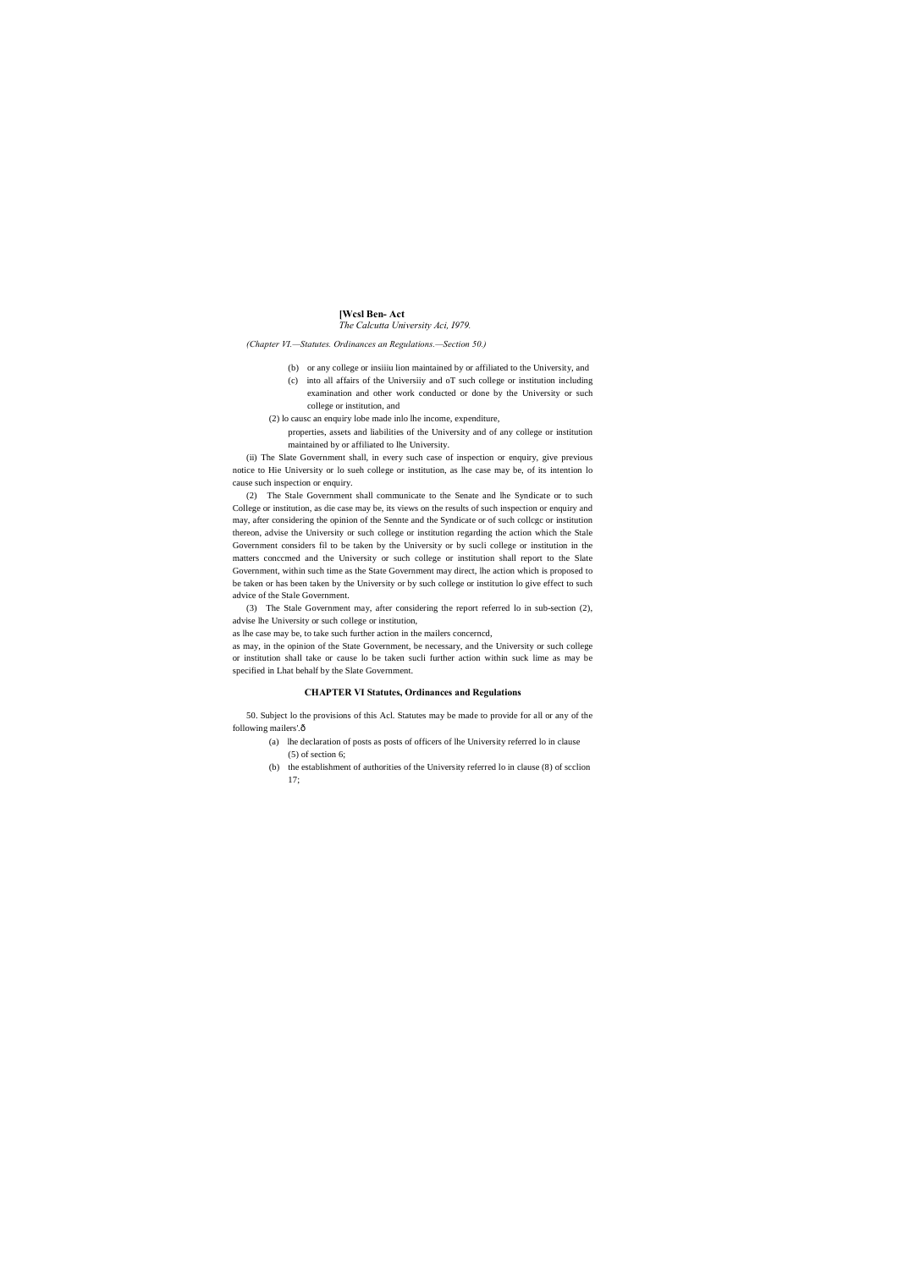# **[Wcsl Ben- Act**

*The Calcutta University Aci, I979.*

*(Chapter VI.—Statutes. Ordinances an Regulations.—Section 50.)*

- (b) or any college or insiiiu lion maintained by or affiliated to the University, and
- (c) into all affairs of the Universiiy and oT such college or institution including examination and other work conducted or done by the University or such college or institution, and
- (2) lo causc an enquiry lobe made inlo lhe income, expenditure, properties, assets and liabilities of the University and of any college or institution
	- maintained by or affiliated to lhe University.

(ii) The Slate Government shall, in every such case of inspection or enquiry, give previous notice to Hie University or lo sueh college or institution, as lhe case may be, of its intention lo cause such inspection or enquiry.

50. Subject lo the provisions of this Acl. Statutes may be made to provide for all or any of the following mailers'.ô

(2) The Stale Government shall communicate to the Senate and lhe Syndicate or to such College or institution, as die case may be, its views on the results of such inspection or enquiry and may, after considering the opinion of the Sennte and the Syndicate or of such collcgc or institution thereon, advise the University or such college or institution regarding the action which the Stale Government considers fil to be taken by the University or by sucli college or institution in the matters conccmed and the University or such college or institution shall report to the Slate Government, within such time as the State Government may direct, lhe action which is proposed to be taken or has been taken by the University or by such college or institution lo give effect to such advice of the Stale Government.

(3) The Stale Government may, after considering the report referred lo in sub-section (2), advise lhe University or such college or institution,

as lhe case may be, to take such further action in the mailers concerncd,

as may, in the opinion of the State Government, be necessary, and the University or such college or institution shall take or cause lo be taken sucli further action within suck lime as may be specified in Lhat behalf by the Slate Government.

# **CHAPTER VI Statutes, Ordinances and Regulations**

- (a) lhe declaration of posts as posts of officers of lhe University referred lo in clause (5) of section 6;
- (b) the establishment of authorities of the University referred lo in clause (8) of scclion 17;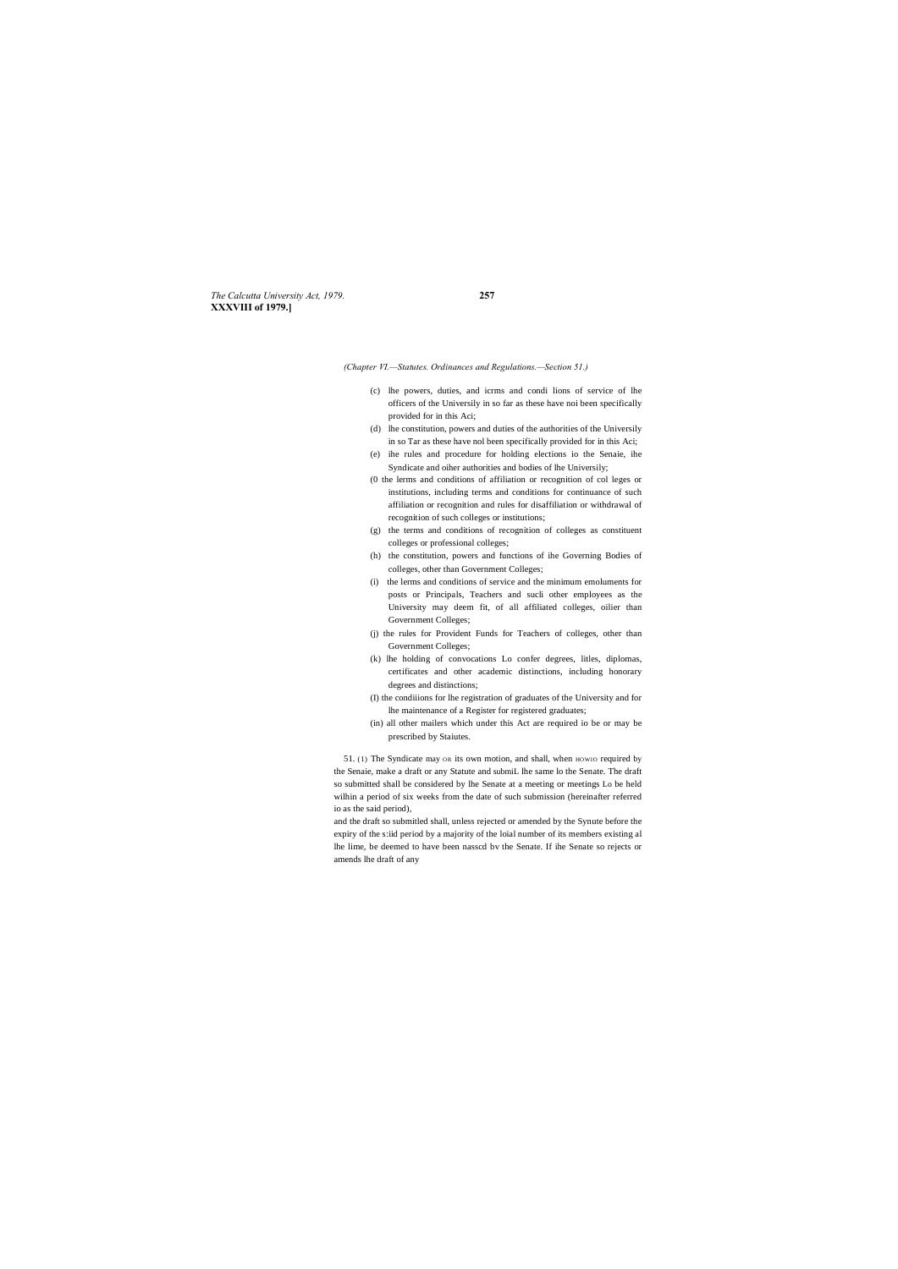*The Calcutta University Act, 1979.* **257 XXXVIII of 1979.]**

*(Chapter VI.—Statutes. Ordinances and Regulations.—Section 51.)*

- (c) lhe powers, duties, and icrms and condi lions of service of lhe officers of the Universily in so far as these have noi been specifically provided for in this Aci;
- (d) lhe constitution, powers and duties of the authorities of the Universily in so Tar as these have nol been specifically provided for in this Aci;
- (e) ihe rules and procedure for holding elections io the Senaie, ihe Syndicate and oiher authorities and bodies of lhe Universily;
- (0 the lerms and conditions of affiliation or recognition of col leges or institutions, including terms and conditions for continuance of such affiliation or recognition and rules for disaffiliation or withdrawal of recognition of such colleges or institutions;
- (g) the terms and conditions of recognition of colleges as constituent colleges or professional colleges;
- (h) the constitution, powers and functions of ihe Governing Bodies of colleges, other than Government Colleges;
- (i) the lerms and conditions of service and the minimum emoluments for posts or Principals, Teachers and sucli other employees as the University may deem fit, of all affiliated colleges, oilier than Government Colleges;
- (j) the rules for Provident Funds for Teachers of colleges, other than Government Colleges;
- (k) lhe holding of convocations Lo confer degrees, litles, diplomas, certificates and other academic distinctions, including honorary degrees and distinctions;
- (I) the condiiions for lhe registration of graduates of the University and for lhe maintenance of a Register for registered graduates;
- (in) all other mailers which under this Act are required io be or may be prescribed by Staiutes.

51. (1) The Syndicate may or its own motion, and shall, when HOWIO required by the Senaie, make a draft or any Statute and submiL lhe same lo the Senate. The draft so submitted shall be considered by lhe Senate at a meeting or meetings Lo be held wilhin a period of six weeks from the date of such submission (hereinafter referred io as the said period),

and the draft so submitled shall, unless rejected or amended by the Synute before the expiry of the s:iid period by a majority of the loial number of its members existing al lhe lime, be deemed to have been nasscd bv the Senate. If ihe Senate so rejects or amends lhe draft of any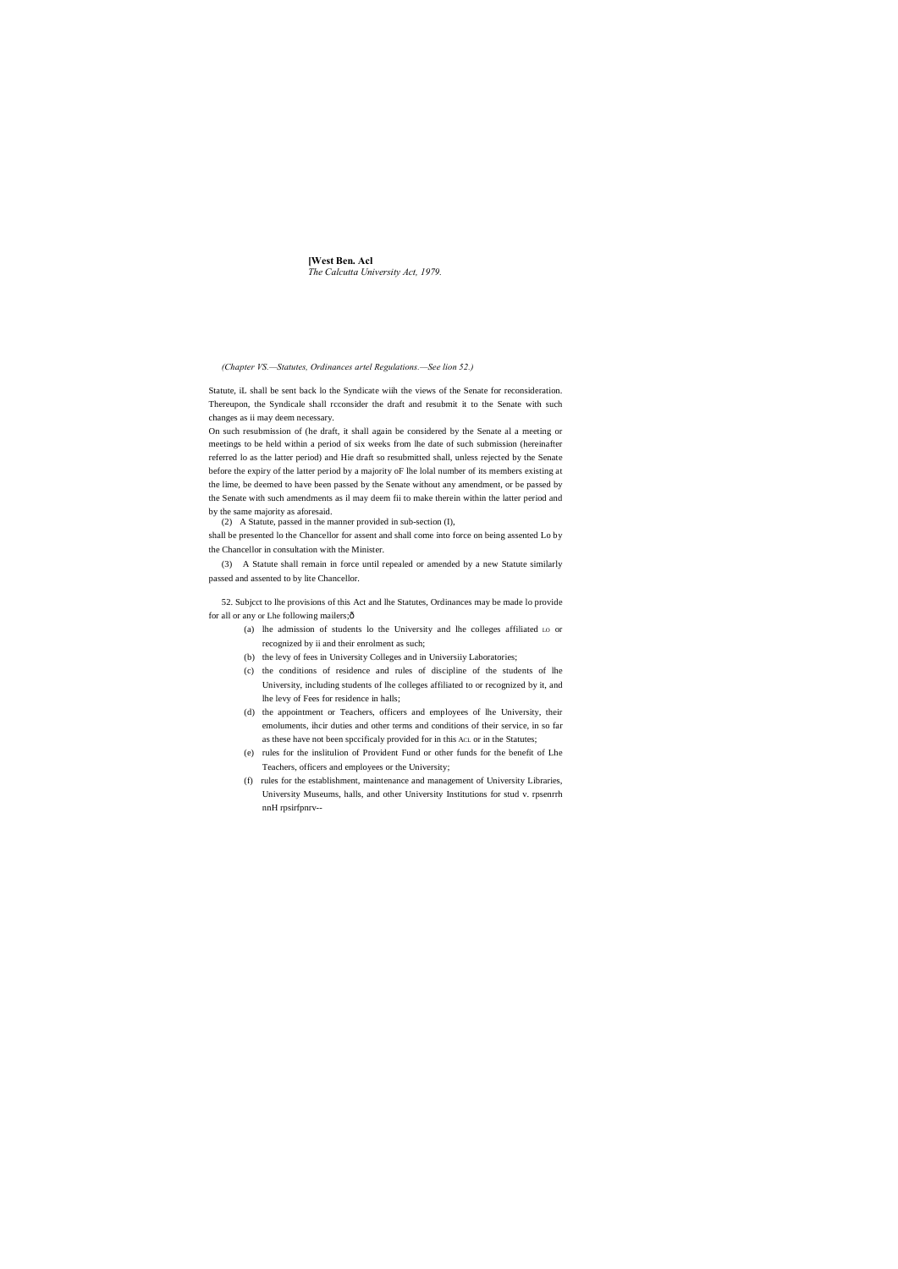## **[West Ben. Acl** *The Calcutta University Act, 1979.*

*(Chapter VS.—Statutes, Ordinances artel Regulations.—See lion 52.)*

Statute, iL shall be sent back lo the Syndicate wiih the views of the Senate for reconsideration. Thereupon, the Syndicale shall rcconsider the draft and resubmit it to the Senate with such changes as ii may deem necessary.

On such resubmission of (he draft, it shall again be considered by the Senate al a meeting or meetings to be held within a period of six weeks from lhe date of such submission (hereinafter referred lo as the latter period) and Hie draft so resubmitted shall, unless rejected by the Senate before the expiry of the latter period by a majority oF lhe lolal number of its members existing at the lime, be deemed to have been passed by the Senate without any amendment, or be passed by the Senate with such amendments as il may deem fii to make therein within the latter period and by the same majority as aforesaid.

52. Subjcct to lhe provisions of this Act and lhe Statutes, Ordinances may be made lo provide for all or any or Lhe following mailers; $\hat{o}$ 

(2) A Statute, passed in the manner provided in sub-section (I),

shall be presented lo the Chancellor for assent and shall come into force on being assented Lo by the Chancellor in consultation with the Minister.

(3) A Statute shall remain in force until repealed or amended by a new Statute similarly passed and assented to by lite Chancellor.

- (a) lhe admission of students lo the University and lhe colleges affiliated LO or recognized by ii and their enrolment as such;
- (b) the levy of fees in University Colleges and in Universiiy Laboratories;
- (c) the conditions of residence and rules of discipline of the students of lhe University, including students of lhe colleges affiliated to or recognized by it, and lhe levy of Fees for residence in halls;
- (d) the appointment or Teachers, officers and employees of lhe University, their emoluments, ihcir duties and other terms and conditions of their service, in so far as these have not been spccificaly provided for in this ACL or in the Statutes;
- (e) rules for the inslitulion of Provident Fund or other funds for the benefit of Lhe Teachers, officers and employees or the University;
- (f) rules for the establishment, maintenance and management of University Libraries, University Museums, halls, and other University Institutions for stud v. rpsenrrh nnH rpsirfpnrv--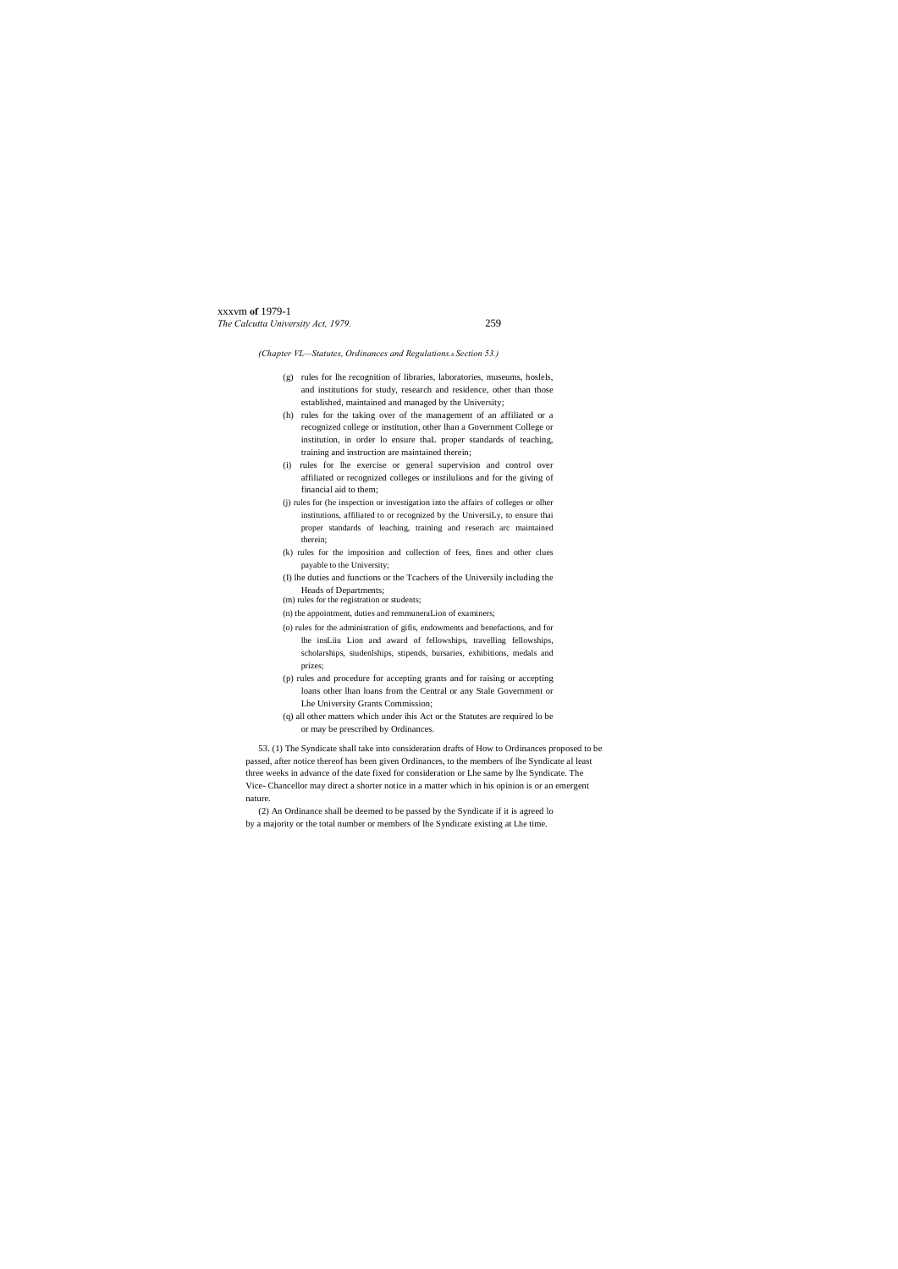# xxxvm **of** 1979-1 *The Calcutta University Act, 1979.* 259

# *(Chapter VL—Statutes, Ordinances and Regulations.*—*Section 53.)*

- (g) rules for lhe recognition of libraries, laboratories, museums, hoslels, and institutions for study, research and residence, other than those established, maintained and managed by the University;
- (h) rules for the taking over of the management of an affiliated or a recognized college or institution, other lhan a Government College or institution, in order lo ensure thaL proper standards of teaching, training and instruction are maintained therein;
- (i) rules for lhe exercise or general supervision and control over affiliated or recognized colleges or instilulions and for the giving of financial aid to them;
- (j) rules for (he inspection or investigation into the affairs of colleges or olher institutions, affiliated to or recognized by the UniversiLy, to ensure thai proper standards of leaching, training and reserach arc maintained therein;
- (k) rules for the imposition and collection of fees, fines and other clues payable to the University;
- (I) lhe duties and functions or the Tcachers of the Universily including the Heads of Departments;
- (m) rules for the registration or students;
- (n) the appointment, duties and remmuneraLion of examiners;
- (o) rules for the administration of gifis, endowments and benefactions, and for lhe insLiiu Lion and award of fellowships, travelling fellowships, scholarships, siudenlships, stipends, bursaries, exhibitions, medals and prizes;
- (p) rules and procedure for accepting grants and for raising or accepting loans other lhan loans from the Central or any Stale Government or Lhe University Grants Commission;
- (q) all other matters which under ihis Act or the Statutes are required lo be or may be prescribed by Ordinances.

53. (1) The Syndicate shall take into consideration drafts of How to Ordinances proposed to be passed, after notice thereof has been given Ordinances, to the members of lhe Syndicate al least three weeks in advance of the date fixed for consideration or Lhe same by lhe Syndicate. The Vice- Chancellor may direct a shorter notice in a matter which in his opinion is or an emergent nature.

(2) An Ordinance shall be deemed to be passed by the Syndicate if it is agreed lo by a majority or the total number or members of lhe Syndicate existing at Lhe time.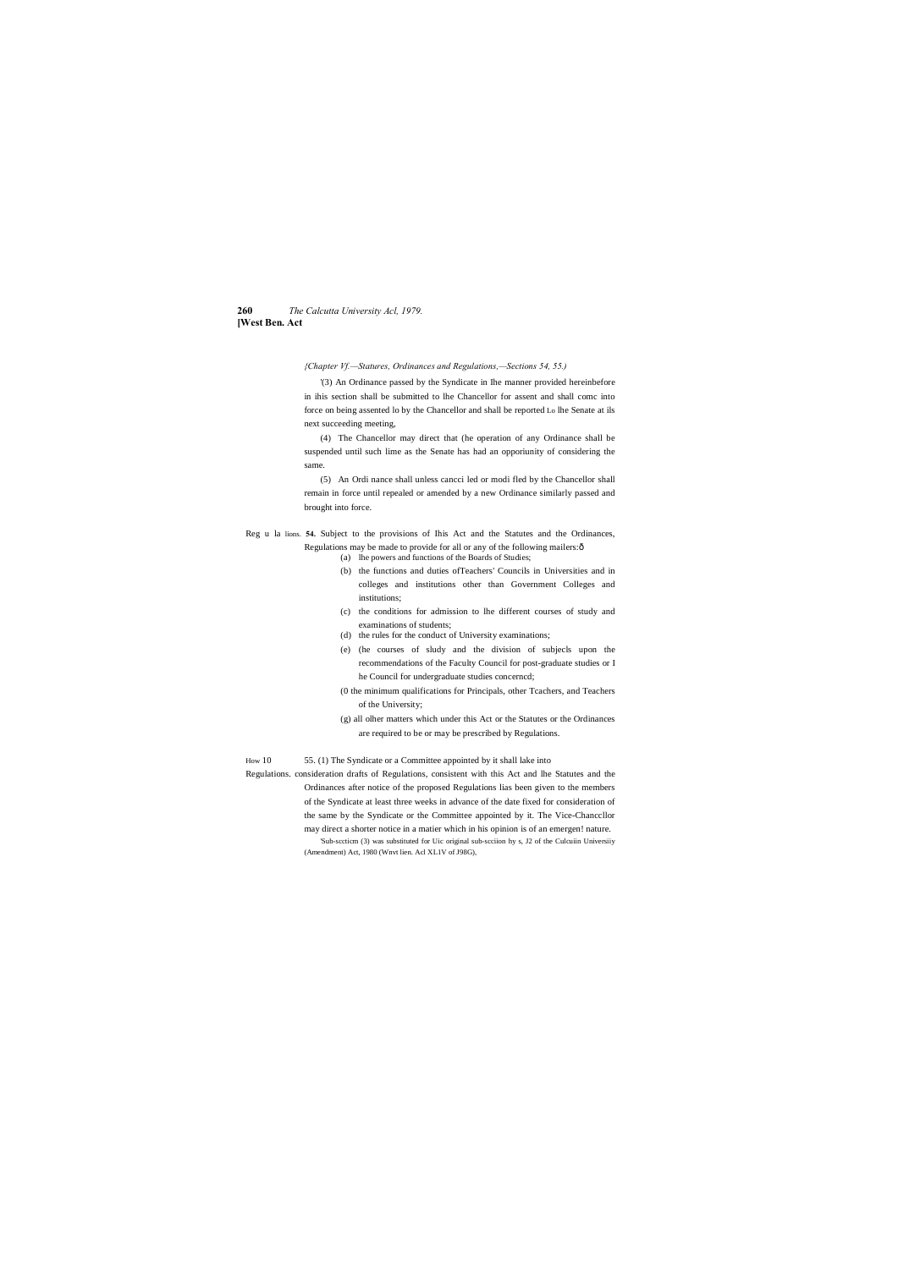# **260** *The Calcutta University Acl, 1979.* **[West Ben. Act**

*{Chapter Vf.—Statures, Ordinances and Regulations,—Sections 54, 55.)*

'(3) An Ordinance passed by the Syndicate in Ihe manner provided hereinbefore in ihis section shall be submitted to lhe Chancellor for assent and shall comc into force on being assented lo by the Chancellor and shall be reported Lo lhe Senate at ils next succeeding meeting,

Reg u la lions. **54.** Subject to the provisions of Ihis Act and the Statutes and the Ordinances, Regulations may be made to provide for all or any of the following mailers: $\hat{o}$ 

(4) The Chancellor may direct that (he operation of any Ordinance shall be suspended until such lime as the Senate has had an opporiunity of considering the same.

(5) An Ordi nance shall unless cancci led or modi fled by the Chancellor shall remain in force until repealed or amended by a new Ordinance similarly passed and brought into force.

- (a) lhe powers and functions of the Boards of Studies;
- (b) the functions and duties ofTeachers' Councils in Universities and in colleges and institutions other than Government Colleges and institutions;
- (c) the conditions for admission to lhe different courses of study and examinations of students;
- (d) the rules for the conduct of University examinations;
- (e) (he courses of sludy and the division of subjecls upon the recommendations of the Faculty Council for post-graduate studies or I he Council for undergraduate studies concerncd;
- (0 the minimum qualifications for Principals, other Tcachers, and Teachers of the University;
- (g) all olher matters which under this Act or the Statutes or the Ordinances are required to be or may be prescribed by Regulations.

How 10 55. (1) The Syndicate or a Committee appointed by it shall lake into

Regulations. consideration drafts of Regulations, consistent with this Act and lhe Statutes and the Ordinances after notice of the proposed Regulations lias been given to the members of the Syndicate at least three weeks in advance of the date fixed for consideration of the same by the Syndicate or the Committee appointed by it. The Vice-Chanccllor may direct a shorter notice in a matier which in his opinion is of an emergen! nature. 'Sub-sccticm (3) was substituted for Uic original sub-scciion hy s, J2 of the Culcuiin Universiiy (Amendment) Act, 1980 (Wnvt lien. Acl XL1V of J98G),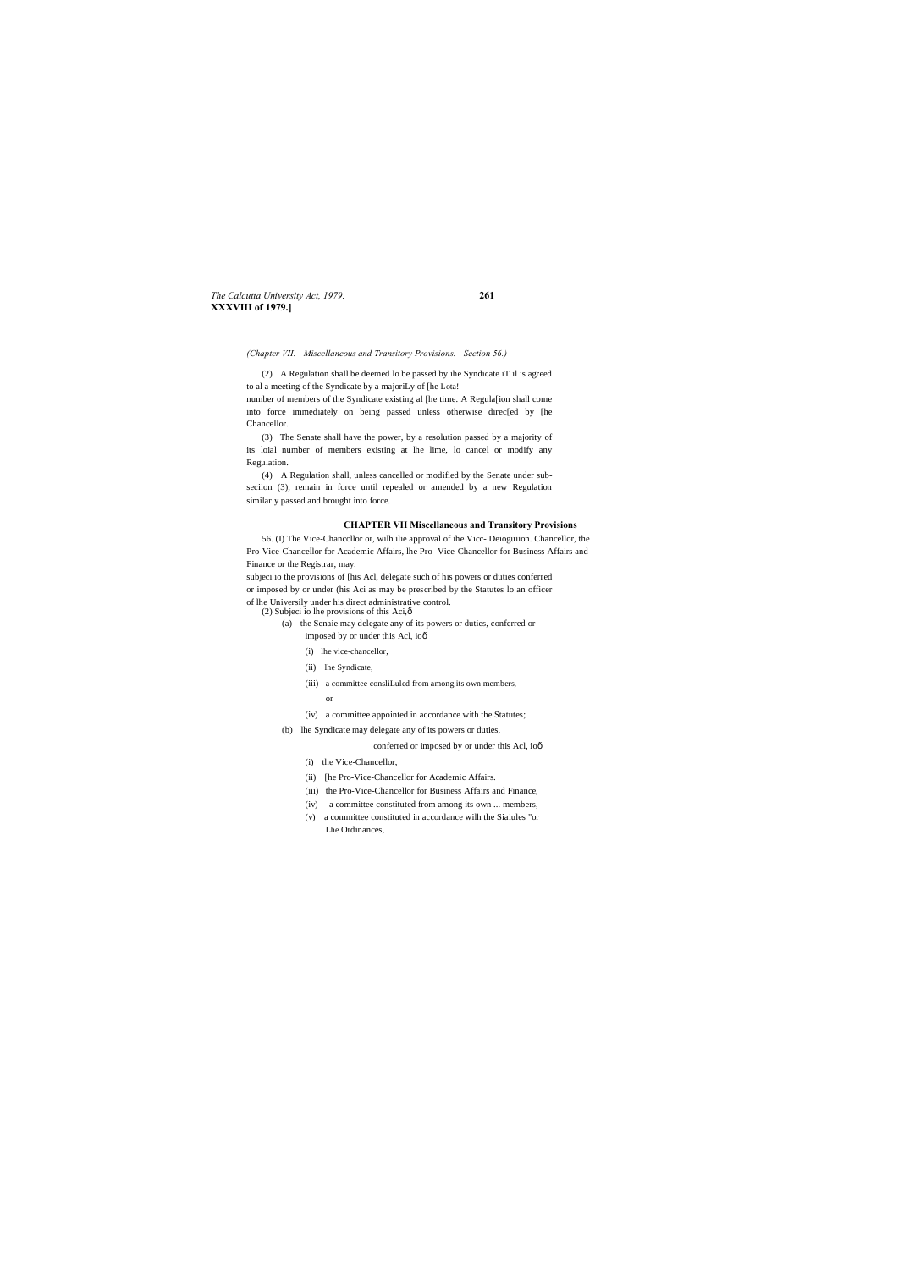*The Calcutta University Act, 1979.* **261 XXXVIII of 1979.]**

*(Chapter VII.—Miscellaneous and Transitory Provisions.—Section 56.)*

(2) A Regulation shall be deemed lo be passed by ihe Syndicate iT il is agreed to al a meeting of the Syndicate by a majoriLy of [he Lota!

number of members of the Syndicate existing al [he time. A Regula[ion shall come into force immediately on being passed unless otherwise direc[ed by [he Chancellor.

(3) The Senate shall have the power, by a resolution passed by a majority of its loial number of members existing at lhe lime, lo cancel or modify any Regulation.

(4) A Regulation shall, unless cancelled or modified by the Senate under subseciion (3), remain in force until repealed or amended by a new Regulation similarly passed and brought into force.

# **CHAPTER VII Miscellaneous and Transitory Provisions**

56. (I) The Vice-Chanccllor or, wilh ilie approval of ihe Vicc- Deioguiion. Chancellor, the Pro-Vice-Chancellor for Academic Affairs, lhe Pro- Vice-Chancellor for Business Affairs and Finance or the Registrar, may.

- (2) Subjeci io lhe provisions of this Aci, $\hat{o}$ 
	- (a) the Senaie may delegate any of its powers or duties, conferred or imposed by or under this Acl, ioô
		- (i) lhe vice-chancellor,
		- (ii) lhe Syndicate,
		- (iii) a committee consliLuled from among its own members,
			- or
		- (iv) a committee appointed in accordance with the Statutes;
	- (b) lhe Syndicate may delegate any of its powers or duties,
		- conferred or imposed by or under this Acl, ioô
		- (i) the Vice-Chancellor,
		- (ii) [he Pro-Vice-Chancellor for Academic Affairs.
		- (iii) the Pro-Vice-Chancellor for Business Affairs and Finance,
		- (iv) a committee constituted from among its own ... members,
		- (v) a committee constituted in accordance wilh the Siaiules "or Lhe Ordinances,

subjeci io the provisions of [his Acl, delegate such of his powers or duties conferred or imposed by or under (his Aci as may be prescribed by the Statutes lo an officer of lhe Universily under his direct administrative control.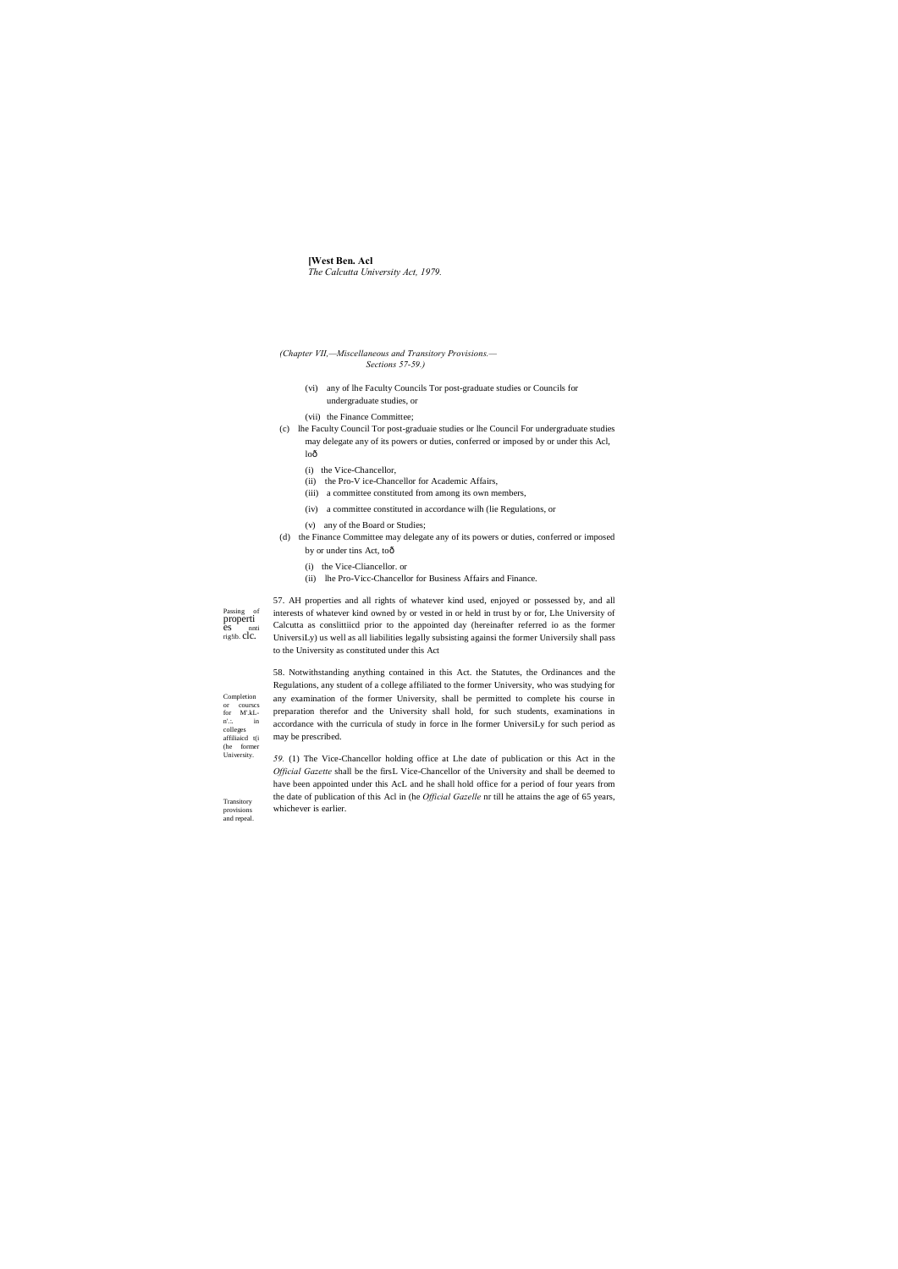# **[West Ben. Acl** The Calcutta University Act, 1979.

- (Chapter VII,-Miscellaneous and Transitory Provisions.-Sections 57-59.)
	- (vi) any of lhe Faculty Councils Tor post-graduate studies or Councils for undergraduate studies, or
	- (vii) the Finance Committee;
- (c) lhe Faculty Council Tor post-graduaie studies or lhe Council For undergraduate studies may delegate any of its powers or duties, conferred or imposed by or under this Acl, loô
	- (i) the Vice-Chancellor,
	- (ii) the Pro-V ice-Chancellor for Academic Affairs,
	- (iii) a committee constituted from among its own members,
	- (iv) a committee constituted in accordance wilh (lie Regulations, or
	- (v) any of the Board or Studies;
- (d) the Finance Committee may delegate any of its powers or duties, conferred or imposed by or under tins Act, toô
	- (i) the Vice-Cliancellor. or
	- (ii) lhe Pro-Vicc-Chancellor for Business Affairs and Finance.

Passing of properti<br>es nnt es nnti<br>rig!ib. clc.

57. AH properties and all rights of whatever kind used, enjoyed or possessed by, and all interests of whatever kind owned by or vested in or held in trust by or for, Lhe University of Calcutta as conslittiicd prior to the appointed day (hereinafter referred io as the former UniversiLy) us well as all liabilities legally subsisting againsi the former Universily shall pass to the University as constituted under this Act

58. Notwithstanding anything contained in this Act. the Statutes, the Ordinances and the Regulations, any student of a college affiliated to the former University, who was studying for any examination of the former University, shall be permitted to complete his course in preparation therefor and the University shall hold, for such students, examinations in accordance with the curricula of study in force in lhe former UniversiLy for such period as may be prescribed.

59. (1) The Vice-Chancellor holding office at Lhe date of publication or this Act in the Official Gazette shall be the firsL Vice-Chancellor of the University and shall be deemed to have been appointed under this AcL and he shall hold office for a period of four years from the date of publication of this Acl in (he *Official Gazelle* nr till he attains the age of 65 years, whichever is earlier.

Completion <sub>or</sub> course:  $\quad$  for  $\quad$  M'.kLn'... in<br>colleges<br>affiliaicd t(i (he former<br>University.

Transitory

provisions and repeal.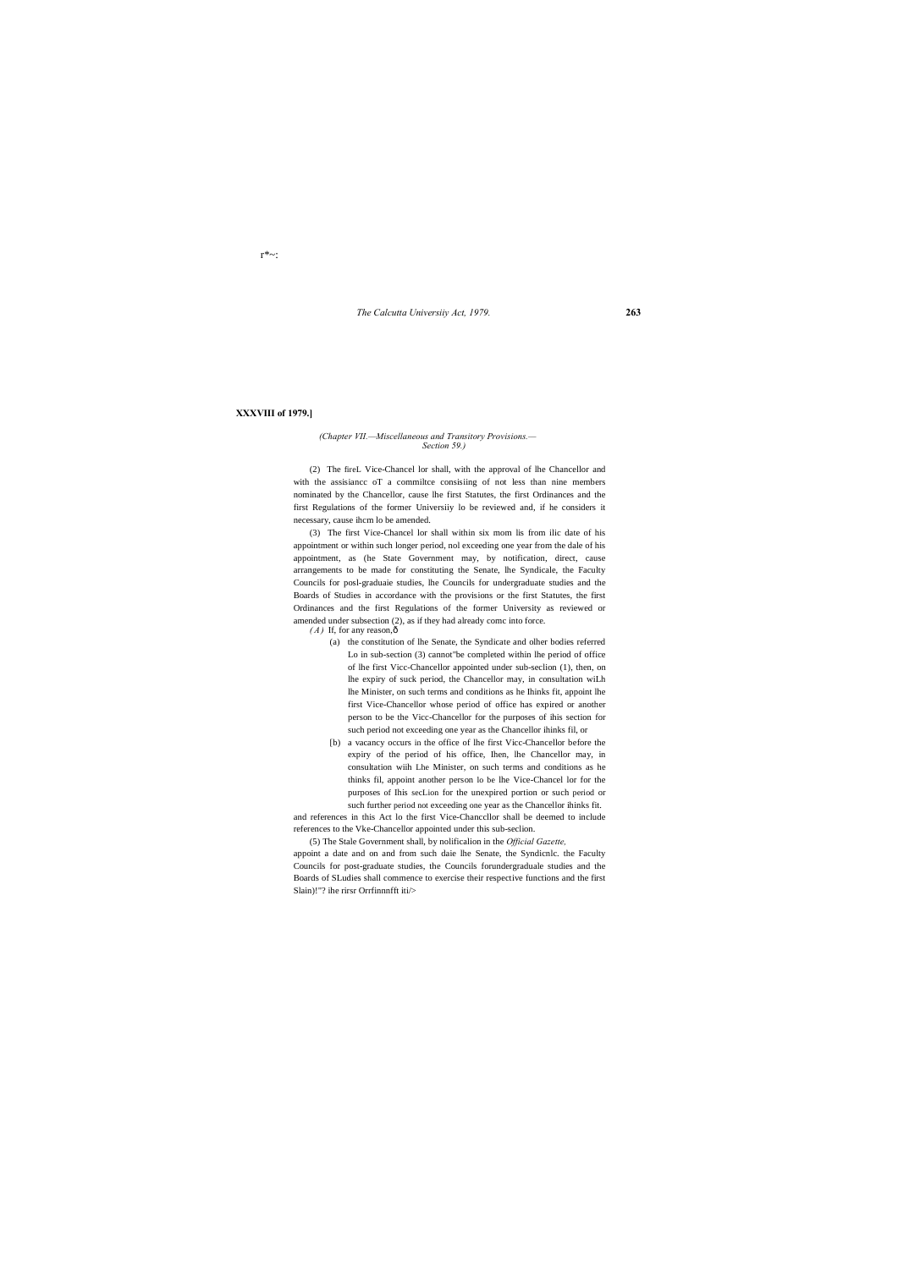*The Calcutta Universiiy Act, 1979.* **263**

r\*~:

# **XXXVIII of 1979.]**

### *(Chapter VII.—Miscellaneous and Transitory Provisions.— Section 59.)*

(2) The fireL Vice-Chancel lor shall, with the approval of lhe Chancellor and with the assisiance oT a commiltee consisiing of not less than nine members nominated by the Chancellor, cause lhe first Statutes, the first Ordinances and the first Regulations of the former Universiiy lo be reviewed and, if he considers it necessary, cause ihcm lo be amended.

(3) The first Vice-Chancel lor shall within six mom lis from ilic date of his appointment or within such longer period, nol exceeding one year from the dale of his appointment, as (he State Government may, by notification, direct, cause arrangements to be made for constituting the Senate, lhe Syndicale, the Faculty Councils for posl-graduaie studies, lhe Councils for undergraduate studies and the Boards of Studies in accordance with the provisions or the first Statutes, the first Ordinances and the first Regulations of the former University as reviewed or amended under subsection (2), as if they had already comc into force.

 $(A)$  If, for any reason, $\hat{o}$ 

- (a) the constitution of lhe Senate, the Syndicate and olher bodies referred Lo in sub-section (3) cannot"be completed within lhe period of office of lhe first Vicc-Chancellor appointed under sub-seclion (1), then, on lhe expiry of suck period, the Chancellor may, in consultation wiLh lhe Minister, on such terms and conditions as he Ihinks fit, appoint lhe first Vice-Chancellor whose period of office has expired or another person to be the Vicc-Chancellor for the purposes of ihis section for such period not exceeding one year as the Chancellor ihinks fil, or
- [b) a vacancy occurs in the office of lhe first Vicc-Chancellor before the expiry of the period of his office, Ihen, lhe Chancellor may, in consultation wiih Lhe Minister, on such terms and conditions as he thinks fil, appoint another person lo be lhe Vice-Chancel lor for the purposes of Ihis secLion for the unexpired portion or such period or such further period not exceeding one year as the Chancellor ihinks fit.

and references in this Act lo the first Vice-Chanccllor shall be deemed to include references to the Vke-Chancellor appointed under this sub-seclion.

(5) The Stale Government shall, by nolificalion in the *Official Gazette,* appoint a date and on and from such daie lhe Senate, the Syndicnlc. the Faculty Councils for post-graduate studies, the Councils forundergraduale studies and the Boards of SLudies shall commence to exercise their respective functions and the first Slain)!"? ihe rirsr Orrfinnnfft iti/>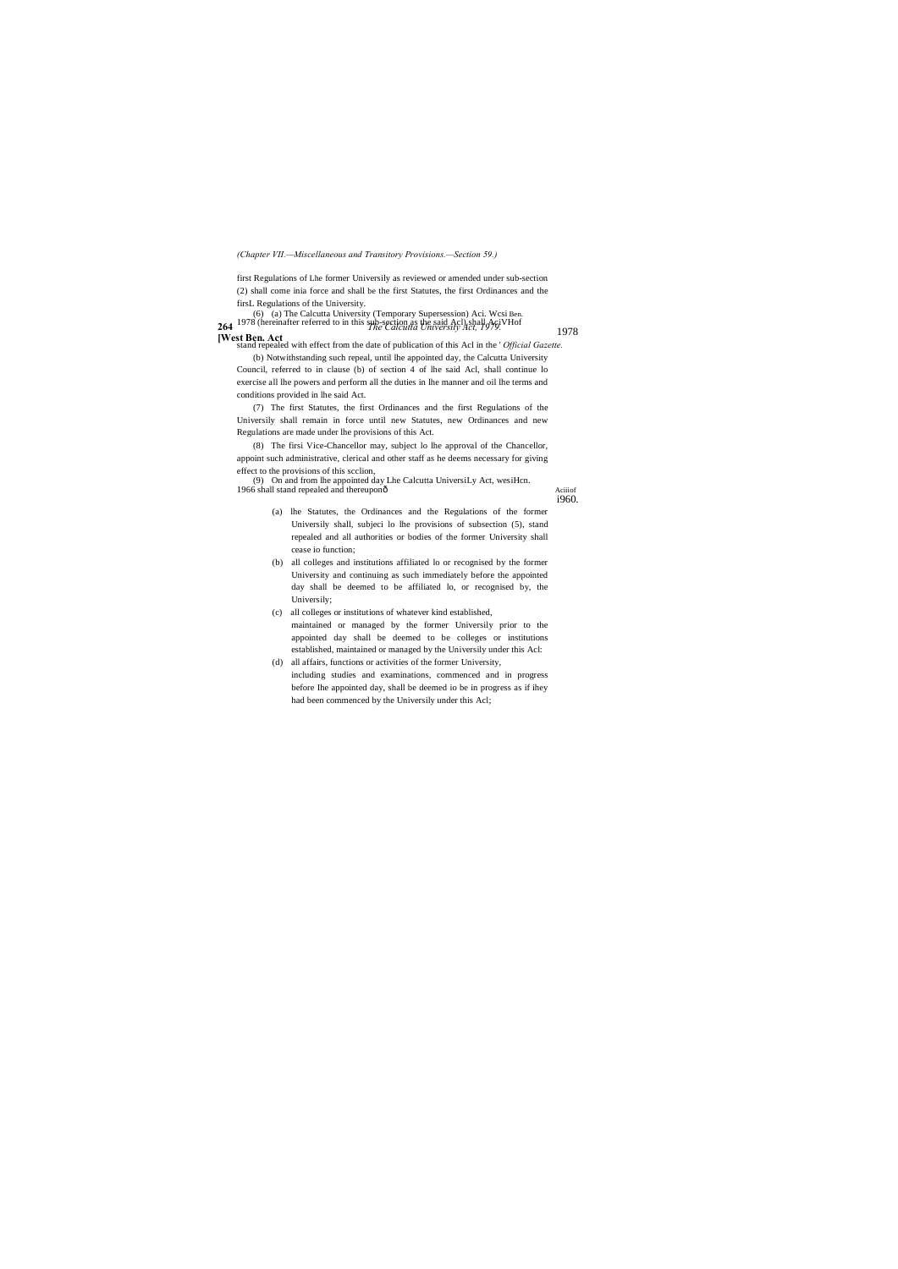*(Chapter VII.—Miscellaneous and Transitory Provisions.—Section 59.)*

first Regulations of Lhe former Universily as reviewed or amended under sub-section (2) shall come inia force and shall be the first Statutes, the first Ordinances and the firsL Regulations of the University.

**264** *The Calcutta University Act, 1979.* (6) (a) The Calcutta University (Temporary Supersession) Aci. Wcsi Ben. 1978 (hereinafter referred to in this sub-section as the said Acl) shall  $A\epsilon$  VH of

**[West Ben. Act** stand repealed with effect from the date of publication of this Acl in the ' *Official Gazette.* 1978

(9) On and from lhe appointed day Lhe Calcutta UniversiLy Act, wesiHcn. 1966 shall stand repealed and thereuponô aciinof

(b) Notwithstanding such repeal, until lhe appointed day, the Calcutta University Council, referred to in clause (b) of section 4 of lhe said Acl, shall continue lo exercise all lhe powers and perform all the duties in lhe manner and oil lhe terms and conditions provided in lhe said Act.

(7) The first Statutes, the first Ordinances and the first Regulations of the Universily shall remain in force until new Statutes, new Ordinances and new Regulations are made under lhe provisions of this Act.

(8) The firsi Vice-Chancellor may, subject lo lhe approval of the Chancellor, appoint such administrative, clerical and other staff as he deems necessary for giving effect to the provisions of this scclion,

i960.

- (a) lhe Statutes, the Ordinances and the Regulations of the former Universily shall, subjeci lo lhe provisions of subsection (5), stand repealed and all authorities or bodies of the former University shall cease io function;
- (b) all colleges and institutions affiliated lo or recognised by the former University and continuing as such immediately before the appointed day shall be deemed to be affiliated lo, or recognised by, the Universily;
- (c) all colleges or institutions of whatever kind established, maintained or managed by the former Universily prior to the appointed day shall be deemed to be colleges or institutions established, maintained or managed by the Universily under this Acl: (d) all affairs, functions or activities of the former University,
- including studies and examinations, commenced and in progress before Ihe appointed day, shall be deemed io be in progress as if ihey had been commenced by the Universily under this Acl;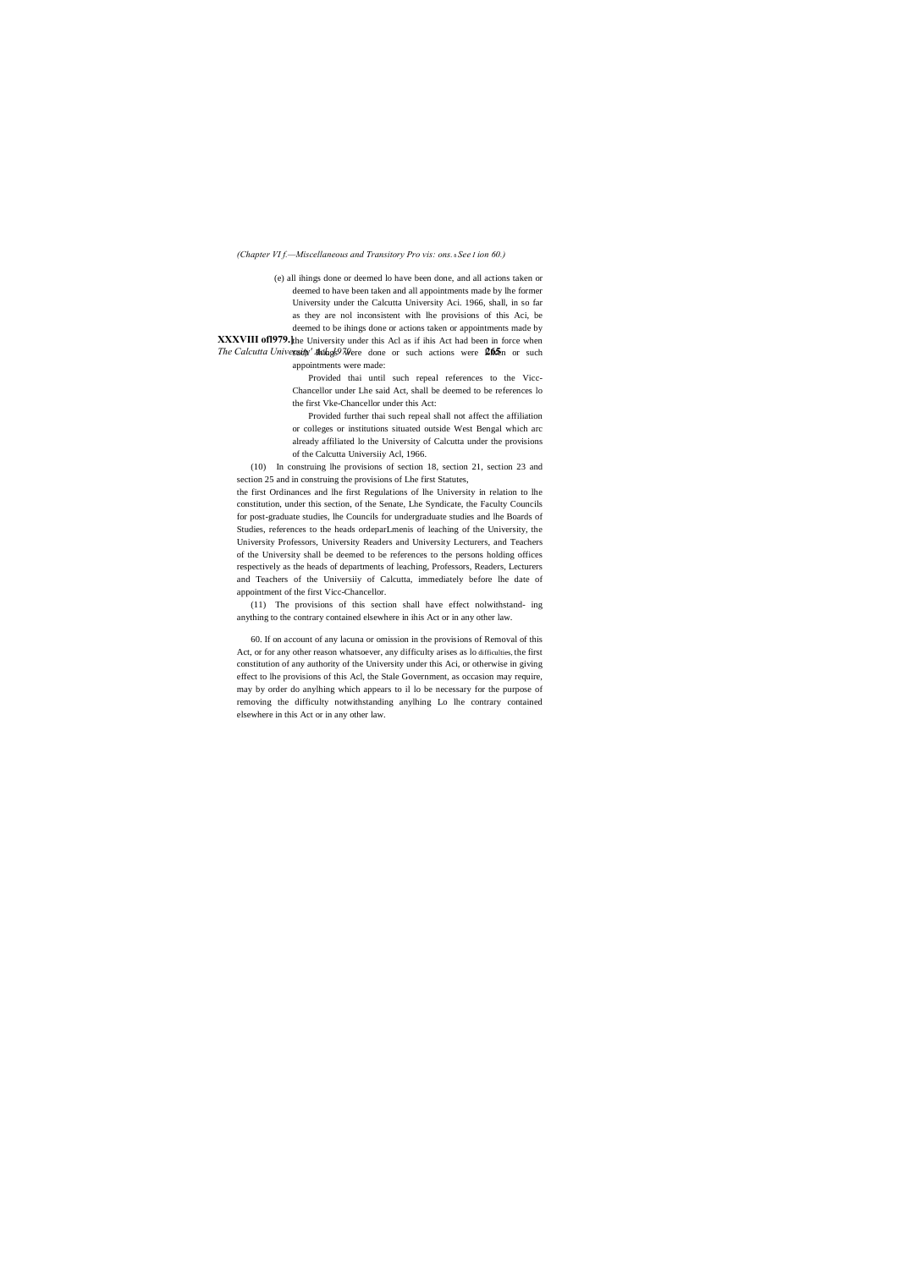### *(Chapter VI f.—Miscellaneous and Transitory Pro vis: ons.* —*See I ion 60.)*

**XXXVIII of 1979.** the University under this Acl as if ihis Act had been in force when *The Calcutta University' Achestally* 200 and or such actions were  $205$  or such (e) all ihings done or deemed lo have been done, and all actions taken or deemed to have been taken and all appointments made by lhe former University under the Calcutta University Aci. 1966, shall, in so far as they are nol inconsistent with lhe provisions of this Aci, be deemed to be ihings done or actions taken or appointments made by

appointments were made:

Provided thai until such repeal references to the Vicc-Chancellor under Lhe said Act, shall be deemed to be references lo the first Vke-Chancellor under this Act:

Provided further thai such repeal shall not affect the affiliation or colleges or institutions situated outside West Bengal which arc already affiliated lo the University of Calcutta under the provisions of the Calcutta Universiiy Acl, 1966.

(10) In construing lhe provisions of section 18, section 21, section 23 and section 25 and in construing the provisions of Lhe first Statutes,

the first Ordinances and lhe first Regulations of lhe University in relation to lhe constitution, under this section, of the Senate, Lhe Syndicate, the Faculty Councils for post-graduate studies, lhe Councils for undergraduate studies and lhe Boards of Studies, references to the heads ordeparLmenis of leaching of the University, the University Professors, University Readers and University Lecturers, and Teachers of the University shall be deemed to be references to the persons holding offices respectively as the heads of departments of leaching, Professors, Readers, Lecturers and Teachers of the Universiiy of Calcutta, immediately before lhe date of appointment of the first Vicc-Chancellor.

(11) The provisions of this section shall have effect nolwithstand- ing anything to the contrary contained elsewhere in ihis Act or in any other law.

60. If on account of any lacuna or omission in the provisions of Removal of this Act, or for any other reason whatsoever, any difficulty arises as lo difficulties, the first constitution of any authority of the University under this Aci, or otherwise in giving effect to lhe provisions of this Acl, the Stale Government, as occasion may require, may by order do anylhing which appears to il lo be necessary for the purpose of removing the difficulty notwithstanding anylhing Lo lhe contrary contained elsewhere in this Act or in any other law.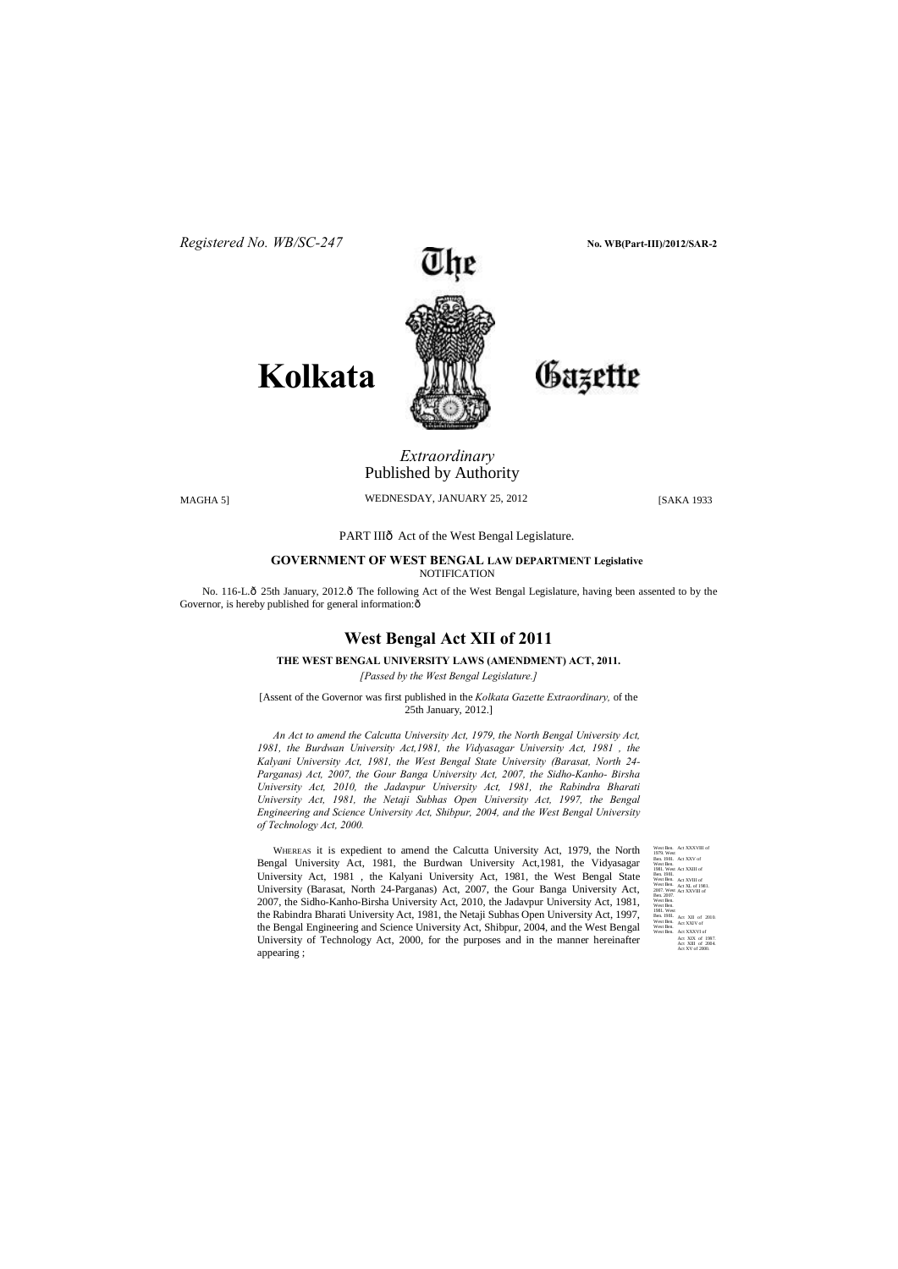

# Gazette

Act XXXVIII of Act XXV of Act XXIII of Act XVIII of Act XL of 1981. Act XXVIII of West Ben. 1979. West Ben. 1981. West Ben. 1981. West Ben. 1981. West Ben. West Ben. 2007. West Ben. 2007. West Ben. West Ben. 1981. West Ben. 1981. West Ben. West Ben. West Ben. Act XII of 2010. Act XXIV of Act XXXVI of Act XIX of 19 Act XIII of 2004. Act XV of 2000.

**Kolkata**

# *Extraordinary*  Published by Authority

MAGHA 5] WEDNESDAY, JANUARY 25, 2012 [SAKA 1933

PART IIIô Act of the West Bengal Legislature.

**GOVERNMENT OF WEST BENGAL LAW DEPARTMENT Legislative** NOTIFICATION

No. 116-L. $\hat{O}$  25th January, 2012. $\hat{O}$  The following Act of the West Bengal Legislature, having been assented to by the Governor, is hereby published for general information: $\hat{o}$ 

# **West Bengal Act XII of 2011**

# **THE WEST BENGAL UNIVERSITY LAWS (AMENDMENT) ACT, 2011.**

*[Passed by the West Bengal Legislature.]*

[Assent of the Governor was first published in the *Kolkata Gazette Extraordinary,* of the 25th January, 2012.]

*An Act to amend the Calcutta University Act, 1979, the North Bengal University Act, 1981, the Burdwan University Act,1981, the Vidyasagar University Act, 1981 , the Kalyani University Act, 1981, the West Bengal State University (Barasat, North 24- Parganas) Act, 2007, the Gour Banga University Act, 2007, the Sidho-Kanho- Birsha University Act, 2010, the Jadavpur University Act, 1981, the Rabindra Bharati University Act, 1981, the Netaji Subhas Open University Act, 1997, the Bengal Engineering and Science University Act, Shibpur, 2004, and the West Bengal University of Technology Act, 2000.*

WHEREAS it is expedient to amend the Calcutta University Act, 1979, the North Bengal University Act, 1981, the Burdwan University Act,1981, the Vidyasagar University Act, 1981 , the Kalyani University Act, 1981, the West Bengal State University (Barasat, North 24-Parganas) Act, 2007, the Gour Banga University Act, 2007, the Sidho-Kanho-Birsha University Act, 2010, the Jadavpur University Act, 1981, the Rabindra Bharati University Act, 1981, the Netaji Subhas Open University Act, 1997, the Bengal Engineering and Science University Act, Shibpur, 2004, and the West Bengal University of Technology Act, 2000, for the purposes and in the manner hereinafter appearing ;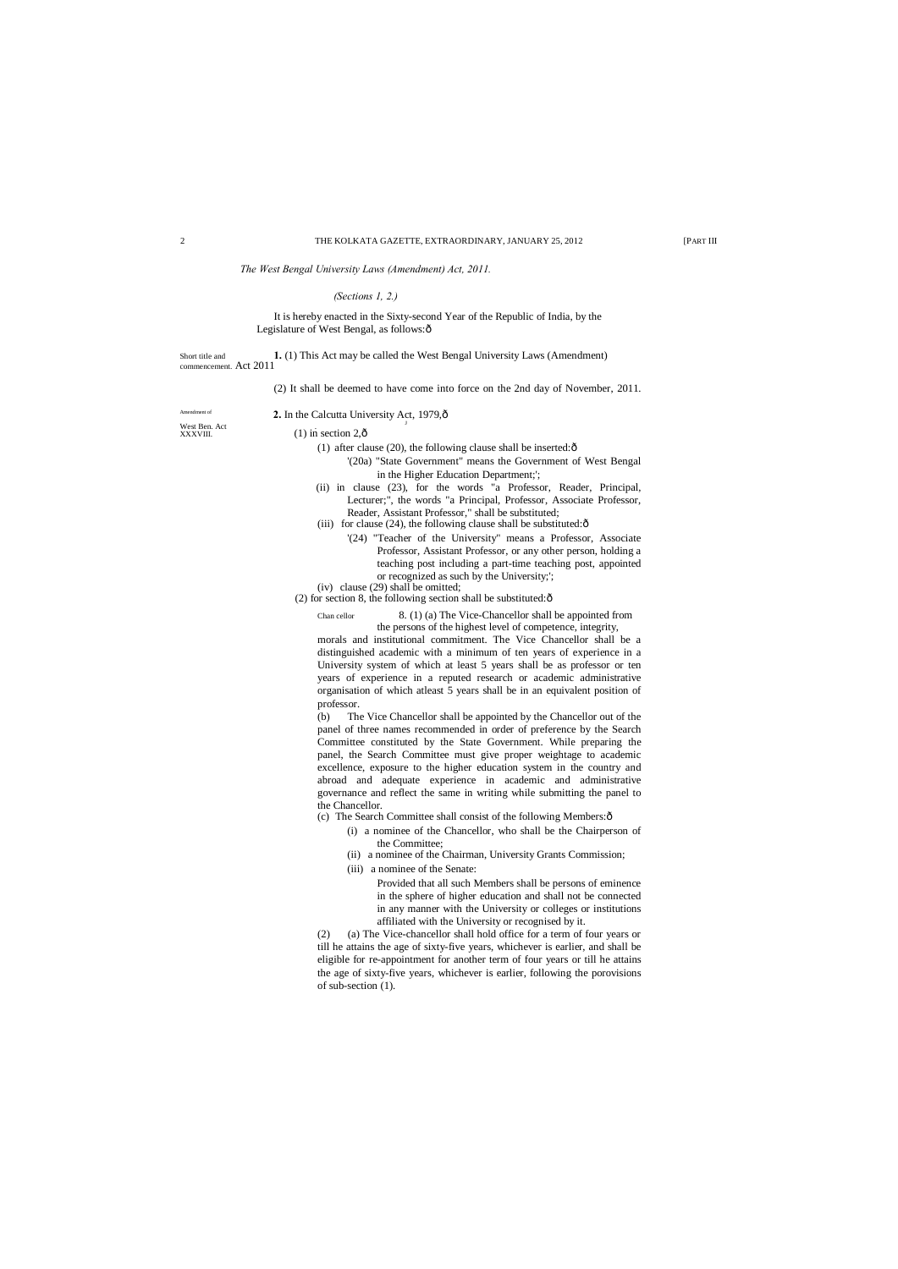It is hereby enacted in the Sixty-second Year of the Republic of India, by the Legislature of West Bengal, as follows: $\hat{o}$ 

*The West Bengal University Laws (Amendment) Act, 2011.*

#### *(Sections 1, 2.)*

Short title and **1.** (1) This Act may be called the West Bengal University Laws (Amendment) commencement. Act 2011

(2) It shall be deemed to have come into force on the 2nd day of November, 2011.

West Ben. Act<br>XXXVIII.

#### 2. In the Calcutta University Act, 1979, $\hat{o}$

#### $(1)$  in section 2, $\hat{\sigma}$

- (1) after clause (20), the following clause shall be inserted: $\hat{o}$ 
	- '(20a) "State Government" means the Government of West Bengal in the Higher Education Department;';
- (ii) in clause (23), for the words "a Professor, Reader, Principal, Lecturer;", the words "a Principal, Professor, Associate Professor, Reader, Assistant Professor," shall be substituted;
- (iii) for clause (24), the following clause shall be substituted: $\hat{o}$ 
	- '(24) "Teacher of the University" means a Professor, Associate Professor, Assistant Professor, or any other person, holding a teaching post including a part-time teaching post, appointed or recognized as such by the University;';
- (iv) clause (29) shall be omitted;
- (2) for section 8, the following section shall be substituted: $\hat{o}$ 
	- Chan cellor 8. (1) (a) The Vice-Chancellor shall be appointed from the persons of the highest level of competence, integrity,

- (c) The Search Committee shall consist of the following Members: $\hat{o}$ 
	- (i) a nominee of the Chancellor, who shall be the Chairperson of the Committee;
	- (ii) a nominee of the Chairman, University Grants Commission;
	- (iii) a nominee of the Senate:

morals and institutional commitment. The Vice Chancellor shall be a distinguished academic with a minimum of ten years of experience in a University system of which at least 5 years shall be as professor or ten years of experience in a reputed research or academic administrative organisation of which atleast 5 years shall be in an equivalent position of professor.

(b) The Vice Chancellor shall be appointed by the Chancellor out of the panel of three names recommended in order of preference by the Search Committee constituted by the State Government. While preparing the panel, the Search Committee must give proper weightage to academic excellence, exposure to the higher education system in the country and abroad and adequate experience in academic and administrative governance and reflect the same in writing while submitting the panel to the Chancellor.

> Provided that all such Members shall be persons of eminence in the sphere of higher education and shall not be connected in any manner with the University or colleges or institutions affiliated with the University or recognised by it.

(2) (a) The Vice-chancellor shall hold office for a term of four years or till he attains the age of sixty-five years, whichever is earlier, and shall be eligible for re-appointment for another term of four years or till he attains the age of sixty-five years, whichever is earlier, following the porovisions of sub-section (1).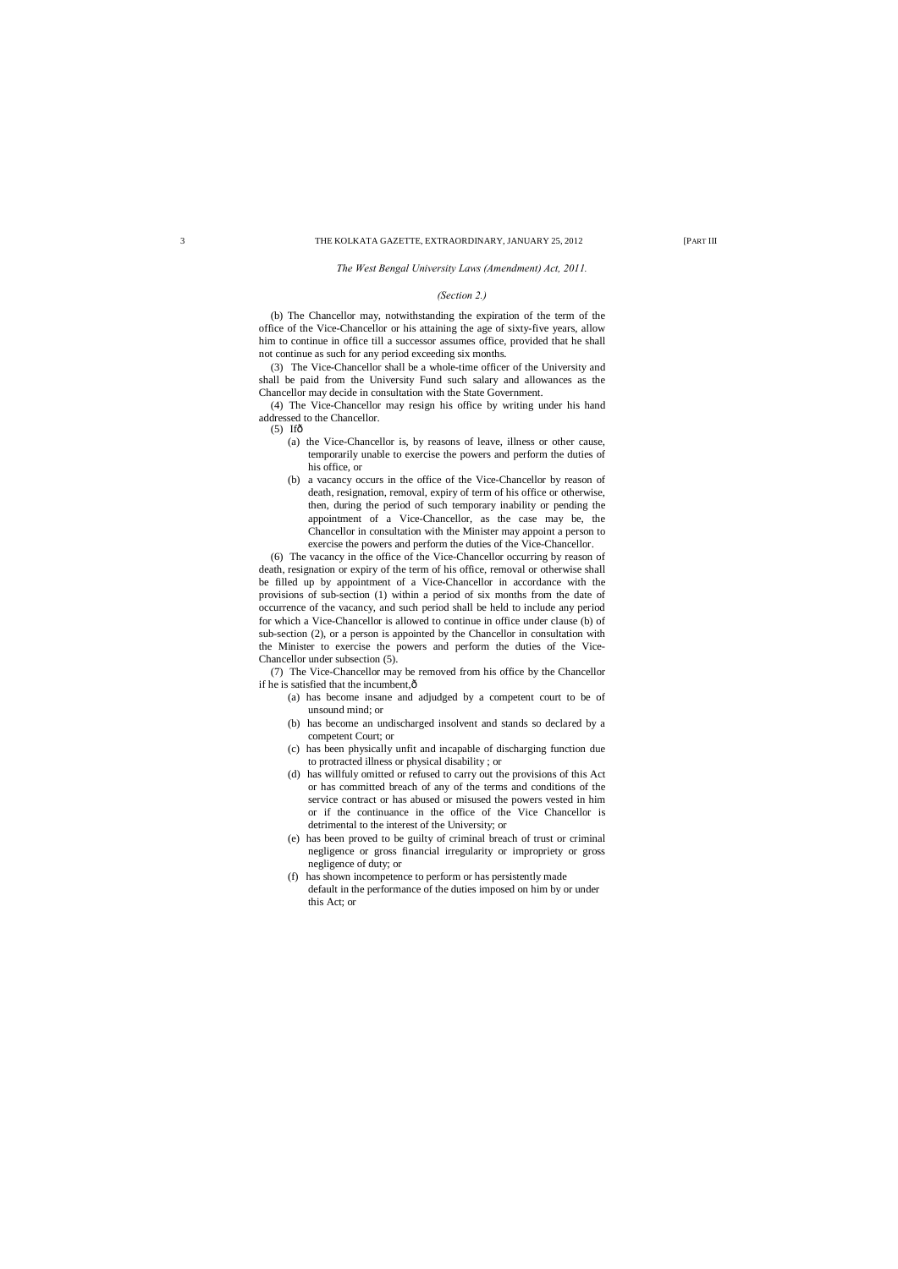#### *The West Bengal University Laws (Amendment) Act, 2011.*

#### *(Section 2.)*

(b) The Chancellor may, notwithstanding the expiration of the term of the office of the Vice-Chancellor or his attaining the age of sixty-five years, allow him to continue in office till a successor assumes office, provided that he shall not continue as such for any period exceeding six months.

(3) The Vice-Chancellor shall be a whole-time officer of the University and shall be paid from the University Fund such salary and allowances as the Chancellor may decide in consultation with the State Government.

- $(5)$  If $\hat{\sigma}$ 
	- (a) the Vice-Chancellor is, by reasons of leave, illness or other cause, temporarily unable to exercise the powers and perform the duties of his office, or
	- (b) a vacancy occurs in the office of the Vice-Chancellor by reason of death, resignation, removal, expiry of term of his office or otherwise, then, during the period of such temporary inability or pending the appointment of a Vice-Chancellor, as the case may be, the Chancellor in consultation with the Minister may appoint a person to exercise the powers and perform the duties of the Vice-Chancellor.

(4) The Vice-Chancellor may resign his office by writing under his hand addressed to the Chancellor.

(7) The Vice-Chancellor may be removed from his office by the Chancellor if he is satisfied that the incumbent, $\hat{o}$ 

(6) The vacancy in the office of the Vice-Chancellor occurring by reason of death, resignation or expiry of the term of his office, removal or otherwise shall be filled up by appointment of a Vice-Chancellor in accordance with the provisions of sub-section (1) within a period of six months from the date of occurrence of the vacancy, and such period shall be held to include any period for which a Vice-Chancellor is allowed to continue in office under clause (b) of sub-section (2), or a person is appointed by the Chancellor in consultation with the Minister to exercise the powers and perform the duties of the Vice-Chancellor under subsection (5).

- (a) has become insane and adjudged by a competent court to be of unsound mind; or
- (b) has become an undischarged insolvent and stands so declared by a competent Court; or
- (c) has been physically unfit and incapable of discharging function due to protracted illness or physical disability ; or
- (d) has willfuly omitted or refused to carry out the provisions of this Act or has committed breach of any of the terms and conditions of the service contract or has abused or misused the powers vested in him or if the continuance in the office of the Vice Chancellor is detrimental to the interest of the University; or
- (e) has been proved to be guilty of criminal breach of trust or criminal negligence or gross financial irregularity or impropriety or gross negligence of duty; or
- (f) has shown incompetence to perform or has persistently made default in the performance of the duties imposed on him by or under this Act; or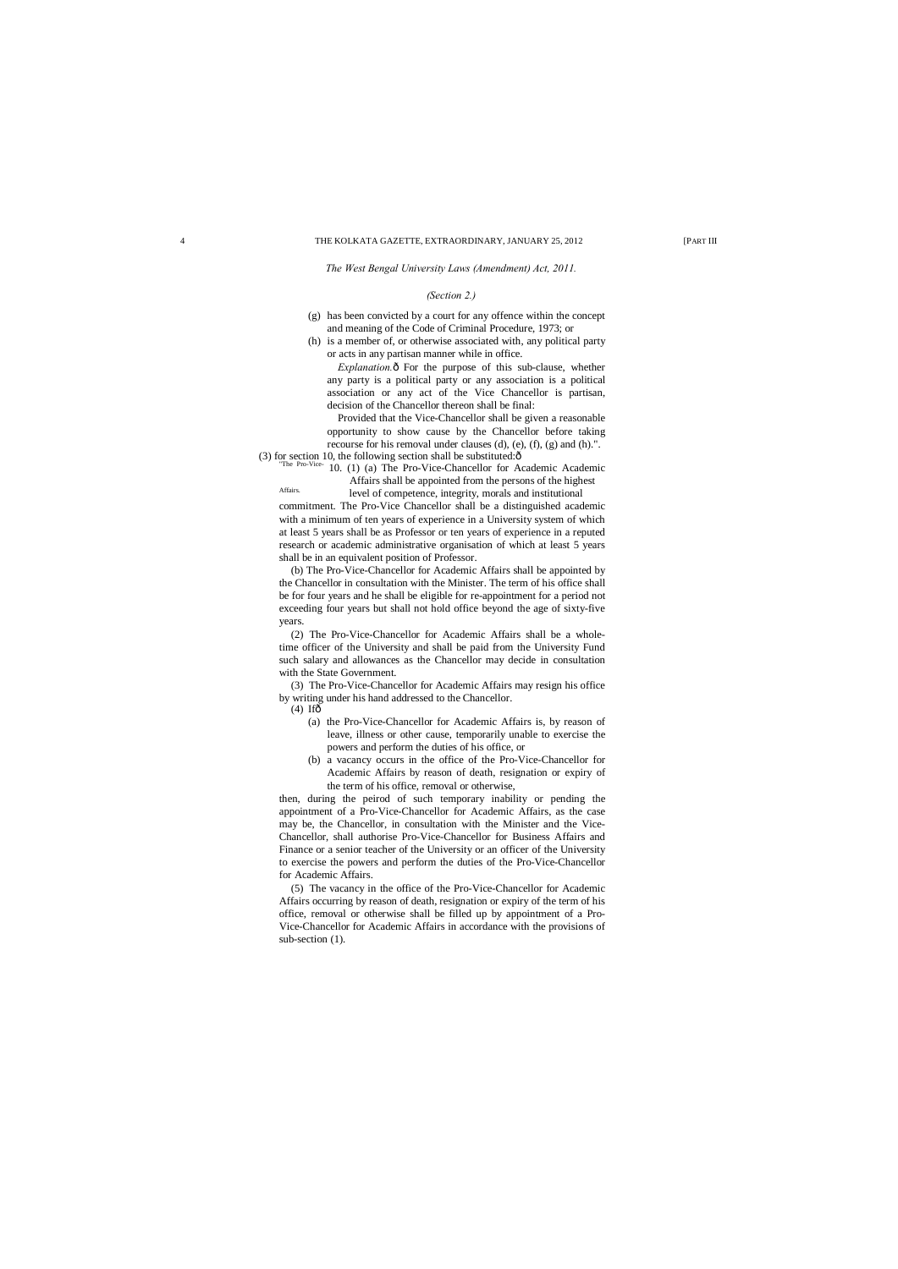*The West Bengal University Laws (Amendment) Act, 2011.*

#### *(Section 2.)*

- (g) has been convicted by a court for any offence within the concept and meaning of the Code of Criminal Procedure, 1973; or
- (h) is a member of, or otherwise associated with, any political party or acts in any partisan manner while in office.

*Explanation.* $\delta$  For the purpose of this sub-clause, whether any party is a political party or any association is a political association or any act of the Vice Chancellor is partisan, decision of the Chancellor thereon shall be final:

(3) for section 10, the following section shall be substituted: $\hat{\sigma}$  "The Pro-Vice- 10. (1) (a) The Pro-Vice-Chancellor for Academic Academic Affairs shall be appointed from the persons of the highest

Affairs. level of competence, integrity, morals and institutional

Provided that the Vice-Chancellor shall be given a reasonable opportunity to show cause by the Chancellor before taking recourse for his removal under clauses (d), (e), (f), (g) and (h).".

- $(4)$  If $\hat{\sigma}$ 
	- (a) the Pro-Vice-Chancellor for Academic Affairs is, by reason of leave, illness or other cause, temporarily unable to exercise the powers and perform the duties of his office, or
	- (b) a vacancy occurs in the office of the Pro-Vice-Chancellor for Academic Affairs by reason of death, resignation or expiry of the term of his office, removal or otherwise,

commitment. The Pro-Vice Chancellor shall be a distinguished academic with a minimum of ten years of experience in a University system of which at least 5 years shall be as Professor or ten years of experience in a reputed research or academic administrative organisation of which at least 5 years shall be in an equivalent position of Professor.

(b) The Pro-Vice-Chancellor for Academic Affairs shall be appointed by the Chancellor in consultation with the Minister. The term of his office shall be for four years and he shall be eligible for re-appointment for a period not exceeding four years but shall not hold office beyond the age of sixty-five years.

(2) The Pro-Vice-Chancellor for Academic Affairs shall be a wholetime officer of the University and shall be paid from the University Fund such salary and allowances as the Chancellor may decide in consultation with the State Government.

(3) The Pro-Vice-Chancellor for Academic Affairs may resign his office by writing under his hand addressed to the Chancellor.

then, during the peirod of such temporary inability or pending the appointment of a Pro-Vice-Chancellor for Academic Affairs, as the case may be, the Chancellor, in consultation with the Minister and the Vice-Chancellor, shall authorise Pro-Vice-Chancellor for Business Affairs and Finance or a senior teacher of the University or an officer of the University to exercise the powers and perform the duties of the Pro-Vice-Chancellor for Academic Affairs.

(5) The vacancy in the office of the Pro-Vice-Chancellor for Academic Affairs occurring by reason of death, resignation or expiry of the term of his office, removal or otherwise shall be filled up by appointment of a Pro-Vice-Chancellor for Academic Affairs in accordance with the provisions of sub-section (1).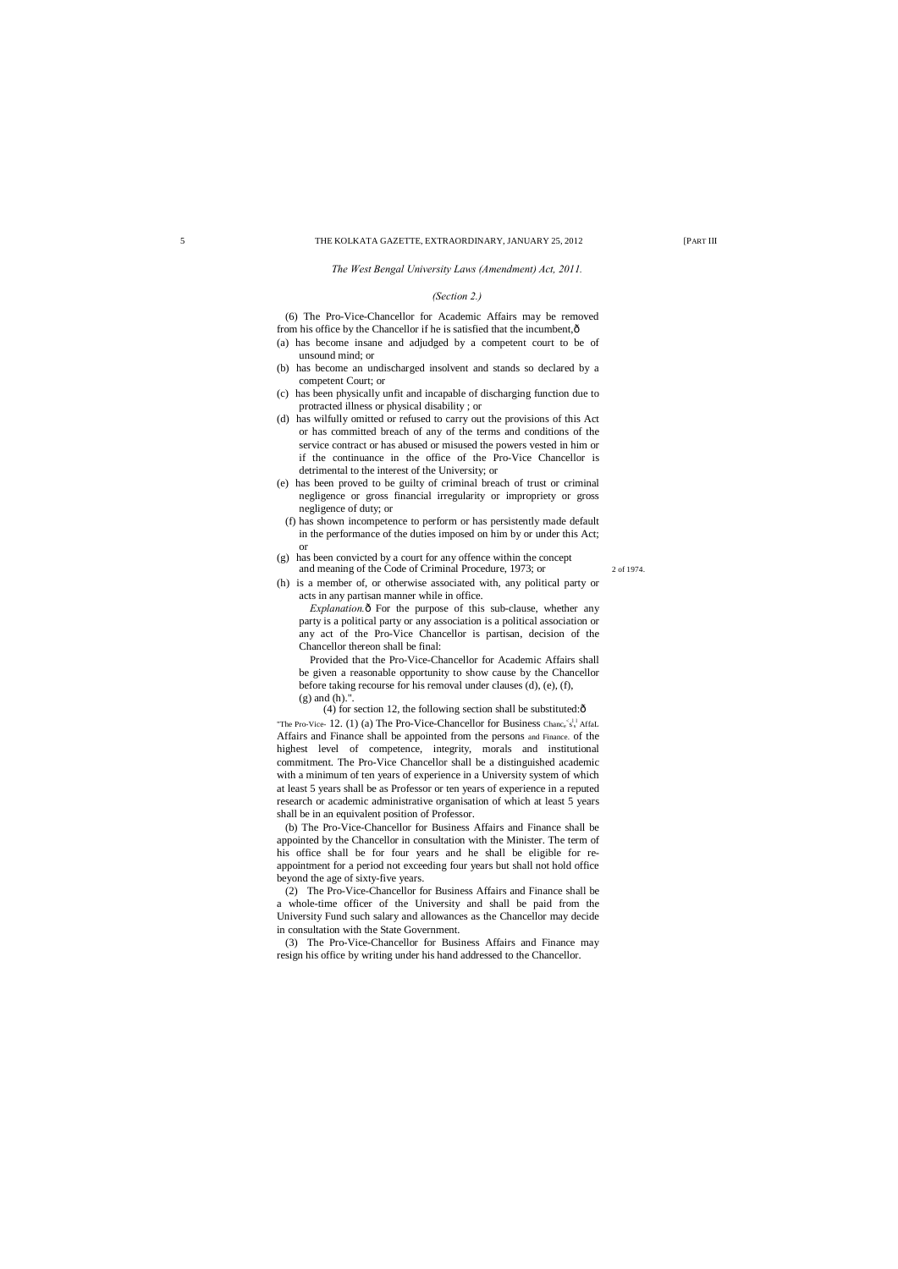#### *The West Bengal University Laws (Amendment) Act, 2011.*

#### *(Section 2.)*

(6) The Pro-Vice-Chancellor for Academic Affairs may be removed from his office by the Chancellor if he is satisfied that the incumbent,—

*Explanation.* $\hat{o}$  For the purpose of this sub-clause, whether any party is a political party or any association is a political association or any act of the Pro-Vice Chancellor is partisan, decision of the Chancellor thereon shall be final:

- (a) has become insane and adjudged by a competent court to be of unsound mind; or
- (b) has become an undischarged insolvent and stands so declared by a competent Court; or
- (c) has been physically unfit and incapable of discharging function due to protracted illness or physical disability ; or
- (d) has wilfully omitted or refused to carry out the provisions of this Act or has committed breach of any of the terms and conditions of the service contract or has abused or misused the powers vested in him or if the continuance in the office of the Pro-Vice Chancellor is detrimental to the interest of the University; or
- (e) has been proved to be guilty of criminal breach of trust or criminal negligence or gross financial irregularity or impropriety or gross negligence of duty; or
- (f) has shown incompetence to perform or has persistently made default in the performance of the duties imposed on him by or under this Act; or
- (g) has been convicted by a court for any offence within the concept and meaning of the Code of Criminal Procedure, 1973; or 2 of 1974.
- (h) is a member of, or otherwise associated with, any political party or acts in any partisan manner while in office.

(4) for section 12, the following section shall be substituted: $\hat{o}$ "The Pro-Vice- 12. (1) (a) The Pro-Vice-Chancellor for Business Chance  $s_s^{11}$  AffaL Affairs and Finance shall be appointed from the persons and Finance. of the highest level of competence, integrity, morals and institutional commitment. The Pro-Vice Chancellor shall be a distinguished academic with a minimum of ten years of experience in a University system of which at least 5 years shall be as Professor or ten years of experience in a reputed research or academic administrative organisation of which at least 5 years shall be in an equivalent position of Professor.

Provided that the Pro-Vice-Chancellor for Academic Affairs shall be given a reasonable opportunity to show cause by the Chancellor before taking recourse for his removal under clauses (d), (e), (f), (g) and (h).".

(b) The Pro-Vice-Chancellor for Business Affairs and Finance shall be appointed by the Chancellor in consultation with the Minister. The term of his office shall be for four years and he shall be eligible for reappointment for a period not exceeding four years but shall not hold office beyond the age of sixty-five years.

(2) The Pro-Vice-Chancellor for Business Affairs and Finance shall be a whole-time officer of the University and shall be paid from the University Fund such salary and allowances as the Chancellor may decide in consultation with the State Government.

(3) The Pro-Vice-Chancellor for Business Affairs and Finance may resign his office by writing under his hand addressed to the Chancellor.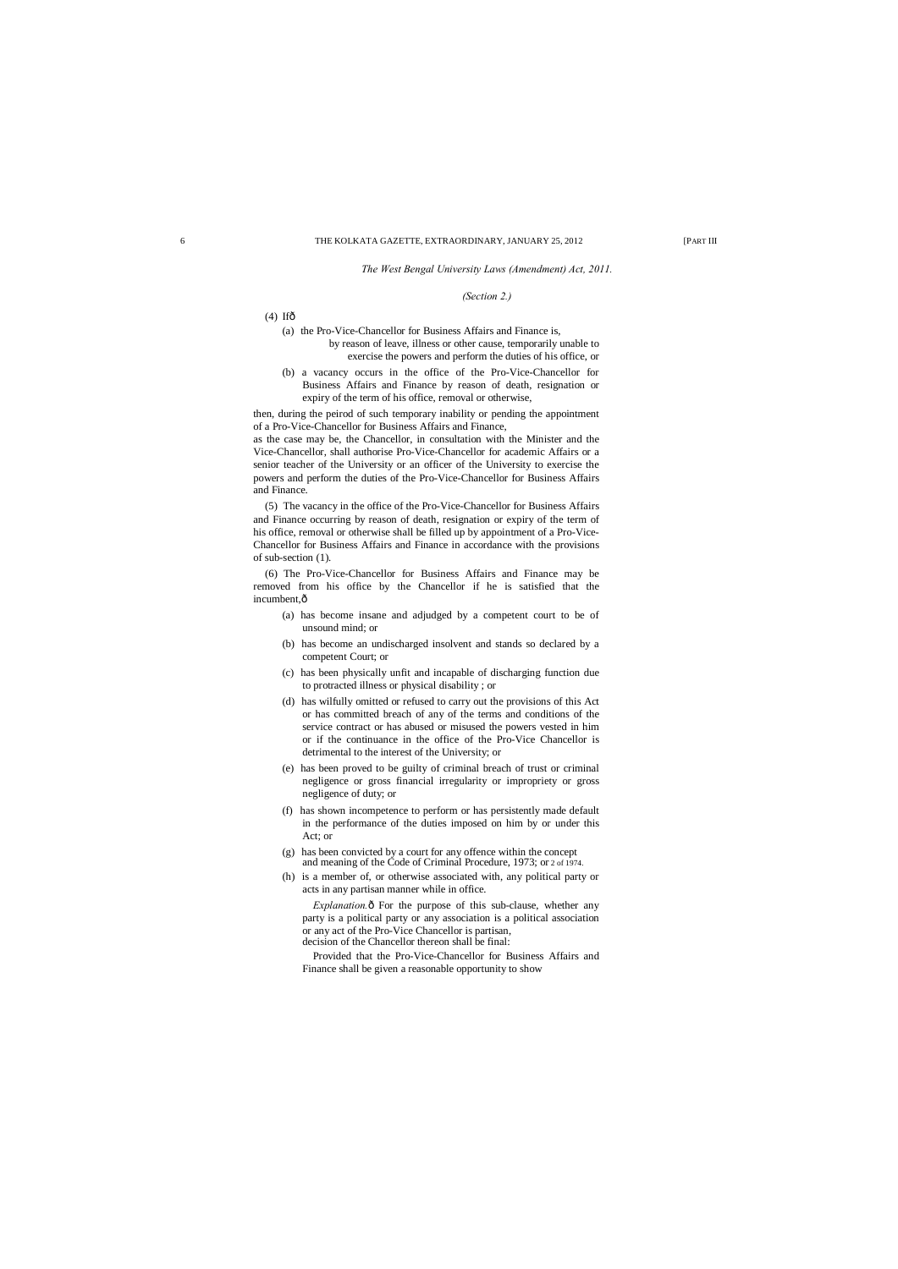*The West Bengal University Laws (Amendment) Act, 2011.*

#### *(Section 2.)*

- $(4)$  Ifô
	- (a) the Pro-Vice-Chancellor for Business Affairs and Finance is, by reason of leave, illness or other cause, temporarily unable to exercise the powers and perform the duties of his office, or
	- (b) a vacancy occurs in the office of the Pro-Vice-Chancellor for Business Affairs and Finance by reason of death, resignation or expiry of the term of his office, removal or otherwise,

then, during the peirod of such temporary inability or pending the appointment of a Pro-Vice-Chancellor for Business Affairs and Finance,

(6) The Pro-Vice-Chancellor for Business Affairs and Finance may be removed from his office by the Chancellor if he is satisfied that the incumbent, $\hat{o}$ 

as the case may be, the Chancellor, in consultation with the Minister and the Vice-Chancellor, shall authorise Pro-Vice-Chancellor for academic Affairs or a senior teacher of the University or an officer of the University to exercise the powers and perform the duties of the Pro-Vice-Chancellor for Business Affairs and Finance.

(5) The vacancy in the office of the Pro-Vice-Chancellor for Business Affairs and Finance occurring by reason of death, resignation or expiry of the term of his office, removal or otherwise shall be filled up by appointment of a Pro-Vice-Chancellor for Business Affairs and Finance in accordance with the provisions of sub-section (1).

> *Explanation.* $\delta$  For the purpose of this sub-clause, whether any party is a political party or any association is a political association or any act of the Pro-Vice Chancellor is partisan, decision of the Chancellor thereon shall be final:

- (a) has become insane and adjudged by a competent court to be of unsound mind; or
- (b) has become an undischarged insolvent and stands so declared by a competent Court; or
- (c) has been physically unfit and incapable of discharging function due to protracted illness or physical disability ; or
- (d) has wilfully omitted or refused to carry out the provisions of this Act or has committed breach of any of the terms and conditions of the service contract or has abused or misused the powers vested in him or if the continuance in the office of the Pro-Vice Chancellor is detrimental to the interest of the University; or
- (e) has been proved to be guilty of criminal breach of trust or criminal negligence or gross financial irregularity or impropriety or gross negligence of duty; or
- (f) has shown incompetence to perform or has persistently made default in the performance of the duties imposed on him by or under this Act; or
- (g) has been convicted by a court for any offence within the concept and meaning of the Code of Criminal Procedure, 1973; or 2 of 1974.
- (h) is a member of, or otherwise associated with, any political party or acts in any partisan manner while in office.

Provided that the Pro-Vice-Chancellor for Business Affairs and

Finance shall be given a reasonable opportunity to show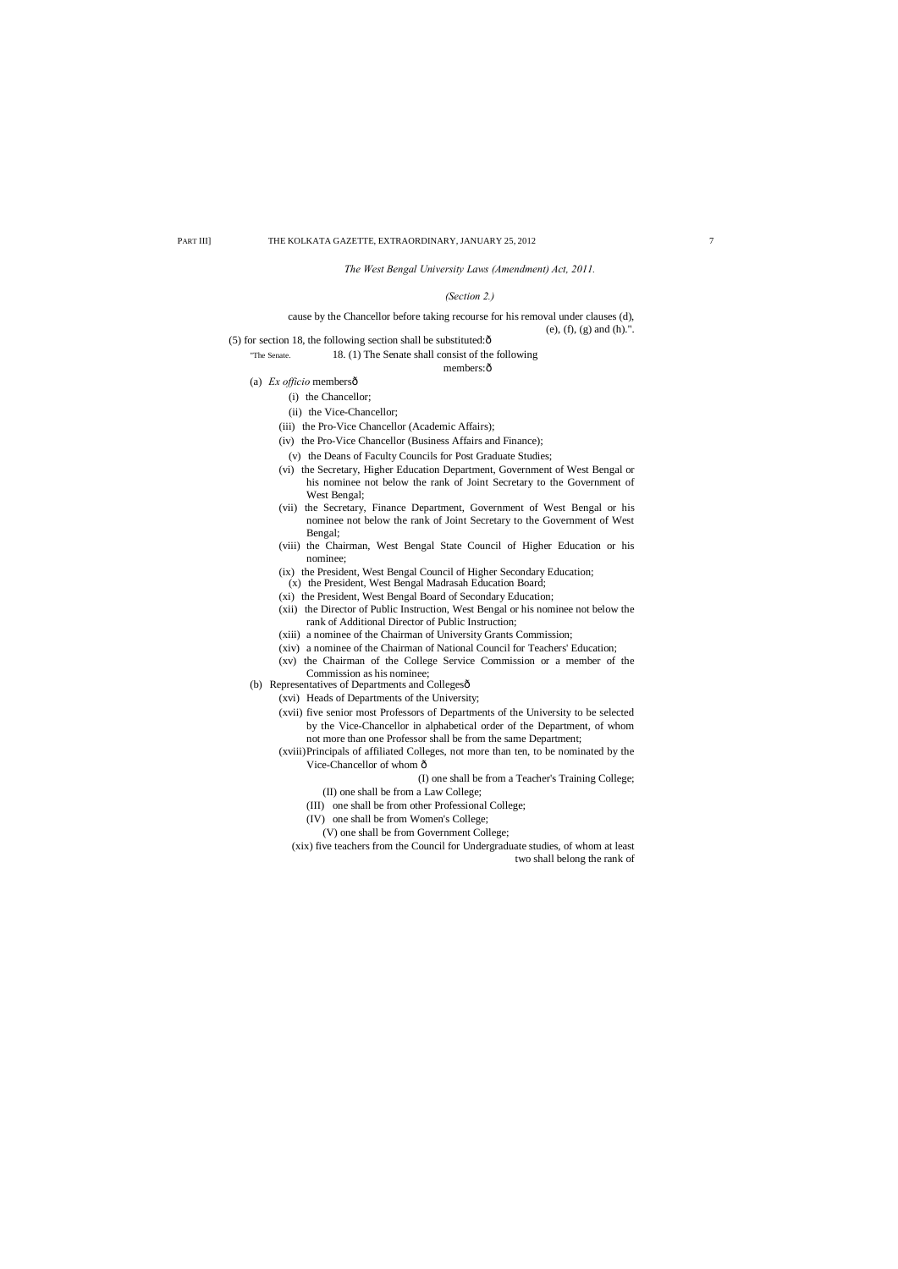#### *The West Bengal University Laws (Amendment) Act, 2011.*

#### *(Section 2.)*

# cause by the Chancellor before taking recourse for his removal under clauses (d), (e), (f), (g) and (h).".

(5) for section 18, the following section shall be substituted: $\hat{o}$ 

# "The Senate. 18. (1) The Senate shall consist of the following

members:ô

- (a) *Ex officio* members—
	- (i) the Chancellor;
	- (ii) the Vice-Chancellor;
	- (iii) the Pro-Vice Chancellor (Academic Affairs);
	- (iv) the Pro-Vice Chancellor (Business Affairs and Finance);
	- (v) the Deans of Faculty Councils for Post Graduate Studies;
	- (vi) the Secretary, Higher Education Department, Government of West Bengal or his nominee not below the rank of Joint Secretary to the Government of West Bengal;
	- (vii) the Secretary, Finance Department, Government of West Bengal or his nominee not below the rank of Joint Secretary to the Government of West Bengal;
	- (viii) the Chairman, West Bengal State Council of Higher Education or his nominee;
	- (ix) the President, West Bengal Council of Higher Secondary Education;
	- (x) the President, West Bengal Madrasah Education Board;
	- (xi) the President, West Bengal Board of Secondary Education;
	- (xii) the Director of Public Instruction, West Bengal or his nominee not below the rank of Additional Director of Public Instruction;
	- (xiii) a nominee of the Chairman of University Grants Commission;
	- (xiv) a nominee of the Chairman of National Council for Teachers' Education;
	- (xv) the Chairman of the College Service Commission or a member of the Commission as his nominee;
- (b) Representatives of Departments and Collegesô
	- (xvi) Heads of Departments of the University;
	- (xvii) five senior most Professors of Departments of the University to be selected by the Vice-Chancellor in alphabetical order of the Department, of whom not more than one Professor shall be from the same Department;
	- (xviii)Principals of affiliated Colleges, not more than ten, to be nominated by the Vice-Chancellor of whom  $\hat{o}$ 
		- (I) one shall be from a Teacher's Training College;

(II) one shall be from a Law College;

- (III) one shall be from other Professional College;
- (IV) one shall be from Women's College;
	- (V) one shall be from Government College;
- (xix) five teachers from the Council for Undergraduate studies, of whom at least two shall belong the rank of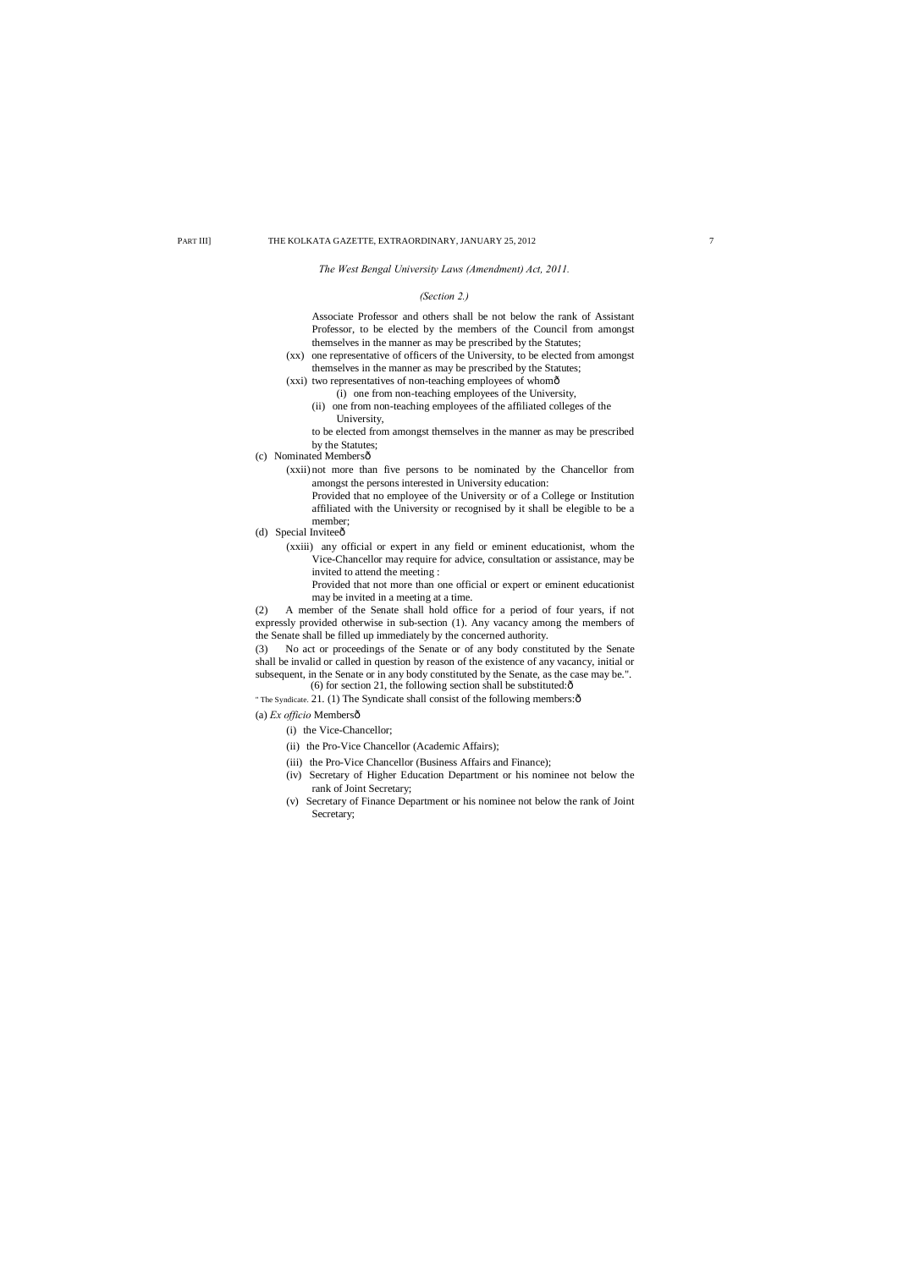# *The West Bengal University Laws (Amendment) Act, 2011.*

# *(Section 2.)*

Associate Professor and others shall be not below the rank of Assistant Professor, to be elected by the members of the Council from amongst themselves in the manner as may be prescribed by the Statutes;

- (xx) one representative of officers of the University, to be elected from amongst themselves in the manner as may be prescribed by the Statutes;
- (xxi) two representatives of non-teaching employees of whomô
	- (i) one from non-teaching employees of the University,
		- (ii) one from non-teaching employees of the affiliated colleges of the University,

- (c) Nominated Membersô
	- (xxii) not more than five persons to be nominated by the Chancellor from amongst the persons interested in University education:
		- Provided that no employee of the University or of a College or Institution affiliated with the University or recognised by it shall be elegible to be a member;
- (d) Special Invitee $\hat{0}$ 
	- (xxiii) any official or expert in any field or eminent educationist, whom the Vice-Chancellor may require for advice, consultation or assistance, may be invited to attend the meeting :

to be elected from amongst themselves in the manner as may be prescribed by the Statutes;

(3) No act or proceedings of the Senate or of any body constituted by the Senate shall be invalid or called in question by reason of the existence of any vacancy, initial or subsequent, in the Senate or in any body constituted by the Senate, as the case may be.". (6) for section 21, the following section shall be substituted: $\hat{o}$ 

- " The Syndicate. 21. (1) The Syndicate shall consist of the following members: $\hat{o}$
- 
- (a) *Ex officio* Members—
	- (i) the Vice-Chancellor;
	- (ii) the Pro-Vice Chancellor (Academic Affairs);
	- (iii) the Pro-Vice Chancellor (Business Affairs and Finance);
	- (iv) Secretary of Higher Education Department or his nominee not below the rank of Joint Secretary;
	- (v) Secretary of Finance Department or his nominee not below the rank of Joint Secretary;

Provided that not more than one official or expert or eminent educationist may be invited in a meeting at a time.

(2) A member of the Senate shall hold office for a period of four years, if not expressly provided otherwise in sub-section (1). Any vacancy among the members of the Senate shall be filled up immediately by the concerned authority.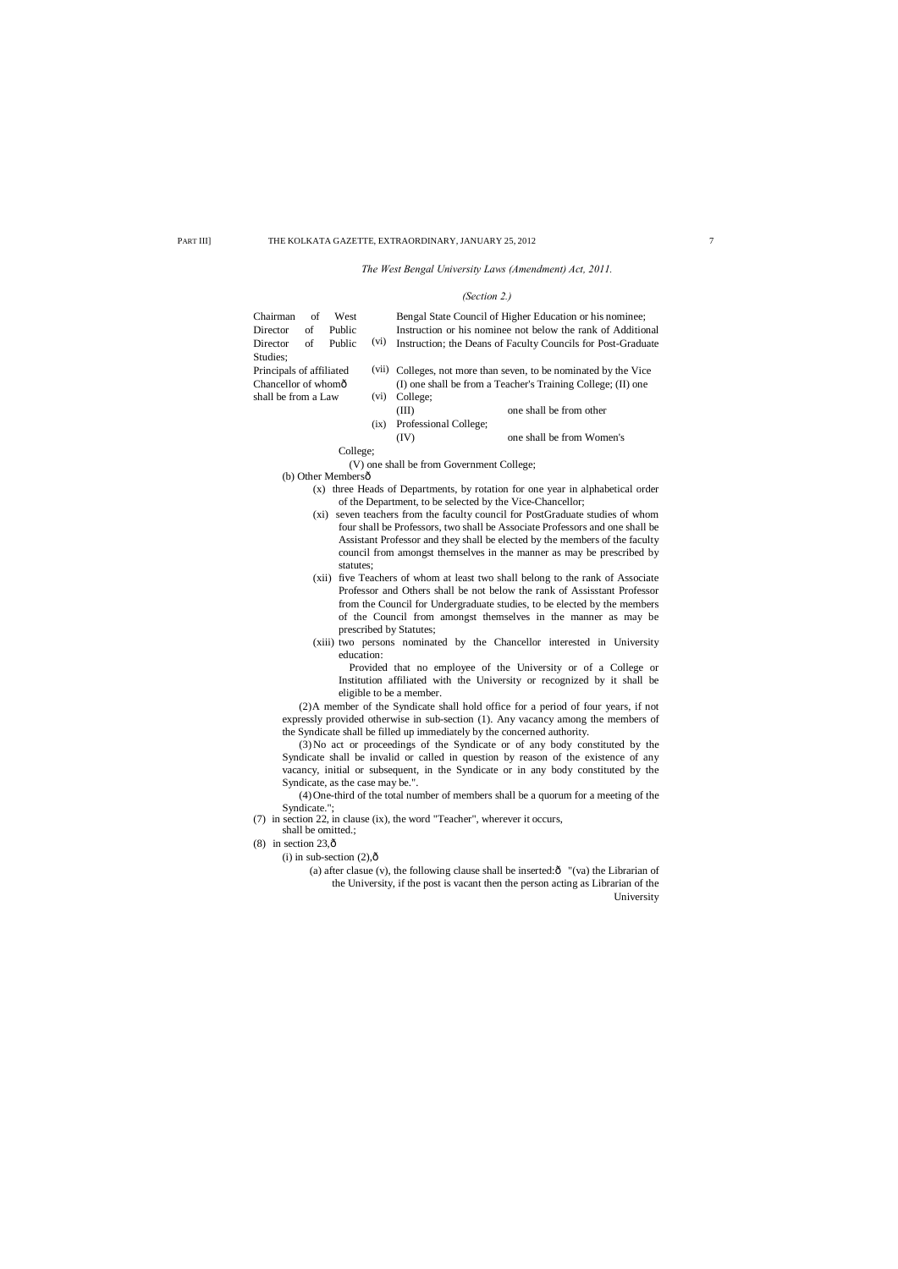# *The West Bengal University Laws (Amendment) Act, 2011.*

#### *(Section 2.)*

| Chairman                                                                          | of | West   |       |                                                              | Bengal State Council of Higher Education or his nominee;     |  |  |  |
|-----------------------------------------------------------------------------------|----|--------|-------|--------------------------------------------------------------|--------------------------------------------------------------|--|--|--|
| Director                                                                          | of | Public |       |                                                              | Instruction or his nominee not below the rank of Additional  |  |  |  |
| Director                                                                          | of | Public | (vi)  |                                                              | Instruction; the Deans of Faculty Councils for Post-Graduate |  |  |  |
| Studies:                                                                          |    |        |       |                                                              |                                                              |  |  |  |
| Principals of affiliated                                                          |    |        | (V11) | Colleges, not more than seven, to be nominated by the Vice   |                                                              |  |  |  |
| Chancellor of whomô                                                               |    |        |       | (I) one shall be from a Teacher's Training College; (II) one |                                                              |  |  |  |
| shall be from a Law                                                               |    |        | (vi)  | College;                                                     |                                                              |  |  |  |
|                                                                                   |    |        |       | (III)                                                        | one shall be from other                                      |  |  |  |
|                                                                                   |    |        | (ix)  | Professional College;                                        |                                                              |  |  |  |
|                                                                                   |    |        |       | (IV)                                                         | one shall be from Women's                                    |  |  |  |
| College;                                                                          |    |        |       |                                                              |                                                              |  |  |  |
| (V) one shall be from Government College;                                         |    |        |       |                                                              |                                                              |  |  |  |
| (b) Other Membersô                                                                |    |        |       |                                                              |                                                              |  |  |  |
| three Heads of Departments, by rotation for one year in alphabetical order<br>(X) |    |        |       |                                                              |                                                              |  |  |  |
| of the Department, to be selected by the Vice-Chancellor;                         |    |        |       |                                                              |                                                              |  |  |  |

- (xi) seven teachers from the faculty council for PostGraduate studies of whom four shall be Professors, two shall be Associate Professors and one shall be Assistant Professor and they shall be elected by the members of the faculty council from amongst themselves in the manner as may be prescribed by statutes;
- (xii) five Teachers of whom at least two shall belong to the rank of Associate Professor and Others shall be not below the rank of Assisstant Professor from the Council for Undergraduate studies, to be elected by the members of the Council from amongst themselves in the manner as may be prescribed by Statutes;
- (xiii) two persons nominated by the Chancellor interested in University education:

Provided that no employee of the University or of a College or Institution affiliated with the University or recognized by it shall be eligible to be a member.

(2)A member of the Syndicate shall hold office for a period of four years, if not expressly provided otherwise in sub-section (1). Any vacancy among the members of the Syndicate shall be filled up immediately by the concerned authority.

(3)No act or proceedings of the Syndicate or of any body constituted by the Syndicate shall be invalid or called in question by reason of the existence of any vacancy, initial or subsequent, in the Syndicate or in any body constituted by the Syndicate, as the case may be.".

(4)One-third of the total number of members shall be a quorum for a meeting of the Syndicate.";

- (7) in section 22, in clause (ix), the word "Teacher", wherever it occurs,
	- shall be omitted.;
- $(8)$  in section 23, $\hat{0}$ 
	- (i) in sub-section  $(2)$ , $\hat{0}$ 
		- (a) after clasue (v), the following clause shall be inserted: $\hat{o}$  "(va) the Librarian of the University, if the post is vacant then the person acting as Librarian of the University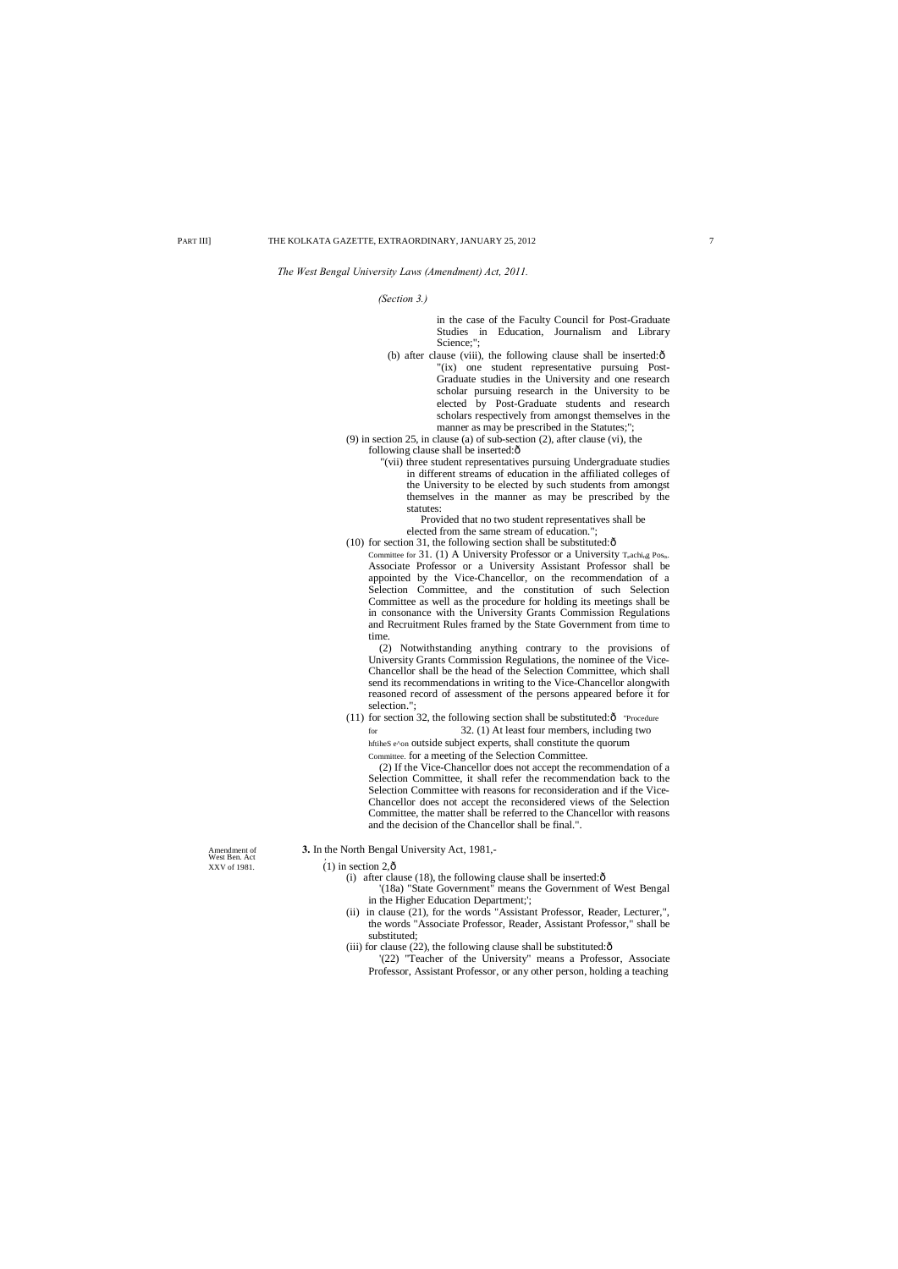#### *The West Bengal University Laws (Amendment) Act, 2011.*

*(Section 3.)*

in the case of the Faculty Council for Post-Graduate Studies in Education, Journalism and Library Science;";

(b) after clause (viii), the following clause shall be inserted: $\hat{o}$ "(ix) one student representative pursuing Post-Graduate studies in the University and one research scholar pursuing research in the University to be elected by Post-Graduate students and research scholars respectively from amongst themselves in the manner as may be prescribed in the Statutes;";

(9) in section 25, in clause (a) of sub-section (2), after clause (vi), the following clause shall be inserted: $\hat{o}$ 

Committee for 31. (1) A University Professor or a University  $T_{e}$ achi<sub>ng</sub> Pos<sub>ts</sub>. Associate Professor or a University Assistant Professor shall be appointed by the Vice-Chancellor, on the recommendation of a Selection Committee, and the constitution of such Selection Committee as well as the procedure for holding its meetings shall be in consonance with the University Grants Commission Regulations and Recruitment Rules framed by the State Government from time to time.

"(vii) three student representatives pursuing Undergraduate studies in different streams of education in the affiliated colleges of the University to be elected by such students from amongst themselves in the manner as may be prescribed by the statutes:

Provided that no two student representatives shall be elected from the same stream of education.";

(10) for section 31, the following section shall be substituted: $\hat{o}$ 

(11) for section 32, the following section shall be substituted: $\hat{o}$  "Procedure for 32. (1) At least four members, including two hftiheS e^on outside subject experts, shall constitute the quorum Committee. for a meeting of the Selection Committee.

(2) Notwithstanding anything contrary to the provisions of University Grants Commission Regulations, the nominee of the Vice-Chancellor shall be the head of the Selection Committee, which shall send its recommendations in writing to the Vice-Chancellor alongwith reasoned record of assessment of the persons appeared before it for selection.";

(2) If the Vice-Chancellor does not accept the recommendation of a Selection Committee, it shall refer the recommendation back to the Selection Committee with reasons for reconsideration and if the Vice-Chancellor does not accept the reconsidered views of the Selection Committee, the matter shall be referred to the Chancellor with reasons and the decision of the Chancellor shall be final.".

Amendment of **3.** In the North Bengal University Act, 1981, West Ben. Act <br>XXV of 1981. (1) in section 2,  $\hat{0}$ 

- $(1)$  in section 2, $\hat{\sigma}$ (i) after clause (18), the following clause shall be inserted: $\hat{o}$ 
	- '(18a) "State Government" means the Government of West Bengal in the Higher Education Department;';
	- (ii) in clause (21), for the words "Assistant Professor, Reader, Lecturer,", the words "Associate Professor, Reader, Assistant Professor," shall be
	- substituted; (iii) for clause  $(22)$ , the following clause shall be substituted: $\hat{o}$

'(22) "Teacher of the University" means a Professor, Associate Professor, Assistant Professor, or any other person, holding a teaching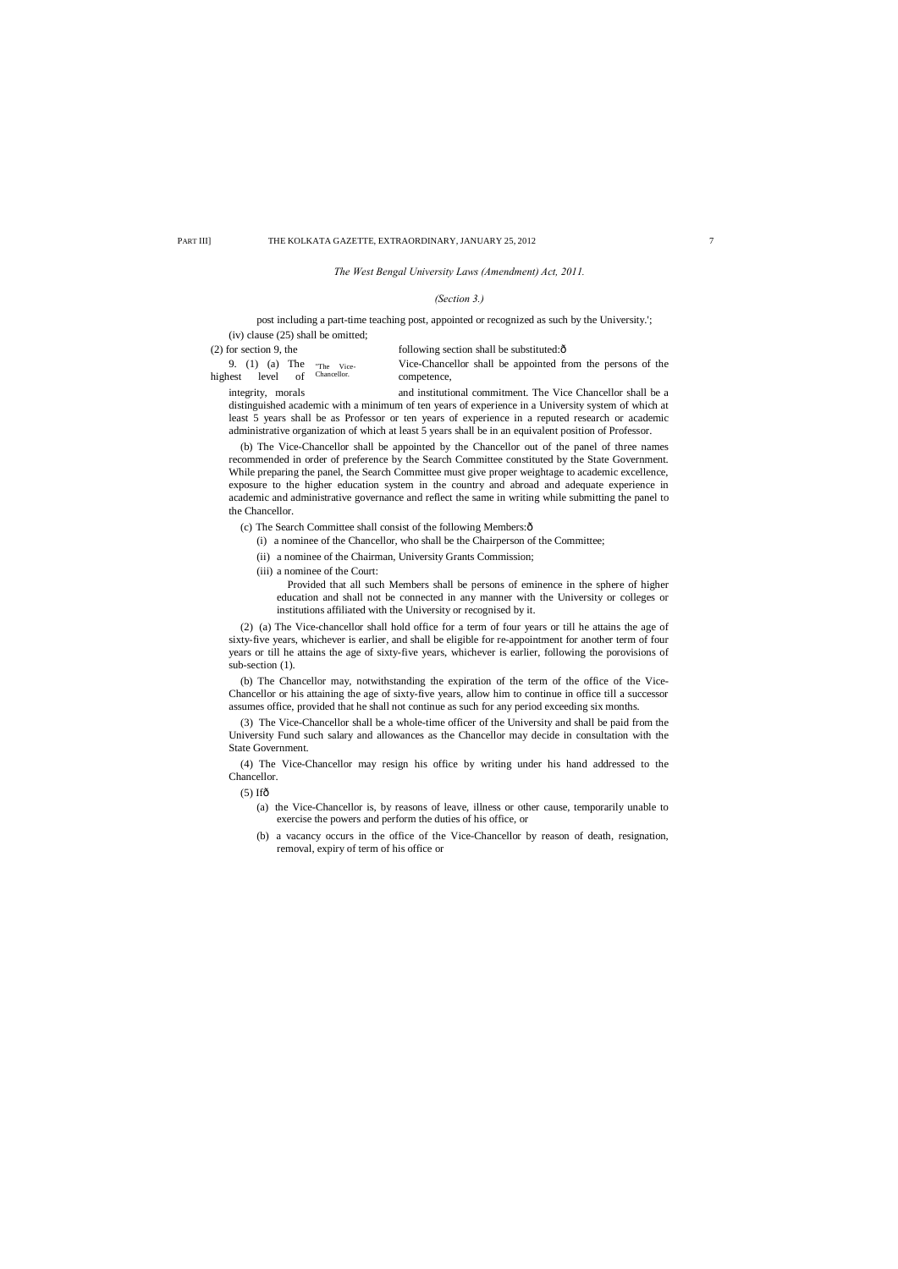# *The West Bengal University Laws (Amendment) Act, 2011.*

#### *(Section 3.)*

post including a part-time teaching post, appointed or recognized as such by the University.'; (iv) clause (25) shall be omitted;

(2) for section 9, the following section shall be substituted: $\hat{o}$ 

9. (1) (a) The "<sub>The Vice</sub> vice-Chance vice-<br>highest level of <sup>Chancellor.</sup> competence,

Vice-Chancellor shall be appointed from the persons of the

integrity, morals and institutional commitment. The Vice Chancellor shall be a distinguished academic with a minimum of ten years of experience in a University system of which at least 5 years shall be as Professor or ten years of experience in a reputed research or academic administrative organization of which at least 5 years shall be in an equivalent position of Professor.

(b) The Vice-Chancellor shall be appointed by the Chancellor out of the panel of three names recommended in order of preference by the Search Committee constituted by the State Government. While preparing the panel, the Search Committee must give proper weightage to academic excellence, exposure to the higher education system in the country and abroad and adequate experience in academic and administrative governance and reflect the same in writing while submitting the panel to the Chancellor.

(c) The Search Committee shall consist of the following Members: $\hat{o}$ 

(i) a nominee of the Chancellor, who shall be the Chairperson of the Committee;

- (ii) a nominee of the Chairman, University Grants Commission;
- (iii) a nominee of the Court:

Provided that all such Members shall be persons of eminence in the sphere of higher education and shall not be connected in any manner with the University or colleges or institutions affiliated with the University or recognised by it.

(2) (a) The Vice-chancellor shall hold office for a term of four years or till he attains the age of sixty-five years, whichever is earlier, and shall be eligible for re-appointment for another term of four years or till he attains the age of sixty-five years, whichever is earlier, following the porovisions of sub-section (1).

(b) The Chancellor may, notwithstanding the expiration of the term of the office of the Vice-Chancellor or his attaining the age of sixty-five years, allow him to continue in office till a successor assumes office, provided that he shall not continue as such for any period exceeding six months.

(3) The Vice-Chancellor shall be a whole-time officer of the University and shall be paid from the University Fund such salary and allowances as the Chancellor may decide in consultation with the State Government.

(4) The Vice-Chancellor may resign his office by writing under his hand addressed to the Chancellor.

 $(5)$  Ifô

- (a) the Vice-Chancellor is, by reasons of leave, illness or other cause, temporarily unable to exercise the powers and perform the duties of his office, or
- (b) a vacancy occurs in the office of the Vice-Chancellor by reason of death, resignation, removal, expiry of term of his office or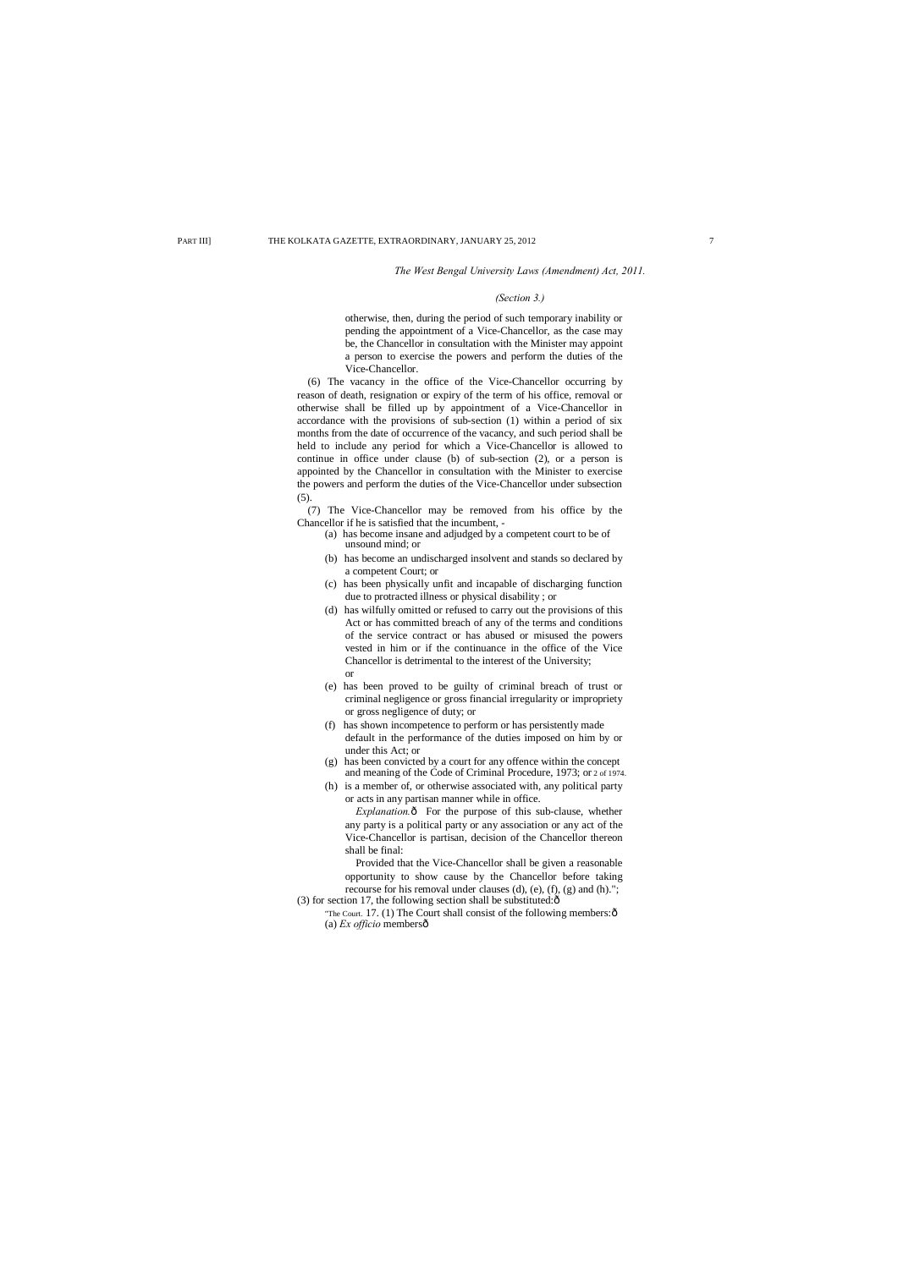*The West Bengal University Laws (Amendment) Act, 2011.*

#### *(Section 3.)*

otherwise, then, during the period of such temporary inability or pending the appointment of a Vice-Chancellor, as the case may be, the Chancellor in consultation with the Minister may appoint a person to exercise the powers and perform the duties of the Vice-Chancellor.

(6) The vacancy in the office of the Vice-Chancellor occurring by reason of death, resignation or expiry of the term of his office, removal or otherwise shall be filled up by appointment of a Vice-Chancellor in accordance with the provisions of sub-section (1) within a period of six months from the date of occurrence of the vacancy, and such period shall be held to include any period for which a Vice-Chancellor is allowed to continue in office under clause (b) of sub-section (2), or a person is appointed by the Chancellor in consultation with the Minister to exercise the powers and perform the duties of the Vice-Chancellor under subsection (5).

(7) The Vice-Chancellor may be removed from his office by the Chancellor if he is satisfied that the incumbent, -

> *Explanation.* $\hat{o}$  For the purpose of this sub-clause, whether any party is a political party or any association or any act of the Vice-Chancellor is partisan, decision of the Chancellor thereon shall be final:

Provided that the Vice-Chancellor shall be given a reasonable opportunity to show cause by the Chancellor before taking recourse for his removal under clauses (d), (e), (f), (g) and (h)."; (3) for section 17, the following section shall be substituted: $\hat{o}$ 

"The Court. 17. (1) The Court shall consist of the following members: $\hat{o}$ (a) *Ex officio* members—

- (a) has become insane and adjudged by a competent court to be of unsound mind; or
- (b) has become an undischarged insolvent and stands so declared by a competent Court; or
- (c) has been physically unfit and incapable of discharging function due to protracted illness or physical disability ; or
- (d) has wilfully omitted or refused to carry out the provisions of this Act or has committed breach of any of the terms and conditions of the service contract or has abused or misused the powers vested in him or if the continuance in the office of the Vice Chancellor is detrimental to the interest of the University; or
- (e) has been proved to be guilty of criminal breach of trust or criminal negligence or gross financial irregularity or impropriety or gross negligence of duty; or
- (f) has shown incompetence to perform or has persistently made default in the performance of the duties imposed on him by or under this Act; or
- (g) has been convicted by a court for any offence within the concept and meaning of the Code of Criminal Procedure, 1973; or 2 of 1974.
- (h) is a member of, or otherwise associated with, any political party or acts in any partisan manner while in office.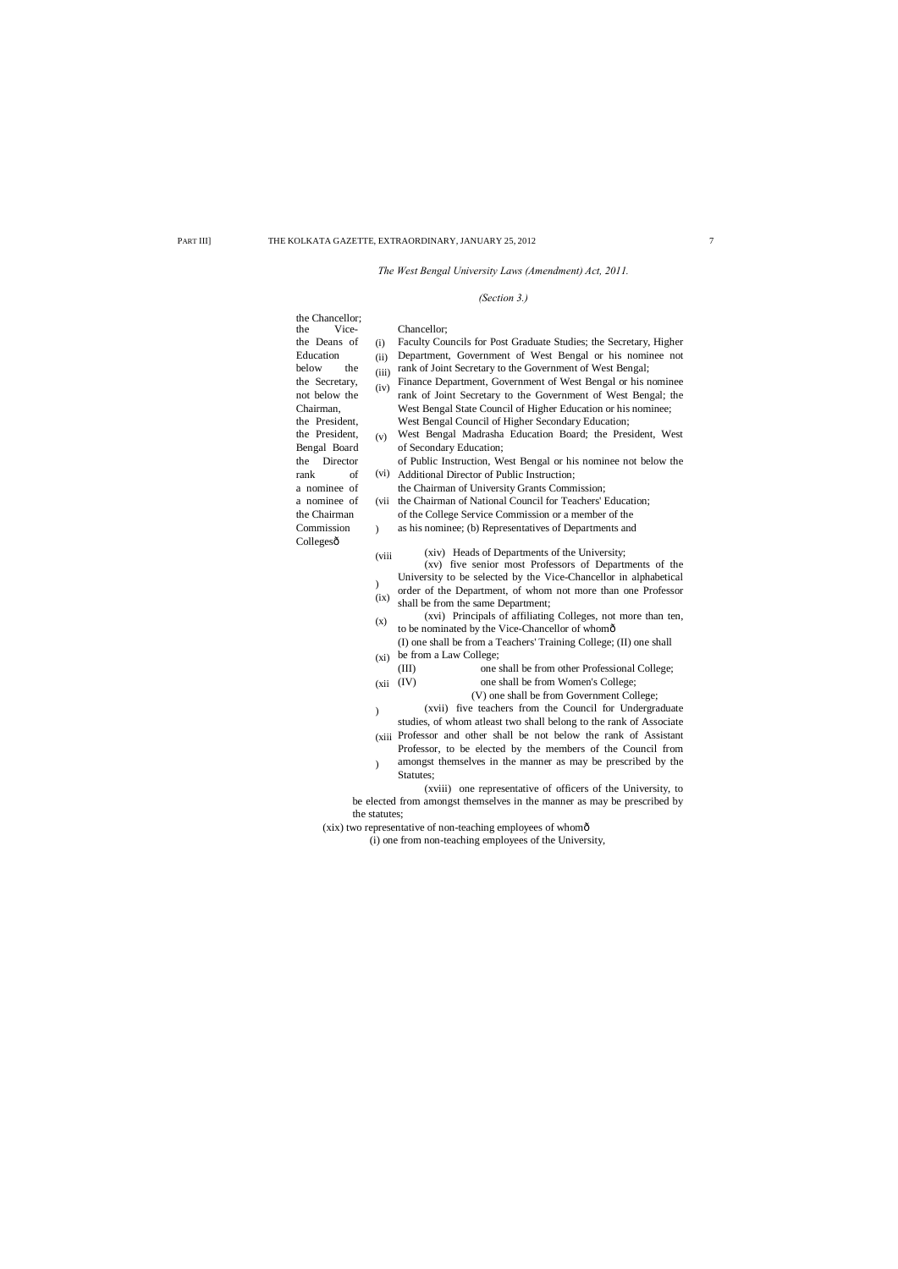*The West Bengal University Laws (Amendment) Act, 2011.*

# *(Section 3.)*

| the Chancellor;                                                          |               |                                                                    |  |  |  |  |
|--------------------------------------------------------------------------|---------------|--------------------------------------------------------------------|--|--|--|--|
| Vice-<br>the                                                             |               | Chancellor;                                                        |  |  |  |  |
| the Deans of                                                             | (i)           | Faculty Councils for Post Graduate Studies; the Secretary, Higher  |  |  |  |  |
| Education                                                                | (ii)          | Department, Government of West Bengal or his nominee not           |  |  |  |  |
| the<br>below                                                             | (iii)         | rank of Joint Secretary to the Government of West Bengal;          |  |  |  |  |
| the Secretary,                                                           | (iv)          | Finance Department, Government of West Bengal or his nominee       |  |  |  |  |
| not below the                                                            |               | rank of Joint Secretary to the Government of West Bengal; the      |  |  |  |  |
| Chairman,                                                                |               | West Bengal State Council of Higher Education or his nominee;      |  |  |  |  |
| the President,                                                           |               | West Bengal Council of Higher Secondary Education;                 |  |  |  |  |
| the President,                                                           | (v)           | West Bengal Madrasha Education Board; the President, West          |  |  |  |  |
| Bengal Board                                                             |               | of Secondary Education;                                            |  |  |  |  |
| the<br>Director                                                          |               | of Public Instruction, West Bengal or his nominee not below the    |  |  |  |  |
| rank<br>of                                                               |               | (vi) Additional Director of Public Instruction;                    |  |  |  |  |
| a nominee of                                                             |               | the Chairman of University Grants Commission;                      |  |  |  |  |
| a nominee of                                                             | (vii          | the Chairman of National Council for Teachers' Education;          |  |  |  |  |
| the Chairman                                                             |               | of the College Service Commission or a member of the               |  |  |  |  |
| Commission                                                               | $\mathcal{L}$ | as his nominee; (b) Representatives of Departments and             |  |  |  |  |
| Collegesô                                                                |               |                                                                    |  |  |  |  |
|                                                                          | (viii         | (xiv) Heads of Departments of the University;                      |  |  |  |  |
|                                                                          |               | (xv) five senior most Professors of Departments of the             |  |  |  |  |
|                                                                          | $\mathcal{E}$ | University to be selected by the Vice-Chancellor in alphabetical   |  |  |  |  |
|                                                                          | (ix)          | order of the Department, of whom not more than one Professor       |  |  |  |  |
|                                                                          |               | shall be from the same Department;                                 |  |  |  |  |
|                                                                          | (x)           | (xvi) Principals of affiliating Colleges, not more than ten,       |  |  |  |  |
|                                                                          |               | to be nominated by the Vice-Chancellor of whomô                    |  |  |  |  |
|                                                                          |               | (I) one shall be from a Teachers' Training College; (II) one shall |  |  |  |  |
|                                                                          | (xi)          | be from a Law College;                                             |  |  |  |  |
|                                                                          |               | (III)<br>one shall be from other Professional College;             |  |  |  |  |
|                                                                          | (xii)         | (IV)<br>one shall be from Women's College;                         |  |  |  |  |
|                                                                          |               | (V) one shall be from Government College;                          |  |  |  |  |
|                                                                          | $\mathcal{E}$ | (xvii) five teachers from the Council for Undergraduate            |  |  |  |  |
|                                                                          |               | studies, of whom atleast two shall belong to the rank of Associate |  |  |  |  |
|                                                                          |               | (xiii Professor and other shall be not below the rank of Assistant |  |  |  |  |
|                                                                          |               | Professor, to be elected by the members of the Council from        |  |  |  |  |
|                                                                          | $\mathcal{E}$ | amongst themselves in the manner as may be prescribed by the       |  |  |  |  |
|                                                                          |               | Statutes;                                                          |  |  |  |  |
| (xviii) one representative of officers of the University, to             |               |                                                                    |  |  |  |  |
| be elected from amongst themselves in the manner as may be prescribed by |               |                                                                    |  |  |  |  |
| the statutes;                                                            |               |                                                                    |  |  |  |  |

(xix) two representative of non-teaching employees of whom—

(i) one from non-teaching employees of the University,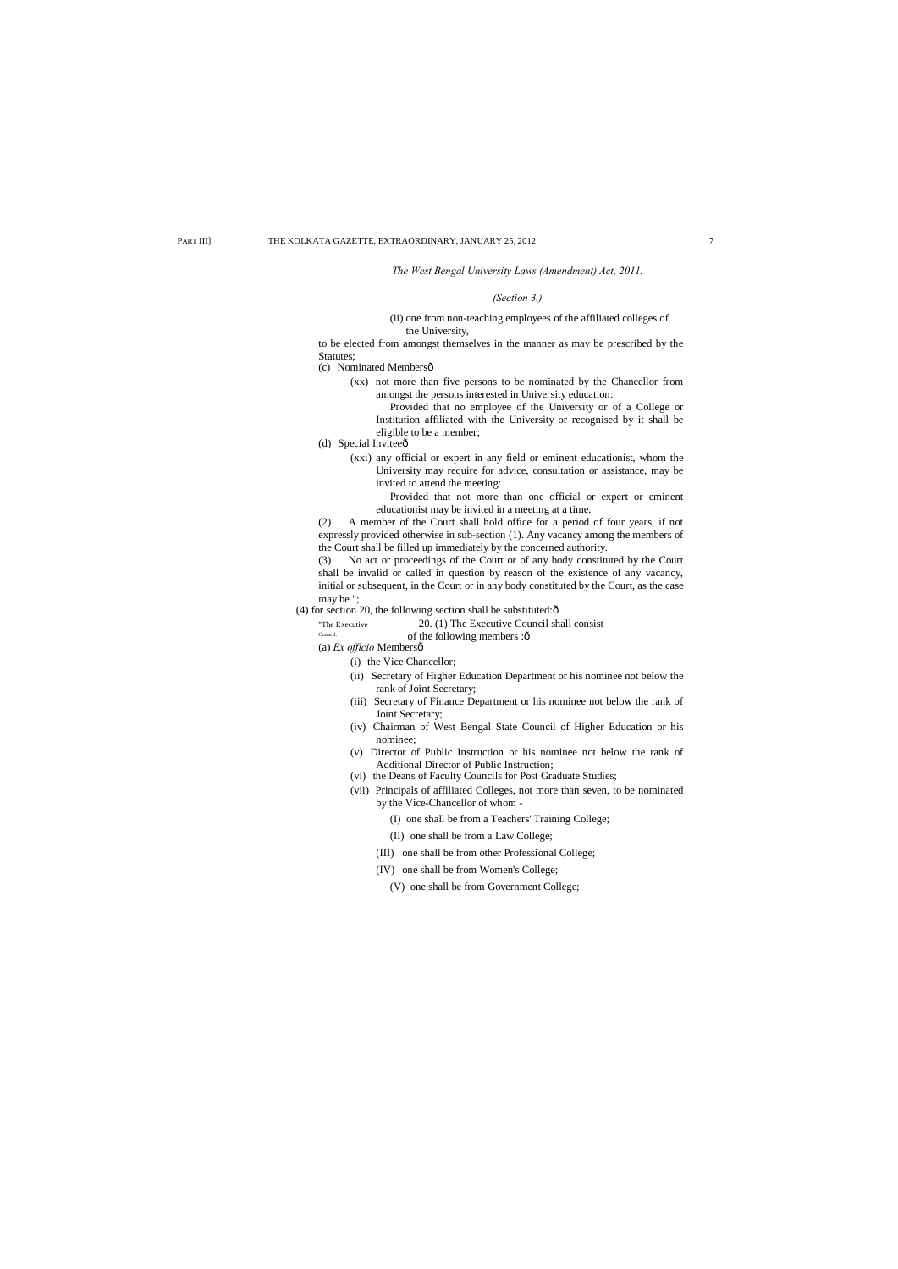#### *The West Bengal University Laws (Amendment) Act, 2011.*

#### *(Section 3.)*

#### (ii) one from non-teaching employees of the affiliated colleges of the University,

to be elected from amongst themselves in the manner as may be prescribed by the Statutes;

(c) Nominated Membersô

(xx) not more than five persons to be nominated by the Chancellor from amongst the persons interested in University education:

- (d) Special Inviteeô
	- (xxi) any official or expert in any field or eminent educationist, whom the University may require for advice, consultation or assistance, may be invited to attend the meeting:

Provided that no employee of the University or of a College or Institution affiliated with the University or recognised by it shall be eligible to be a member;

Provided that not more than one official or expert or eminent educationist may be invited in a meeting at a time.

(2) A member of the Court shall hold office for a period of four years, if not expressly provided otherwise in sub-section (1). Any vacancy among the members of the Court shall be filled up immediately by the concerned authority.

(3) No act or proceedings of the Court or of any body constituted by the Court

shall be invalid or called in question by reason of the existence of any vacancy, initial or subsequent, in the Court or in any body constituted by the Court, as the case may be.";

(4) for section 20, the following section shall be substituted: $\hat{o}$ 

"The Executive 20. (1) The Executive Council shall consist

Council. of the following members :  $\hat{o}$ 

(a) *Ex officio* Members—

#### (i) the Vice Chancellor;

- (ii) Secretary of Higher Education Department or his nominee not below the rank of Joint Secretary;
- (iii) Secretary of Finance Department or his nominee not below the rank of Joint Secretary;
- (iv) Chairman of West Bengal State Council of Higher Education or his nominee;
- (v) Director of Public Instruction or his nominee not below the rank of Additional Director of Public Instruction;
- (vi) the Deans of Faculty Councils for Post Graduate Studies;
- (vii) Principals of affiliated Colleges, not more than seven, to be nominated by the Vice-Chancellor of whom -
	- (I) one shall be from a Teachers' Training College;
	- (II) one shall be from a Law College;
	- (III) one shall be from other Professional College;
	- (IV) one shall be from Women's College;
		- (V) one shall be from Government College;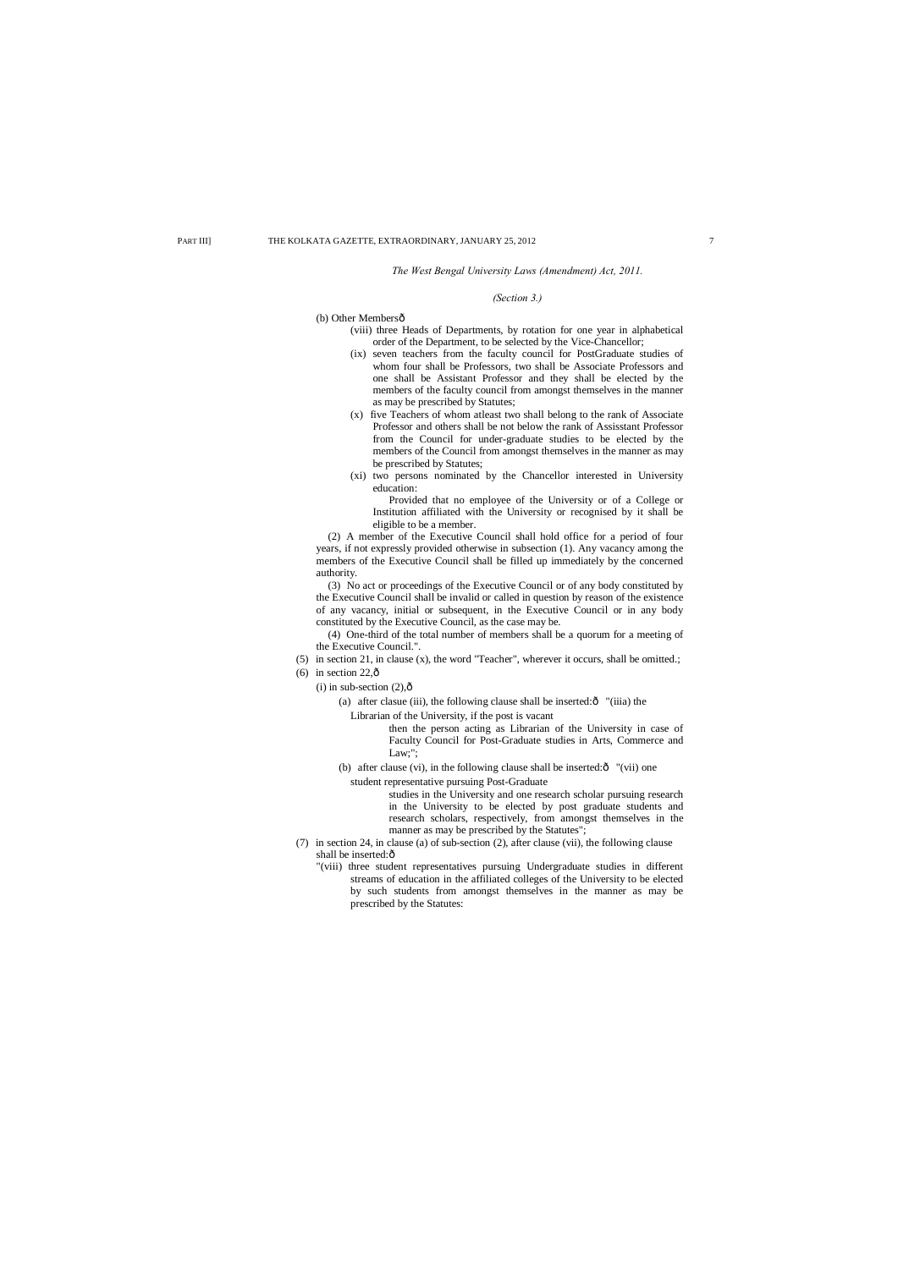*The West Bengal University Laws (Amendment) Act, 2011.*

#### *(Section 3.)*

(b) Other Membersô

- (viii) three Heads of Departments, by rotation for one year in alphabetical order of the Department, to be selected by the Vice-Chancellor;
- (ix) seven teachers from the faculty council for PostGraduate studies of whom four shall be Professors, two shall be Associate Professors and one shall be Assistant Professor and they shall be elected by the members of the faculty council from amongst themselves in the manner as may be prescribed by Statutes;
- (x) five Teachers of whom atleast two shall belong to the rank of Associate Professor and others shall be not below the rank of Assisstant Professor from the Council for under-graduate studies to be elected by the members of the Council from amongst themselves in the manner as may be prescribed by Statutes;
- (xi) two persons nominated by the Chancellor interested in University education:

Provided that no employee of the University or of a College or Institution affiliated with the University or recognised by it shall be eligible to be a member.

(2) A member of the Executive Council shall hold office for a period of four years, if not expressly provided otherwise in subsection (1). Any vacancy among the members of the Executive Council shall be filled up immediately by the concerned authority.

- (b) after clause (vi), in the following clause shall be inserted: $\hat{o}$  "(vii) one student representative pursuing Post-Graduate
	- studies in the University and one research scholar pursuing research in the University to be elected by post graduate students and research scholars, respectively, from amongst themselves in the manner as may be prescribed by the Statutes";
- (7) in section 24, in clause (a) of sub-section (2), after clause (vii), the following clause shall be inserted: $\hat{o}$ 
	- "(viii) three student representatives pursuing Undergraduate studies in different streams of education in the affiliated colleges of the University to be elected by such students from amongst themselves in the manner as may be prescribed by the Statutes:

(3) No act or proceedings of the Executive Council or of any body constituted by the Executive Council shall be invalid or called in question by reason of the existence of any vacancy, initial or subsequent, in the Executive Council or in any body constituted by the Executive Council, as the case may be.

(4) One-third of the total number of members shall be a quorum for a meeting of the Executive Council.".

- (5) in section 21, in clause (x), the word "Teacher", wherever it occurs, shall be omitted.;
- (6) in section  $22,0$ 
	- (i) in sub-section  $(2),\hat{0}$ 
		- (a) after clasue (iii), the following clause shall be inserted: $\delta$  "(iiia) the Librarian of the University, if the post is vacant

then the person acting as Librarian of the University in case of Faculty Council for Post-Graduate studies in Arts, Commerce and Law;";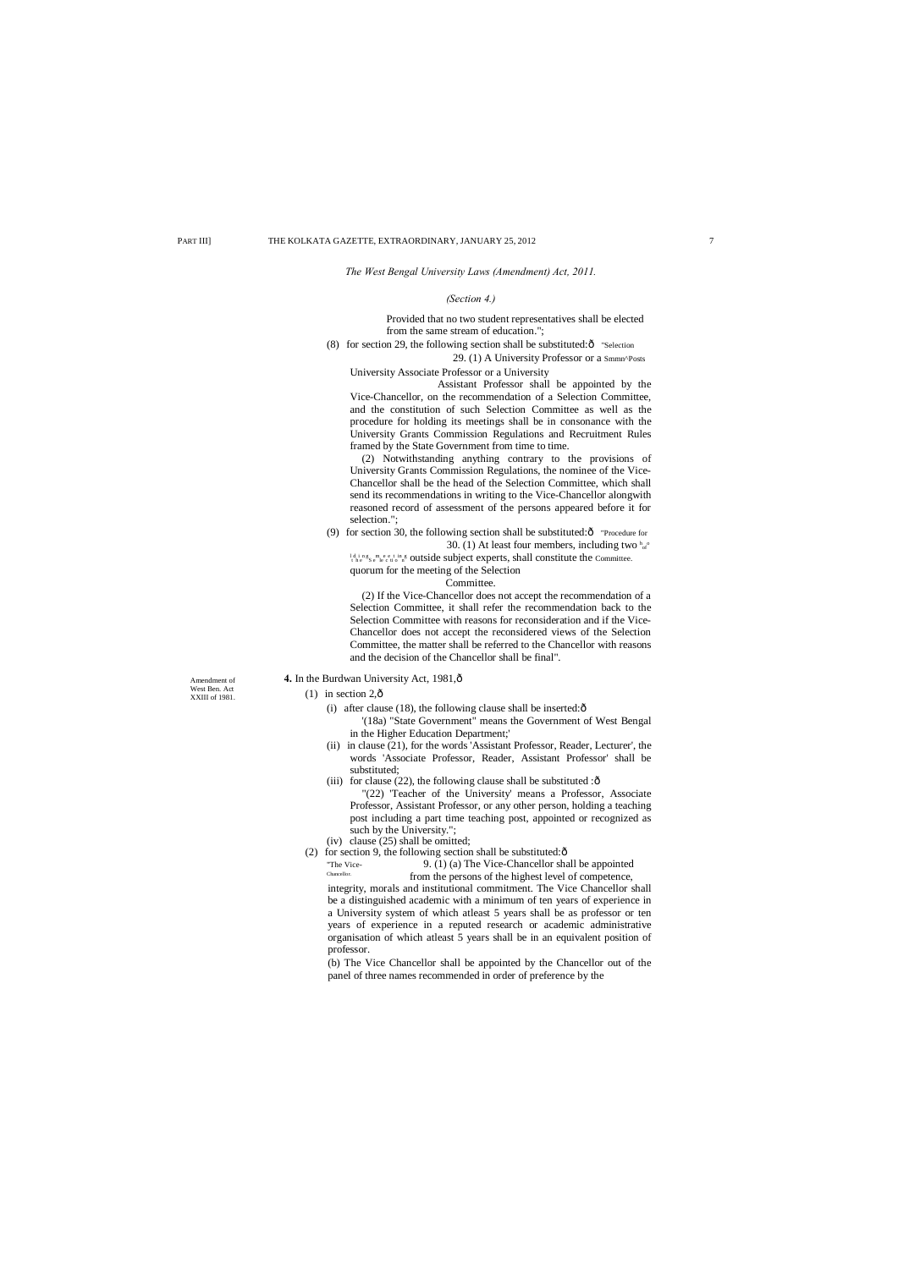Amendment of West Ben. Act XXIII of 1981.

#### $(1)$  in section 2, $\hat{\text{o}}$

4. In the Burdwan University Act, 1981, $\hat{o}$ 

- (i) after clause (18), the following clause shall be inserted: $\hat{o}$ 
	- '(18a) "State Government" means the Government of West Bengal in the Higher Education Department;'
- (ii) in clause (21), for the words 'Assistant Professor, Reader, Lecturer', the words 'Associate Professor, Reader, Assistant Professor' shall be substituted;
- (iii) for clause (22), the following clause shall be substituted : $\delta$
- "(22) 'Teacher of the University' means a Professor, Associate Professor, Assistant Professor, or any other person, holding a teaching post including a part time teaching post, appointed or recognized as such by the University.";
- (iv) clause (25) shall be omitted;
- (2) for section 9, the following section shall be substituted: $\hat{o}$

*The West Bengal University Laws (Amendment) Act, 2011.*

#### *(Section 4.)*

Provided that no two student representatives shall be elected from the same stream of education.";

(8) for section 29, the following section shall be substituted: $\hat{o}$  "Selection"

29. (1) A University Professor or a Smmn^Posts University Associate Professor or a University

Assistant Professor shall be appointed by the Vice-Chancellor, on the recommendation of a Selection Committee, and the constitution of such Selection Committee as well as the procedure for holding its meetings shall be in consonance with the University Grants Commission Regulations and Recruitment Rules framed by the State Government from time to time.

(2) Notwithstanding anything contrary to the provisions of University Grants Commission Regulations, the nominee of the Vice-Chancellor shall be the head of the Selection Committee, which shall send its recommendations in writing to the Vice-Chancellor alongwith reasoned record of assessment of the persons appeared before it for selection.";

(9) for section 30, the following section shall be substituted: $\hat{o}$  "Procedure for 30. (1) At least four members, including two  $_{\text{of}}^{\text{h}}$ 

lding meeting outside subject experts, shall constitute the Committee.

quorum for the meeting of the Selection

Committee.

(2) If the Vice-Chancellor does not accept the recommendation of a Selection Committee, it shall refer the recommendation back to the Selection Committee with reasons for reconsideration and if the Vice-Chancellor does not accept the reconsidered views of the Selection Committee, the matter shall be referred to the Chancellor with reasons and the decision of the Chancellor shall be final".

"The Vice- 9. (1) (a) The Vice-Chancellor shall be appointed Chancellor. from the persons of the highest level of competence,

integrity, morals and institutional commitment. The Vice Chancellor shall be a distinguished academic with a minimum of ten years of experience in a University system of which atleast 5 years shall be as professor or ten years of experience in a reputed research or academic administrative organisation of which atleast 5 years shall be in an equivalent position of professor.

(b) The Vice Chancellor shall be appointed by the Chancellor out of the panel of three names recommended in order of preference by the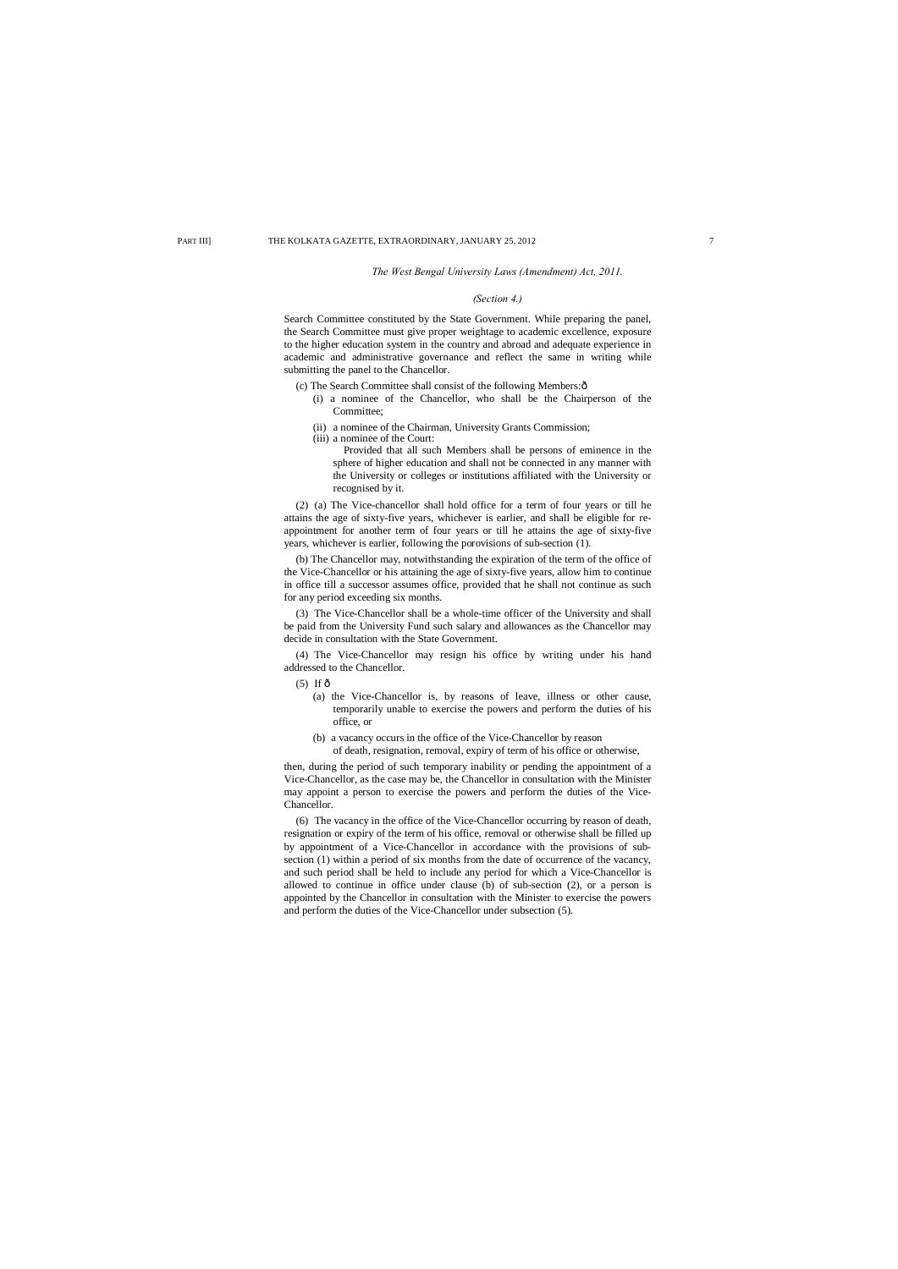#### *The West Bengal University Laws (Amendment) Act, 2011.*

#### *(Section 4.)*

Search Committee constituted by the State Government. While preparing the panel, the Search Committee must give proper weightage to academic excellence, exposure to the higher education system in the country and abroad and adequate experience in academic and administrative governance and reflect the same in writing while submitting the panel to the Chancellor.

- (c) The Search Committee shall consist of the following Members: $\hat{o}$ 
	- (i) a nominee of the Chancellor, who shall be the Chairperson of the Committee;
	- (ii) a nominee of the Chairman, University Grants Commission;
- (iii) a nominee of the Court:

Provided that all such Members shall be persons of eminence in the sphere of higher education and shall not be connected in any manner with the University or colleges or institutions affiliated with the University or recognised by it.

(2) (a) The Vice-chancellor shall hold office for a term of four years or till he attains the age of sixty-five years, whichever is earlier, and shall be eligible for reappointment for another term of four years or till he attains the age of sixty-five years, whichever is earlier, following the porovisions of sub-section (1).

(b) The Chancellor may, notwithstanding the expiration of the term of the office of the Vice-Chancellor or his attaining the age of sixty-five years, allow him to continue in office till a successor assumes office, provided that he shall not continue as such for any period exceeding six months.

(3) The Vice-Chancellor shall be a whole-time officer of the University and shall be paid from the University Fund such salary and allowances as the Chancellor may decide in consultation with the State Government.

(4) The Vice-Chancellor may resign his office by writing under his hand addressed to the Chancellor.

 $(5)$  If  $\hat{\text{o}}$ 

- (a) the Vice-Chancellor is, by reasons of leave, illness or other cause, temporarily unable to exercise the powers and perform the duties of his office, or
- (b) a vacancy occurs in the office of the Vice-Chancellor by reason of death, resignation, removal, expiry of term of his office or otherwise,

then, during the period of such temporary inability or pending the appointment of a Vice-Chancellor, as the case may be, the Chancellor in consultation with the Minister may appoint a person to exercise the powers and perform the duties of the Vice-Chancellor.

(6) The vacancy in the office of the Vice-Chancellor occurring by reason of death, resignation or expiry of the term of his office, removal or otherwise shall be filled up by appointment of a Vice-Chancellor in accordance with the provisions of subsection (1) within a period of six months from the date of occurrence of the vacancy, and such period shall be held to include any period for which a Vice-Chancellor is allowed to continue in office under clause (b) of sub-section (2), or a person is appointed by the Chancellor in consultation with the Minister to exercise the powers and perform the duties of the Vice-Chancellor under subsection (5).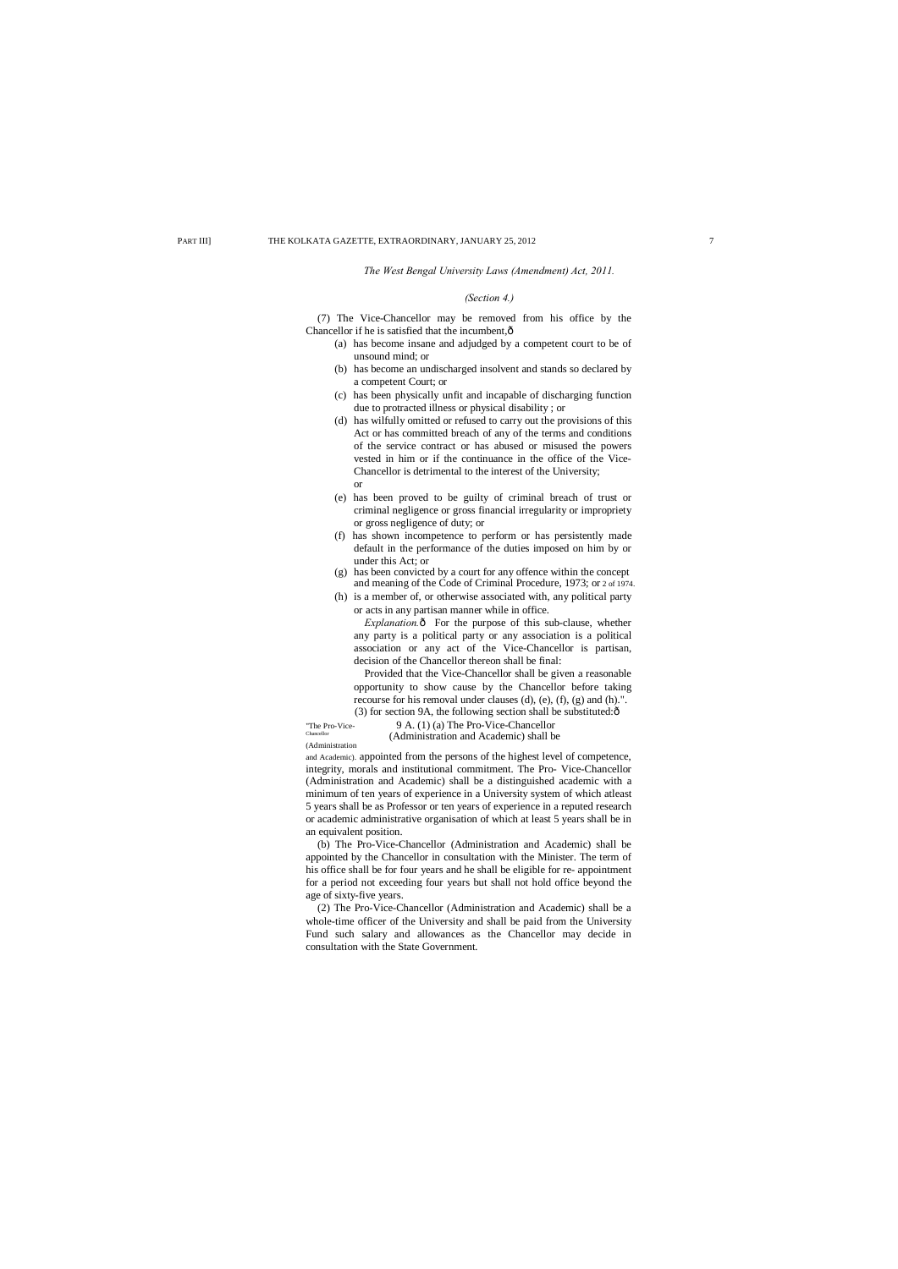(7) The Vice-Chancellor may be removed from his office by the Chancellor if he is satisfied that the incumbent, $\hat{o}$ 

*The West Bengal University Laws (Amendment) Act, 2011.*

#### *(Section 4.)*

*Explanation.* $\hat{o}$  For the purpose of this sub-clause, whether any party is a political party or any association is a political association or any act of the Vice-Chancellor is partisan, decision of the Chancellor thereon shall be final:

Provided that the Vice-Chancellor shall be given a reasonable opportunity to show cause by the Chancellor before taking recourse for his removal under clauses (d), (e), (f), (g) and (h).". (3) for section 9A, the following section shall be substituted: $\delta$ 

- (a) has become insane and adjudged by a competent court to be of unsound mind; or
- (b) has become an undischarged insolvent and stands so declared by a competent Court; or
- (c) has been physically unfit and incapable of discharging function due to protracted illness or physical disability ; or
- (d) has wilfully omitted or refused to carry out the provisions of this Act or has committed breach of any of the terms and conditions of the service contract or has abused or misused the powers vested in him or if the continuance in the office of the Vice-Chancellor is detrimental to the interest of the University; or
- (e) has been proved to be guilty of criminal breach of trust or criminal negligence or gross financial irregularity or impropriety or gross negligence of duty; or
- (f) has shown incompetence to perform or has persistently made default in the performance of the duties imposed on him by or under this Act; or
- (g) has been convicted by a court for any offence within the concept and meaning of the Code of Criminal Procedure, 1973; or 2 of 1974.
- (h) is a member of, or otherwise associated with, any political party or acts in any partisan manner while in office.

"The Pro-Vice-  $9 A. (1) (a)$  The Pro-Vice-Chancellor (Administration and Academic) shall be (Administration

and Academic). appointed from the persons of the highest level of competence, integrity, morals and institutional commitment. The Pro- Vice-Chancellor (Administration and Academic) shall be a distinguished academic with a minimum of ten years of experience in a University system of which atleast 5 years shall be as Professor or ten years of experience in a reputed research or academic administrative organisation of which at least 5 years shall be in an equivalent position.

(b) The Pro-Vice-Chancellor (Administration and Academic) shall be appointed by the Chancellor in consultation with the Minister. The term of his office shall be for four years and he shall be eligible for re- appointment for a period not exceeding four years but shall not hold office beyond the age of sixty-five years.

(2) The Pro-Vice-Chancellor (Administration and Academic) shall be a whole-time officer of the University and shall be paid from the University Fund such salary and allowances as the Chancellor may decide in consultation with the State Government.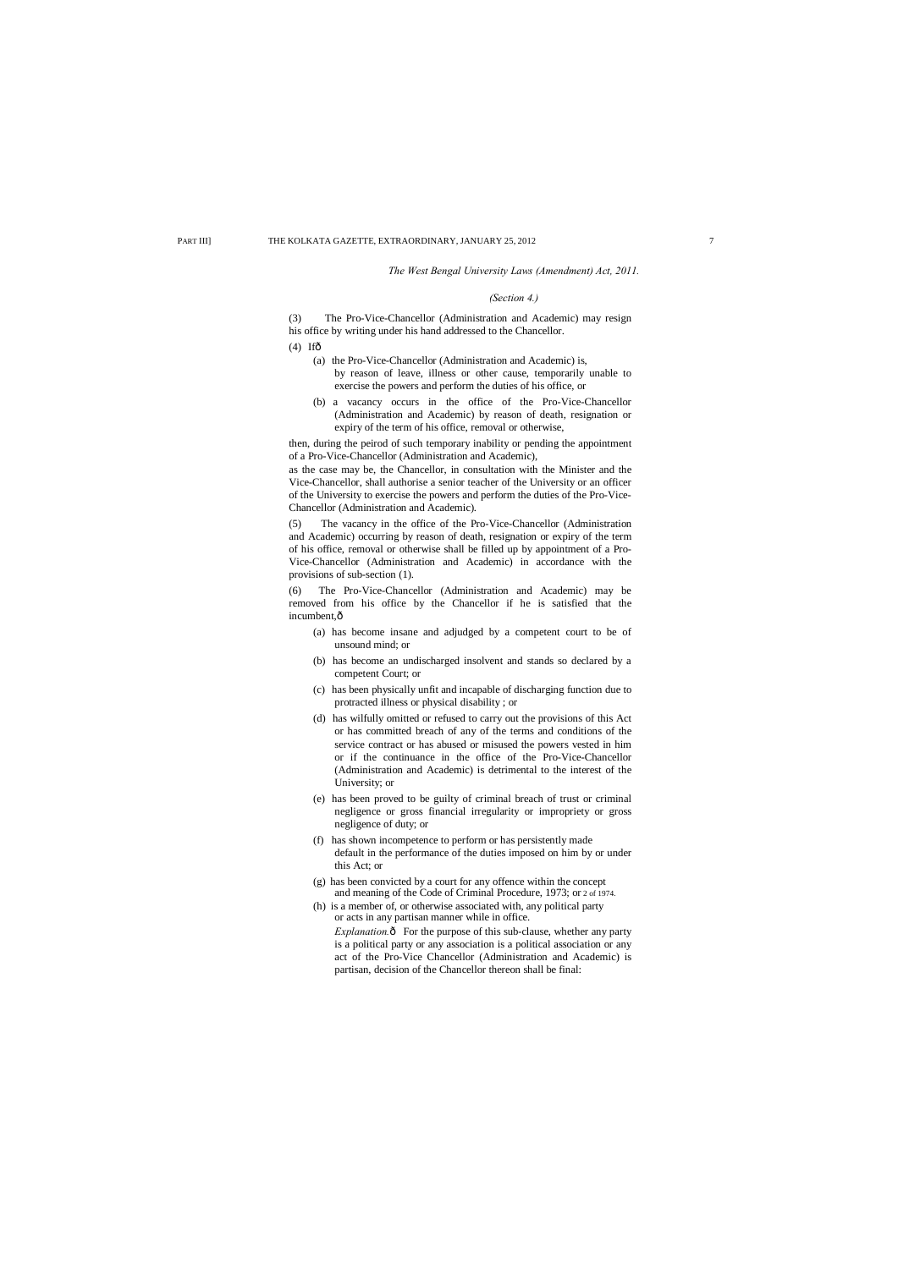#### *The West Bengal University Laws (Amendment) Act, 2011.*

#### *(Section 4.)*

(3) The Pro-Vice-Chancellor (Administration and Academic) may resign his office by writing under his hand addressed to the Chancellor.

- $(4)$  Ifô
	- (a) the Pro-Vice-Chancellor (Administration and Academic) is, by reason of leave, illness or other cause, temporarily unable to exercise the powers and perform the duties of his office, or
	- (b) a vacancy occurs in the office of the Pro-Vice-Chancellor (Administration and Academic) by reason of death, resignation or expiry of the term of his office, removal or otherwise,

(6) The Pro-Vice-Chancellor (Administration and Academic) may be removed from his office by the Chancellor if he is satisfied that the incumbent, ô

then, during the peirod of such temporary inability or pending the appointment of a Pro-Vice-Chancellor (Administration and Academic),

as the case may be, the Chancellor, in consultation with the Minister and the Vice-Chancellor, shall authorise a senior teacher of the University or an officer of the University to exercise the powers and perform the duties of the Pro-Vice-Chancellor (Administration and Academic).

(5) The vacancy in the office of the Pro-Vice-Chancellor (Administration and Academic) occurring by reason of death, resignation or expiry of the term of his office, removal or otherwise shall be filled up by appointment of a Pro-Vice-Chancellor (Administration and Academic) in accordance with the provisions of sub-section (1).

- (a) has become insane and adjudged by a competent court to be of unsound mind; or
- (b) has become an undischarged insolvent and stands so declared by a competent Court; or
- (c) has been physically unfit and incapable of discharging function due to protracted illness or physical disability ; or
- (d) has wilfully omitted or refused to carry out the provisions of this Act or has committed breach of any of the terms and conditions of the service contract or has abused or misused the powers vested in him or if the continuance in the office of the Pro-Vice-Chancellor (Administration and Academic) is detrimental to the interest of the University; or
- (e) has been proved to be guilty of criminal breach of trust or criminal negligence or gross financial irregularity or impropriety or gross negligence of duty; or
- (f) has shown incompetence to perform or has persistently made default in the performance of the duties imposed on him by or under this Act; or
- (g) has been convicted by a court for any offence within the concept and meaning of the Code of Criminal Procedure, 1973; or 2 of 1974.
- (h) is a member of, or otherwise associated with, any political party or acts in any partisan manner while in office. *Explanation.* $\hat{o}$  For the purpose of this sub-clause, whether any party is a political party or any association is a political association or any act of the Pro-Vice Chancellor (Administration and Academic) is

partisan, decision of the Chancellor thereon shall be final: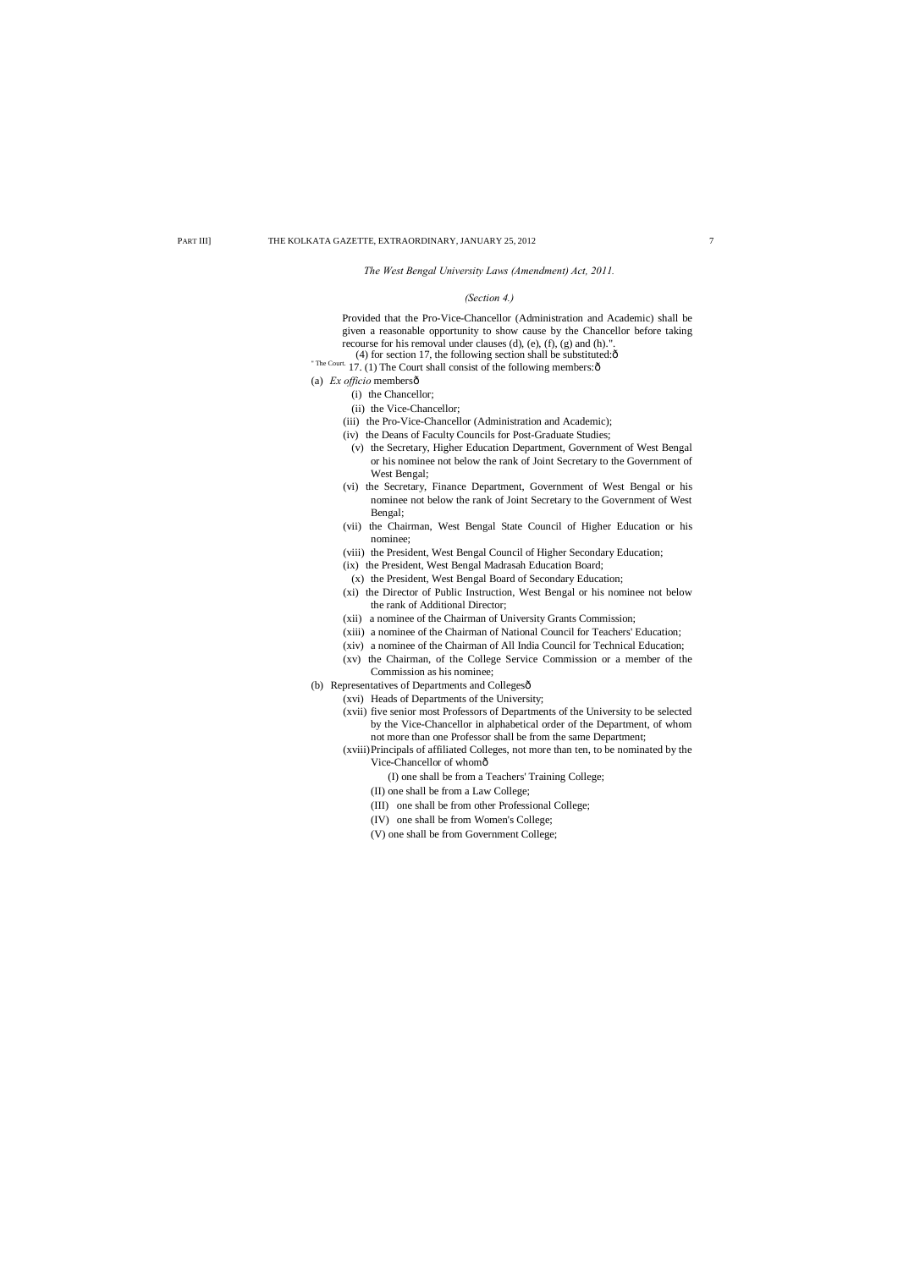*The West Bengal University Laws (Amendment) Act, 2011.*

# *(Section 4.)*

Provided that the Pro-Vice-Chancellor (Administration and Academic) shall be given a reasonable opportunity to show cause by the Chancellor before taking recourse for his removal under clauses (d), (e), (f), (g) and (h).".

- (4) for section 17, the following section shall be substituted: $\hat{o}$
- " The Court. 17. (1) The Court shall consist of the following members: $\delta$
- (a) *Ex officio* membersô
	- (i) the Chancellor;
	- (ii) the Vice-Chancellor;
	- (iii) the Pro-Vice-Chancellor (Administration and Academic);
	- (iv) the Deans of Faculty Councils for Post-Graduate Studies;
		- (v) the Secretary, Higher Education Department, Government of West Bengal or his nominee not below the rank of Joint Secretary to the Government of West Bengal;
	- (vi) the Secretary, Finance Department, Government of West Bengal or his nominee not below the rank of Joint Secretary to the Government of West Bengal;
	- (vii) the Chairman, West Bengal State Council of Higher Education or his nominee;
	- (viii) the President, West Bengal Council of Higher Secondary Education;
	- (ix) the President, West Bengal Madrasah Education Board;
	- (x) the President, West Bengal Board of Secondary Education;
	- (xi) the Director of Public Instruction, West Bengal or his nominee not below the rank of Additional Director;
	- (xii) a nominee of the Chairman of University Grants Commission;
	- (xiii) a nominee of the Chairman of National Council for Teachers' Education;
	- (xiv) a nominee of the Chairman of All India Council for Technical Education;
	- (xv) the Chairman, of the College Service Commission or a member of the Commission as his nominee;
- (b) Representatives of Departments and Collegesô
	- (xvi) Heads of Departments of the University;
	- (xvii) five senior most Professors of Departments of the University to be selected by the Vice-Chancellor in alphabetical order of the Department, of whom not more than one Professor shall be from the same Department;
	- (xviii)Principals of affiliated Colleges, not more than ten, to be nominated by the Vice-Chancellor of whom—
		- (I) one shall be from a Teachers' Training College;

(II) one shall be from a Law College;

- (III) one shall be from other Professional College;
- (IV) one shall be from Women's College;
- (V) one shall be from Government College;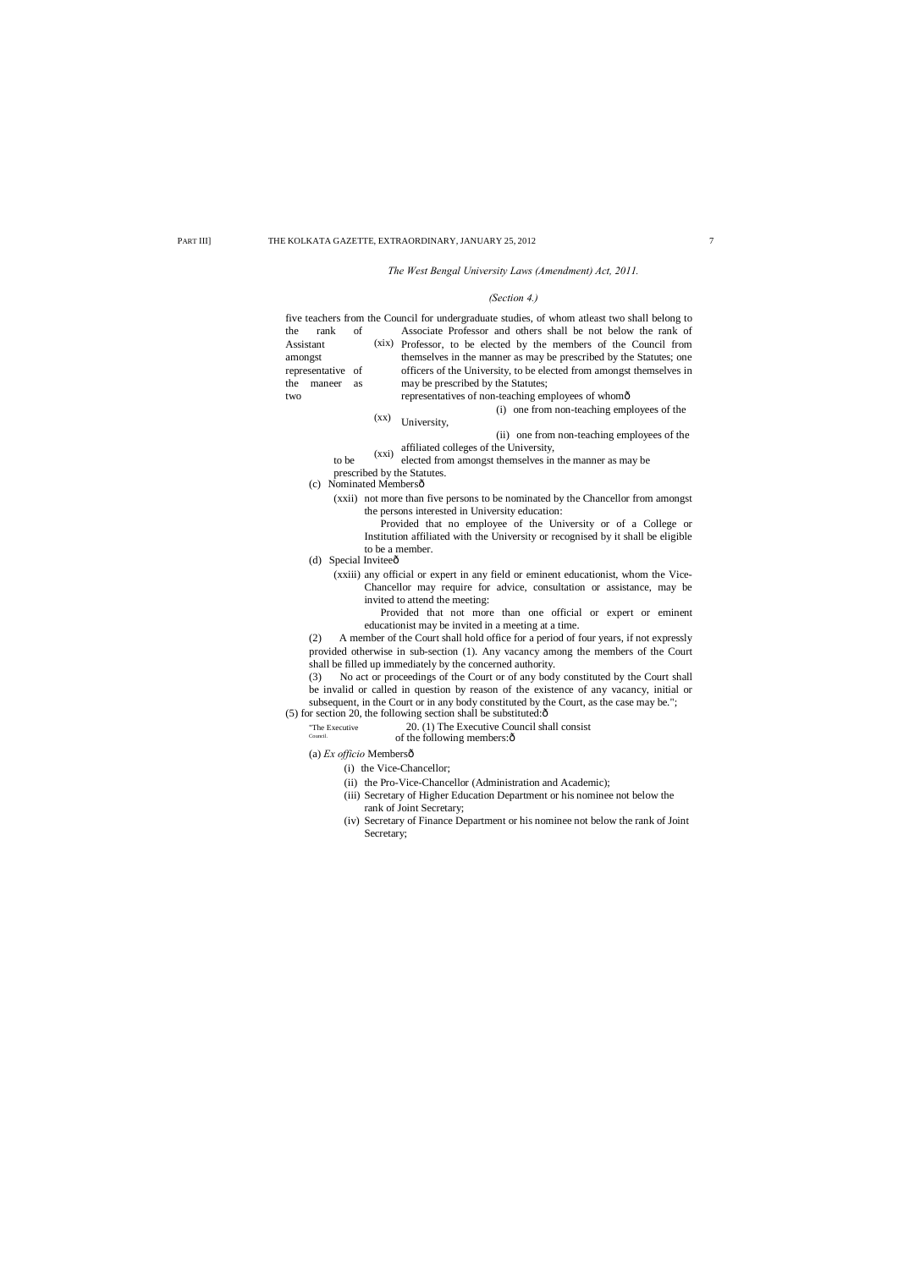#### *The West Bengal University Laws (Amendment) Act, 2011.*

#### *(Section 4.)*

Assistant (xix) Professor, to be elected by the members of the Council from (xx) (xxi) affiliated colleges of the University, five teachers from the Council for undergraduate studies, of whom atleast two shall belong to the rank of Associate Professor and others shall be not below the rank of amongst themselves in the manner as may be prescribed by the Statutes; one representative of officers of the University, to be elected from amongst themselves in the maneer as may be prescribed by the Statutes; two representatives of non-teaching employees of whomô (i) one from non-teaching employees of the University, (ii) one from non-teaching employees of the to be  $(AA)$  elected from amongst themselves in the manner as may be prescribed by the Statutes. (c) Nominated Membersô (xxii) not more than five persons to be nominated by the Chancellor from amongst the persons interested in University education: Provided that no employee of the University or of a College or Institution affiliated with the University or recognised by it shall be eligible to be a member. (d) Special Inviteeô (xxiii) any official or expert in any field or eminent educationist, whom the Vice-Chancellor may require for advice, consultation or assistance, may be invited to attend the meeting: Provided that not more than one official or expert or eminent educationist may be invited in a meeting at a time. (2) A member of the Court shall hold office for a period of four years, if not expressly provided otherwise in sub-section (1). Any vacancy among the members of the Court shall be filled up immediately by the concerned authority. (3) No act or proceedings of the Court or of any body constituted by the Court shall be invalid or called in question by reason of the existence of any vacancy, initial or subsequent, in the Court or in any body constituted by the Court, as the case may be.";  $(5)$  for section 20, the following section shall be substituted: $\hat{\text{o}}$ "The Executive 20. (1) The Executive Council shall consist<br>  $\sum_{\text{Counti}}$  of the following members: of the following members: $\hat{o}$ (a) *Ex officio* Membersô (i) the Vice-Chancellor; (ii) the Pro-Vice-Chancellor (Administration and Academic); (iii) Secretary of Higher Education Department or his nominee not below the rank of Joint Secretary; (iv) Secretary of Finance Department or his nominee not below the rank of Joint Secretary;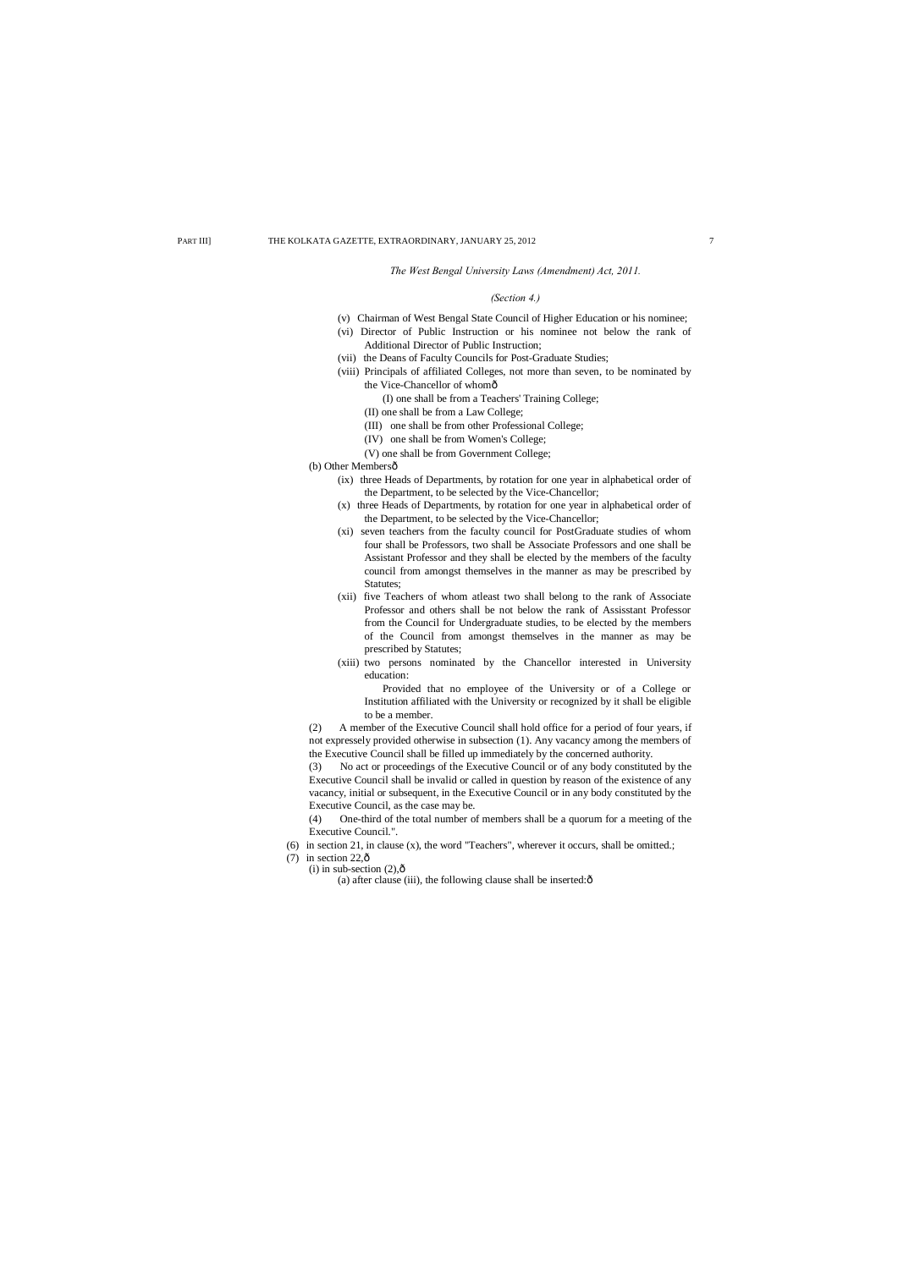- (v) Chairman of West Bengal State Council of Higher Education or his nominee;
- (vi) Director of Public Instruction or his nominee not below the rank of Additional Director of Public Instruction;
- (vii) the Deans of Faculty Councils for Post-Graduate Studies;
- (viii) Principals of affiliated Colleges, not more than seven, to be nominated by the Vice-Chancellor of whomô

#### *The West Bengal University Laws (Amendment) Act, 2011.*

#### *(Section 4.)*

(I) one shall be from a Teachers' Training College;

(II) one shall be from a Law College;

- (III) one shall be from other Professional College;
- (IV) one shall be from Women's College;
- (V) one shall be from Government College;

(b) Other Membersô

- (ix) three Heads of Departments, by rotation for one year in alphabetical order of the Department, to be selected by the Vice-Chancellor;
- (x) three Heads of Departments, by rotation for one year in alphabetical order of the Department, to be selected by the Vice-Chancellor;
- (xi) seven teachers from the faculty council for PostGraduate studies of whom four shall be Professors, two shall be Associate Professors and one shall be Assistant Professor and they shall be elected by the members of the faculty council from amongst themselves in the manner as may be prescribed by Statutes;
- (xii) five Teachers of whom atleast two shall belong to the rank of Associate Professor and others shall be not below the rank of Assisstant Professor from the Council for Undergraduate studies, to be elected by the members of the Council from amongst themselves in the manner as may be prescribed by Statutes;
- (xiii) two persons nominated by the Chancellor interested in University education:

- (6) in section 21, in clause (x), the word "Teachers", wherever it occurs, shall be omitted.;
- (7) in section 22, $\hat{\text{o}}$ 
	- (i) in sub-section  $(2),\hat{0}$ 
		- (a) after clause (iii), the following clause shall be inserted: $\hat{o}$

Provided that no employee of the University or of a College or Institution affiliated with the University or recognized by it shall be eligible to be a member.

(2) A member of the Executive Council shall hold office for a period of four years, if not expressely provided otherwise in subsection (1). Any vacancy among the members of the Executive Council shall be filled up immediately by the concerned authority.

(3) No act or proceedings of the Executive Council or of any body constituted by the Executive Council shall be invalid or called in question by reason of the existence of any vacancy, initial or subsequent, in the Executive Council or in any body constituted by the Executive Council, as the case may be.

(4) One-third of the total number of members shall be a quorum for a meeting of the Executive Council.".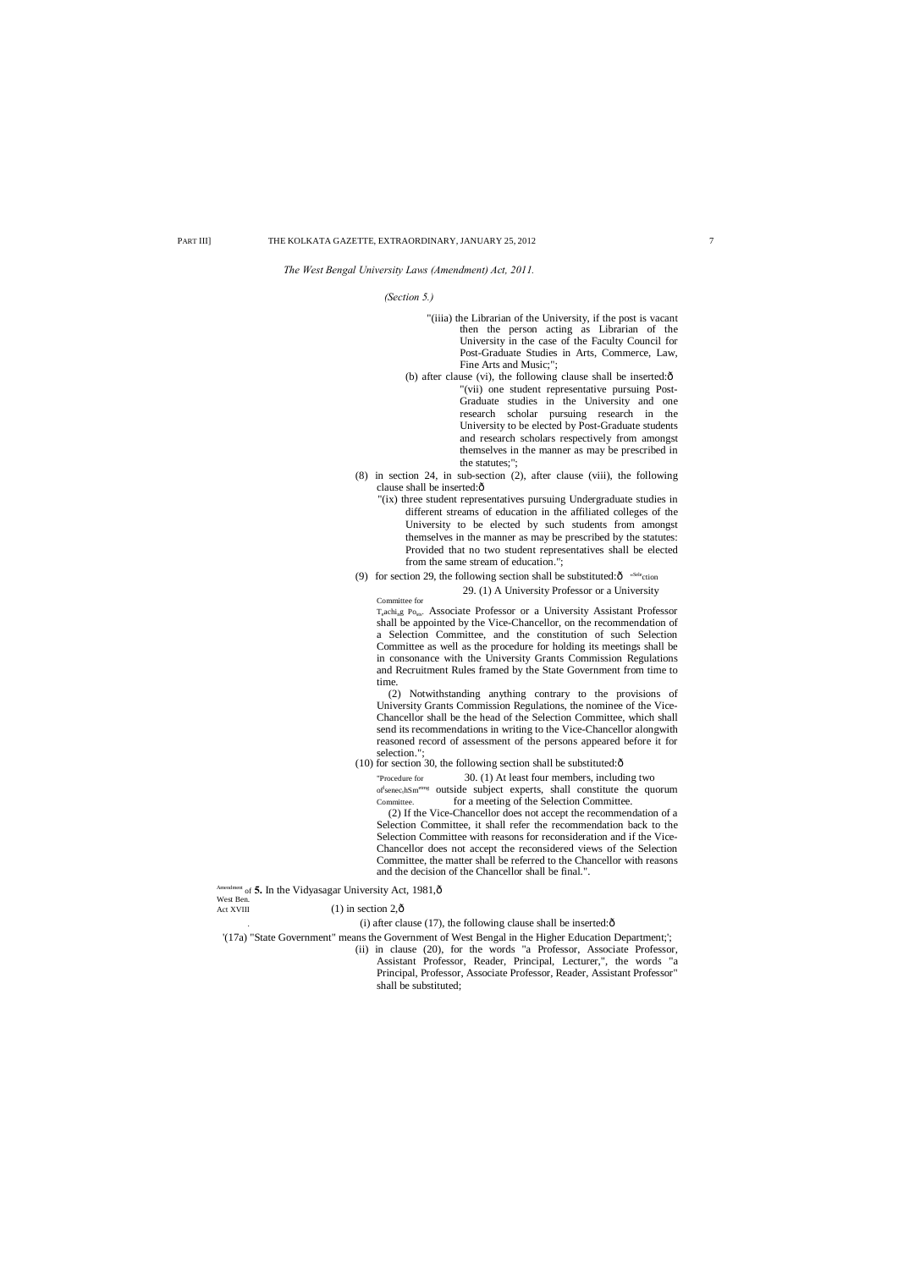- "(iiia) the Librarian of the University, if the post is vacant then the person acting as Librarian of the University in the case of the Faculty Council for Post-Graduate Studies in Arts, Commerce, Law, Fine Arts and Music;";
- (b) after clause (vi), the following clause shall be inserted: $\hat{o}$ "(vii) one student representative pursuing Post-Graduate studies in the University and one research scholar pursuing research in the University to be elected by Post-Graduate students and research scholars respectively from amongst themselves in the manner as may be prescribed in the statutes;";
- (8) in section 24, in sub-section (2), after clause (viii), the following clause shall be inserted: $\hat{o}$ 
	- "(ix) three student representatives pursuing Undergraduate studies in different streams of education in the affiliated colleges of the University to be elected by such students from amongst themselves in the manner as may be prescribed by the statutes: Provided that no two student representatives shall be elected from the same stream of education.";
- (9) for section 29, the following section shall be substituted: $\hat{O}$  "Selection"

#### *The West Bengal University Laws (Amendment) Act, 2011.*

#### *(Section 5.)*

## 29. (1) A University Professor or a University

Committee for T<sub>e</sub>achi<sub>n</sub>g Po<sub>sts</sub>. Associate Professor or a University Assistant Professor shall be appointed by the Vice-Chancellor, on the recommendation of a Selection Committee, and the constitution of such Selection Committee as well as the procedure for holding its meetings shall be in consonance with the University Grants Commission Regulations and Recruitment Rules framed by the State Government from time to time.

(2) Notwithstanding anything contrary to the provisions of University Grants Commission Regulations, the nominee of the Vice-Chancellor shall be the head of the Selection Committee, which shall send its recommendations in writing to the Vice-Chancellor alongwith reasoned record of assessment of the persons appeared before it for selection.";

 $(10)$  for section 30, the following section shall be substituted: $\hat{o}$ 

"Procedure for 30. (1) At least four members, including two  $of$ <sup>l</sup>senec<sub>t</sub>hSm<sup>etmg</sup> outside subject experts, shall constitute the quorum Committee. for a meeting of the Selection Committee.

(2) If the Vice-Chancellor does not accept the recommendation of a Selection Committee, it shall refer the recommendation back to the Selection Committee with reasons for reconsideration and if the Vice-Chancellor does not accept the reconsidered views of the Selection Committee, the matter shall be referred to the Chancellor with reasons and the decision of the Chancellor shall be final.".

<sup>Mment</sup> of 5. In the Vidyasagar University Act, 1981, ô West Ben.<br>Act XVIII

 $(1)$  in section 2, $\hat{\text{o}}$ 

 $(i)$  after clause (17), the following clause shall be inserted: $\delta$ 

'(17a) "State Government" means the Government of West Bengal in the Higher Education Department;';

(ii) in clause (20), for the words "a Professor, Associate Professor,

Assistant Professor, Reader, Principal, Lecturer,", the words "a Principal, Professor, Associate Professor, Reader, Assistant Professor" shall be substituted;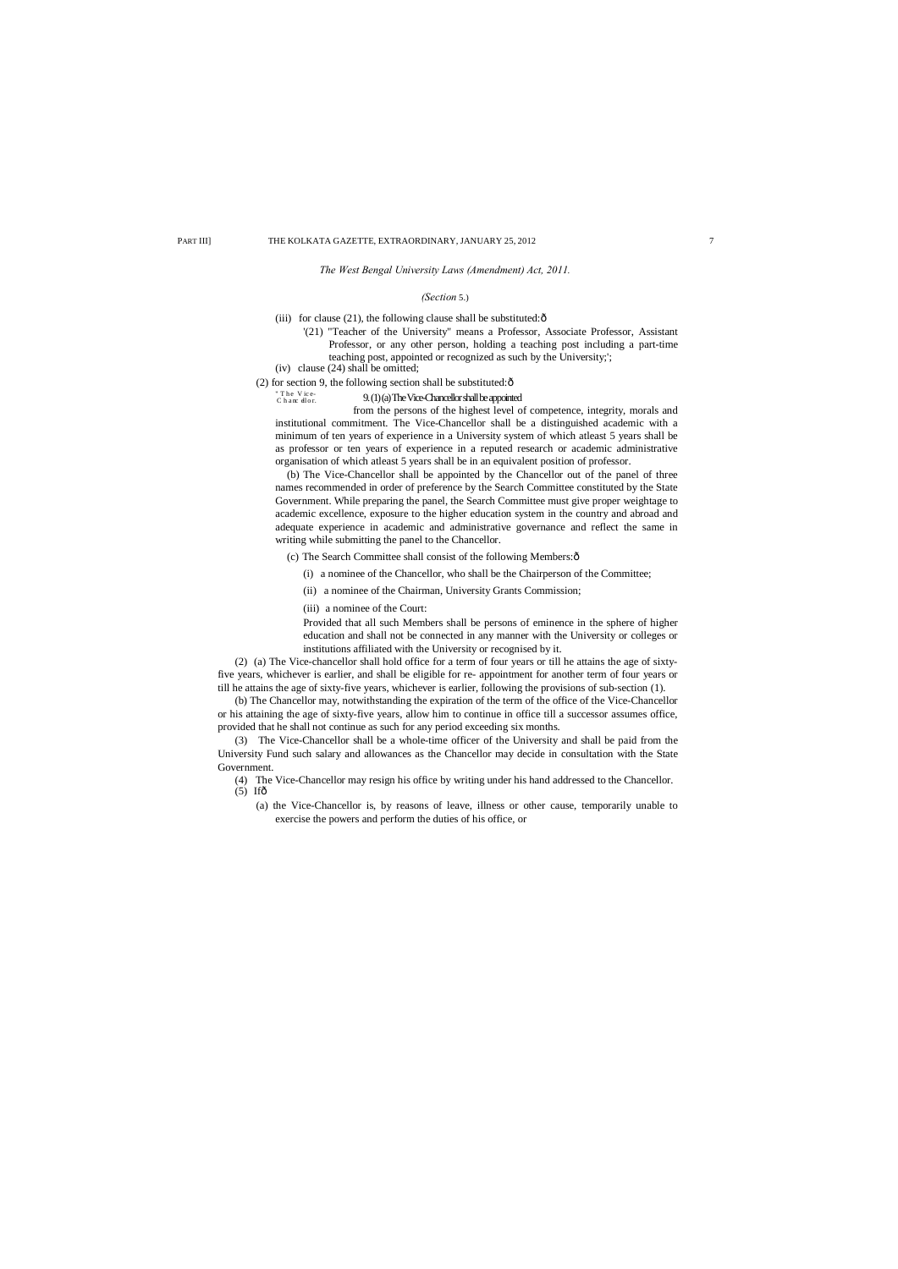*The West Bengal University Laws (Amendment) Act, 2011.*

#### *(Section* 5.)

(iii) for clause (21), the following clause shall be substituted: $\hat{o}$ 

" The Vice-<br>Chance dlor . 9. (1) (a) The Vice-Chancellor shall be appointed

- '(21) "Teacher of the University" means a Professor, Associate Professor, Assistant Professor, or any other person, holding a teaching post including a part-time teaching post, appointed or recognized as such by the University;';
- (iv) clause (24) shall be omitted;

(2) for section 9, the following section shall be substituted: $\hat{o}$ 

from the persons of the highest level of competence, integrity, morals and institutional commitment. The Vice-Chancellor shall be a distinguished academic with a minimum of ten years of experience in a University system of which atleast 5 years shall be as professor or ten years of experience in a reputed research or academic administrative organisation of which atleast 5 years shall be in an equivalent position of professor.

(b) The Vice-Chancellor shall be appointed by the Chancellor out of the panel of three names recommended in order of preference by the Search Committee constituted by the State Government. While preparing the panel, the Search Committee must give proper weightage to academic excellence, exposure to the higher education system in the country and abroad and adequate experience in academic and administrative governance and reflect the same in writing while submitting the panel to the Chancellor.

(c) The Search Committee shall consist of the following Members: $\hat{o}$ 

(4) The Vice-Chancellor may resign his office by writing under his hand addressed to the Chancellor.  $(5)$  If $\hat{\sigma}$ 

- (i) a nominee of the Chancellor, who shall be the Chairperson of the Committee;
- (ii) a nominee of the Chairman, University Grants Commission;
- (iii) a nominee of the Court:

Provided that all such Members shall be persons of eminence in the sphere of higher education and shall not be connected in any manner with the University or colleges or institutions affiliated with the University or recognised by it.

(2) (a) The Vice-chancellor shall hold office for a term of four years or till he attains the age of sixtyfive years, whichever is earlier, and shall be eligible for re- appointment for another term of four years or till he attains the age of sixty-five years, whichever is earlier, following the provisions of sub-section (1).

(b) The Chancellor may, notwithstanding the expiration of the term of the office of the Vice-Chancellor or his attaining the age of sixty-five years, allow him to continue in office till a successor assumes office, provided that he shall not continue as such for any period exceeding six months.

(3) The Vice-Chancellor shall be a whole-time officer of the University and shall be paid from the University Fund such salary and allowances as the Chancellor may decide in consultation with the State Government.

(a) the Vice-Chancellor is, by reasons of leave, illness or other cause, temporarily unable to exercise the powers and perform the duties of his office, or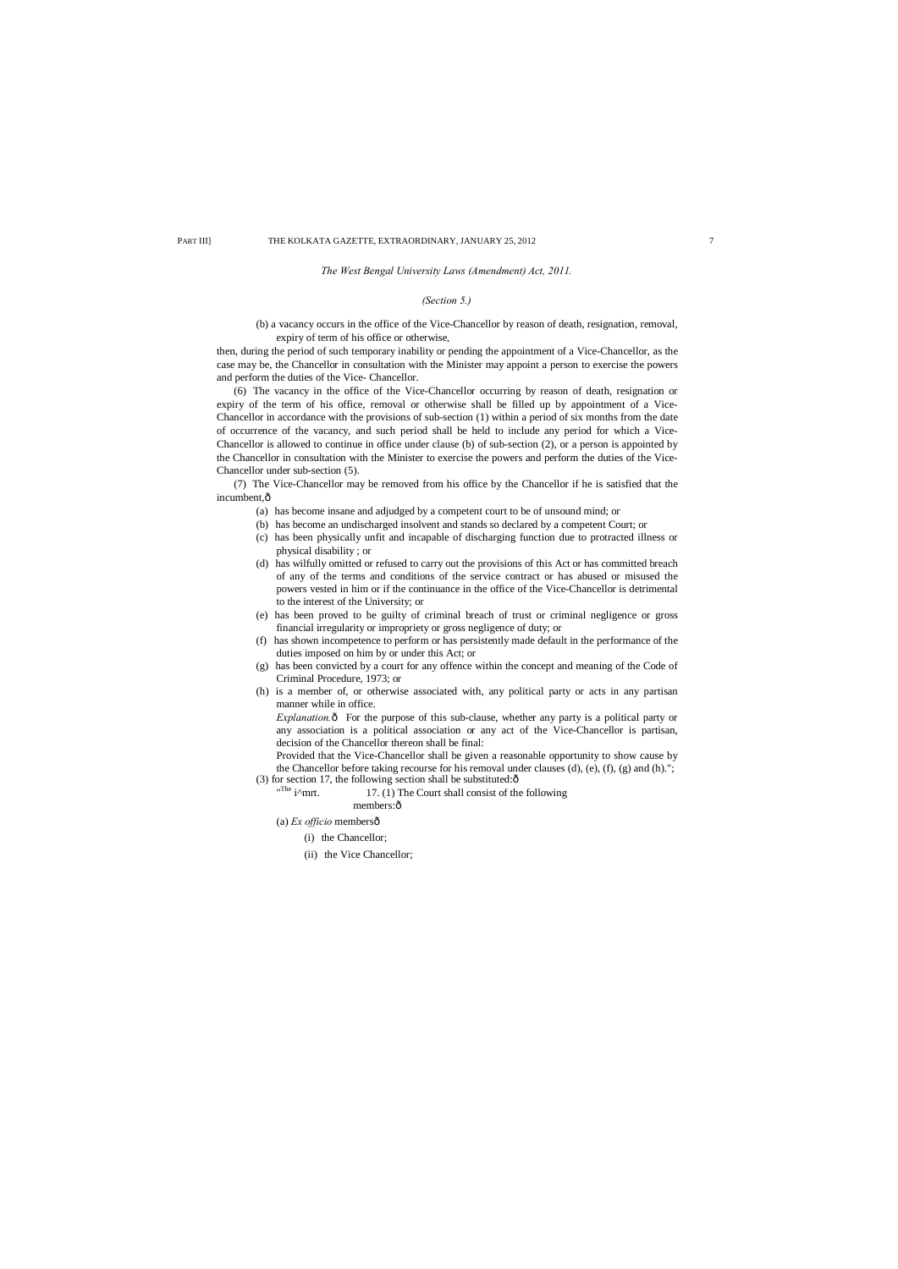*The West Bengal University Laws (Amendment) Act, 2011.*

### *(Section 5.)*

(b) a vacancy occurs in the office of the Vice-Chancellor by reason of death, resignation, removal, expiry of term of his office or otherwise,

then, during the period of such temporary inability or pending the appointment of a Vice-Chancellor, as the case may be, the Chancellor in consultation with the Minister may appoint a person to exercise the powers and perform the duties of the Vice- Chancellor.

(7) The Vice-Chancellor may be removed from his office by the Chancellor if he is satisfied that the incumbent, ô

(6) The vacancy in the office of the Vice-Chancellor occurring by reason of death, resignation or expiry of the term of his office, removal or otherwise shall be filled up by appointment of a Vice-Chancellor in accordance with the provisions of sub-section (1) within a period of six months from the date of occurrence of the vacancy, and such period shall be held to include any period for which a Vice-Chancellor is allowed to continue in office under clause (b) of sub-section (2), or a person is appointed by the Chancellor in consultation with the Minister to exercise the powers and perform the duties of the Vice-Chancellor under sub-section (5).

> *Explanation.* $\hat{o}$  For the purpose of this sub-clause, whether any party is a political party or any association is a political association or any act of the Vice-Chancellor is partisan, decision of the Chancellor thereon shall be final:

Provided that the Vice-Chancellor shall be given a reasonable opportunity to show cause by the Chancellor before taking recourse for his removal under clauses (d), (e), (f), (g) and (h)."; (3) for section 17, the following section shall be substituted: $\hat{o}$ 

- "The  $\mathrm{i}^{\wedge}\mathrm{mrt}.$ 17. (1) The Court shall consist of the following
	- members:ô

(a) *Ex officio* membersô

- (a) has become insane and adjudged by a competent court to be of unsound mind; or
- (b) has become an undischarged insolvent and stands so declared by a competent Court; or
- (c) has been physically unfit and incapable of discharging function due to protracted illness or physical disability ; or
- (d) has wilfully omitted or refused to carry out the provisions of this Act or has committed breach of any of the terms and conditions of the service contract or has abused or misused the powers vested in him or if the continuance in the office of the Vice-Chancellor is detrimental to the interest of the University; or
- (e) has been proved to be guilty of criminal breach of trust or criminal negligence or gross financial irregularity or impropriety or gross negligence of duty; or
- (f) has shown incompetence to perform or has persistently made default in the performance of the duties imposed on him by or under this Act; or
- (g) has been convicted by a court for any offence within the concept and meaning of the Code of Criminal Procedure, 1973; or
- (h) is a member of, or otherwise associated with, any political party or acts in any partisan manner while in office.

- (i) the Chancellor;
- (ii) the Vice Chancellor;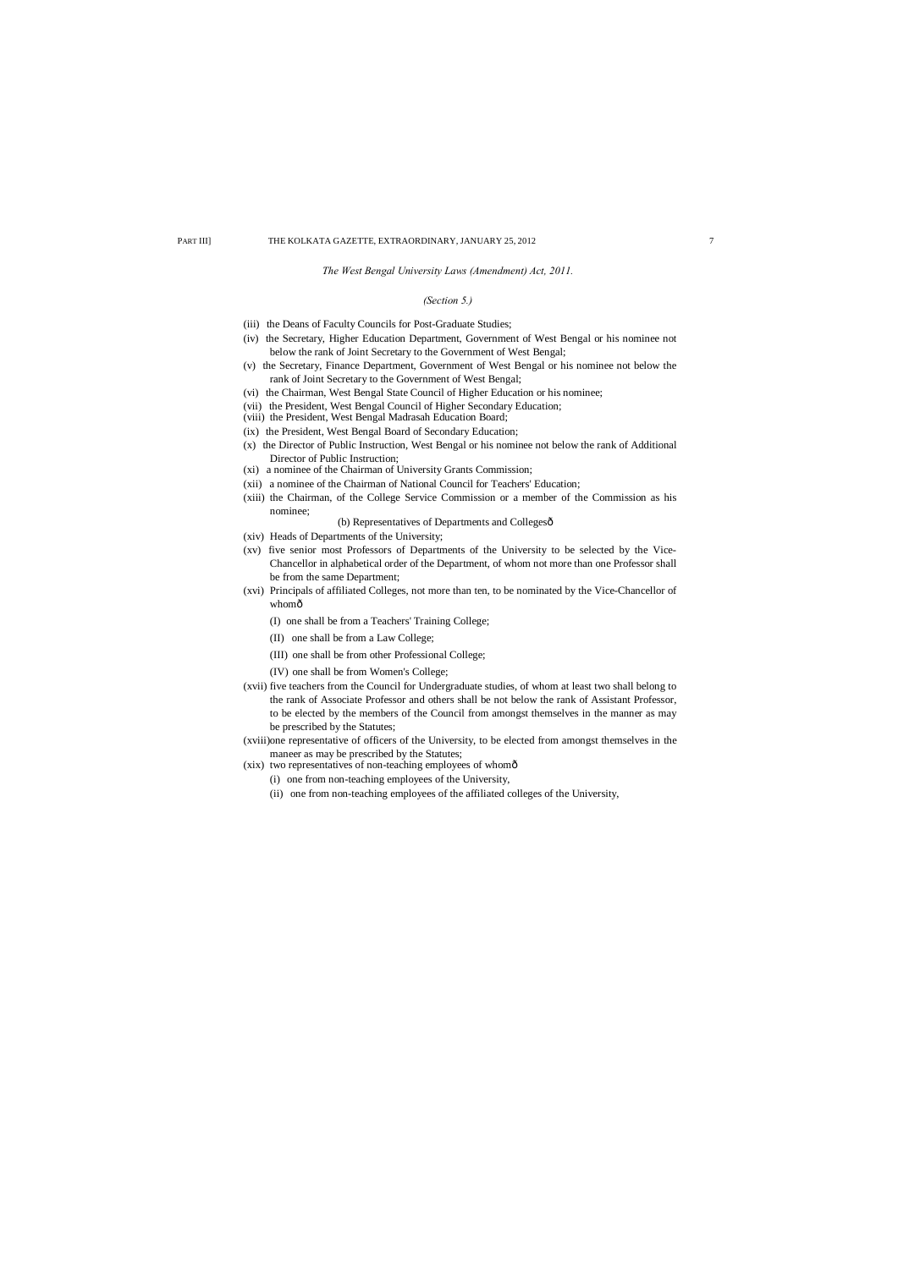#### *The West Bengal University Laws (Amendment) Act, 2011.*

#### *(Section 5.)*

- (iii) the Deans of Faculty Councils for Post-Graduate Studies;
- (iv) the Secretary, Higher Education Department, Government of West Bengal or his nominee not below the rank of Joint Secretary to the Government of West Bengal;
- (v) the Secretary, Finance Department, Government of West Bengal or his nominee not below the rank of Joint Secretary to the Government of West Bengal;
- (vi) the Chairman, West Bengal State Council of Higher Education or his nominee;
- (vii) the President, West Bengal Council of Higher Secondary Education;
- (viii) the President, West Bengal Madrasah Education Board;
- (ix) the President, West Bengal Board of Secondary Education;
- (x) the Director of Public Instruction, West Bengal or his nominee not below the rank of Additional Director of Public Instruction;
- (xi) a nominee of the Chairman of University Grants Commission;
- (xii) a nominee of the Chairman of National Council for Teachers' Education;
- (xiii) the Chairman, of the College Service Commission or a member of the Commission as his nominee;

# (b) Representatives of Departments and Collegesô

- (xiv) Heads of Departments of the University;
- (xv) five senior most Professors of Departments of the University to be selected by the Vice-Chancellor in alphabetical order of the Department, of whom not more than one Professor shall be from the same Department;
- (xvi) Principals of affiliated Colleges, not more than ten, to be nominated by the Vice-Chancellor of whomô
	- (I) one shall be from a Teachers' Training College;
	- (II) one shall be from a Law College;
	- (III) one shall be from other Professional College;
	- (IV) one shall be from Women's College;
- (xvii) five teachers from the Council for Undergraduate studies, of whom at least two shall belong to the rank of Associate Professor and others shall be not below the rank of Assistant Professor, to be elected by the members of the Council from amongst themselves in the manner as may be prescribed by the Statutes;
- (xviii)one representative of officers of the University, to be elected from amongst themselves in the maneer as may be prescribed by the Statutes;
- (xix) two representatives of non-teaching employees of whomô
	- (i) one from non-teaching employees of the University,
	- (ii) one from non-teaching employees of the affiliated colleges of the University,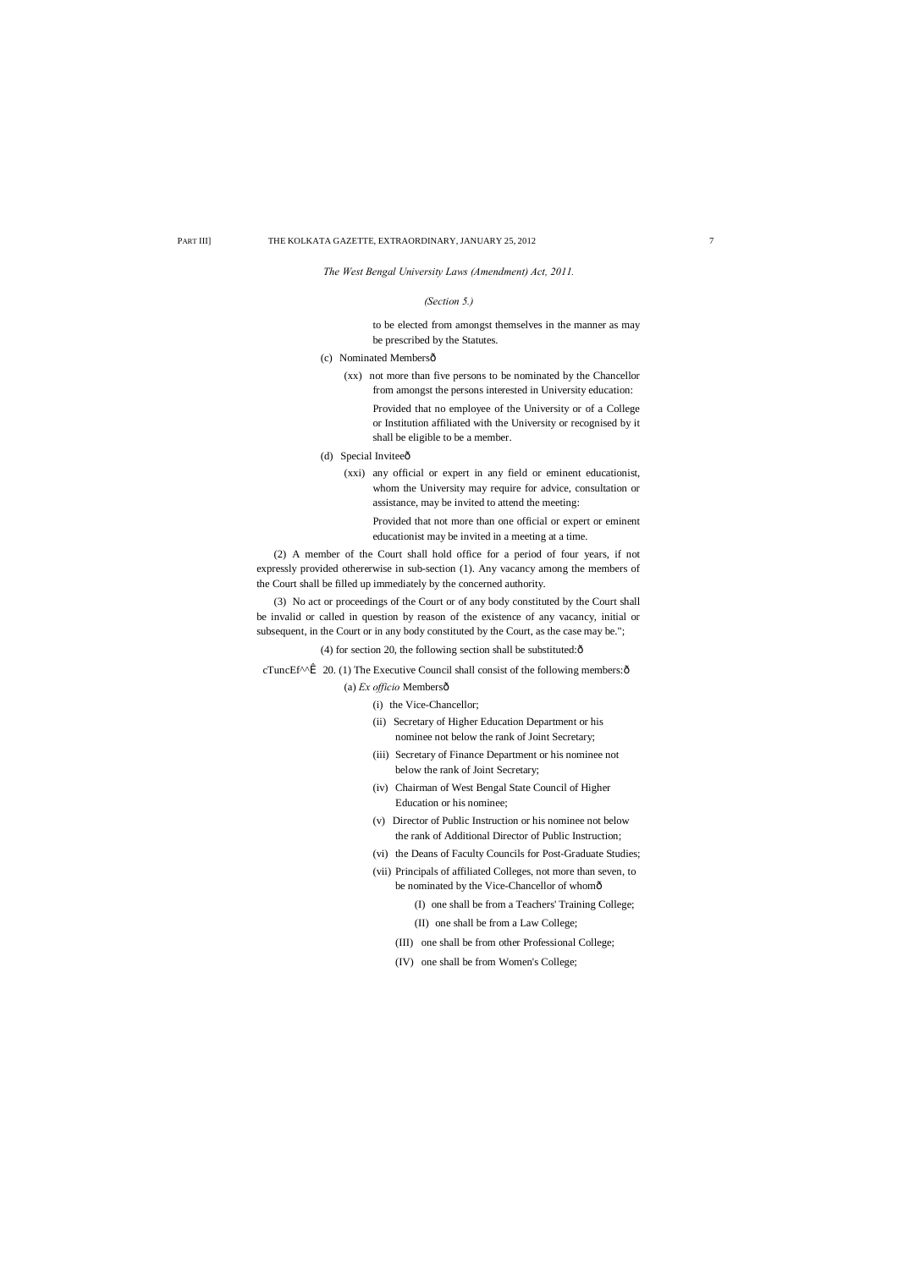#### *The West Bengal University Laws (Amendment) Act, 2011.*

#### *(Section 5.)*

to be elected from amongst themselves in the manner as may be prescribed by the Statutes.

(c) Nominated Membersô

(xx) not more than five persons to be nominated by the Chancellor from amongst the persons interested in University education:

- (d) Special Inviteeô
	- (xxi) any official or expert in any field or eminent educationist, whom the University may require for advice, consultation or assistance, may be invited to attend the meeting:

Provided that no employee of the University or of a College or Institution affiliated with the University or recognised by it shall be eligible to be a member.

Provided that not more than one official or expert or eminent educationist may be invited in a meeting at a time.

(2) A member of the Court shall hold office for a period of four years, if not expressly provided othererwise in sub-section (1). Any vacancy among the members of the Court shall be filled up immediately by the concerned authority.

(3) No act or proceedings of the Court or of any body constituted by the Court shall be invalid or called in question by reason of the existence of any vacancy, initial or subsequent, in the Court or in any body constituted by the Court, as the case may be.";

(4) for section 20, the following section shall be substituted: $\hat{o}$ 

cTuncEf^^ $\hat{I}$  20. (1) The Executive Council shall consist of the following members: $\hat{o}$ 

(a) *Ex officio* Membersô

- (i) the Vice-Chancellor;
- (ii) Secretary of Higher Education Department or his nominee not below the rank of Joint Secretary;
- (iii) Secretary of Finance Department or his nominee not below the rank of Joint Secretary;
- (iv) Chairman of West Bengal State Council of Higher Education or his nominee;
- (v) Director of Public Instruction or his nominee not below the rank of Additional Director of Public Instruction;
- (vi) the Deans of Faculty Councils for Post-Graduate Studies;
- (vii) Principals of affiliated Colleges, not more than seven, to be nominated by the Vice-Chancellor of whomô
	- (I) one shall be from a Teachers' Training College;
	- (II) one shall be from a Law College;
	- (III) one shall be from other Professional College;

(IV) one shall be from Women's College;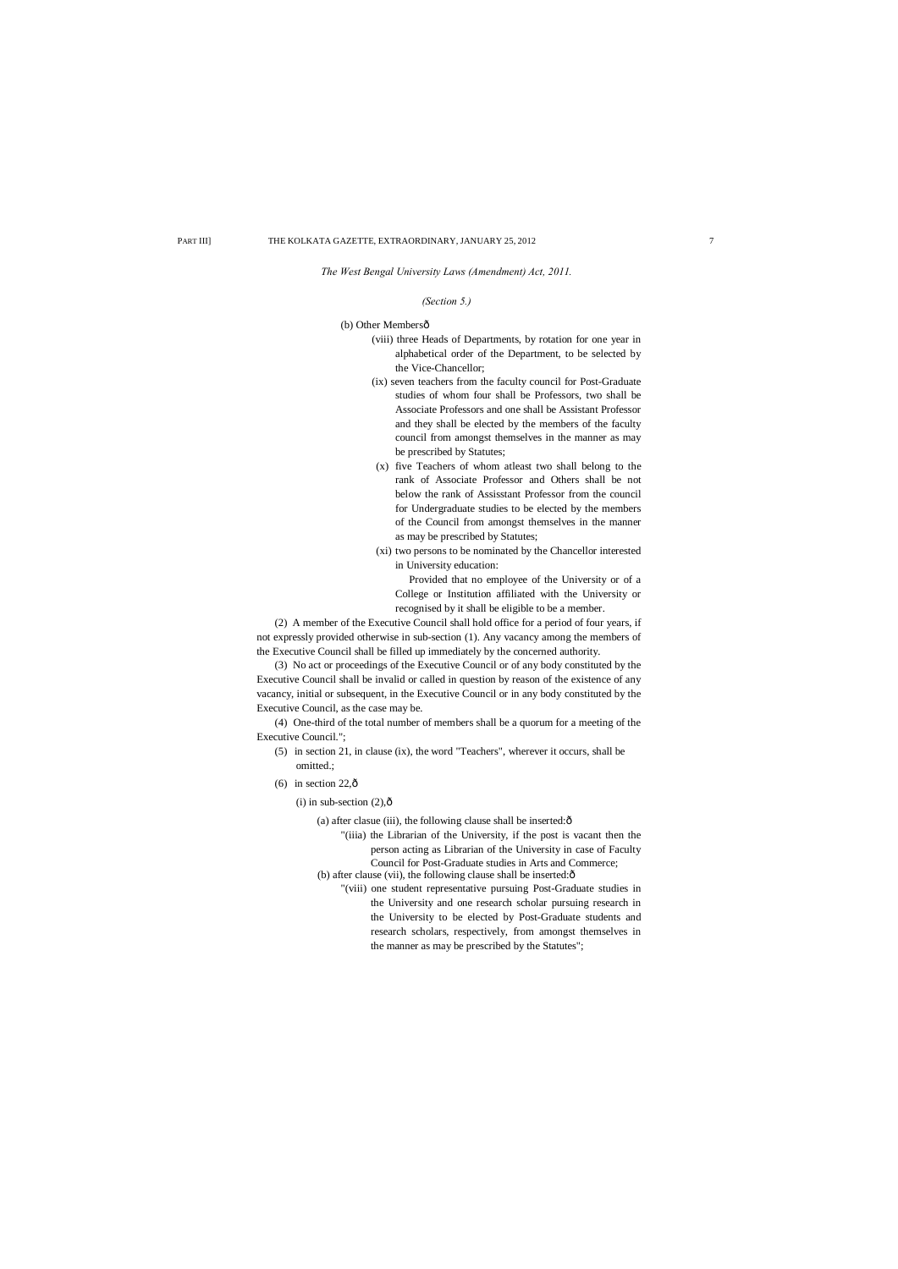*The West Bengal University Laws (Amendment) Act, 2011.*

#### *(Section 5.)*

(b) Other Membersô

- (viii) three Heads of Departments, by rotation for one year in alphabetical order of the Department, to be selected by the Vice-Chancellor;
- (ix) seven teachers from the faculty council for Post-Graduate studies of whom four shall be Professors, two shall be Associate Professors and one shall be Assistant Professor and they shall be elected by the members of the faculty council from amongst themselves in the manner as may be prescribed by Statutes;
- (x) five Teachers of whom atleast two shall belong to the rank of Associate Professor and Others shall be not below the rank of Assisstant Professor from the council for Undergraduate studies to be elected by the members of the Council from amongst themselves in the manner as may be prescribed by Statutes;
- (xi) two persons to be nominated by the Chancellor interested in University education:

- (5) in section 21, in clause (ix), the word "Teachers", wherever it occurs, shall be omitted.;
- (6) in section  $22,\hat{0}$

#### (i) in sub-section  $(2),\hat{0}$

(a) after clasue (iii), the following clause shall be inserted: $\hat{o}$ 

Provided that no employee of the University or of a College or Institution affiliated with the University or recognised by it shall be eligible to be a member.

(2) A member of the Executive Council shall hold office for a period of four years, if not expressly provided otherwise in sub-section (1). Any vacancy among the members of the Executive Council shall be filled up immediately by the concerned authority.

(3) No act or proceedings of the Executive Council or of any body constituted by the Executive Council shall be invalid or called in question by reason of the existence of any vacancy, initial or subsequent, in the Executive Council or in any body constituted by the Executive Council, as the case may be.

(4) One-third of the total number of members shall be a quorum for a meeting of the Executive Council.";

- "(iiia) the Librarian of the University, if the post is vacant then the person acting as Librarian of the University in case of Faculty Council for Post-Graduate studies in Arts and Commerce; (b) after clause (vii), the following clause shall be inserted: $\delta$ 
	- "(viii) one student representative pursuing Post-Graduate studies in the University and one research scholar pursuing research in the University to be elected by Post-Graduate students and research scholars, respectively, from amongst themselves in the manner as may be prescribed by the Statutes";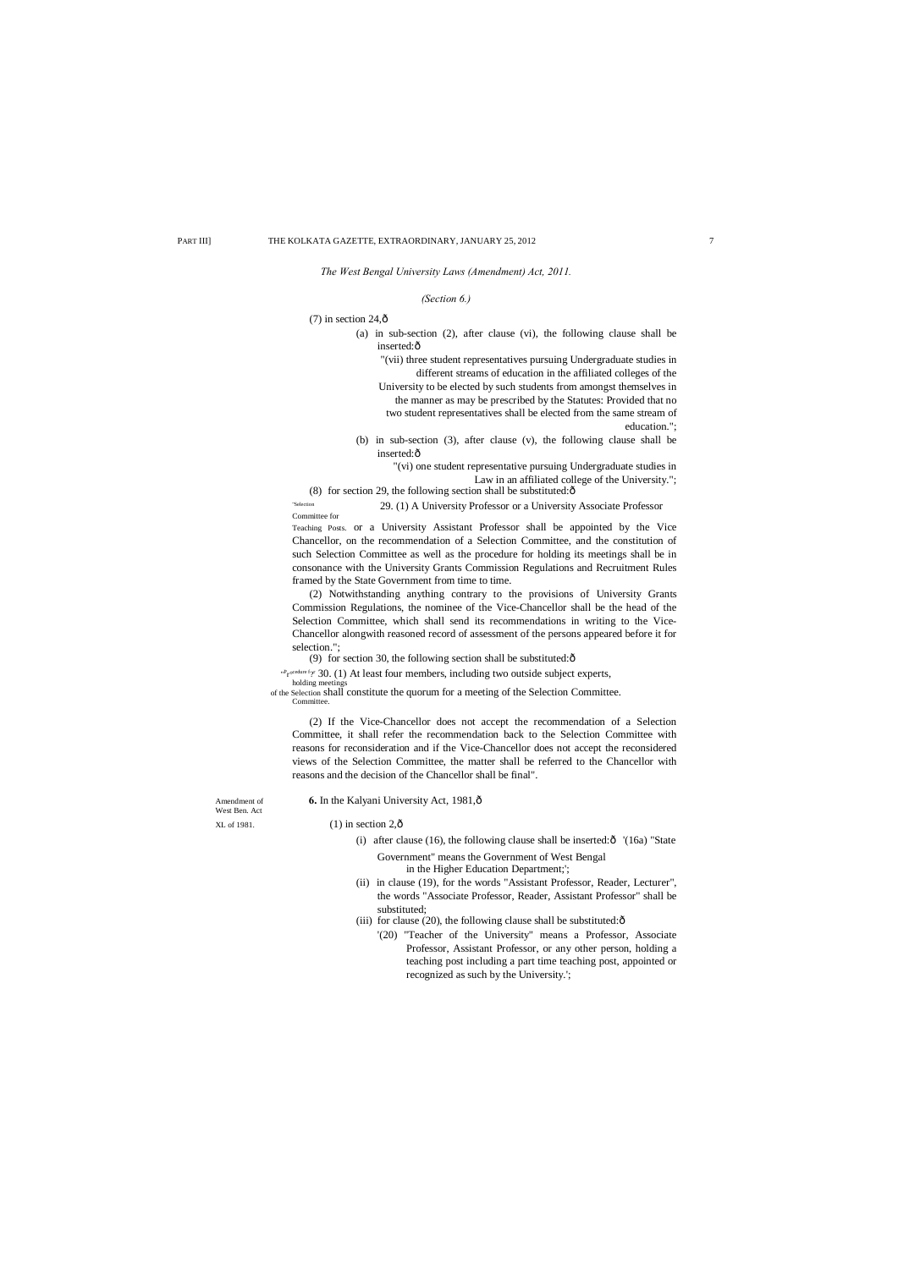- (a) in sub-section (2), after clause (vi), the following clause shall be inserted: $\hat{o}$ 
	- "(vii) three student representatives pursuing Undergraduate studies in different streams of education in the affiliated colleges of the University to be elected by such students from amongst themselves in the manner as may be prescribed by the Statutes: Provided that no two student representatives shall be elected from the same stream of
	- education.";
- (b) in sub-section (3), after clause (v), the following clause shall be inserted:ô

*The West Bengal University Laws (Amendment) Act, 2011.*

 $(7)$  in section 24, $\hat{\text{o}}$ 

#### *(Section 6.)*

"(vi) one student representative pursuing Undergraduate studies in Law in an affiliated college of the University.";

(8) for section 29, the following section shall be substituted: $\hat{o}$ 

"Selection 29. (1) A University Professor or a University Associate Professor Committee for

Teaching Posts. or a University Assistant Professor shall be appointed by the Vice Chancellor, on the recommendation of a Selection Committee, and the constitution of such Selection Committee as well as the procedure for holding its meetings shall be in consonance with the University Grants Commission Regulations and Recruitment Rules framed by the State Government from time to time.

> (i) after clause (16), the following clause shall be inserted: $\hat{\sigma}$  '(16a) "State Government" means the Government of West Bengal

(2) Notwithstanding anything contrary to the provisions of University Grants Commission Regulations, the nominee of the Vice-Chancellor shall be the head of the Selection Committee, which shall send its recommendations in writing to the Vice-Chancellor alongwith reasoned record of assessment of the persons appeared before it for selection.";

(9) for section 30, the following section shall be substituted: $\delta$ 

"Procedure for 30. (1) At least four members, including two outside subject experts,

holding meetir of the Selection shall constitute the quorum for a meeting of the Selection Committee. **Committee** 

(2) If the Vice-Chancellor does not accept the recommendation of a Selection Committee, it shall refer the recommendation back to the Selection Committee with reasons for reconsideration and if the Vice-Chancellor does not accept the reconsidered views of the Selection Committee, the matter shall be referred to the Chancellor with reasons and the decision of the Chancellor shall be final".

West Ben. Act

#### Amendment of **6.** In the Kalyani University Act, 1981,  $\hat{\text{o}}$

 $KL$  of 1981. (1) in section 2, $\hat{0}$ 

in the Higher Education Department;';

- (ii) in clause (19), for the words "Assistant Professor, Reader, Lecturer", the words "Associate Professor, Reader, Assistant Professor" shall be substituted;
- (iii) for clause (20), the following clause shall be substituted: $\delta$ 
	- '(20) "Teacher of the University" means a Professor, Associate Professor, Assistant Professor, or any other person, holding a

teaching post including a part time teaching post, appointed or recognized as such by the University.';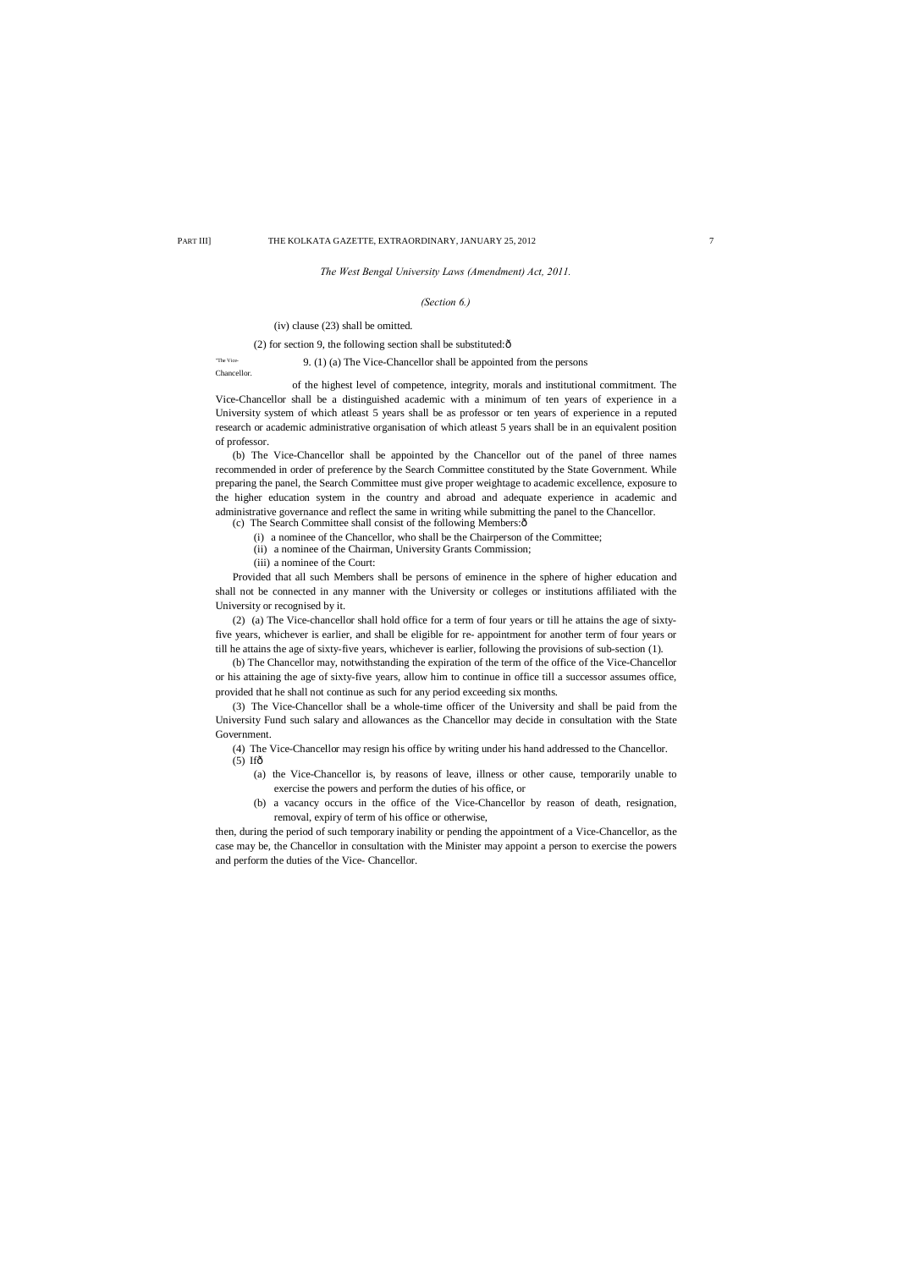#### *The West Bengal University Laws (Amendment) Act, 2011.*

#### *(Section 6.)*

#### (iv) clause (23) shall be omitted.

(2) for section 9, the following section shall be substituted: $\delta$ 

Chancellor.

The Vice-<br>9. (1) (a) The Vice-Chancellor shall be appointed from the persons

of the highest level of competence, integrity, morals and institutional commitment. The Vice-Chancellor shall be a distinguished academic with a minimum of ten years of experience in a University system of which atleast 5 years shall be as professor or ten years of experience in a reputed research or academic administrative organisation of which atleast 5 years shall be in an equivalent position of professor.

(b) The Vice-Chancellor shall be appointed by the Chancellor out of the panel of three names recommended in order of preference by the Search Committee constituted by the State Government. While preparing the panel, the Search Committee must give proper weightage to academic excellence, exposure to the higher education system in the country and abroad and adequate experience in academic and administrative governance and reflect the same in writing while submitting the panel to the Chancellor.

(c) The Search Committee shall consist of the following Members: $\hat{o}$ 

(4) The Vice-Chancellor may resign his office by writing under his hand addressed to the Chancellor.  $(5)$  If $\hat{\sigma}$ 

(i) a nominee of the Chancellor, who shall be the Chairperson of the Committee;

(ii) a nominee of the Chairman, University Grants Commission;

(iii) a nominee of the Court:

Provided that all such Members shall be persons of eminence in the sphere of higher education and shall not be connected in any manner with the University or colleges or institutions affiliated with the University or recognised by it.

(2) (a) The Vice-chancellor shall hold office for a term of four years or till he attains the age of sixtyfive years, whichever is earlier, and shall be eligible for re- appointment for another term of four years or till he attains the age of sixty-five years, whichever is earlier, following the provisions of sub-section (1).

(b) The Chancellor may, notwithstanding the expiration of the term of the office of the Vice-Chancellor or his attaining the age of sixty-five years, allow him to continue in office till a successor assumes office, provided that he shall not continue as such for any period exceeding six months.

(3) The Vice-Chancellor shall be a whole-time officer of the University and shall be paid from the University Fund such salary and allowances as the Chancellor may decide in consultation with the State Government.

- (a) the Vice-Chancellor is, by reasons of leave, illness or other cause, temporarily unable to exercise the powers and perform the duties of his office, or
- (b) a vacancy occurs in the office of the Vice-Chancellor by reason of death, resignation, removal, expiry of term of his office or otherwise,

then, during the period of such temporary inability or pending the appointment of a Vice-Chancellor, as the case may be, the Chancellor in consultation with the Minister may appoint a person to exercise the powers and perform the duties of the Vice- Chancellor.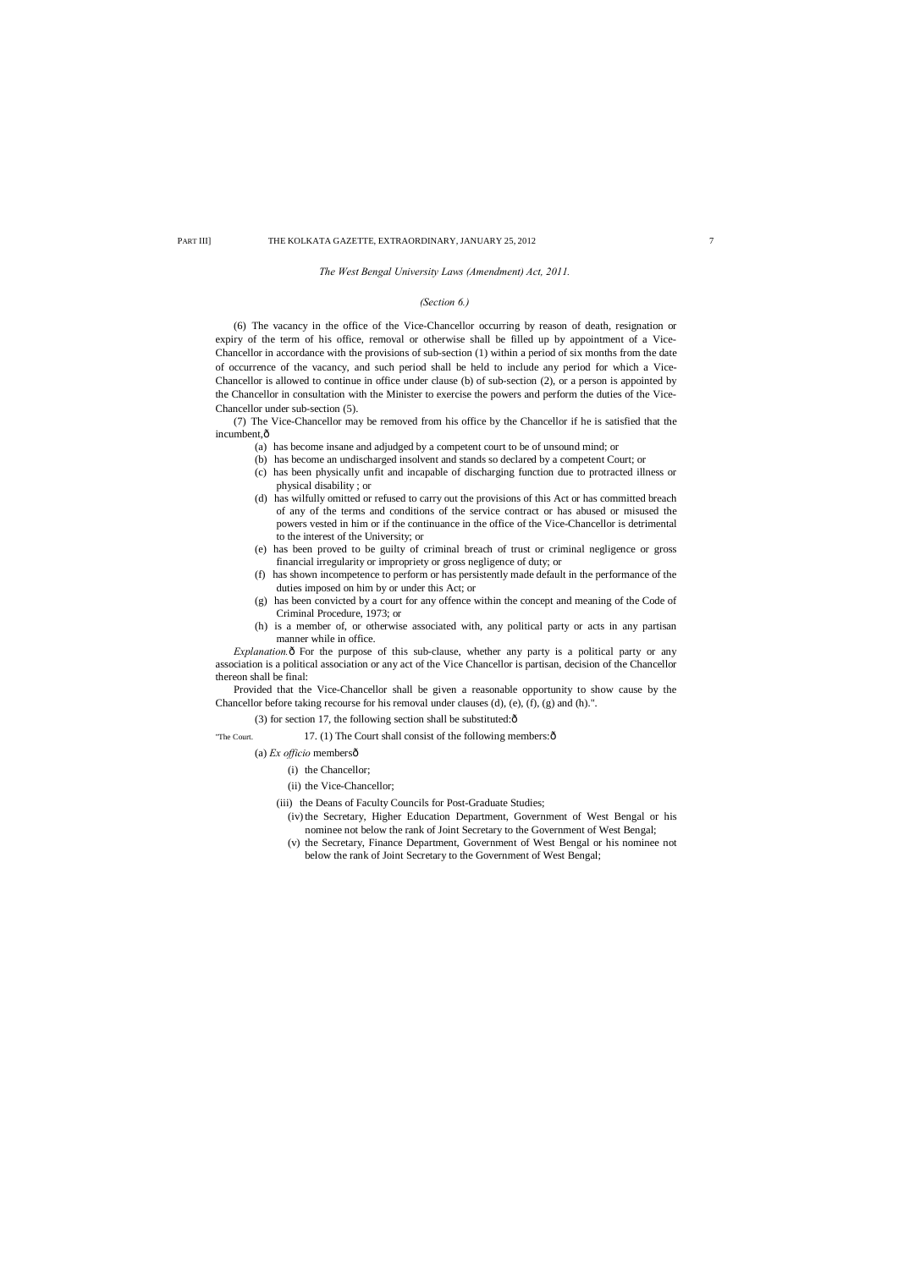#### *The West Bengal University Laws (Amendment) Act, 2011.*

#### *(Section 6.)*

(7) The Vice-Chancellor may be removed from his office by the Chancellor if he is satisfied that the incumbent, $\hat{o}$ 

(6) The vacancy in the office of the Vice-Chancellor occurring by reason of death, resignation or expiry of the term of his office, removal or otherwise shall be filled up by appointment of a Vice-Chancellor in accordance with the provisions of sub-section (1) within a period of six months from the date of occurrence of the vacancy, and such period shall be held to include any period for which a Vice-Chancellor is allowed to continue in office under clause (b) of sub-section (2), or a person is appointed by the Chancellor in consultation with the Minister to exercise the powers and perform the duties of the Vice-Chancellor under sub-section (5).

*Explanation.*  $\hat{o}$  For the purpose of this sub-clause, whether any party is a political party or any association is a political association or any act of the Vice Chancellor is partisan, decision of the Chancellor thereon shall be final:

- (a) has become insane and adjudged by a competent court to be of unsound mind; or
- (b) has become an undischarged insolvent and stands so declared by a competent Court; or
- (c) has been physically unfit and incapable of discharging function due to protracted illness or physical disability ; or
- (d) has wilfully omitted or refused to carry out the provisions of this Act or has committed breach of any of the terms and conditions of the service contract or has abused or misused the powers vested in him or if the continuance in the office of the Vice-Chancellor is detrimental to the interest of the University; or
- (e) has been proved to be guilty of criminal breach of trust or criminal negligence or gross financial irregularity or impropriety or gross negligence of duty; or
- (f) has shown incompetence to perform or has persistently made default in the performance of the duties imposed on him by or under this Act; or
- (g) has been convicted by a court for any offence within the concept and meaning of the Code of Criminal Procedure, 1973; or
- (h) is a member of, or otherwise associated with, any political party or acts in any partisan manner while in office.

Provided that the Vice-Chancellor shall be given a reasonable opportunity to show cause by the Chancellor before taking recourse for his removal under clauses (d), (e), (f), (g) and (h).".

(3) for section 17, the following section shall be substituted: $\hat{o}$ 

"The Court.  $17. (1)$  The Court shall consist of the following members: $\hat{\text{o}}$ 

#### (a) *Ex officio* members—

(i) the Chancellor;

(ii) the Vice-Chancellor;

- (iii) the Deans of Faculty Councils for Post-Graduate Studies;
	- (iv) the Secretary, Higher Education Department, Government of West Bengal or his nominee not below the rank of Joint Secretary to the Government of West Bengal;
	- (v) the Secretary, Finance Department, Government of West Bengal or his nominee not below the rank of Joint Secretary to the Government of West Bengal;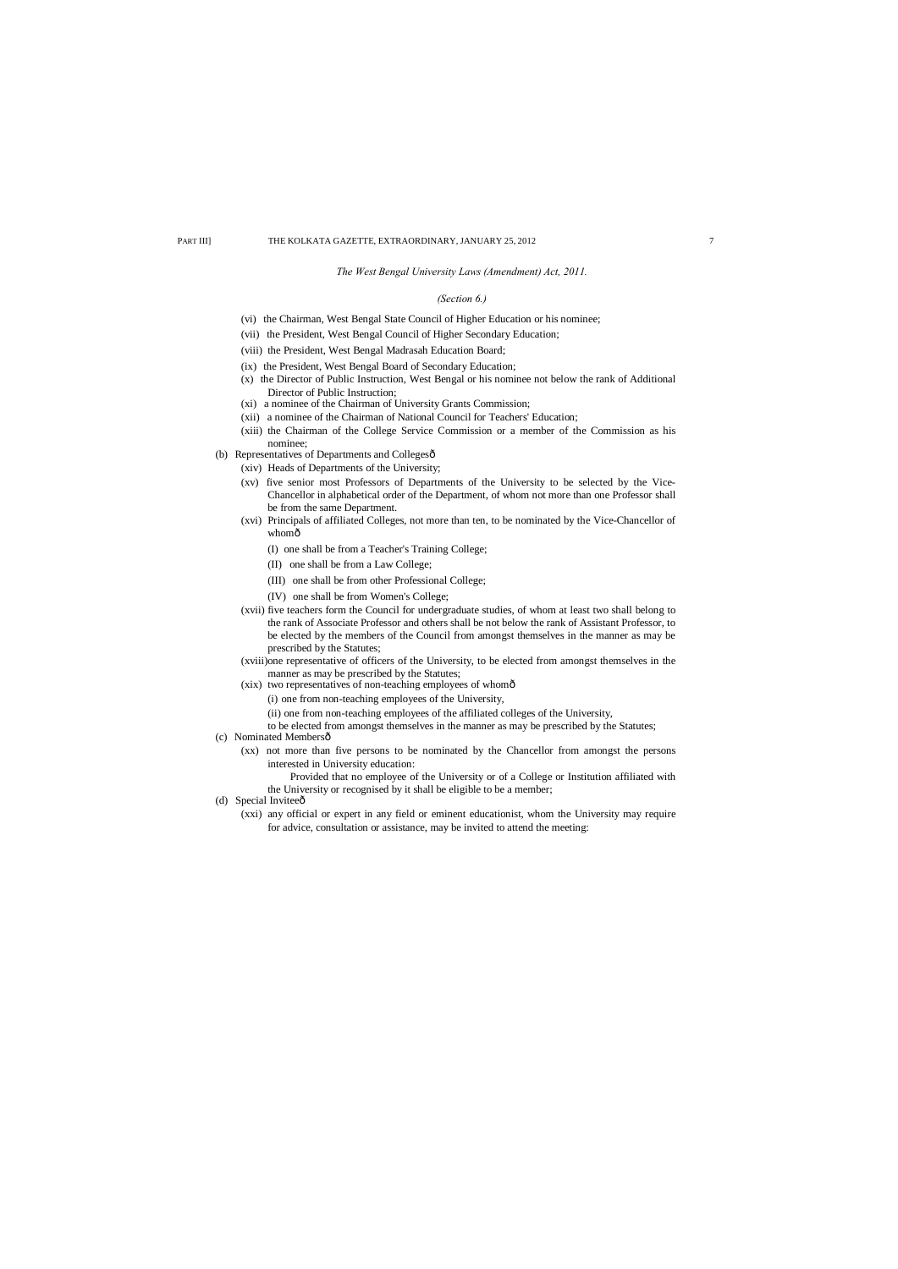#### *The West Bengal University Laws (Amendment) Act, 2011.*

# *(Section 6.)*

- (vi) the Chairman, West Bengal State Council of Higher Education or his nominee;
- (vii) the President, West Bengal Council of Higher Secondary Education;
- (viii) the President, West Bengal Madrasah Education Board;
- (ix) the President, West Bengal Board of Secondary Education;
- (x) the Director of Public Instruction, West Bengal or his nominee not below the rank of Additional Director of Public Instruction;
- (xi) a nominee of the Chairman of University Grants Commission;
- (xii) a nominee of the Chairman of National Council for Teachers' Education;
- (xiii) the Chairman of the College Service Commission or a member of the Commission as his nominee;
- (b) Representatives of Departments and Collegesô
	- (xiv) Heads of Departments of the University;
	- (xv) five senior most Professors of Departments of the University to be selected by the Vice-Chancellor in alphabetical order of the Department, of whom not more than one Professor shall be from the same Department.
	- (xvi) Principals of affiliated Colleges, not more than ten, to be nominated by the Vice-Chancellor of whomô
		- (I) one shall be from a Teacher's Training College;
		- (II) one shall be from a Law College;
		- (III) one shall be from other Professional College;
		- (IV) one shall be from Women's College;
	- (xvii) five teachers form the Council for undergraduate studies, of whom at least two shall belong to the rank of Associate Professor and others shall be not below the rank of Assistant Professor, to be elected by the members of the Council from amongst themselves in the manner as may be prescribed by the Statutes;
	- (xviii)one representative of officers of the University, to be elected from amongst themselves in the manner as may be prescribed by the Statutes;
	- (xix) two representatives of non-teaching employees of whomô
		- (i) one from non-teaching employees of the University,
		- (ii) one from non-teaching employees of the affiliated colleges of the University,
		- to be elected from amongst themselves in the manner as may be prescribed by the Statutes;
- (c) Nominated Membersô
	- (xx) not more than five persons to be nominated by the Chancellor from amongst the persons interested in University education:
		- Provided that no employee of the University or of a College or Institution affiliated with the University or recognised by it shall be eligible to be a member;
- (d) Special Inviteeô
	- (xxi) any official or expert in any field or eminent educationist, whom the University may require for advice, consultation or assistance, may be invited to attend the meeting: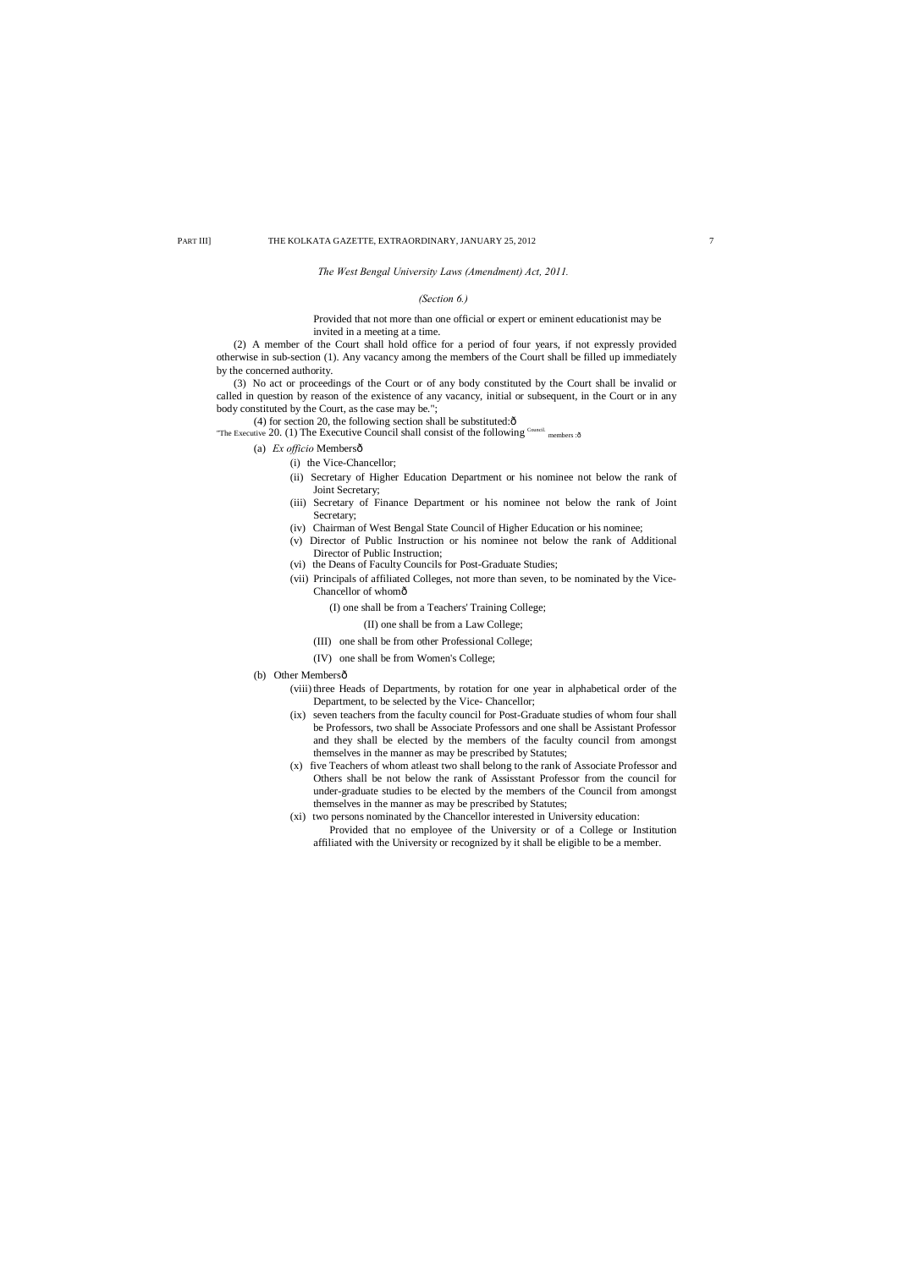#### *The West Bengal University Laws (Amendment) Act, 2011.*

# *(Section 6.)*

#### Provided that not more than one official or expert or eminent educationist may be invited in a meeting at a time.

(2) A member of the Court shall hold office for a period of four years, if not expressly provided otherwise in sub-section (1). Any vacancy among the members of the Court shall be filled up immediately by the concerned authority.

(3) No act or proceedings of the Court or of any body constituted by the Court shall be invalid or called in question by reason of the existence of any vacancy, initial or subsequent, in the Court or in any body constituted by the Court, as the case may be.";

(4) for section 20, the following section shall be substituted: $\hat{o}$ 

"The Executive 20. (1) The Executive Council shall consist of the following  $^{\text{Countil}}$  members : ô

- (a) *Ex officio* Membersô
	- (i) the Vice-Chancellor;
	- (ii) Secretary of Higher Education Department or his nominee not below the rank of Joint Secretary;
	- (iii) Secretary of Finance Department or his nominee not below the rank of Joint Secretary;
	- (iv) Chairman of West Bengal State Council of Higher Education or his nominee;
	- (v) Director of Public Instruction or his nominee not below the rank of Additional Director of Public Instruction;
	- (vi) the Deans of Faculty Councils for Post-Graduate Studies;
	- (vii) Principals of affiliated Colleges, not more than seven, to be nominated by the Vice-Chancellor of whomô
		- (I) one shall be from a Teachers' Training College;
			- (II) one shall be from a Law College;
		- (III) one shall be from other Professional College;
		- (IV) one shall be from Women's College;

#### (b) Other Membersô

- (viii) three Heads of Departments, by rotation for one year in alphabetical order of the Department, to be selected by the Vice- Chancellor;
- (ix) seven teachers from the faculty council for Post-Graduate studies of whom four shall be Professors, two shall be Associate Professors and one shall be Assistant Professor and they shall be elected by the members of the faculty council from amongst themselves in the manner as may be prescribed by Statutes;
- (x) five Teachers of whom atleast two shall belong to the rank of Associate Professor and Others shall be not below the rank of Assisstant Professor from the council for under-graduate studies to be elected by the members of the Council from amongst themselves in the manner as may be prescribed by Statutes;
- (xi) two persons nominated by the Chancellor interested in University education: Provided that no employee of the University or of a College or Institution affiliated with the University or recognized by it shall be eligible to be a member.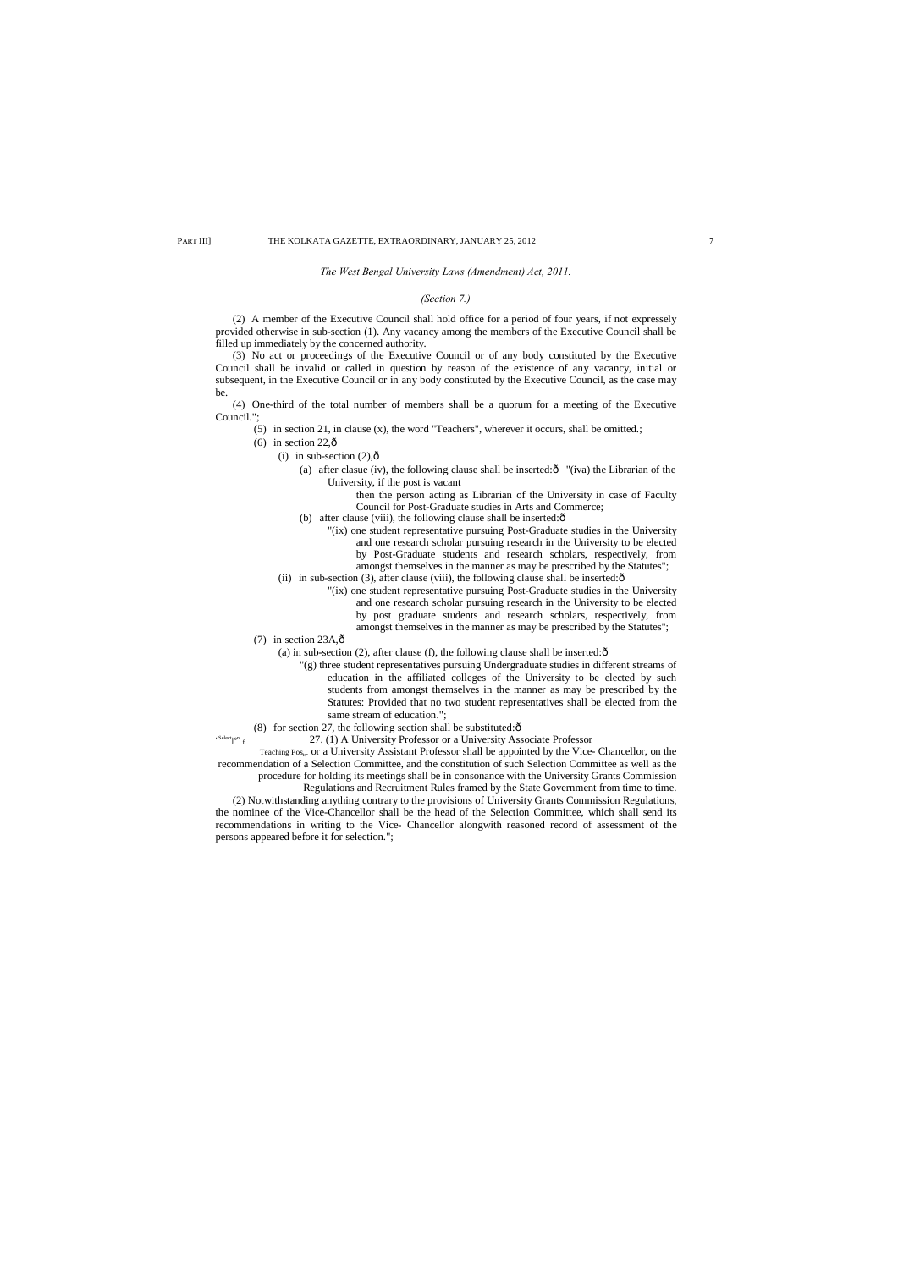#### *The West Bengal University Laws (Amendment) Act, 2011.*

# *(Section 7.)*

(2) A member of the Executive Council shall hold office for a period of four years, if not expressely provided otherwise in sub-section (1). Any vacancy among the members of the Executive Council shall be filled up immediately by the concerned authority.

- (5) in section 21, in clause (x), the word "Teachers", wherever it occurs, shall be omitted.;
- (6) in section  $22,\hat{\text{o}}$ 
	- (i) in sub-section  $(2),\hat{0}$ 
		- (a) after clasue (iv), the following clause shall be inserted: $\hat{O}$  "(iva) the Librarian of the University, if the post is vacant
			- then the person acting as Librarian of the University in case of Faculty Council for Post-Graduate studies in Arts and Commerce;
		- (b) after clause (viii), the following clause shall be inserted: $\hat{o}$
		- "(ix) one student representative pursuing Post-Graduate studies in the University and one research scholar pursuing research in the University to be elected by Post-Graduate students and research scholars, respectively, from amongst themselves in the manner as may be prescribed by the Statutes";
	- (ii) in sub-section  $(3)$ , after clause (viii), the following clause shall be inserted: $\hat{o}$ 
		- "(ix) one student representative pursuing Post-Graduate studies in the University and one research scholar pursuing research in the University to be elected by post graduate students and research scholars, respectively, from amongst themselves in the manner as may be prescribed by the Statutes";
- $(7)$  in section 23A, $\hat{\text{o}}$

(3) No act or proceedings of the Executive Council or of any body constituted by the Executive Council shall be invalid or called in question by reason of the existence of any vacancy, initial or subsequent, in the Executive Council or in any body constituted by the Executive Council, as the case may be.

(4) One-third of the total number of members shall be a quorum for a meeting of the Executive Council.";

Teaching Pos<sub>ts</sub>. or a University Assistant Professor shall be appointed by the Vice- Chancellor, on the recommendation of a Selection Committee, and the constitution of such Selection Committee as well as the

"

- (a) in sub-section (2), after clause (f), the following clause shall be inserted: $\hat{o}$ 
	- "(g) three student representatives pursuing Undergraduate studies in different streams of education in the affiliated colleges of the University to be elected by such students from amongst themselves in the manner as may be prescribed by the Statutes: Provided that no two student representatives shall be elected from the same stream of education.";
- (8) for section 27, the following section shall be substituted: $\hat{o}$ 
	- 27. (1) A University Professor or a University Associate Professor

procedure for holding its meetings shall be in consonance with the University Grants Commission

Regulations and Recruitment Rules framed by the State Government from time to time.

(2) Notwithstanding anything contrary to the provisions of University Grants Commission Regulations, the nominee of the Vice-Chancellor shall be the head of the Selection Committee, which shall send its recommendations in writing to the Vice- Chancellor alongwith reasoned record of assessment of the persons appeared before it for selection.";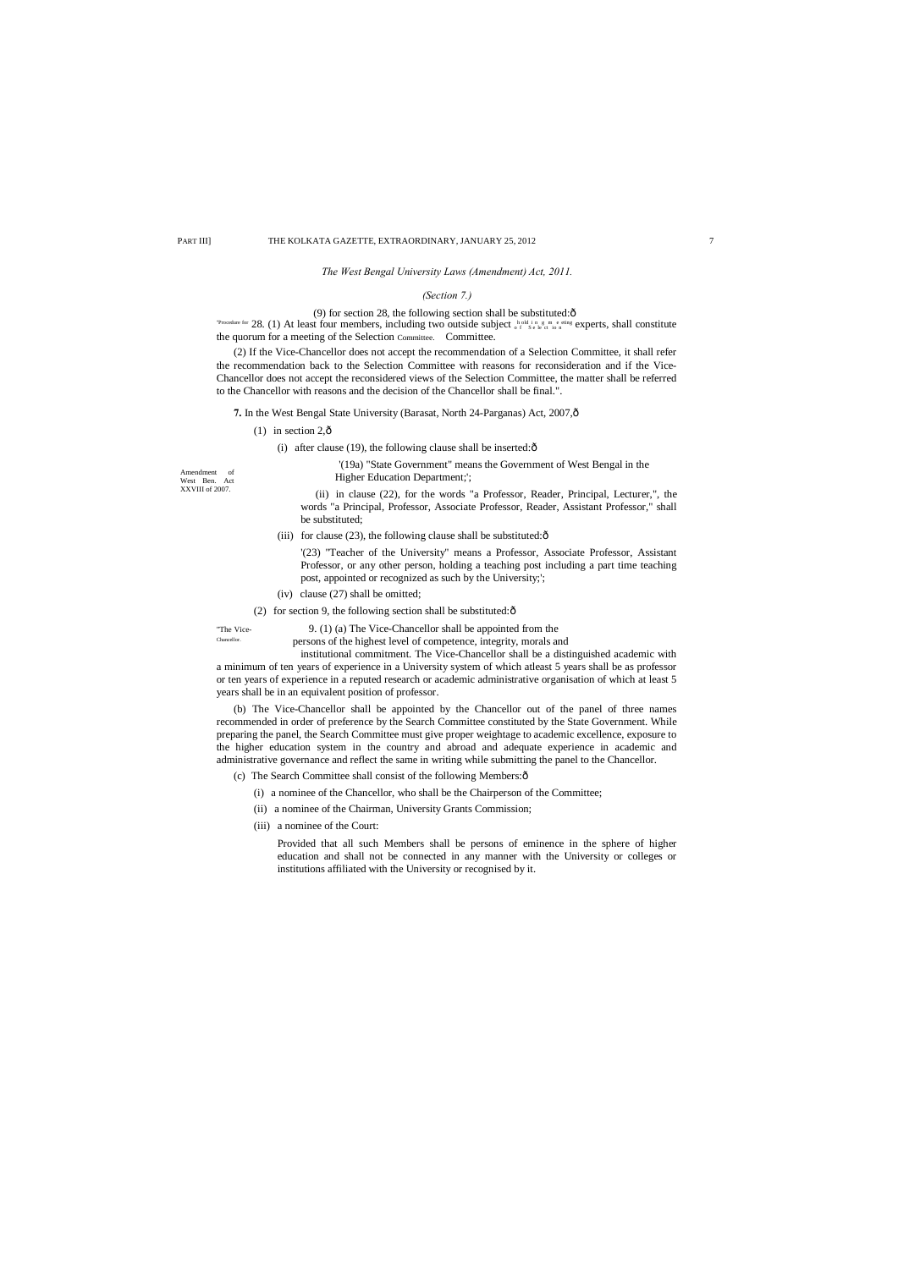Amendment of West Ben. Act XXVIII of 2007.

#### *The West Bengal University Laws (Amendment) Act, 2011.*

#### *(Section 7.)*

#### (9) for section 28, the following section shall be substituted: $\hat{o}$

"Procedure for 28. (1) At least four members, including two outside subject  $\frac{h}{\alpha} \int_{\alpha}^{h} \frac{\sinh u}{\sin u} \cdot \frac{1}{\sin u}$  experts, shall constitute the quorum for a meeting of the Selection Committee. Committee.

(2) If the Vice-Chancellor does not accept the recommendation of a Selection Committee, it shall refer the recommendation back to the Selection Committee with reasons for reconsideration and if the Vice-Chancellor does not accept the reconsidered views of the Selection Committee, the matter shall be referred to the Chancellor with reasons and the decision of the Chancellor shall be final.".

**7.** In the West Bengal State University (Barasat, North 24-Parganas) Act, 2007,  $\hat{o}$ 

- (1) in section  $2,\hat{o}$ 
	- (i) after clause (19), the following clause shall be inserted: $\hat{o}$

'(19a) "State Government" means the Government of West Bengal in the Higher Education Department;';

(ii) in clause (22), for the words "a Professor, Reader, Principal, Lecturer,", the words "a Principal, Professor, Associate Professor, Reader, Assistant Professor," shall be substituted;

(iii) for clause (23), the following clause shall be substituted: $\delta$ 

- (c) The Search Committee shall consist of the following Members: $\hat{o}$ 
	- (i) a nominee of the Chancellor, who shall be the Chairperson of the Committee;
	- (ii) a nominee of the Chairman, University Grants Commission;
	- (iii) a nominee of the Court:

'(23) "Teacher of the University" means a Professor, Associate Professor, Assistant Professor, or any other person, holding a teaching post including a part time teaching post, appointed or recognized as such by the University;';

(iv) clause (27) shall be omitted;

(2) for section 9, the following section shall be substituted: $\hat{o}$ 

"The Vice-<br>  $\frac{9. (1) (a)$  The Vice-Chancellor shall be appointed from the chancelor. persons of the highest level of competence, integrity, morals and

institutional commitment. The Vice-Chancellor shall be a distinguished academic with a minimum of ten years of experience in a University system of which atleast 5 years shall be as professor or ten years of experience in a reputed research or academic administrative organisation of which at least 5 years shall be in an equivalent position of professor.

(b) The Vice-Chancellor shall be appointed by the Chancellor out of the panel of three names recommended in order of preference by the Search Committee constituted by the State Government. While preparing the panel, the Search Committee must give proper weightage to academic excellence, exposure to the higher education system in the country and abroad and adequate experience in academic and administrative governance and reflect the same in writing while submitting the panel to the Chancellor.

> Provided that all such Members shall be persons of eminence in the sphere of higher education and shall not be connected in any manner with the University or colleges or institutions affiliated with the University or recognised by it.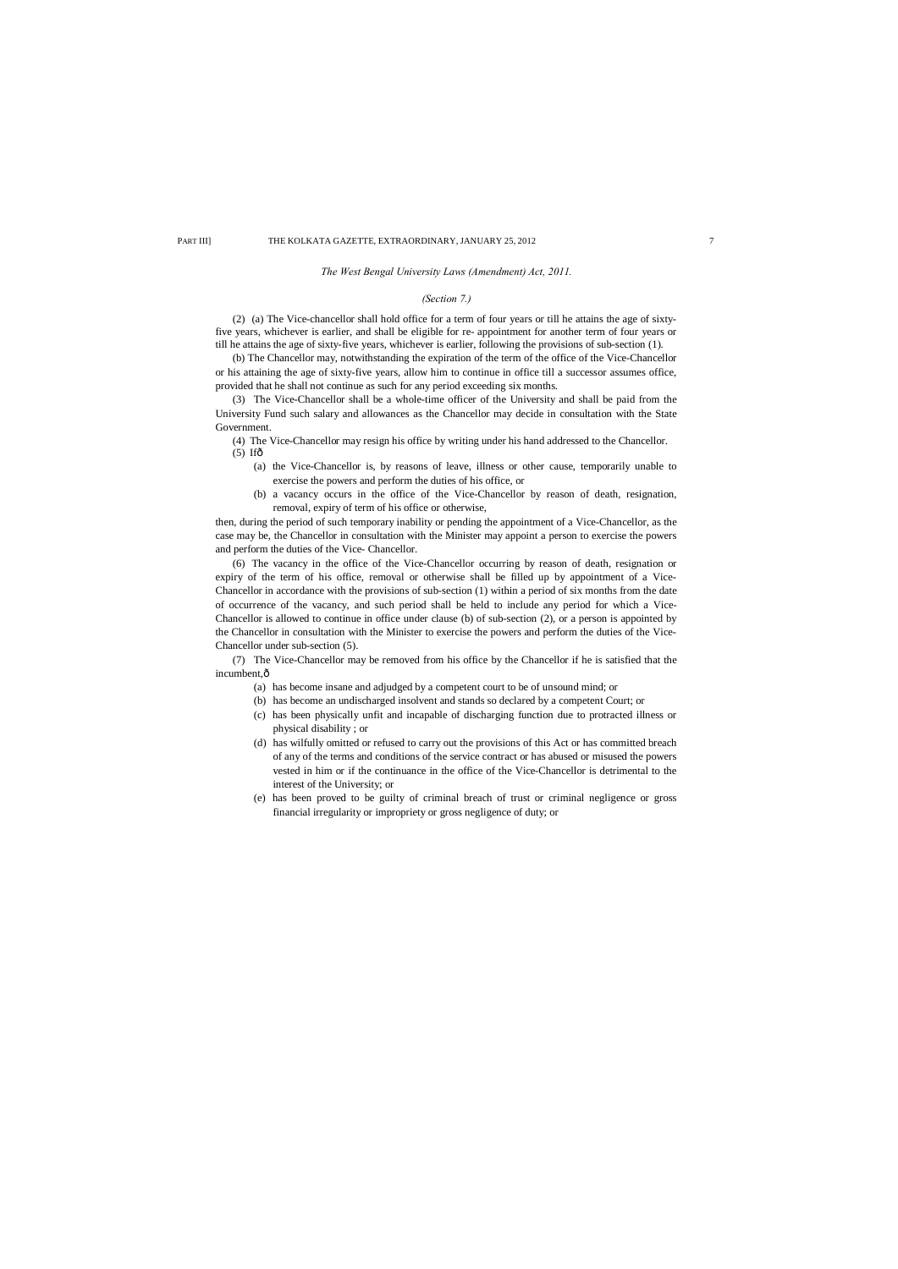#### *The West Bengal University Laws (Amendment) Act, 2011.*

#### *(Section 7.)*

(2) (a) The Vice-chancellor shall hold office for a term of four years or till he attains the age of sixtyfive years, whichever is earlier, and shall be eligible for re- appointment for another term of four years or till he attains the age of sixty-five years, whichever is earlier, following the provisions of sub-section (1).

(4) The Vice-Chancellor may resign his office by writing under his hand addressed to the Chancellor.  $(5)$  If $\hat{\sigma}$ 

(b) The Chancellor may, notwithstanding the expiration of the term of the office of the Vice-Chancellor or his attaining the age of sixty-five years, allow him to continue in office till a successor assumes office, provided that he shall not continue as such for any period exceeding six months.

(3) The Vice-Chancellor shall be a whole-time officer of the University and shall be paid from the University Fund such salary and allowances as the Chancellor may decide in consultation with the State Government.

(7) The Vice-Chancellor may be removed from his office by the Chancellor if he is satisfied that the incumbent, $\hat{o}$ 

- (a) the Vice-Chancellor is, by reasons of leave, illness or other cause, temporarily unable to exercise the powers and perform the duties of his office, or
- (b) a vacancy occurs in the office of the Vice-Chancellor by reason of death, resignation, removal, expiry of term of his office or otherwise,

then, during the period of such temporary inability or pending the appointment of a Vice-Chancellor, as the case may be, the Chancellor in consultation with the Minister may appoint a person to exercise the powers and perform the duties of the Vice- Chancellor.

(6) The vacancy in the office of the Vice-Chancellor occurring by reason of death, resignation or expiry of the term of his office, removal or otherwise shall be filled up by appointment of a Vice-Chancellor in accordance with the provisions of sub-section (1) within a period of six months from the date of occurrence of the vacancy, and such period shall be held to include any period for which a Vice-Chancellor is allowed to continue in office under clause (b) of sub-section (2), or a person is appointed by the Chancellor in consultation with the Minister to exercise the powers and perform the duties of the Vice-Chancellor under sub-section (5).

- (a) has become insane and adjudged by a competent court to be of unsound mind; or
- (b) has become an undischarged insolvent and stands so declared by a competent Court; or
- (c) has been physically unfit and incapable of discharging function due to protracted illness or physical disability ; or
- (d) has wilfully omitted or refused to carry out the provisions of this Act or has committed breach of any of the terms and conditions of the service contract or has abused or misused the powers vested in him or if the continuance in the office of the Vice-Chancellor is detrimental to the interest of the University; or
- (e) has been proved to be guilty of criminal breach of trust or criminal negligence or gross financial irregularity or impropriety or gross negligence of duty; or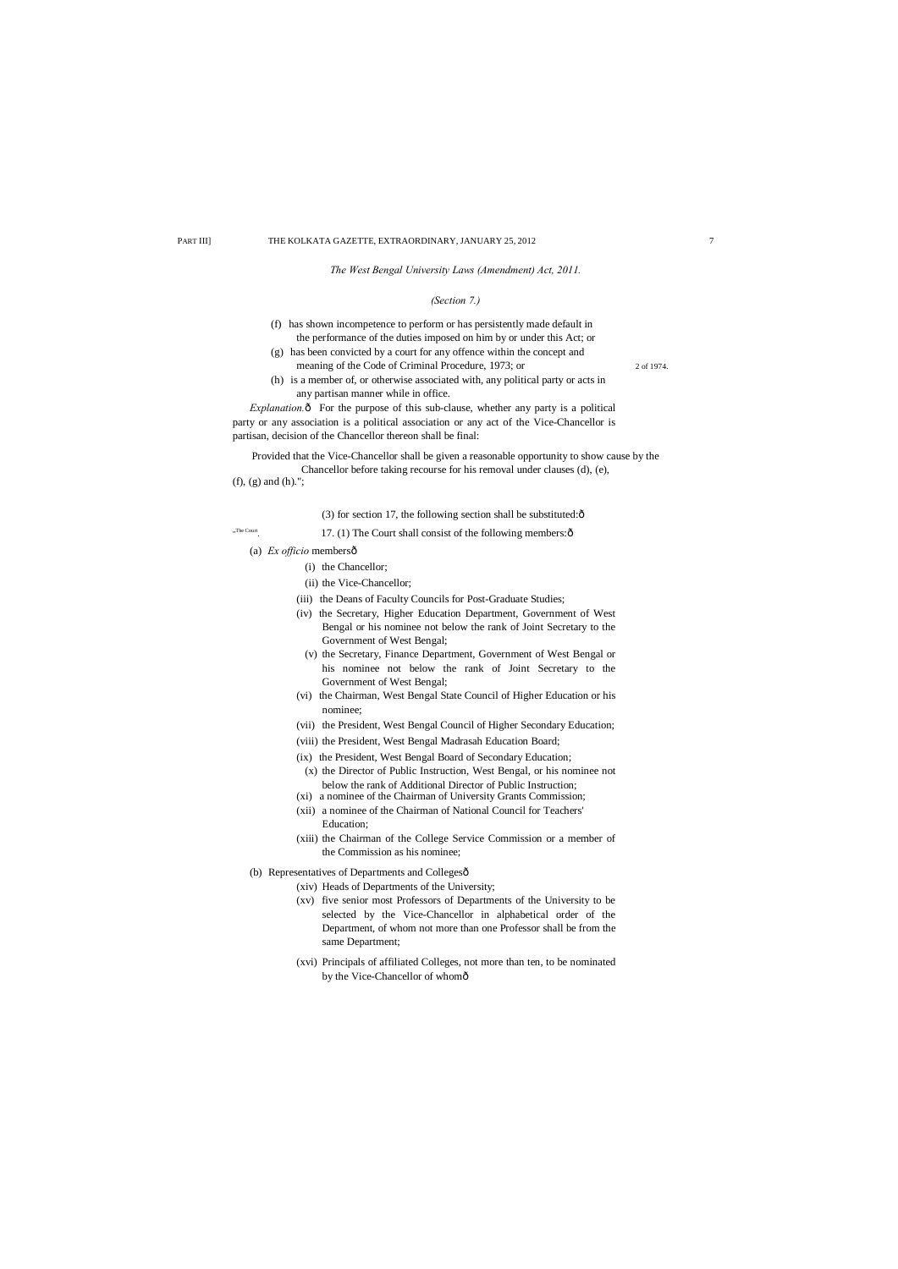*The West Bengal University Laws (Amendment) Act, 2011.*

## *(Section 7.)*

- (f) has shown incompetence to perform or has persistently made default in the performance of the duties imposed on him by or under this Act; or
- (g) has been convicted by a court for any offence within the concept and meaning of the Code of Criminal Procedure, 1973; or 2 of 1974.
- (h) is a member of, or otherwise associated with, any political party or acts in any partisan manner while in office.

*Explanation.* $\hat{o}$  For the purpose of this sub-clause, whether any party is a political party or any association is a political association or any act of the Vice-Chancellor is partisan, decision of the Chancellor thereon shall be final:

Provided that the Vice-Chancellor shall be given a reasonable opportunity to show cause by the Chancellor before taking recourse for his removal under clauses (d), (e), (f), (g) and (h).";

(3) for section 17, the following section shall be substituted: $\hat{o}$ 

17. (1) The Court shall consist of the following members: $\hat{o}$ 

(a) *Ex officio* membersô

"The Court

(xvi) Principals of affiliated Colleges, not more than ten, to be nominated by the Vice-Chancellor of whomô

- (i) the Chancellor;
- (ii) the Vice-Chancellor;
- (iii) the Deans of Faculty Councils for Post-Graduate Studies;
- (iv) the Secretary, Higher Education Department, Government of West Bengal or his nominee not below the rank of Joint Secretary to the Government of West Bengal;
- (v) the Secretary, Finance Department, Government of West Bengal or his nominee not below the rank of Joint Secretary to the Government of West Bengal;
- (vi) the Chairman, West Bengal State Council of Higher Education or his nominee;
- (vii) the President, West Bengal Council of Higher Secondary Education;
- (viii) the President, West Bengal Madrasah Education Board;
- (ix) the President, West Bengal Board of Secondary Education;
- (x) the Director of Public Instruction, West Bengal, or his nominee not below the rank of Additional Director of Public Instruction;
- (xi) a nominee of the Chairman of University Grants Commission;
- (xii) a nominee of the Chairman of National Council for Teachers' Education;
- (xiii) the Chairman of the College Service Commission or a member of the Commission as his nominee;
- (b) Representatives of Departments and Collegesô
	- (xiv) Heads of Departments of the University;
	- (xv) five senior most Professors of Departments of the University to be selected by the Vice-Chancellor in alphabetical order of the Department, of whom not more than one Professor shall be from the same Department;
	-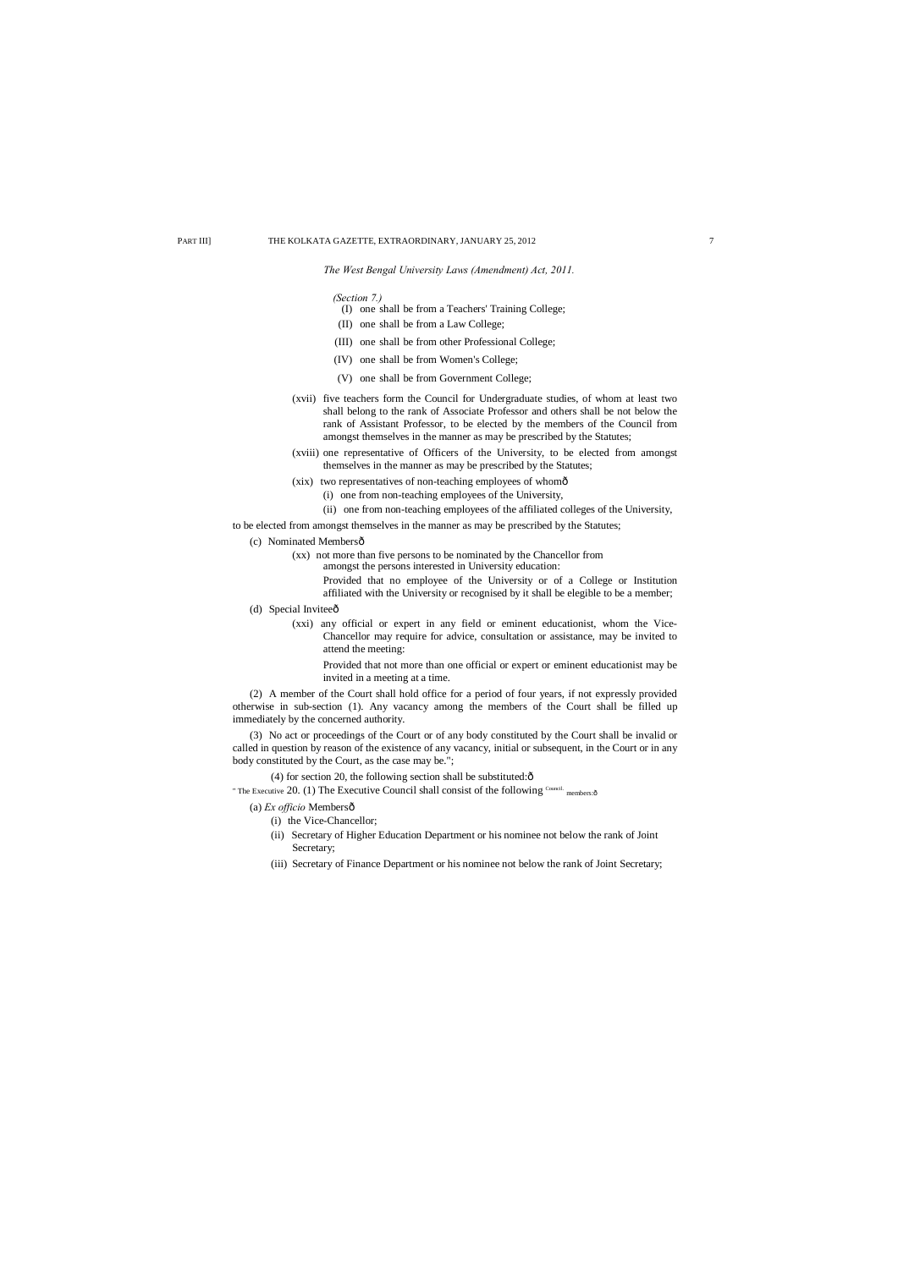## *The West Bengal University Laws (Amendment) Act, 2011.*

- (c) Nominated Membersô
	- (xx) not more than five persons to be nominated by the Chancellor from amongst the persons interested in University education: Provided that no employee of the University or of a College or Institution affiliated with the University or recognised by it shall be elegible to be a member;
- (d) Special Invitee $\hat{o}$ 
	- (xxi) any official or expert in any field or eminent educationist, whom the Vice-Chancellor may require for advice, consultation or assistance, may be invited to attend the meeting:

to be elected from amongst themselves in the manner as may be prescribed by the Statutes;

Provided that not more than one official or expert or eminent educationist may be invited in a meeting at a time.

- (I) one shall be from a Teachers' Training College;
- (II) one shall be from a Law College;
- (III) one shall be from other Professional College;
- (IV) one shall be from Women's College;
- (V) one shall be from Government College;
- (xvii) five teachers form the Council for Undergraduate studies, of whom at least two shall belong to the rank of Associate Professor and others shall be not below the rank of Assistant Professor, to be elected by the members of the Council from amongst themselves in the manner as may be prescribed by the Statutes;
- (xviii) one representative of Officers of the University, to be elected from amongst themselves in the manner as may be prescribed by the Statutes;
- (xix) two representatives of non-teaching employees of whomô
	- (i) one from non-teaching employees of the University,
	- (ii) one from non-teaching employees of the affiliated colleges of the University,

(2) A member of the Court shall hold office for a period of four years, if not expressly provided otherwise in sub-section (1). Any vacancy among the members of the Court shall be filled up immediately by the concerned authority.

(3) No act or proceedings of the Court or of any body constituted by the Court shall be invalid or called in question by reason of the existence of any vacancy, initial or subsequent, in the Court or in any body constituted by the Court, as the case may be.";

(4) for section 20, the following section shall be substituted: $\hat{o}$ 

" The Executive 20. (1) The Executive Council shall consist of the following  $^{\text{Countic}}$  members: $\hat{\text{o}}$ 

(a) *Ex officio* Membersô

- (i) the Vice-Chancellor;
- (ii) Secretary of Higher Education Department or his nominee not below the rank of Joint Secretary;
- (iii) Secretary of Finance Department or his nominee not below the rank of Joint Secretary;

*(Section 7.)*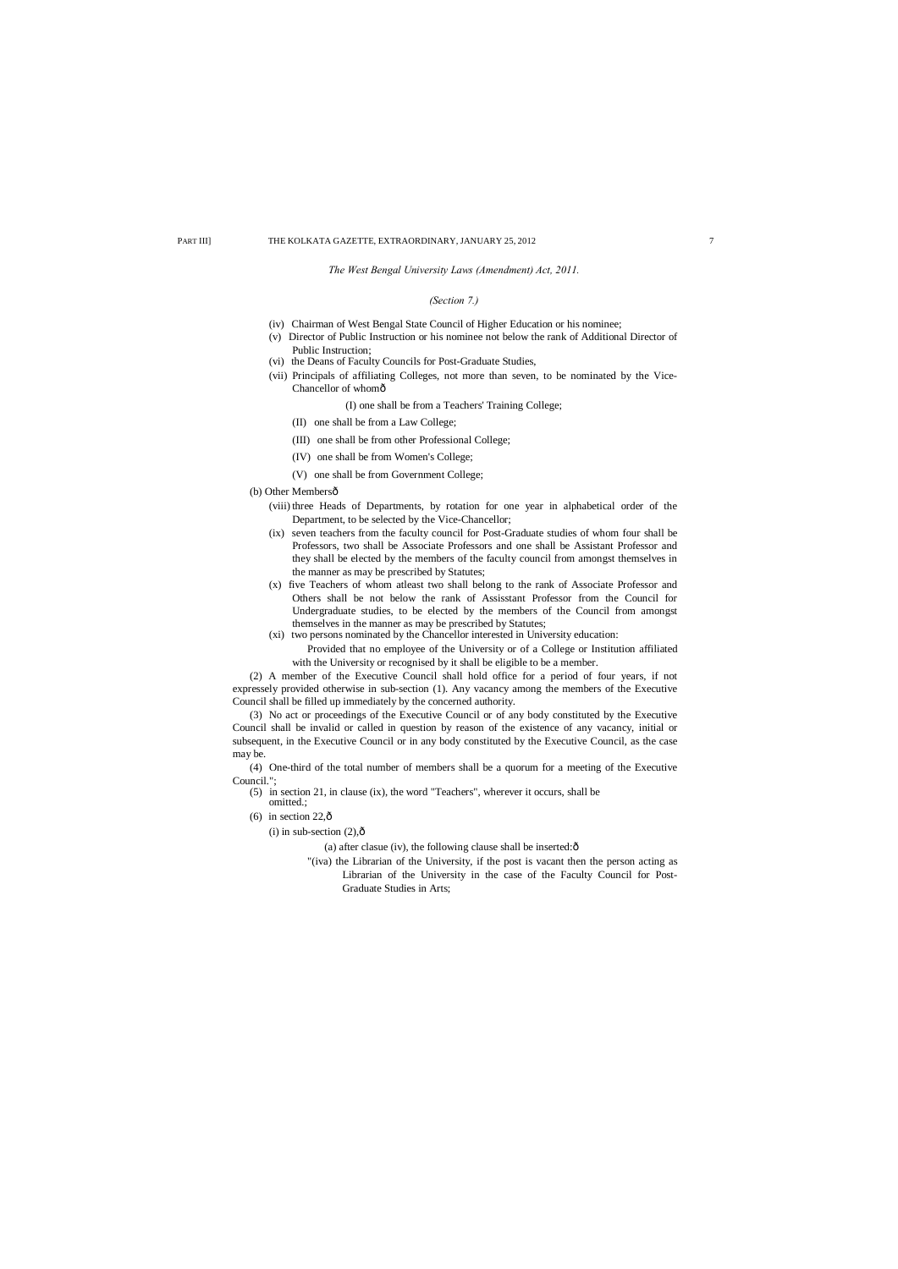## *The West Bengal University Laws (Amendment) Act, 2011.*

## *(Section 7.)*

- (iv) Chairman of West Bengal State Council of Higher Education or his nominee;
- (v) Director of Public Instruction or his nominee not below the rank of Additional Director of Public Instruction;
- (vi) the Deans of Faculty Councils for Post-Graduate Studies,
- (vii) Principals of affiliating Colleges, not more than seven, to be nominated by the Vice-Chancellor of whomô
	- (I) one shall be from a Teachers' Training College;
	- (II) one shall be from a Law College;
	- (III) one shall be from other Professional College;
	- (IV) one shall be from Women's College;
	- (V) one shall be from Government College;

## (b) Other Membersô

- (5) in section 21, in clause (ix), the word "Teachers", wherever it occurs, shall be
- omitted.; (6) in section  $22,\hat{\text{o}}$
- (i) in sub-section  $(2),\hat{0}$

(a) after clasue (iv), the following clause shall be inserted: $\hat{o}$ 

- (viii) three Heads of Departments, by rotation for one year in alphabetical order of the Department, to be selected by the Vice-Chancellor;
- (ix) seven teachers from the faculty council for Post-Graduate studies of whom four shall be Professors, two shall be Associate Professors and one shall be Assistant Professor and they shall be elected by the members of the faculty council from amongst themselves in the manner as may be prescribed by Statutes;
- (x) five Teachers of whom atleast two shall belong to the rank of Associate Professor and Others shall be not below the rank of Assisstant Professor from the Council for Undergraduate studies, to be elected by the members of the Council from amongst themselves in the manner as may be prescribed by Statutes;
- (xi) two persons nominated by the Chancellor interested in University education:
	- Provided that no employee of the University or of a College or Institution affiliated with the University or recognised by it shall be eligible to be a member.

(2) A member of the Executive Council shall hold office for a period of four years, if not expressely provided otherwise in sub-section (1). Any vacancy among the members of the Executive Council shall be filled up immediately by the concerned authority.

(3) No act or proceedings of the Executive Council or of any body constituted by the Executive Council shall be invalid or called in question by reason of the existence of any vacancy, initial or subsequent, in the Executive Council or in any body constituted by the Executive Council, as the case may be.

(4) One-third of the total number of members shall be a quorum for a meeting of the Executive Council.";

> "(iva) the Librarian of the University, if the post is vacant then the person acting as Librarian of the University in the case of the Faculty Council for Post-Graduate Studies in Arts;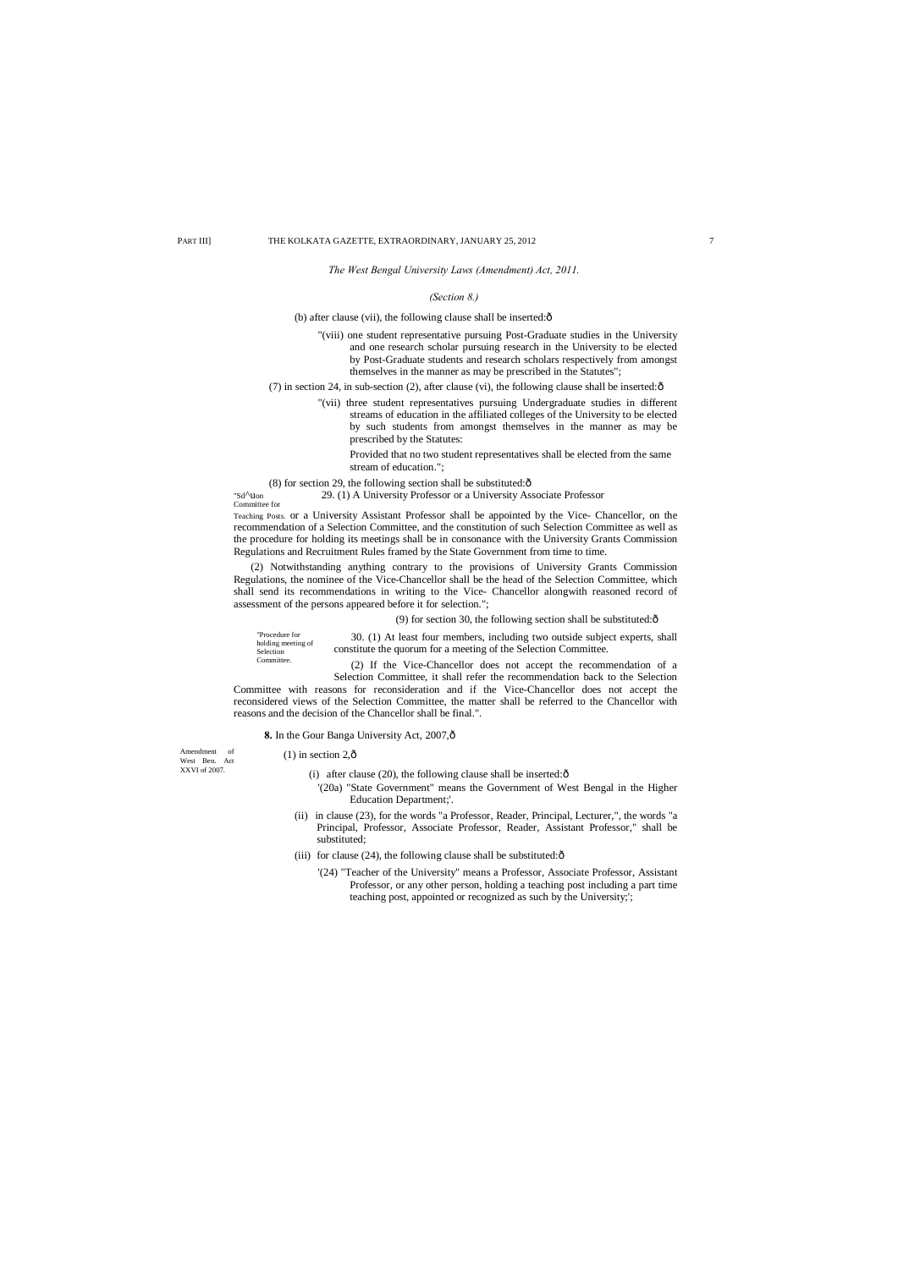"Procedure for holding meeting of Selection **Committee** 

Amendment of West Ben. Act XXVI of 2007.

*The West Bengal University Laws (Amendment) Act, 2011.*

## *(Section 8.)*

## (b) after clause (vii), the following clause shall be inserted: $\delta$

"(viii) one student representative pursuing Post-Graduate studies in the University and one research scholar pursuing research in the University to be elected by Post-Graduate students and research scholars respectively from amongst themselves in the manner as may be prescribed in the Statutes";

(7) in section 24, in sub-section (2), after clause (vi), the following clause shall be inserted: $\hat{\text{o}}$ 

"(vii) three student representatives pursuing Undergraduate studies in different streams of education in the affiliated colleges of the University to be elected by such students from amongst themselves in the manner as may be prescribed by the Statutes:

Provided that no two student representatives shall be elected from the same stream of education.";

 $(8)$  for section 29, the following section shall be substituted: $\hat{o}$ 

"Sd^uon 29. (1) A University Professor or a University Associate Professor

Committee for

Teaching Posts. or a University Assistant Professor shall be appointed by the Vice- Chancellor, on the recommendation of a Selection Committee, and the constitution of such Selection Committee as well as the procedure for holding its meetings shall be in consonance with the University Grants Commission Regulations and Recruitment Rules framed by the State Government from time to time.

- (i) after clause (20), the following clause shall be inserted: $\hat{o}$ 
	- '(20a) "State Government" means the Government of West Bengal in the Higher Education Department;'.
- (ii) in clause (23), for the words "a Professor, Reader, Principal, Lecturer,", the words "a Principal, Professor, Associate Professor, Reader, Assistant Professor," shall be substituted;
- (iii) for clause (24), the following clause shall be substituted: $\hat{o}$ 
	- '(24) "Teacher of the University" means a Professor, Associate Professor, Assistant Professor, or any other person, holding a teaching post including a part time teaching post, appointed or recognized as such by the University;';

(2) Notwithstanding anything contrary to the provisions of University Grants Commission Regulations, the nominee of the Vice-Chancellor shall be the head of the Selection Committee, which shall send its recommendations in writing to the Vice- Chancellor alongwith reasoned record of assessment of the persons appeared before it for selection.";

## (9) for section 30, the following section shall be substituted: $\hat{o}$

30. (1) At least four members, including two outside subject experts, shall constitute the quorum for a meeting of the Selection Committee.

(2) If the Vice-Chancellor does not accept the recommendation of a Selection Committee, it shall refer the recommendation back to the Selection

Committee with reasons for reconsideration and if the Vice-Chancellor does not accept the reconsidered views of the Selection Committee, the matter shall be referred to the Chancellor with reasons and the decision of the Chancellor shall be final.".

## 8. In the Gour Banga University Act, 2007, $\hat{o}$

 $(1)$  in section 2, $\hat{0}$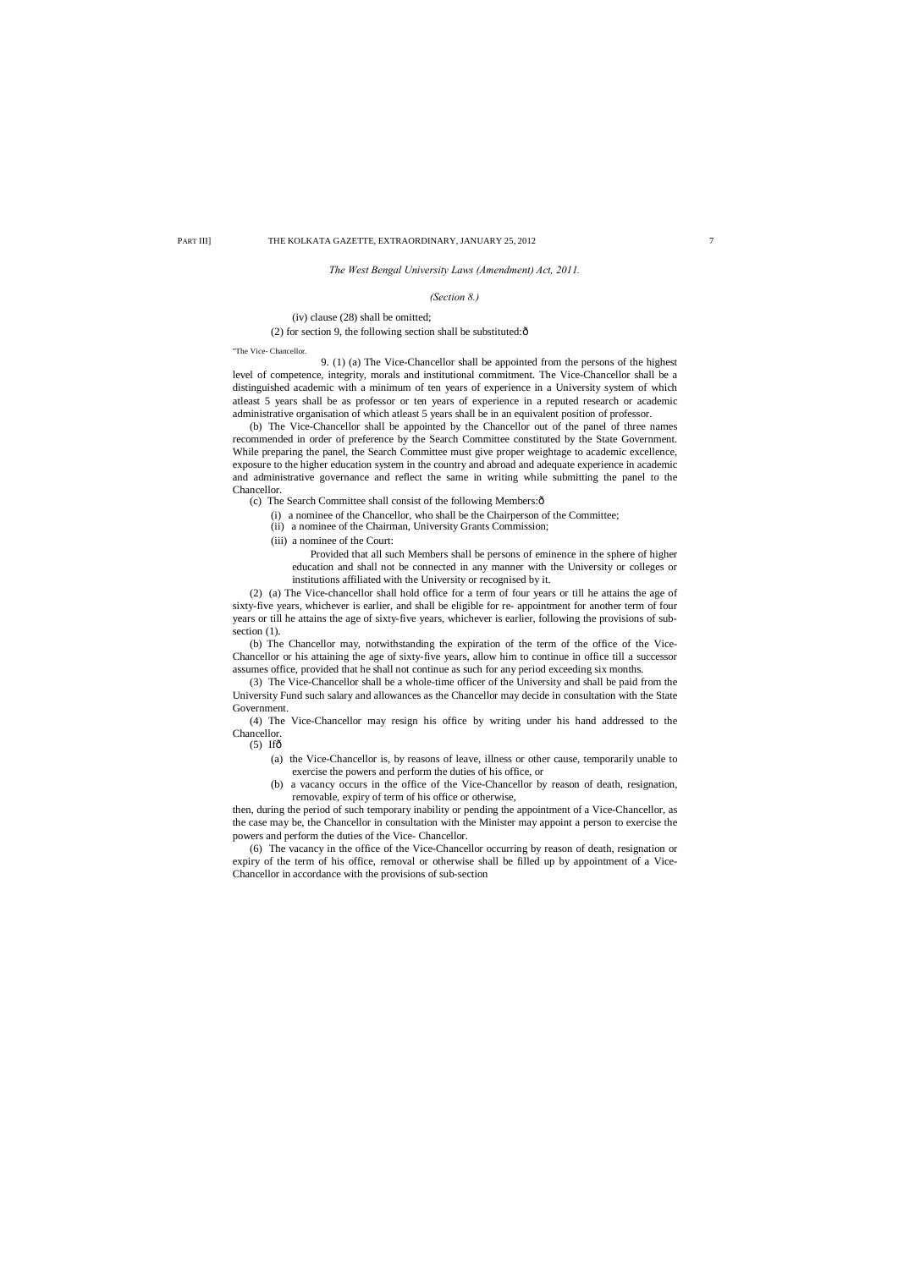## *The West Bengal University Laws (Amendment) Act, 2011.*

## *(Section 8.)*

## (iv) clause (28) shall be omitted;

(2) for section 9, the following section shall be substituted: $\hat{o}$ 

#### "The Vice- Chancellor.

9. (1) (a) The Vice-Chancellor shall be appointed from the persons of the highest level of competence, integrity, morals and institutional commitment. The Vice-Chancellor shall be a distinguished academic with a minimum of ten years of experience in a University system of which atleast 5 years shall be as professor or ten years of experience in a reputed research or academic administrative organisation of which atleast 5 years shall be in an equivalent position of professor.

(2) (a) The Vice-chancellor shall hold office for a term of four years or till he attains the age of sixty-five years, whichever is earlier, and shall be eligible for re- appointment for another term of four years or till he attains the age of sixty-five years, whichever is earlier, following the provisions of subsection  $(1)$ .

(b) The Vice-Chancellor shall be appointed by the Chancellor out of the panel of three names recommended in order of preference by the Search Committee constituted by the State Government. While preparing the panel, the Search Committee must give proper weightage to academic excellence, exposure to the higher education system in the country and abroad and adequate experience in academic and administrative governance and reflect the same in writing while submitting the panel to the Chancellor.

(c) The Search Committee shall consist of the following Members: $\hat{o}$ 

(i) a nominee of the Chancellor, who shall be the Chairperson of the Committee;

(ii) a nominee of the Chairman, University Grants Commission;

(iii) a nominee of the Court:

Provided that all such Members shall be persons of eminence in the sphere of higher education and shall not be connected in any manner with the University or colleges or institutions affiliated with the University or recognised by it.

(b) The Chancellor may, notwithstanding the expiration of the term of the office of the Vice-Chancellor or his attaining the age of sixty-five years, allow him to continue in office till a successor assumes office, provided that he shall not continue as such for any period exceeding six months.

(3) The Vice-Chancellor shall be a whole-time officer of the University and shall be paid from the University Fund such salary and allowances as the Chancellor may decide in consultation with the State Government.

(4) The Vice-Chancellor may resign his office by writing under his hand addressed to the Chancellor.

 $(5)$  Ifô

- (a) the Vice-Chancellor is, by reasons of leave, illness or other cause, temporarily unable to exercise the powers and perform the duties of his office, or
- (b) a vacancy occurs in the office of the Vice-Chancellor by reason of death, resignation, removable, expiry of term of his office or otherwise,

then, during the period of such temporary inability or pending the appointment of a Vice-Chancellor, as the case may be, the Chancellor in consultation with the Minister may appoint a person to exercise the powers and perform the duties of the Vice- Chancellor.

(6) The vacancy in the office of the Vice-Chancellor occurring by reason of death, resignation or expiry of the term of his office, removal or otherwise shall be filled up by appointment of a Vice-Chancellor in accordance with the provisions of sub-section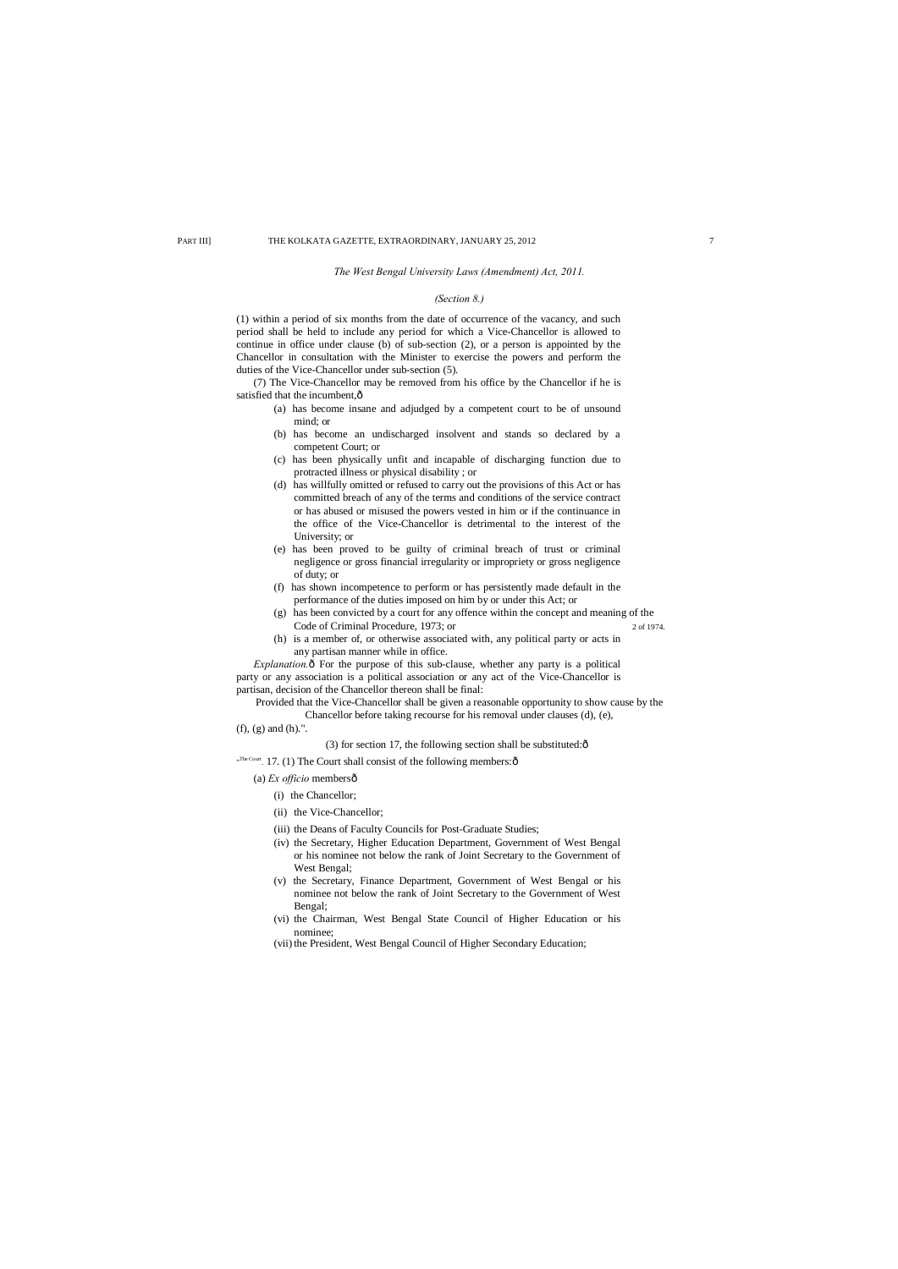#### *The West Bengal University Laws (Amendment) Act, 2011.*

## *(Section 8.)*

(7) The Vice-Chancellor may be removed from his office by the Chancellor if he is satisfied that the incumbent, $\hat{o}$ 

(1) within a period of six months from the date of occurrence of the vacancy, and such period shall be held to include any period for which a Vice-Chancellor is allowed to continue in office under clause (b) of sub-section (2), or a person is appointed by the Chancellor in consultation with the Minister to exercise the powers and perform the duties of the Vice-Chancellor under sub-section (5).

*Explanation.* $\delta$  For the purpose of this sub-clause, whether any party is a political party or any association is a political association or any act of the Vice-Chancellor is partisan, decision of the Chancellor thereon shall be final:

- (a) has become insane and adjudged by a competent court to be of unsound mind; or
- (b) has become an undischarged insolvent and stands so declared by a competent Court; or
- (c) has been physically unfit and incapable of discharging function due to protracted illness or physical disability ; or
- (d) has willfully omitted or refused to carry out the provisions of this Act or has committed breach of any of the terms and conditions of the service contract or has abused or misused the powers vested in him or if the continuance in the office of the Vice-Chancellor is detrimental to the interest of the University; or
- (e) has been proved to be guilty of criminal breach of trust or criminal negligence or gross financial irregularity or impropriety or gross negligence of duty; or
- (f) has shown incompetence to perform or has persistently made default in the performance of the duties imposed on him by or under this Act; or
- (g) has been convicted by a court for any offence within the concept and meaning of the Code of Criminal Procedure, 1973; or 2 of 1974.
- (h) is a member of, or otherwise associated with, any political party or acts in any partisan manner while in office.

Provided that the Vice-Chancellor shall be given a reasonable opportunity to show cause by the Chancellor before taking recourse for his removal under clauses (d), (e),

## (f), (g) and (h).".

(3) for section 17, the following section shall be substituted: $\hat{o}$ 

"The Court. 17. (1) The Court shall consist of the following members: ô

## (a) *Ex officio* members—

- (i) the Chancellor;
- (ii) the Vice-Chancellor;
- (iii) the Deans of Faculty Councils for Post-Graduate Studies;
- (iv) the Secretary, Higher Education Department, Government of West Bengal or his nominee not below the rank of Joint Secretary to the Government of West Bengal;
- (v) the Secretary, Finance Department, Government of West Bengal or his nominee not below the rank of Joint Secretary to the Government of West Bengal;
- (vi) the Chairman, West Bengal State Council of Higher Education or his nominee;
- (vii) the President, West Bengal Council of Higher Secondary Education;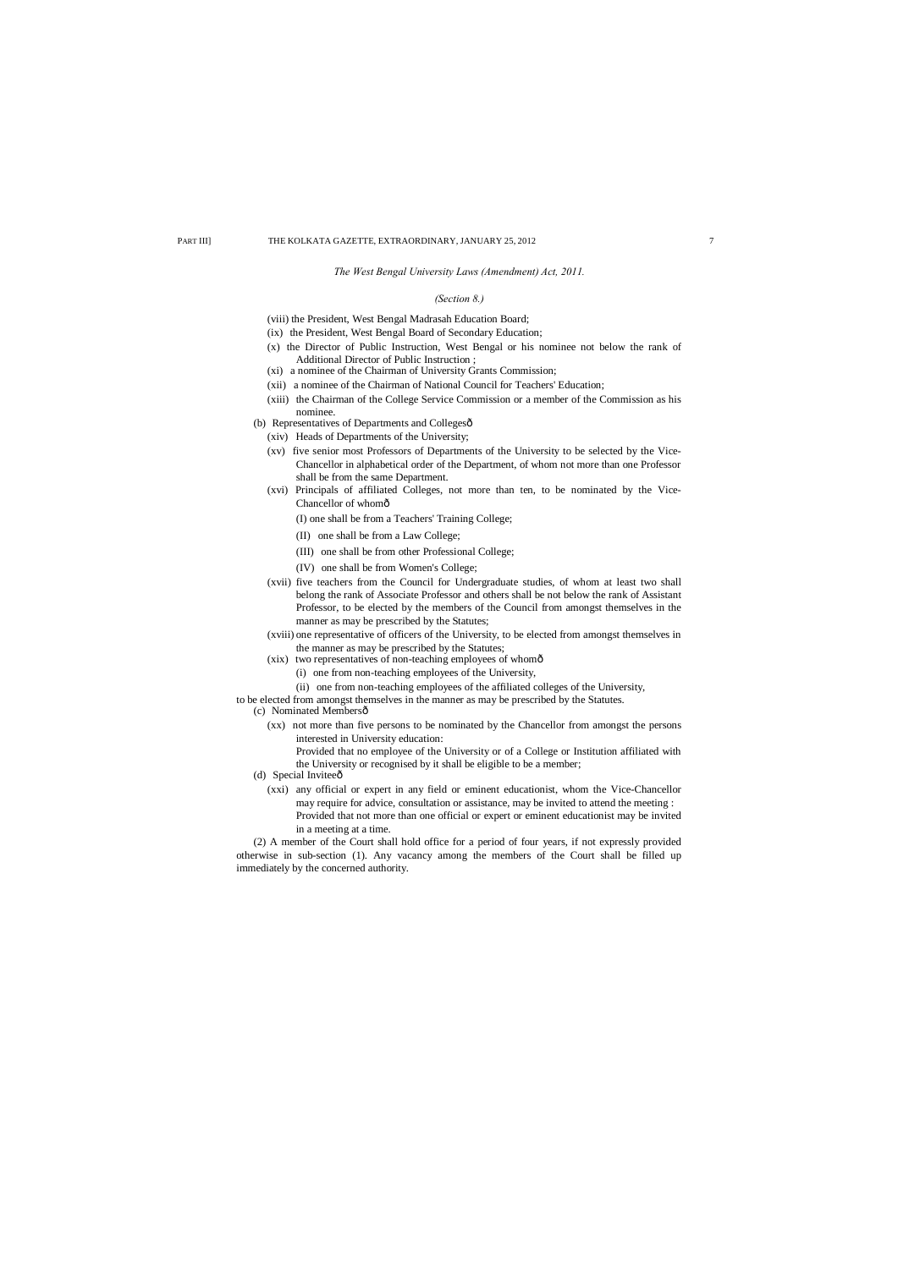## *The West Bengal University Laws (Amendment) Act, 2011.*

## *(Section 8.)*

(viii) the President, West Bengal Madrasah Education Board;

- (ix) the President, West Bengal Board of Secondary Education;
- (x) the Director of Public Instruction, West Bengal or his nominee not below the rank of Additional Director of Public Instruction ;
- (xi) a nominee of the Chairman of University Grants Commission;
- (xii) a nominee of the Chairman of National Council for Teachers' Education;
- (xiii) the Chairman of the College Service Commission or a member of the Commission as his nominee.
- (b) Representatives of Departments and Collegesô
	- (xiv) Heads of Departments of the University;
	- (xv) five senior most Professors of Departments of the University to be selected by the Vice-Chancellor in alphabetical order of the Department, of whom not more than one Professor shall be from the same Department.
	- (xvi) Principals of affiliated Colleges, not more than ten, to be nominated by the Vice-Chancellor of whomô
		- (I) one shall be from a Teachers' Training College;
		- (II) one shall be from a Law College;
		- (III) one shall be from other Professional College;
		- (IV) one shall be from Women's College;
	- (xvii) five teachers from the Council for Undergraduate studies, of whom at least two shall belong the rank of Associate Professor and others shall be not below the rank of Assistant Professor, to be elected by the members of the Council from amongst themselves in the manner as may be prescribed by the Statutes;
	- (xviii) one representative of officers of the University, to be elected from amongst themselves in the manner as may be prescribed by the Statutes;
	- (xix) two representatives of non-teaching employees of whomô
		- (i) one from non-teaching employees of the University,
		- (ii) one from non-teaching employees of the affiliated colleges of the University,
- to be elected from amongst themselves in the manner as may be prescribed by the Statutes.
- (c) Nominated Membersô
	- (xx) not more than five persons to be nominated by the Chancellor from amongst the persons interested in University education:

- (d) Special Invitee $\hat{o}$ 
	- (xxi) any official or expert in any field or eminent educationist, whom the Vice-Chancellor may require for advice, consultation or assistance, may be invited to attend the meeting : Provided that not more than one official or expert or eminent educationist may be invited in a meeting at a time.

Provided that no employee of the University or of a College or Institution affiliated with the University or recognised by it shall be eligible to be a member;

(2) A member of the Court shall hold office for a period of four years, if not expressly provided otherwise in sub-section (1). Any vacancy among the members of the Court shall be filled up immediately by the concerned authority.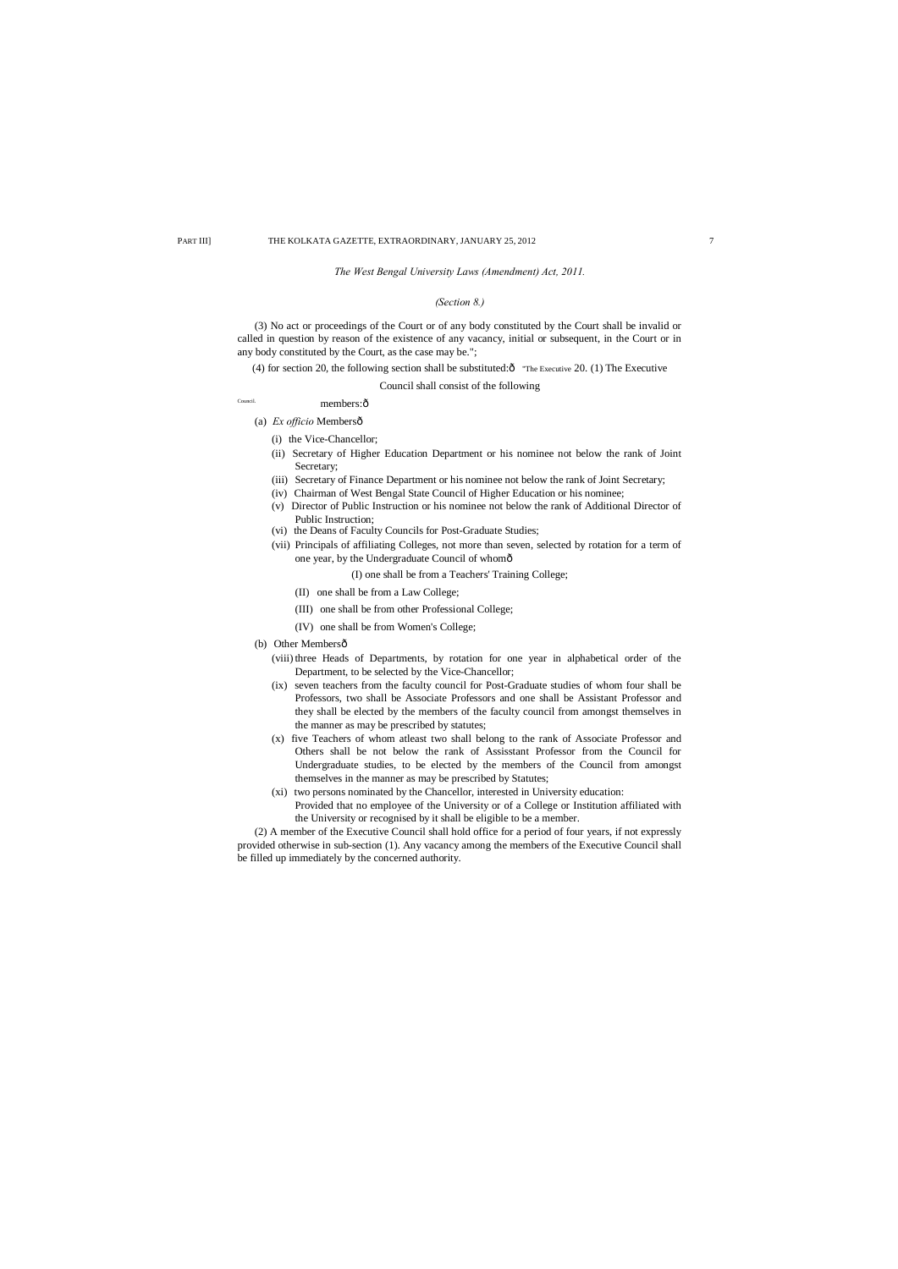## *The West Bengal University Laws (Amendment) Act, 2011.*

## *(Section 8.)*

(3) No act or proceedings of the Court or of any body constituted by the Court shall be invalid or called in question by reason of the existence of any vacancy, initial or subsequent, in the Court or in any body constituted by the Court, as the case may be.";

(4) for section 20, the following section shall be substituted: $\hat{o}$  "The Executive 20. (1) The Executive

Council shall consist of the following

## Council. **members:** $\hat{0}$

(a) *Ex officio* Membersô

- (i) the Vice-Chancellor;
- (ii) Secretary of Higher Education Department or his nominee not below the rank of Joint Secretary;
- (iii) Secretary of Finance Department or his nominee not below the rank of Joint Secretary;
- (iv) Chairman of West Bengal State Council of Higher Education or his nominee;
- (v) Director of Public Instruction or his nominee not below the rank of Additional Director of Public Instruction;
- (vi) the Deans of Faculty Councils for Post-Graduate Studies;
- (vii) Principals of affiliating Colleges, not more than seven, selected by rotation for a term of one year, by the Undergraduate Council of whom—
	- (I) one shall be from a Teachers' Training College;
	- (II) one shall be from a Law College;
	- (III) one shall be from other Professional College;
	- (IV) one shall be from Women's College;
- (b) Other Membersô
	- (viii) three Heads of Departments, by rotation for one year in alphabetical order of the Department, to be selected by the Vice-Chancellor;
	- (ix) seven teachers from the faculty council for Post-Graduate studies of whom four shall be Professors, two shall be Associate Professors and one shall be Assistant Professor and they shall be elected by the members of the faculty council from amongst themselves in the manner as may be prescribed by statutes;
	- (x) five Teachers of whom atleast two shall belong to the rank of Associate Professor and Others shall be not below the rank of Assisstant Professor from the Council for Undergraduate studies, to be elected by the members of the Council from amongst themselves in the manner as may be prescribed by Statutes;
	- (xi) two persons nominated by the Chancellor, interested in University education: Provided that no employee of the University or of a College or Institution affiliated with the University or recognised by it shall be eligible to be a member.

(2) A member of the Executive Council shall hold office for a period of four years, if not expressly provided otherwise in sub-section (1). Any vacancy among the members of the Executive Council shall be filled up immediately by the concerned authority.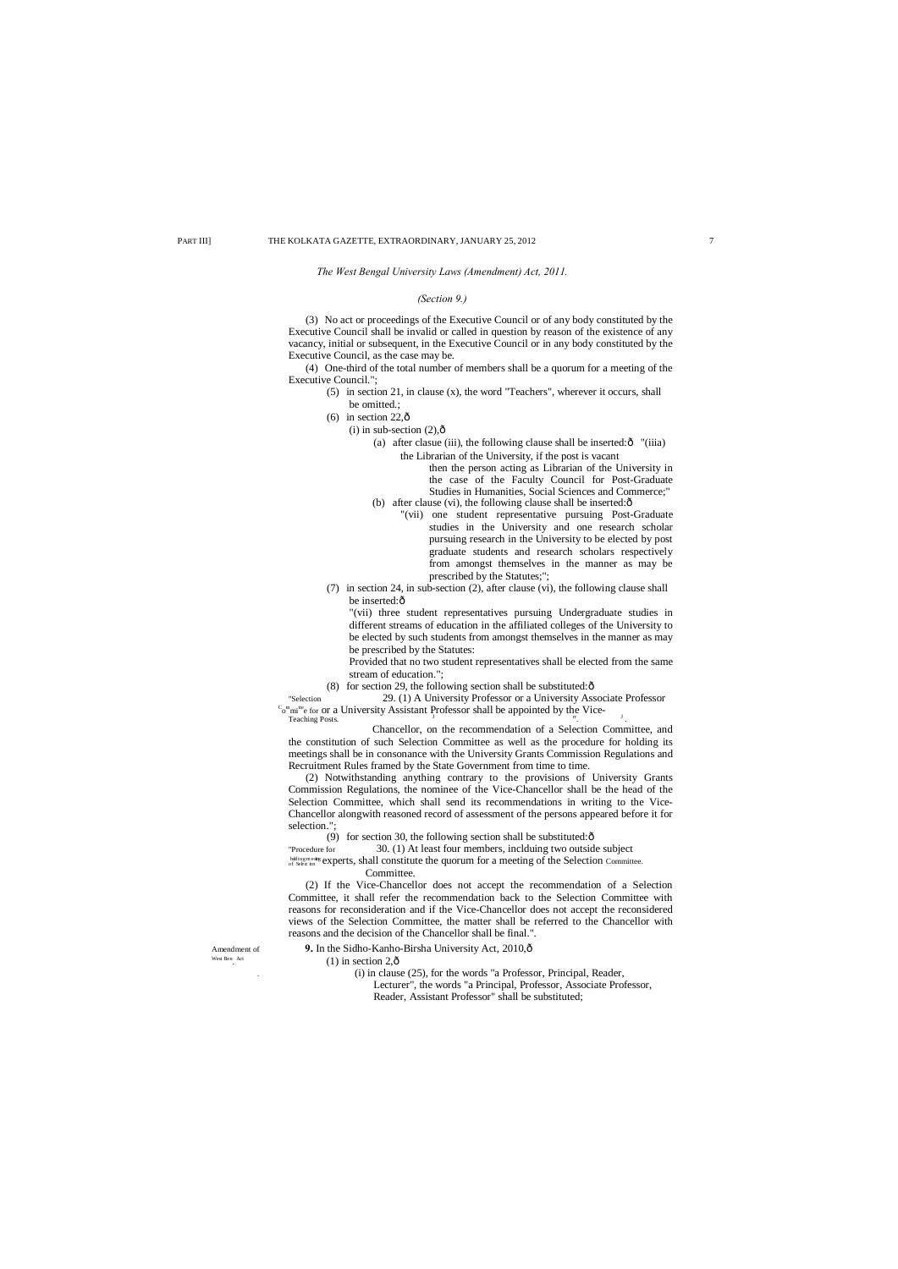## *The West Bengal University Laws (Amendment) Act, 2011.*

## *(Section 9.)*

- (5) in section 21, in clause (x), the word "Teachers", wherever it occurs, shall be omitted.;
- $(6)$  in section 22, $\hat{0}$ 
	- $(i)$  in sub-section  $(2),\hat{0}$ 
		- (a) after clasue (iii), the following clause shall be inserted: $\delta$  "(iiia) the Librarian of the University, if the post is vacant
		- then the person acting as Librarian of the University in the case of the Faculty Council for Post-Graduate Studies in Humanities, Social Sciences and Commerce;" (b) after clause (vi), the following clause shall be inserted: $\hat{o}$ 
			- "(vii) one student representative pursuing Post-Graduate studies in the University and one research scholar pursuing research in the University to be elected by post graduate students and research scholars respectively from amongst themselves in the manner as may be prescribed by the Statutes;";
- (7) in section 24, in sub-section (2), after clause (vi), the following clause shall be inserted: $\hat{o}$

(3) No act or proceedings of the Executive Council or of any body constituted by the Executive Council shall be invalid or called in question by reason of the existence of any vacancy, initial or subsequent, in the Executive Council or in any body constituted by the Executive Council, as the case may be.

(4) One-third of the total number of members shall be a quorum for a meeting of the Executive Council.";

"Selection 29. (1) A University Professor or a University Associate Professor  ${}^C\sigma^m$ mi<sup>tte</sup>e for or a University Assistant Professor shall be appointed by the Vice-<br>Teaching Posts.

"(vii) three student representatives pursuing Undergraduate studies in different streams of education in the affiliated colleges of the University to be elected by such students from amongst themselves in the manner as may be prescribed by the Statutes:

Provided that no two student representatives shall be elected from the same stream of education.";

(8) for section 29, the following section shall be substituted: $\hat{o}$ 

Chancellor, on the recommendation of a Selection Committee, and the constitution of such Selection Committee as well as the procedure for holding its meetings shall be in consonance with the University Grants Commission Regulations and Recruitment Rules framed by the State Government from time to time.

(2) Notwithstanding anything contrary to the provisions of University Grants Commission Regulations, the nominee of the Vice-Chancellor shall be the head of the Selection Committee, which shall send its recommendations in writing to the Vice-Chancellor alongwith reasoned record of assessment of the persons appeared before it for selection.";

(9) for section 30, the following section shall be substituted: $\hat{o}$ 

"Procedure for 30. (1) At least four members, inclduing two outside subject htlingmedig experts, shall constitute the quorum for a meeting of the Selection Committee. Committee.

(2) If the Vice-Chancellor does not accept the recommendation of a Selection Committee, it shall refer the recommendation back to the Selection Committee with reasons for reconsideration and if the Vice-Chancellor does not accept the reconsidered views of the Selection Committee, the matter shall be referred to the Chancellor with reasons and the decision of the Chancellor shall be final.".

Amendment of **9.** In the Sidho-Kanho-Birsha University Act, 2010, ô

#### West Ben. Act  $(1)$  in section  $2, \hat{0}$

. (i) in clause (25), for the words "a Professor, Principal, Reader,

Lecturer", the words "a Principal, Professor, Associate Professor,

Reader, Assistant Professor" shall be substituted;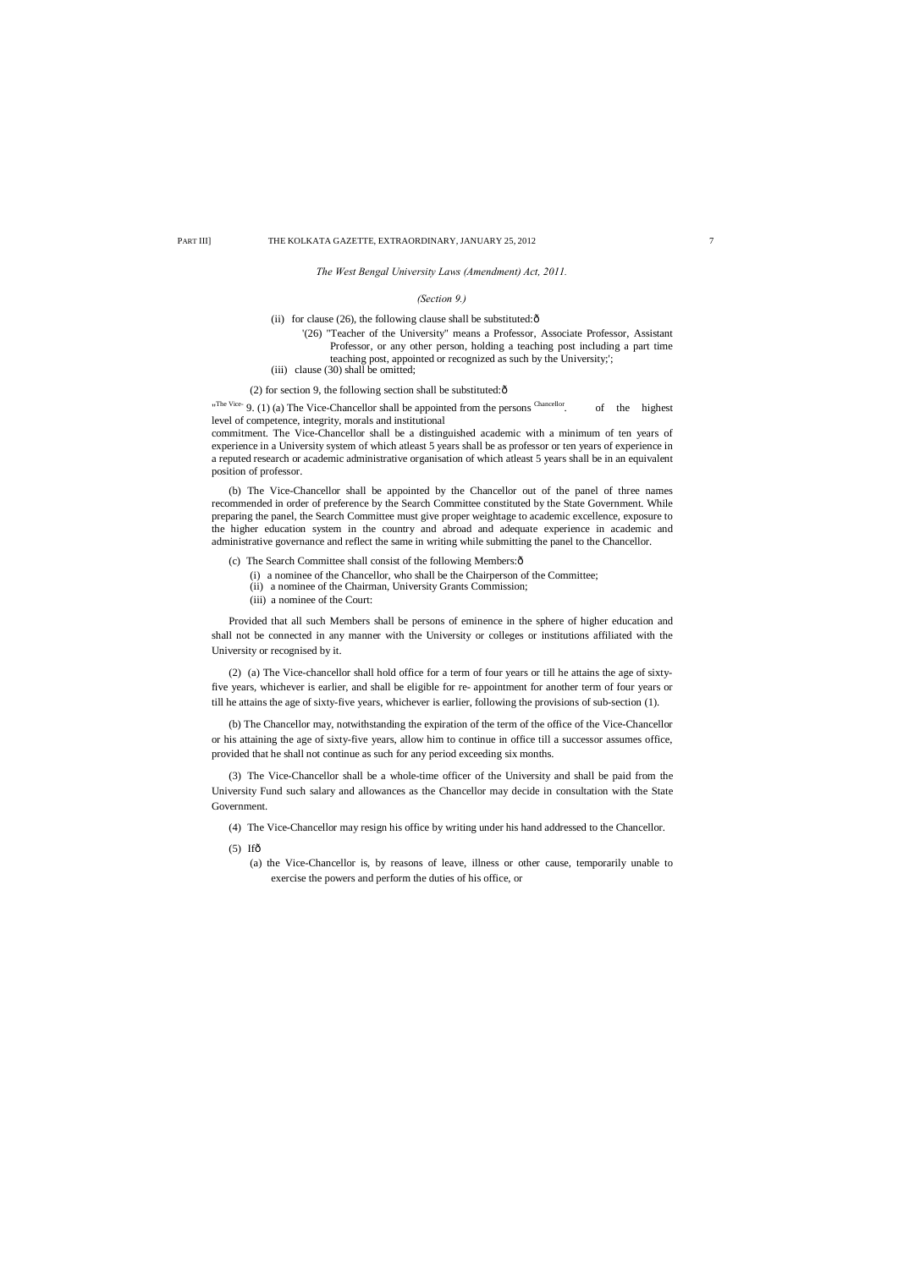*The West Bengal University Laws (Amendment) Act, 2011.*

## *(Section 9.)*

(ii) for clause (26), the following clause shall be substituted: $\delta$ 

- '(26) "Teacher of the University" means a Professor, Associate Professor, Assistant Professor, or any other person, holding a teaching post including a part time teaching post, appointed or recognized as such by the University;';
- (iii) clause (30) shall be omitted;

## (2) for section 9, the following section shall be substituted: $\delta$

"The Vice- 9. (1) (a) The Vice-Chancellor shall be appointed from the persons  $\frac{\text{Chancellor}}{\text{Chancellor}}$  of the highest level of competence, integrity, morals and institutional

commitment. The Vice-Chancellor shall be a distinguished academic with a minimum of ten years of experience in a University system of which atleast 5 years shall be as professor or ten years of experience in a reputed research or academic administrative organisation of which atleast 5 years shall be in an equivalent position of professor.

- (c) The Search Committee shall consist of the following Members: $\hat{o}$ 
	- (i) a nominee of the Chancellor, who shall be the Chairperson of the Committee;
	- (ii) a nominee of the Chairman, University Grants Commission;
	- (iii) a nominee of the Court:

(b) The Vice-Chancellor shall be appointed by the Chancellor out of the panel of three names recommended in order of preference by the Search Committee constituted by the State Government. While preparing the panel, the Search Committee must give proper weightage to academic excellence, exposure to the higher education system in the country and abroad and adequate experience in academic and administrative governance and reflect the same in writing while submitting the panel to the Chancellor.

Provided that all such Members shall be persons of eminence in the sphere of higher education and shall not be connected in any manner with the University or colleges or institutions affiliated with the University or recognised by it.

(2) (a) The Vice-chancellor shall hold office for a term of four years or till he attains the age of sixtyfive years, whichever is earlier, and shall be eligible for re- appointment for another term of four years or till he attains the age of sixty-five years, whichever is earlier, following the provisions of sub-section (1).

(b) The Chancellor may, notwithstanding the expiration of the term of the office of the Vice-Chancellor or his attaining the age of sixty-five years, allow him to continue in office till a successor assumes office, provided that he shall not continue as such for any period exceeding six months.

(3) The Vice-Chancellor shall be a whole-time officer of the University and shall be paid from the University Fund such salary and allowances as the Chancellor may decide in consultation with the State Government.

- (4) The Vice-Chancellor may resign his office by writing under his hand addressed to the Chancellor.
- $(5)$  Ifô
	- (a) the Vice-Chancellor is, by reasons of leave, illness or other cause, temporarily unable to exercise the powers and perform the duties of his office, or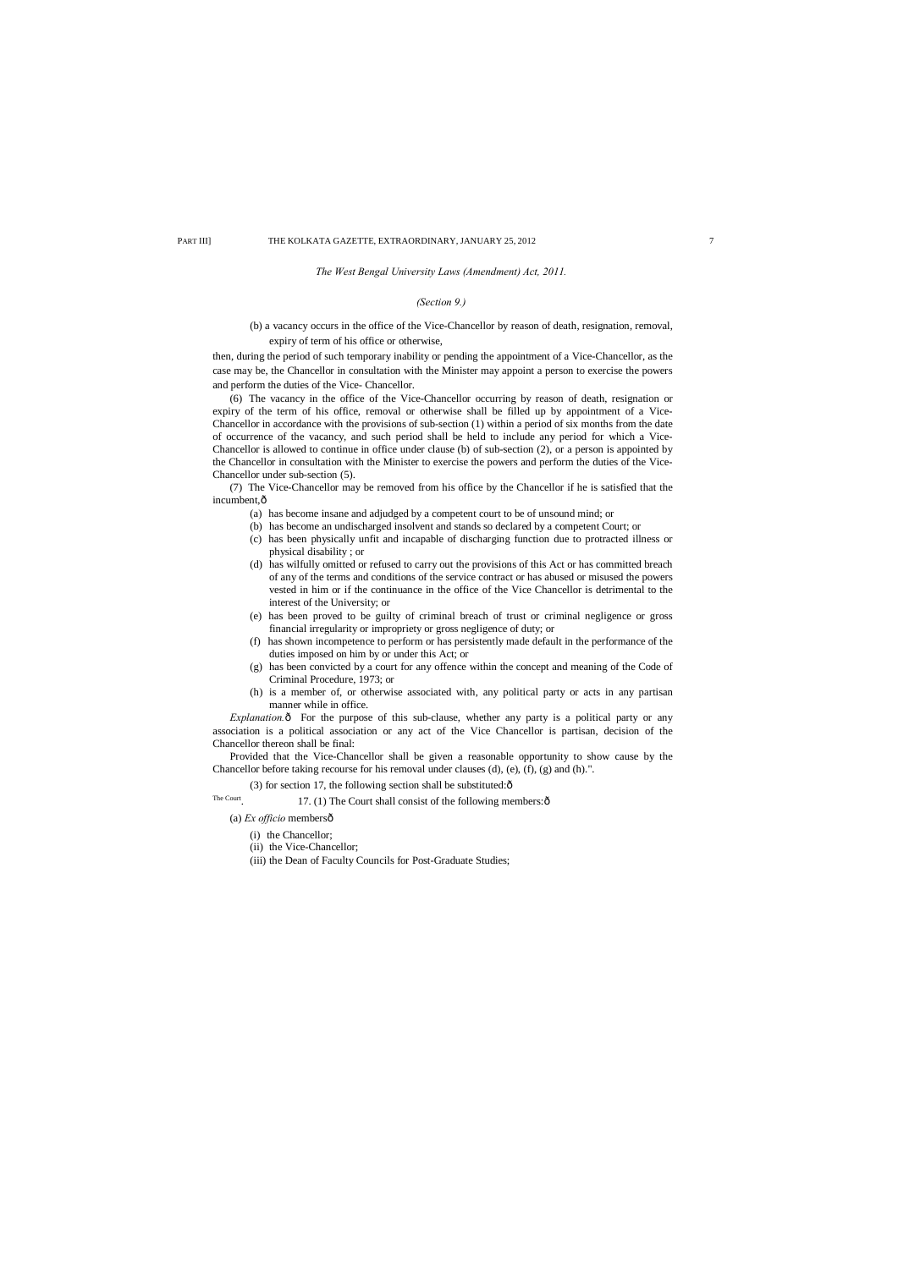## *The West Bengal University Laws (Amendment) Act, 2011.*

## *(Section 9.)*

(b) a vacancy occurs in the office of the Vice-Chancellor by reason of death, resignation, removal, expiry of term of his office or otherwise,

then, during the period of such temporary inability or pending the appointment of a Vice-Chancellor, as the case may be, the Chancellor in consultation with the Minister may appoint a person to exercise the powers and perform the duties of the Vice- Chancellor.

(7) The Vice-Chancellor may be removed from his office by the Chancellor if he is satisfied that the incumbent, $\hat{o}$ 

(6) The vacancy in the office of the Vice-Chancellor occurring by reason of death, resignation or expiry of the term of his office, removal or otherwise shall be filled up by appointment of a Vice-Chancellor in accordance with the provisions of sub-section (1) within a period of six months from the date of occurrence of the vacancy, and such period shall be held to include any period for which a Vice-Chancellor is allowed to continue in office under clause (b) of sub-section (2), or a person is appointed by the Chancellor in consultation with the Minister to exercise the powers and perform the duties of the Vice-Chancellor under sub-section (5).

(a) has become insane and adjudged by a competent court to be of unsound mind; or

*Explanation.* $\hat{\text{o}}$  For the purpose of this sub-clause, whether any party is a political party or any association is a political association or any act of the Vice Chancellor is partisan, decision of the Chancellor thereon shall be final:

- (b) has become an undischarged insolvent and stands so declared by a competent Court; or
- (c) has been physically unfit and incapable of discharging function due to protracted illness or physical disability ; or
- (d) has wilfully omitted or refused to carry out the provisions of this Act or has committed breach of any of the terms and conditions of the service contract or has abused or misused the powers vested in him or if the continuance in the office of the Vice Chancellor is detrimental to the interest of the University; or
- (e) has been proved to be guilty of criminal breach of trust or criminal negligence or gross financial irregularity or impropriety or gross negligence of duty; or
- (f) has shown incompetence to perform or has persistently made default in the performance of the duties imposed on him by or under this Act; or
- (g) has been convicted by a court for any offence within the concept and meaning of the Code of Criminal Procedure, 1973; or
- (h) is a member of, or otherwise associated with, any political party or acts in any partisan manner while in office.

Provided that the Vice-Chancellor shall be given a reasonable opportunity to show cause by the Chancellor before taking recourse for his removal under clauses (d), (e), (f), (g) and (h).".

(3) for section 17, the following section shall be substituted: $\hat{o}$ 

The Court. 17. (1) The Court shall consist of the following members: $\hat{\text{o}}$ 

(a) *Ex officio* members—

(i) the Chancellor;

(ii) the Vice-Chancellor;

(iii) the Dean of Faculty Councils for Post-Graduate Studies;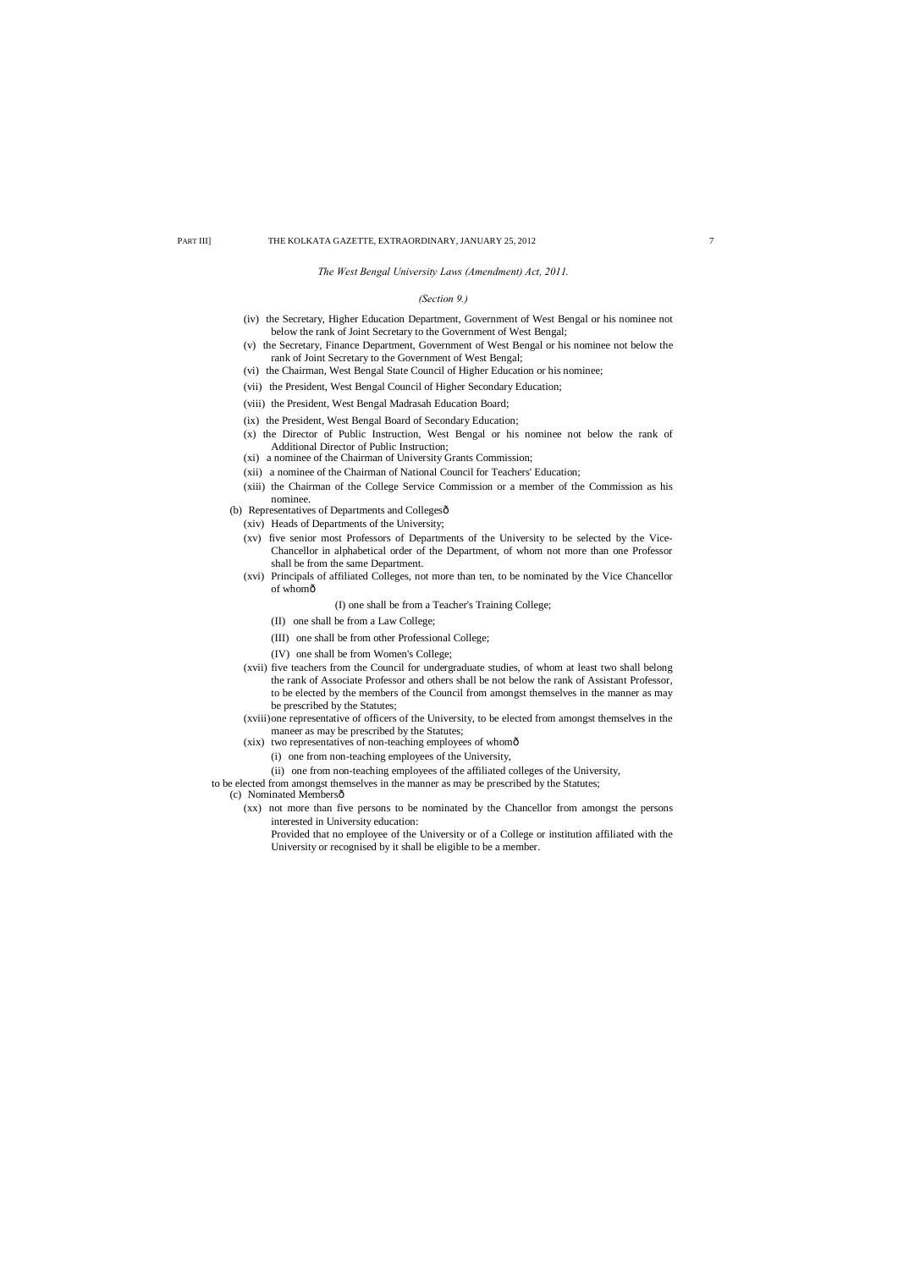*The West Bengal University Laws (Amendment) Act, 2011.*

## *(Section 9.)*

- (iv) the Secretary, Higher Education Department, Government of West Bengal or his nominee not below the rank of Joint Secretary to the Government of West Bengal;
- (v) the Secretary, Finance Department, Government of West Bengal or his nominee not below the rank of Joint Secretary to the Government of West Bengal;
- (vi) the Chairman, West Bengal State Council of Higher Education or his nominee;
- (vii) the President, West Bengal Council of Higher Secondary Education;
- (viii) the President, West Bengal Madrasah Education Board;
- (ix) the President, West Bengal Board of Secondary Education;
- (x) the Director of Public Instruction, West Bengal or his nominee not below the rank of Additional Director of Public Instruction;
- (xi) a nominee of the Chairman of University Grants Commission;
- (xii) a nominee of the Chairman of National Council for Teachers' Education;
- (xiii) the Chairman of the College Service Commission or a member of the Commission as his nominee.
- (b) Representatives of Departments and Collegesô
	- (xiv) Heads of Departments of the University;
	- (xv) five senior most Professors of Departments of the University to be selected by the Vice-Chancellor in alphabetical order of the Department, of whom not more than one Professor shall be from the same Department.
	- (xvi) Principals of affiliated Colleges, not more than ten, to be nominated by the Vice Chancellor of whomô
		- (I) one shall be from a Teacher's Training College;
		- (II) one shall be from a Law College;
		- (III) one shall be from other Professional College;
		- (IV) one shall be from Women's College;
	- (xvii) five teachers from the Council for undergraduate studies, of whom at least two shall belong the rank of Associate Professor and others shall be not below the rank of Assistant Professor, to be elected by the members of the Council from amongst themselves in the manner as may be prescribed by the Statutes;
	- (xviii)one representative of officers of the University, to be elected from amongst themselves in the maneer as may be prescribed by the Statutes;
	- (xix) two representatives of non-teaching employees of whomô
		- (i) one from non-teaching employees of the University,
		- (ii) one from non-teaching employees of the affiliated colleges of the University,

- (c) Nominated Membersô
	- (xx) not more than five persons to be nominated by the Chancellor from amongst the persons interested in University education:
		- Provided that no employee of the University or of a College or institution affiliated with the University or recognised by it shall be eligible to be a member.

to be elected from amongst themselves in the manner as may be prescribed by the Statutes;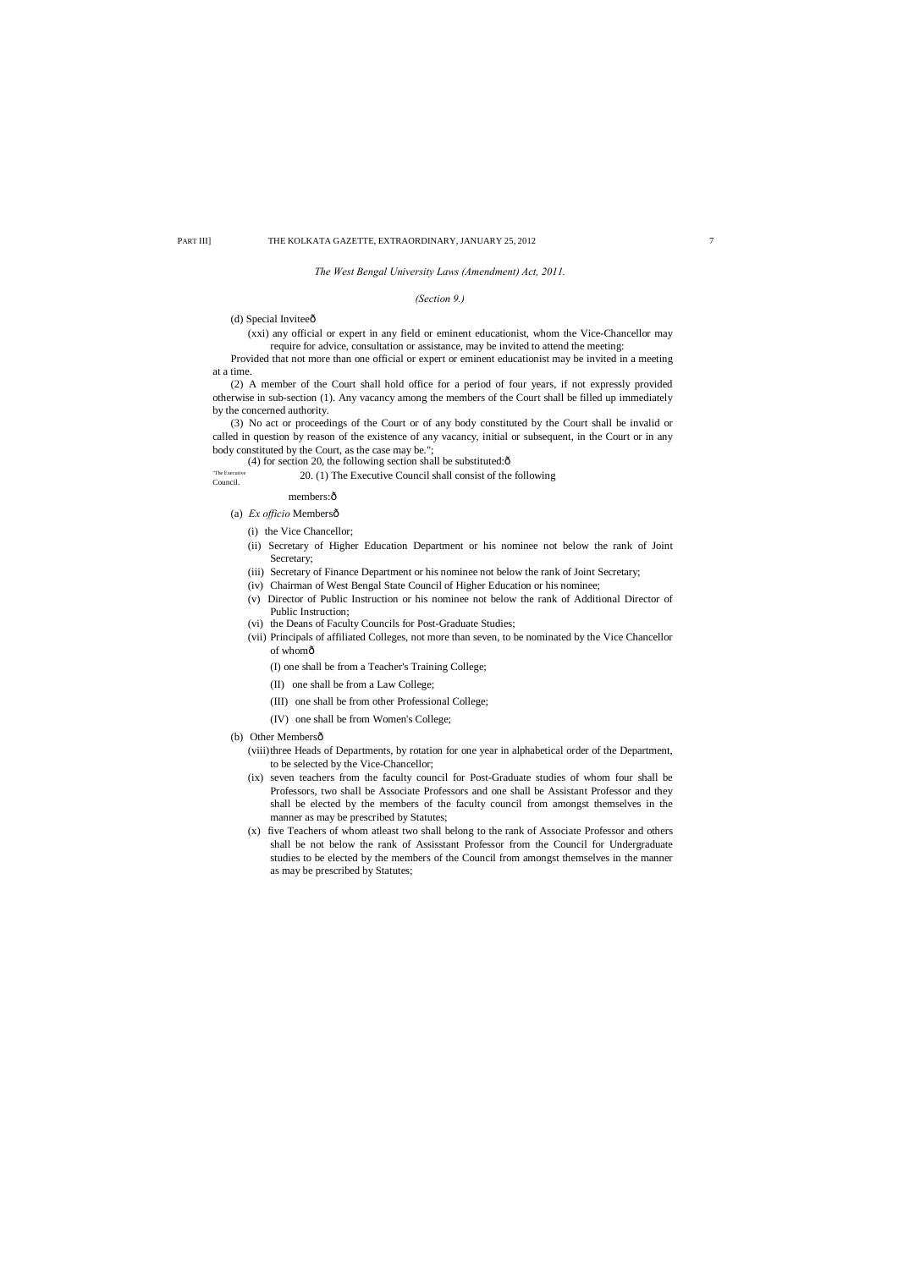## *The West Bengal University Laws (Amendment) Act, 2011.*

## *(Section 9.)*

## (d) Special Inviteeô

(xxi) any official or expert in any field or eminent educationist, whom the Vice-Chancellor may require for advice, consultation or assistance, may be invited to attend the meeting:

Provided that not more than one official or expert or eminent educationist may be invited in a meeting at a time.

(2) A member of the Court shall hold office for a period of four years, if not expressly provided otherwise in sub-section (1). Any vacancy among the members of the Court shall be filled up immediately by the concerned authority.

- (ii) Secretary of Higher Education Department or his nominee not below the rank of Joint Secretary;
- (iii) Secretary of Finance Department or his nominee not below the rank of Joint Secretary;
- (iv) Chairman of West Bengal State Council of Higher Education or his nominee;
- (v) Director of Public Instruction or his nominee not below the rank of Additional Director of Public Instruction;
- (vi) the Deans of Faculty Councils for Post-Graduate Studies;
- (vii) Principals of affiliated Colleges, not more than seven, to be nominated by the Vice Chancellor of whomô

(3) No act or proceedings of the Court or of any body constituted by the Court shall be invalid or called in question by reason of the existence of any vacancy, initial or subsequent, in the Court or in any body constituted by the Court, as the case may be.";

(4) for section 20, the following section shall be substituted: $\hat{o}$ 

The Executive 20. (1) The Executive Council shall consist of the following Council.

members: $\hat{o}$ 

## (a) *Ex officio* Membersô

(i) the Vice Chancellor;

(I) one shall be from a Teacher's Training College;

- (II) one shall be from a Law College;
- (III) one shall be from other Professional College;
- (IV) one shall be from Women's College;
- (b) Other Membersô
	- (viii)three Heads of Departments, by rotation for one year in alphabetical order of the Department, to be selected by the Vice-Chancellor;
	- (ix) seven teachers from the faculty council for Post-Graduate studies of whom four shall be Professors, two shall be Associate Professors and one shall be Assistant Professor and they shall be elected by the members of the faculty council from amongst themselves in the manner as may be prescribed by Statutes;
	- (x) five Teachers of whom atleast two shall belong to the rank of Associate Professor and others shall be not below the rank of Assisstant Professor from the Council for Undergraduate studies to be elected by the members of the Council from amongst themselves in the manner as may be prescribed by Statutes;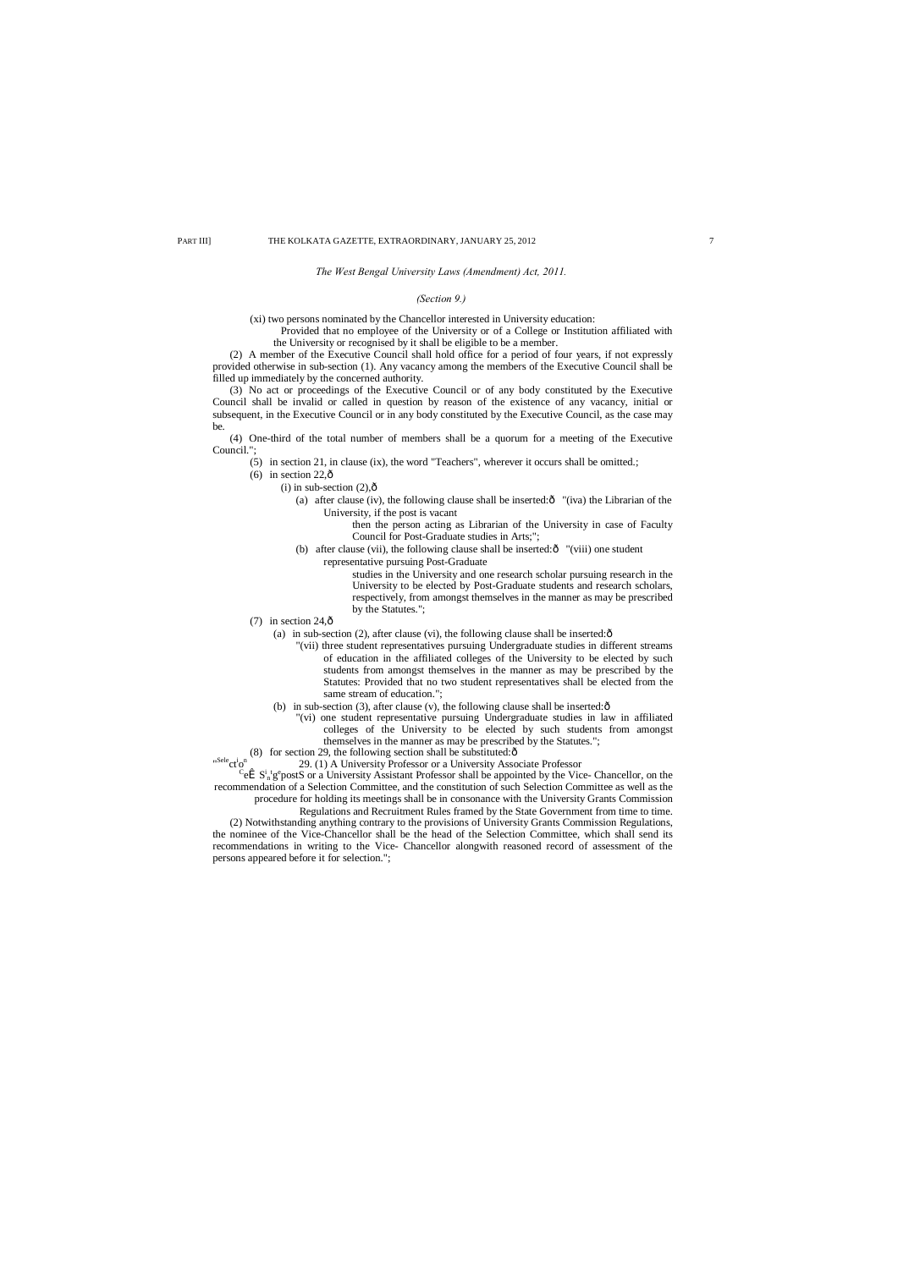## *The West Bengal University Laws (Amendment) Act, 2011.*

## *(Section 9.)*

(xi) two persons nominated by the Chancellor interested in University education:

Provided that no employee of the University or of a College or Institution affiliated with the University or recognised by it shall be eligible to be a member.

(3) No act or proceedings of the Executive Council or of any body constituted by the Executive Council shall be invalid or called in question by reason of the existence of any vacancy, initial or subsequent, in the Executive Council or in any body constituted by the Executive Council, as the case may be.

(2) A member of the Executive Council shall hold office for a period of four years, if not expressly provided otherwise in sub-section (1). Any vacancy among the members of the Executive Council shall be filled up immediately by the concerned authority.

- (6) in section  $22,\hat{0}$ 
	- $(i)$  in sub-section  $(2),\hat{0}$ 
		- (a) after clause (iv), the following clause shall be inserted: $\hat{o}$  "(iva) the Librarian of the University, if the post is vacant
			- then the person acting as Librarian of the University in case of Faculty Council for Post-Graduate studies in Arts;";
		- (b) after clause (vii), the following clause shall be inserted: $\hat{o}$  "(viii) one student representative pursuing Post-Graduate

(4) One-third of the total number of members shall be a quorum for a meeting of the Executive Council.";

(5) in section 21, in clause (ix), the word "Teachers", wherever it occurs shall be omitted.;

- (7) in section  $24,\hat{0}$ 
	- (a) in sub-section (2), after clause (vi), the following clause shall be inserted: $\hat{o}$ 
		- "(vii) three student representatives pursuing Undergraduate studies in different streams of education in the affiliated colleges of the University to be elected by such students from amongst themselves in the manner as may be prescribed by the Statutes: Provided that no two student representatives shall be elected from the same stream of education.";
	- (b) in sub-section (3), after clause (v), the following clause shall be inserted: $\hat{o}$ 
		- "(vi) one student representative pursuing Undergraduate studies in law in affiliated colleges of the University to be elected by such students from amongst themselves in the manner as may be prescribed by the Statutes.";

(8) for section 29, the following section shall be substituted: $\hat{o}$ 

"<sup>Sele</sup>ct<sup>i</sup> 29. (1) A University Professor or a University Associate Professor

 $\hat{\mathbf{S}}$  S<sup>i</sup><sub>n</sub>g<sup>e</sup> postS or a University Assistant Professor shall be appointed by the Vice- Chancellor, on the recommendation of a Selection Committee, and the constitution of such Selection Committee as well as the

studies in the University and one research scholar pursuing research in the University to be elected by Post-Graduate students and research scholars, respectively, from amongst themselves in the manner as may be prescribed by the Statutes.";

procedure for holding its meetings shall be in consonance with the University Grants Commission

Regulations and Recruitment Rules framed by the State Government from time to time.

(2) Notwithstanding anything contrary to the provisions of University Grants Commission Regulations, the nominee of the Vice-Chancellor shall be the head of the Selection Committee, which shall send its recommendations in writing to the Vice- Chancellor alongwith reasoned record of assessment of the persons appeared before it for selection.";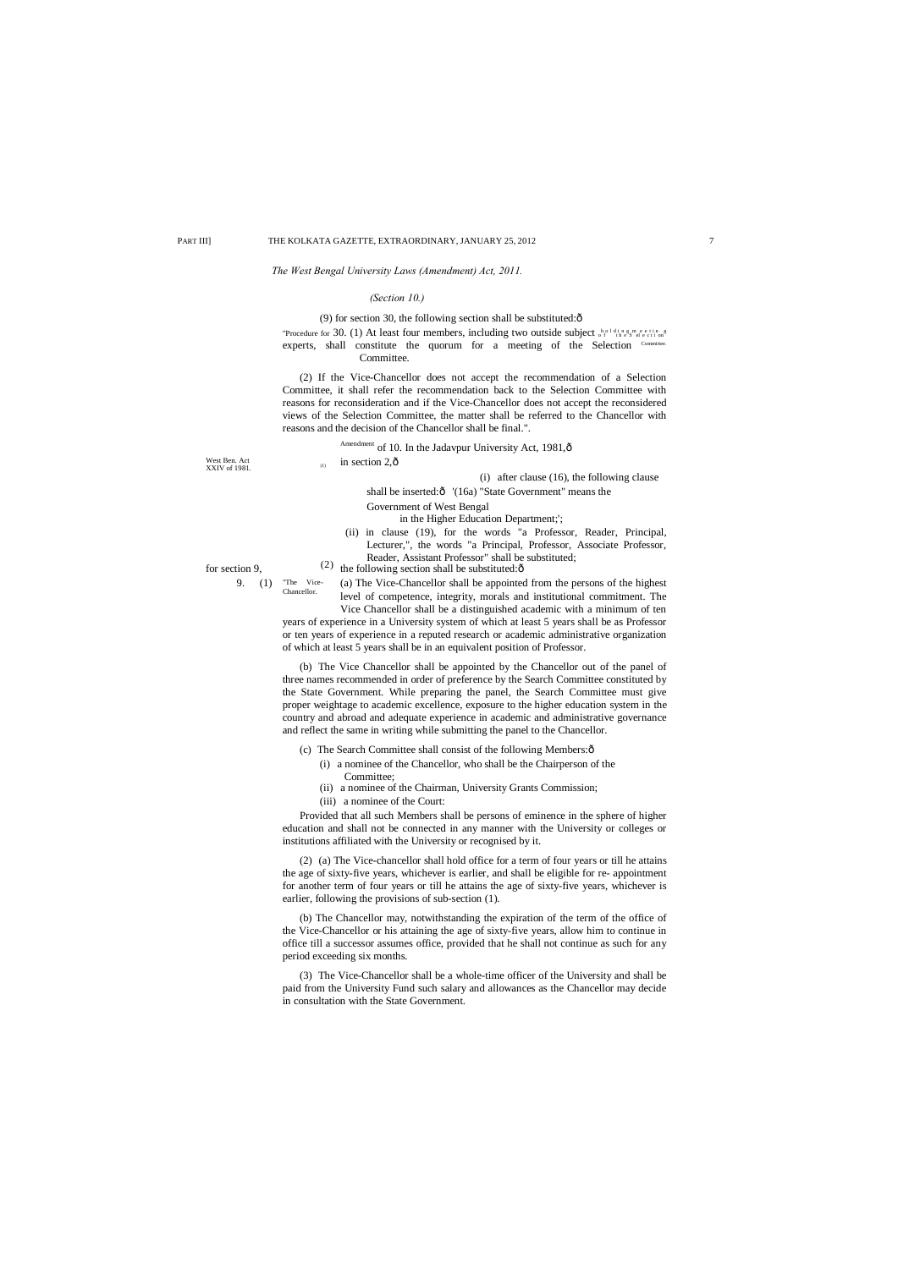"The Vice-Chancellor.

## *The West Bengal University Laws (Amendment) Act, 2011.*

## *(Section 10.)*

in section  $2,\hat{0}$ 

(9) for section 30, the following section shall be substituted: $\hat{o}$ 

"Procedure for 30. (1) At least four members, including two outside subject of the Selection experts, shall constitute the quorum for a meeting of the Selection  $<sup>Con</sup>$ </sup> Committee.

for section 9,  $(2)$  the following section shall be substituted: $\hat{6}$ (ii) in clause (19), for the words "a Professor, Reader, Principal, Lecturer,", the words "a Principal, Professor, Associate Professor, Reader, Assistant Professor" shall be substituted;

(2) If the Vice-Chancellor does not accept the recommendation of a Selection Committee, it shall refer the recommendation back to the Selection Committee with reasons for reconsideration and if the Vice-Chancellor does not accept the reconsidered views of the Selection Committee, the matter shall be referred to the Chancellor with reasons and the decision of the Chancellor shall be final.".

Amendment of 10. In the Jadavpur University Act, 1981, ô

## West Ben. Act<br>XXIV of 1981.

9. (1) "The Vice- $\alpha$  (a) The Vice-Chancellor shall be appointed from the persons of the highest level of competence, integrity, morals and institutional commitment. The Vice Chancellor shall be a distinguished academic with a minimum of ten

## (i) after clause (16), the following clause

shall be inserted: $\hat{o}$  '(16a) "State Government" means the

## Government of West Bengal

## in the Higher Education Department;';

years of experience in a University system of which at least 5 years shall be as Professor or ten years of experience in a reputed research or academic administrative organization of which at least 5 years shall be in an equivalent position of Professor.

(b) The Vice Chancellor shall be appointed by the Chancellor out of the panel of three names recommended in order of preference by the Search Committee constituted by the State Government. While preparing the panel, the Search Committee must give proper weightage to academic excellence, exposure to the higher education system in the country and abroad and adequate experience in academic and administrative governance and reflect the same in writing while submitting the panel to the Chancellor.

## (c) The Search Committee shall consist of the following Members: $\hat{o}$

- (i) a nominee of the Chancellor, who shall be the Chairperson of the Committee;
- (ii) a nominee of the Chairman, University Grants Commission;
- (iii) a nominee of the Court:

Provided that all such Members shall be persons of eminence in the sphere of higher education and shall not be connected in any manner with the University or colleges or institutions affiliated with the University or recognised by it.

(2) (a) The Vice-chancellor shall hold office for a term of four years or till he attains the age of sixty-five years, whichever is earlier, and shall be eligible for re- appointment for another term of four years or till he attains the age of sixty-five years, whichever is earlier, following the provisions of sub-section (1).

(b) The Chancellor may, notwithstanding the expiration of the term of the office of the Vice-Chancellor or his attaining the age of sixty-five years, allow him to continue in office till a successor assumes office, provided that he shall not continue as such for any period exceeding six months.

(3) The Vice-Chancellor shall be a whole-time officer of the University and shall be paid from the University Fund such salary and allowances as the Chancellor may decide in consultation with the State Government.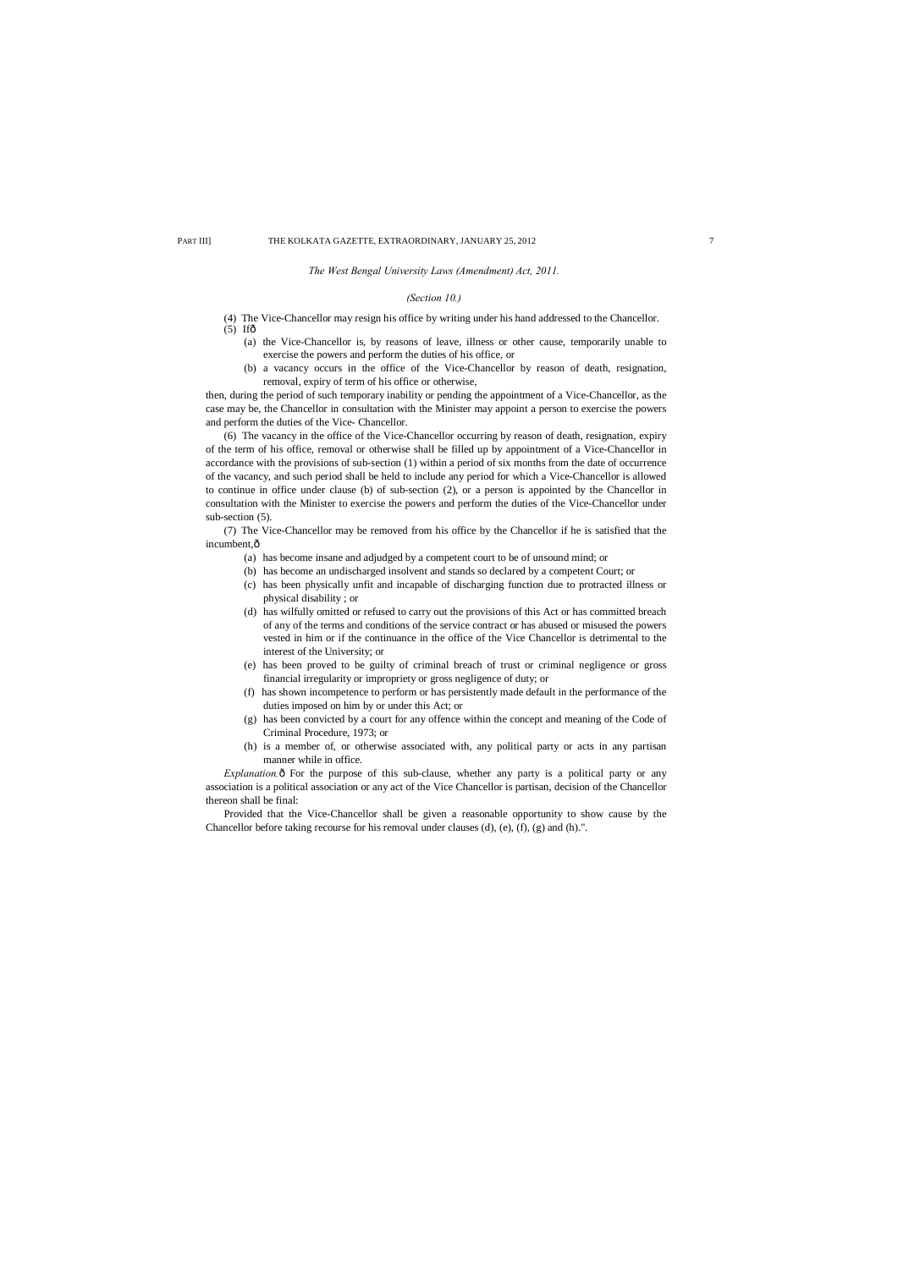(4) The Vice-Chancellor may resign his office by writing under his hand addressed to the Chancellor.  $(5)$  If $\hat{\sigma}$ 

*The West Bengal University Laws (Amendment) Act, 2011.*

## *(Section 10.)*

- (a) the Vice-Chancellor is, by reasons of leave, illness or other cause, temporarily unable to exercise the powers and perform the duties of his office, or
- (b) a vacancy occurs in the office of the Vice-Chancellor by reason of death, resignation, removal, expiry of term of his office or otherwise,

then, during the period of such temporary inability or pending the appointment of a Vice-Chancellor, as the case may be, the Chancellor in consultation with the Minister may appoint a person to exercise the powers and perform the duties of the Vice- Chancellor.

(7) The Vice-Chancellor may be removed from his office by the Chancellor if he is satisfied that the incumbent, $\hat{o}$ 

(6) The vacancy in the office of the Vice-Chancellor occurring by reason of death, resignation, expiry of the term of his office, removal or otherwise shall be filled up by appointment of a Vice-Chancellor in accordance with the provisions of sub-section (1) within a period of six months from the date of occurrence of the vacancy, and such period shall be held to include any period for which a Vice-Chancellor is allowed to continue in office under clause (b) of sub-section (2), or a person is appointed by the Chancellor in consultation with the Minister to exercise the powers and perform the duties of the Vice-Chancellor under sub-section (5).

*Explanation.*  $\hat{\sigma}$  For the purpose of this sub-clause, whether any party is a political party or any association is a political association or any act of the Vice Chancellor is partisan, decision of the Chancellor thereon shall be final:

- (a) has become insane and adjudged by a competent court to be of unsound mind; or
- (b) has become an undischarged insolvent and stands so declared by a competent Court; or
- (c) has been physically unfit and incapable of discharging function due to protracted illness or physical disability ; or
- (d) has wilfully omitted or refused to carry out the provisions of this Act or has committed breach of any of the terms and conditions of the service contract or has abused or misused the powers vested in him or if the continuance in the office of the Vice Chancellor is detrimental to the interest of the University; or
- (e) has been proved to be guilty of criminal breach of trust or criminal negligence or gross financial irregularity or impropriety or gross negligence of duty; or
- (f) has shown incompetence to perform or has persistently made default in the performance of the duties imposed on him by or under this Act; or
- (g) has been convicted by a court for any offence within the concept and meaning of the Code of Criminal Procedure, 1973; or
- (h) is a member of, or otherwise associated with, any political party or acts in any partisan manner while in office.

Provided that the Vice-Chancellor shall be given a reasonable opportunity to show cause by the Chancellor before taking recourse for his removal under clauses (d), (e), (f), (g) and (h).".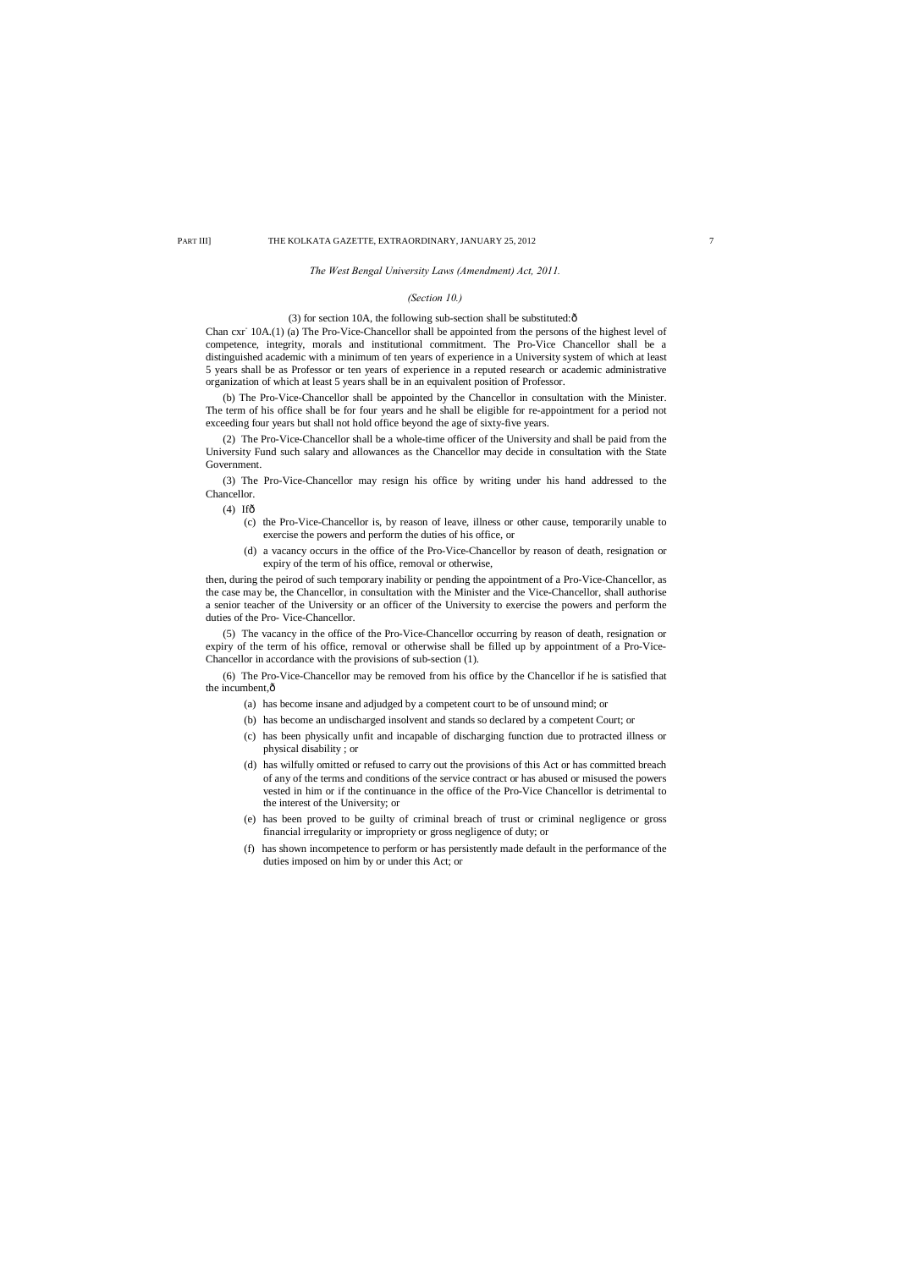*The West Bengal University Laws (Amendment) Act, 2011.*

## *(Section 10.)*

## (3) for section 10A, the following sub-section shall be substituted: $\hat{o}$

Chan cxr- 10A.(1) (a) The Pro-Vice-Chancellor shall be appointed from the persons of the highest level of competence, integrity, morals and institutional commitment. The Pro-Vice Chancellor shall be a distinguished academic with a minimum of ten years of experience in a University system of which at least 5 years shall be as Professor or ten years of experience in a reputed research or academic administrative organization of which at least 5 years shall be in an equivalent position of Professor.

(b) The Pro-Vice-Chancellor shall be appointed by the Chancellor in consultation with the Minister. The term of his office shall be for four years and he shall be eligible for re-appointment for a period not exceeding four years but shall not hold office beyond the age of sixty-five years.

(2) The Pro-Vice-Chancellor shall be a whole-time officer of the University and shall be paid from the University Fund such salary and allowances as the Chancellor may decide in consultation with the State Government.

(6) The Pro-Vice-Chancellor may be removed from his office by the Chancellor if he is satisfied that the incumbent, $\hat{o}$ 

(3) The Pro-Vice-Chancellor may resign his office by writing under his hand addressed to the Chancellor.

 $(4)$  Ifô

- (c) the Pro-Vice-Chancellor is, by reason of leave, illness or other cause, temporarily unable to exercise the powers and perform the duties of his office, or
- (d) a vacancy occurs in the office of the Pro-Vice-Chancellor by reason of death, resignation or expiry of the term of his office, removal or otherwise,

then, during the peirod of such temporary inability or pending the appointment of a Pro-Vice-Chancellor, as the case may be, the Chancellor, in consultation with the Minister and the Vice-Chancellor, shall authorise a senior teacher of the University or an officer of the University to exercise the powers and perform the duties of the Pro- Vice-Chancellor.

(5) The vacancy in the office of the Pro-Vice-Chancellor occurring by reason of death, resignation or expiry of the term of his office, removal or otherwise shall be filled up by appointment of a Pro-Vice-Chancellor in accordance with the provisions of sub-section (1).

- (a) has become insane and adjudged by a competent court to be of unsound mind; or
- (b) has become an undischarged insolvent and stands so declared by a competent Court; or
- (c) has been physically unfit and incapable of discharging function due to protracted illness or physical disability ; or
- (d) has wilfully omitted or refused to carry out the provisions of this Act or has committed breach of any of the terms and conditions of the service contract or has abused or misused the powers vested in him or if the continuance in the office of the Pro-Vice Chancellor is detrimental to the interest of the University; or
- (e) has been proved to be guilty of criminal breach of trust or criminal negligence or gross financial irregularity or impropriety or gross negligence of duty; or
- (f) has shown incompetence to perform or has persistently made default in the performance of the duties imposed on him by or under this Act; or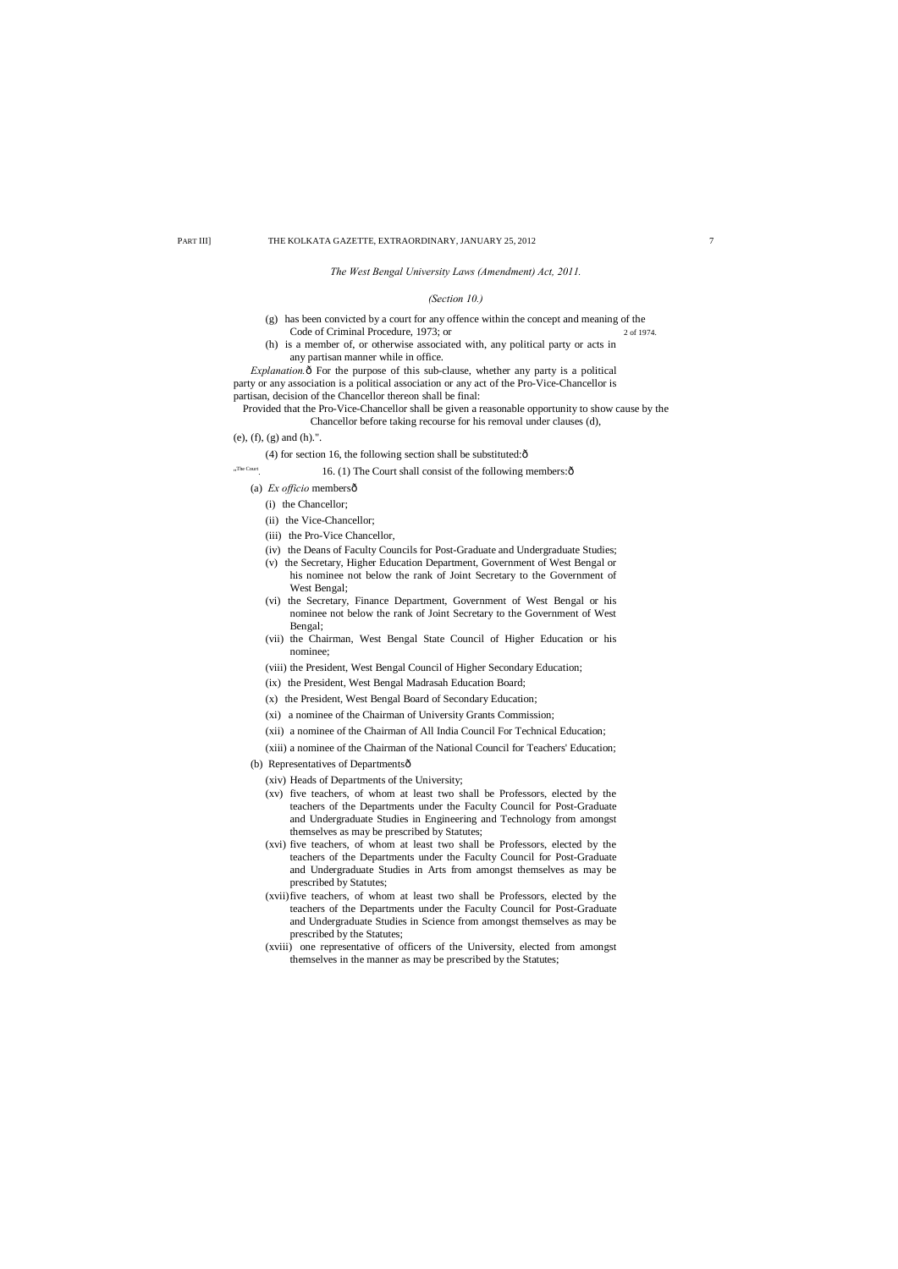*The West Bengal University Laws (Amendment) Act, 2011.*

## *(Section 10.)*

- (g) has been convicted by a court for any offence within the concept and meaning of the Code of Criminal Procedure, 1973; or 2 of 1974
- (h) is a member of, or otherwise associated with, any political party or acts in any partisan manner while in office.

*Explanation.* $\delta$  For the purpose of this sub-clause, whether any party is a political party or any association is a political association or any act of the Pro-Vice-Chancellor is partisan, decision of the Chancellor thereon shall be final:

Provided that the Pro-Vice-Chancellor shall be given a reasonable opportunity to show cause by the Chancellor before taking recourse for his removal under clauses (d),

## (e), (f), (g) and (h).".

"The Court

(4) for section 16, the following section shall be substituted: $\hat{o}$ 

16. (1) The Court shall consist of the following members: $\delta$ 

- (a) *Ex officio* membersô
	- (i) the Chancellor;
	- (ii) the Vice-Chancellor;
	- (iii) the Pro-Vice Chancellor,
	- (iv) the Deans of Faculty Councils for Post-Graduate and Undergraduate Studies;
	- (v) the Secretary, Higher Education Department, Government of West Bengal or his nominee not below the rank of Joint Secretary to the Government of West Bengal;
	- (vi) the Secretary, Finance Department, Government of West Bengal or his nominee not below the rank of Joint Secretary to the Government of West Bengal;
	- (vii) the Chairman, West Bengal State Council of Higher Education or his nominee;
	- (viii) the President, West Bengal Council of Higher Secondary Education;
	- (ix) the President, West Bengal Madrasah Education Board;
	- (x) the President, West Bengal Board of Secondary Education;
	- (xi) a nominee of the Chairman of University Grants Commission;
	- (xii) a nominee of the Chairman of All India Council For Technical Education;
	- (xiii) a nominee of the Chairman of the National Council for Teachers' Education;
- (b) Representatives of Departmentsô
	- (xiv) Heads of Departments of the University;
	- (xv) five teachers, of whom at least two shall be Professors, elected by the teachers of the Departments under the Faculty Council for Post-Graduate and Undergraduate Studies in Engineering and Technology from amongst themselves as may be prescribed by Statutes;
	- (xvi) five teachers, of whom at least two shall be Professors, elected by the teachers of the Departments under the Faculty Council for Post-Graduate and Undergraduate Studies in Arts from amongst themselves as may be prescribed by Statutes;
	- (xvii)five teachers, of whom at least two shall be Professors, elected by the teachers of the Departments under the Faculty Council for Post-Graduate and Undergraduate Studies in Science from amongst themselves as may be prescribed by the Statutes;
	- (xviii) one representative of officers of the University, elected from amongst

themselves in the manner as may be prescribed by the Statutes;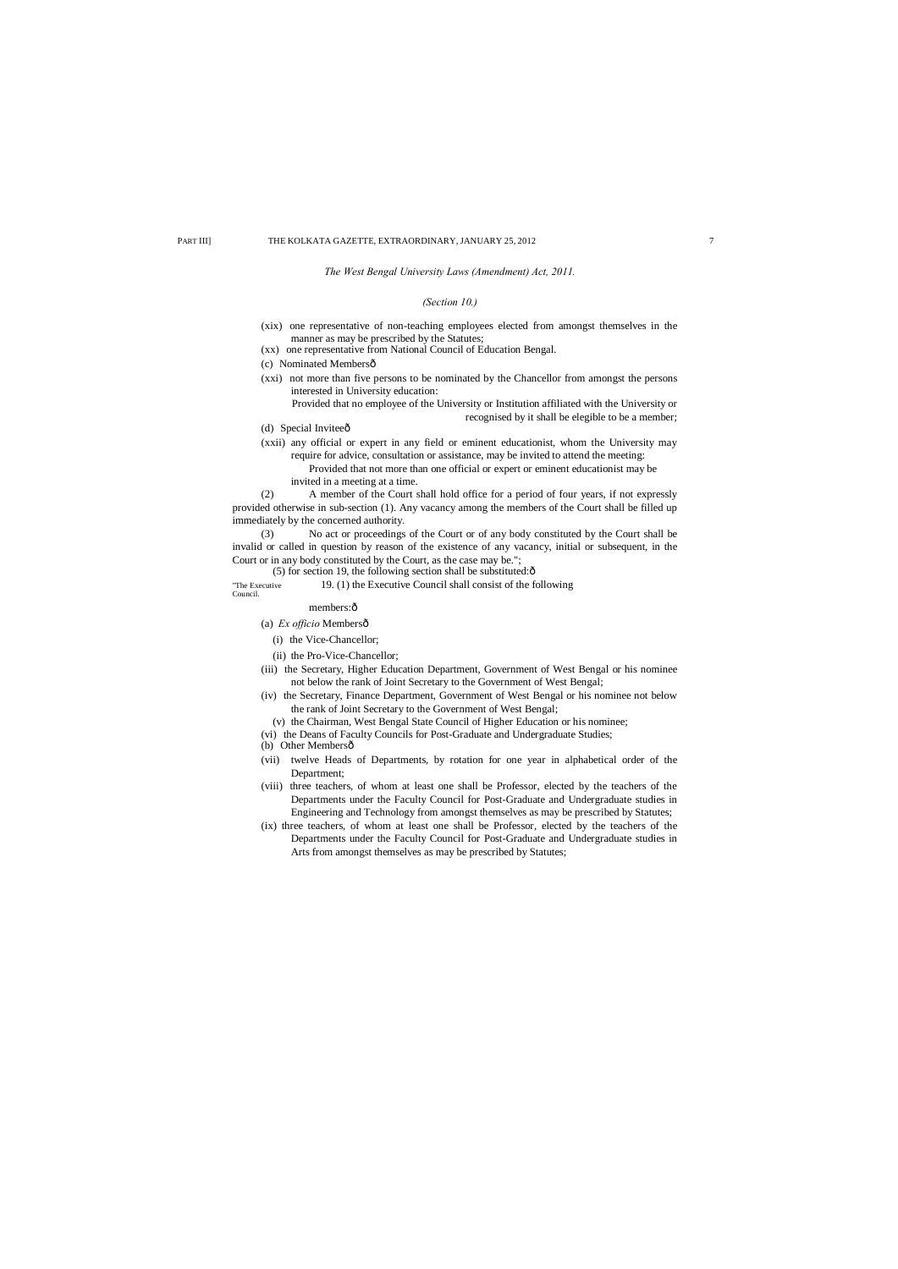## *The West Bengal University Laws (Amendment) Act, 2011.*

## *(Section 10.)*

- (xix) one representative of non-teaching employees elected from amongst themselves in the manner as may be prescribed by the Statutes;
- (xx) one representative from National Council of Education Bengal.
- (c) Nominated Membersô
- (xxi) not more than five persons to be nominated by the Chancellor from amongst the persons interested in University education:
	- Provided that no employee of the University or Institution affiliated with the University or recognised by it shall be elegible to be a member;
- (d) Special Inviteeô
- (xxii) any official or expert in any field or eminent educationist, whom the University may require for advice, consultation or assistance, may be invited to attend the meeting:
	- Provided that not more than one official or expert or eminent educationist may be
	- invited in a meeting at a time.

(2) A member of the Court shall hold office for a period of four years, if not expressly provided otherwise in sub-section (1). Any vacancy among the members of the Court shall be filled up immediately by the concerned authority.

(3) No act or proceedings of the Court or of any body constituted by the Court shall be invalid or called in question by reason of the existence of any vacancy, initial or subsequent, in the Court or in any body constituted by the Court, as the case may be.";

(5) for section 19, the following section shall be substituted: $\hat{o}$ 

"The Executive 19. (1) the Executive Council shall consist of the following Council.

members: $\hat{o}$ 

(a) *Ex officio* Membersô

- (ii) the Pro-Vice-Chancellor;
- (iii) the Secretary, Higher Education Department, Government of West Bengal or his nominee not below the rank of Joint Secretary to the Government of West Bengal;
- (iv) the Secretary, Finance Department, Government of West Bengal or his nominee not below the rank of Joint Secretary to the Government of West Bengal;
- (v) the Chairman, West Bengal State Council of Higher Education or his nominee;
- (vi) the Deans of Faculty Councils for Post-Graduate and Undergraduate Studies;
- (b) Other Membersô
- (vii) twelve Heads of Departments, by rotation for one year in alphabetical order of the Department;
- (viii) three teachers, of whom at least one shall be Professor, elected by the teachers of the Departments under the Faculty Council for Post-Graduate and Undergraduate studies in Engineering and Technology from amongst themselves as may be prescribed by Statutes;
- (ix) three teachers, of whom at least one shall be Professor, elected by the teachers of the Departments under the Faculty Council for Post-Graduate and Undergraduate studies in Arts from amongst themselves as may be prescribed by Statutes;

<sup>(</sup>i) the Vice-Chancellor;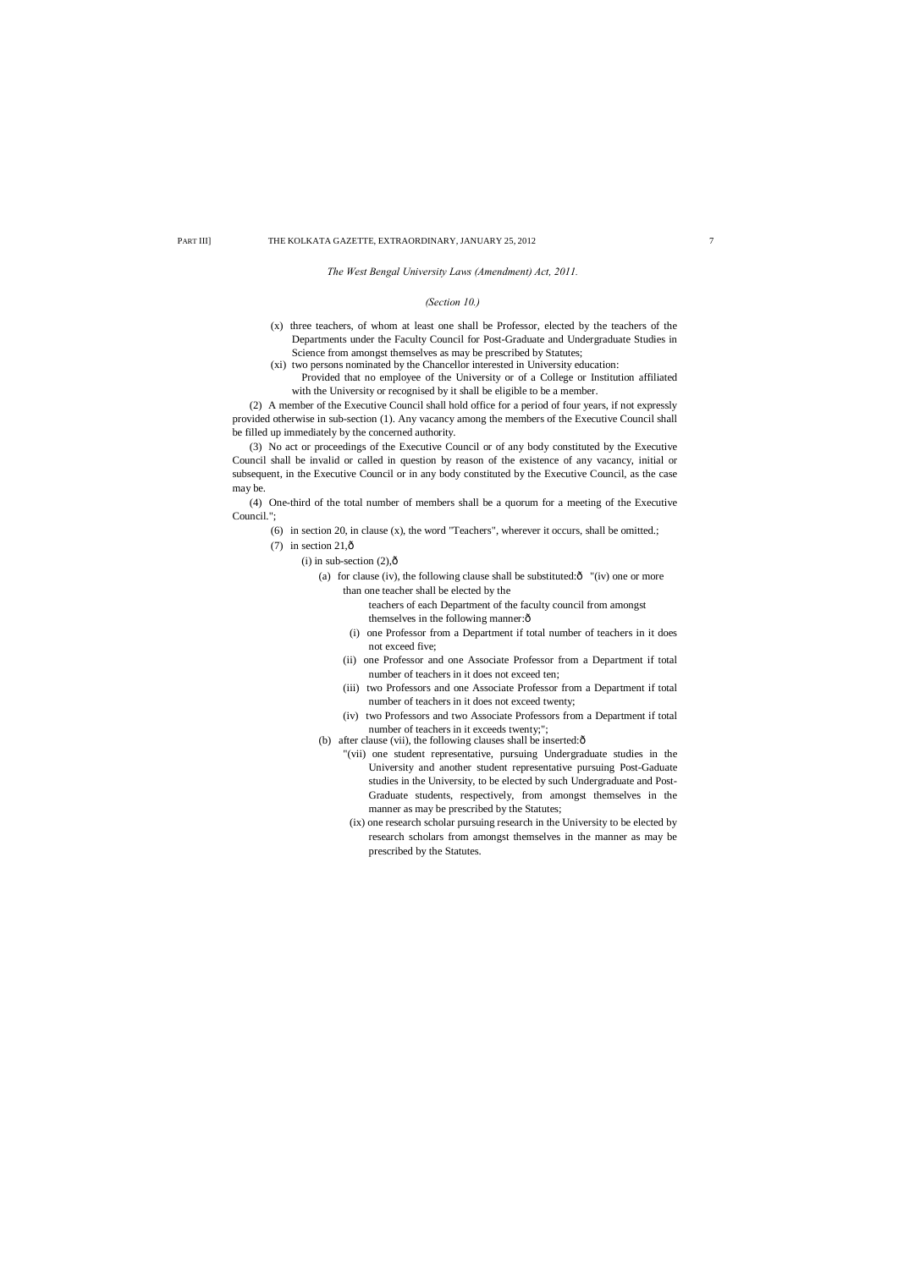*The West Bengal University Laws (Amendment) Act, 2011.*

## *(Section 10.)*

- (x) three teachers, of whom at least one shall be Professor, elected by the teachers of the Departments under the Faculty Council for Post-Graduate and Undergraduate Studies in Science from amongst themselves as may be prescribed by Statutes;
- (xi) two persons nominated by the Chancellor interested in University education:
	- Provided that no employee of the University or of a College or Institution affiliated with the University or recognised by it shall be eligible to be a member.

(2) A member of the Executive Council shall hold office for a period of four years, if not expressly provided otherwise in sub-section (1). Any vacancy among the members of the Executive Council shall be filled up immediately by the concerned authority.

> teachers of each Department of the faculty council from amongst themselves in the following manner: $\hat{o}$

(3) No act or proceedings of the Executive Council or of any body constituted by the Executive Council shall be invalid or called in question by reason of the existence of any vacancy, initial or subsequent, in the Executive Council or in any body constituted by the Executive Council, as the case may be.

(4) One-third of the total number of members shall be a quorum for a meeting of the Executive Council.";

- (6) in section 20, in clause (x), the word "Teachers", wherever it occurs, shall be omitted.;
- (7) in section  $21,\hat{0}$ 
	- $(i)$  in sub-section  $(2),\hat{0}$ 
		- (a) for clause (iv), the following clause shall be substituted: $\hat{o}$  "(iv) one or more than one teacher shall be elected by the

- (i) one Professor from a Department if total number of teachers in it does not exceed five;
- (ii) one Professor and one Associate Professor from a Department if total number of teachers in it does not exceed ten;
- (iii) two Professors and one Associate Professor from a Department if total number of teachers in it does not exceed twenty;
- (iv) two Professors and two Associate Professors from a Department if total number of teachers in it exceeds twenty;";
- (b) after clause (vii), the following clauses shall be inserted: $\hat{o}$ 
	- "(vii) one student representative, pursuing Undergraduate studies in the University and another student representative pursuing Post-Gaduate studies in the University, to be elected by such Undergraduate and Post-Graduate students, respectively, from amongst themselves in the manner as may be prescribed by the Statutes;
	- (ix) one research scholar pursuing research in the University to be elected by research scholars from amongst themselves in the manner as may be prescribed by the Statutes.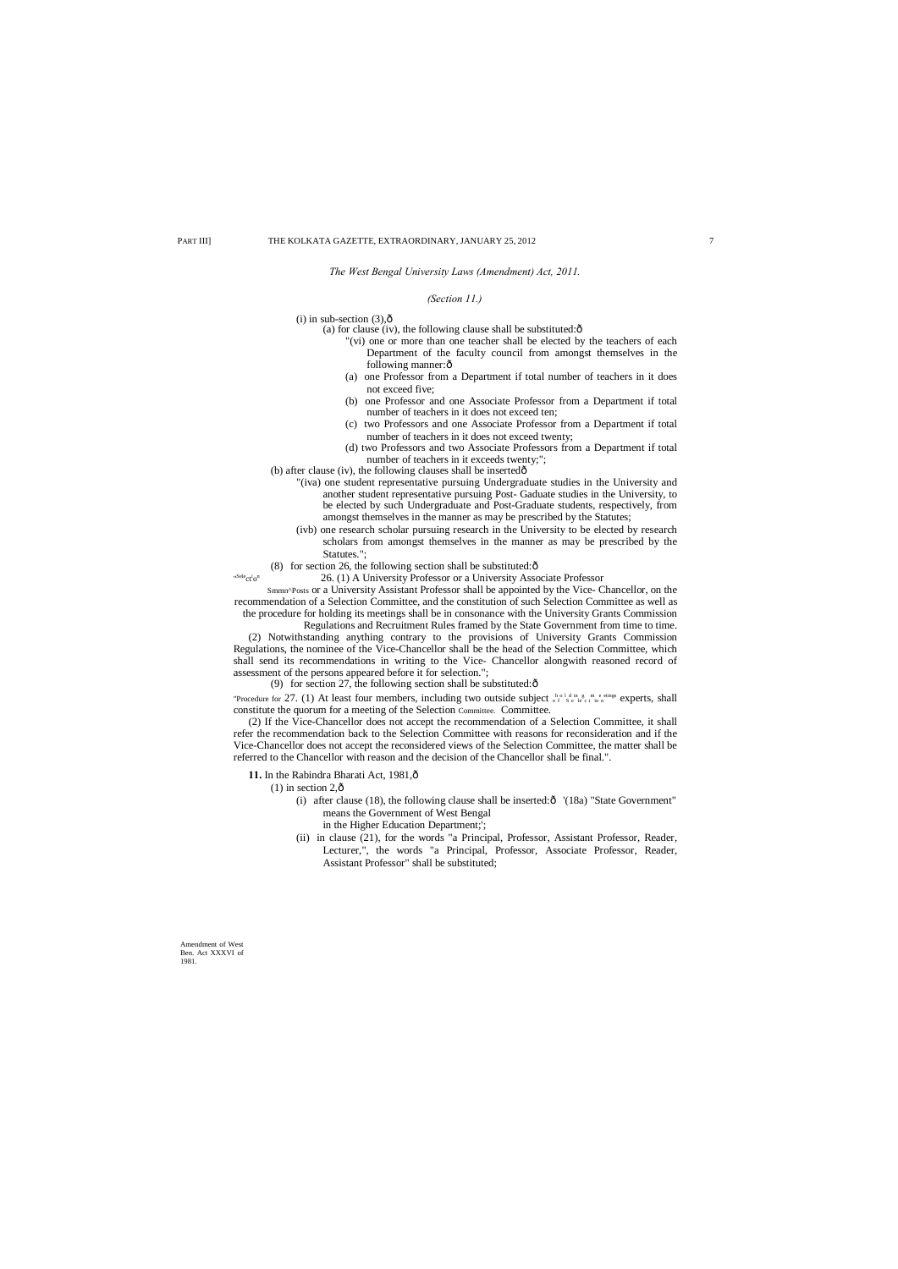1981.

*The West Bengal University Laws (Amendment) Act, 2011.*

## *(Section 11.)*

(i) in sub-section  $(3),\hat{0}$ 

- (a) for clause (iv), the following clause shall be substituted: $\hat{o}$ 
	- "(vi) one or more than one teacher shall be elected by the teachers of each Department of the faculty council from amongst themselves in the following manner: $\hat{o}$
	- (a) one Professor from a Department if total number of teachers in it does not exceed five;
	- (b) one Professor and one Associate Professor from a Department if total number of teachers in it does not exceed ten;
	- (c) two Professors and one Associate Professor from a Department if total number of teachers in it does not exceed twenty;
	- (d) two Professors and two Associate Professors from a Department if total number of teachers in it exceeds twenty;";
- (b) after clause (iv), the following clauses shall be inserted $\hat{o}$ 
	- "(iva) one student representative pursuing Undergraduate studies in the University and another student representative pursuing Post- Gaduate studies in the University, to be elected by such Undergraduate and Post-Graduate students, respectively, from amongst themselves in the manner as may be prescribed by the Statutes;
	- (ivb) one research scholar pursuing research in the University to be elected by research scholars from amongst themselves in the manner as may be prescribed by the Statutes.";
- (8) for section 26, the following section shall be substituted: $\hat{\text{o}}$ 
	- 26. (1) A University Professor or a University Associate Professor

"Procedure for 27. (1) At least four members, including two outside subject  $\frac{b}{\theta} \int_{s}^{b} \sum_{k} e_{k} e_{k}^{i} \frac{e_{k}}{i} e_{k}^{j}$  experts, shall constitute the quorum for a meeting of the Selection Committee. Committee.

" Selecti

- 11. In the Rabindra Bharati Act, 1981, $\hat{o}$ 
	- $(1)$  in section 2, $\hat{\text{o}}$ 
		- (i) after clause (18), the following clause shall be inserted: $\hat{\text{o}}$  '(18a) "State Government" means the Government of West Bengal
			- in the Higher Education Department;';
		- (ii) in clause (21), for the words "a Principal, Professor, Assistant Professor, Reader, Lecturer,", the words "a Principal, Professor, Associate Professor, Reader, Assistant Professor" shall be substituted;

Smmn^Posts or a University Assistant Professor shall be appointed by the Vice- Chancellor, on the recommendation of a Selection Committee, and the constitution of such Selection Committee as well as the procedure for holding its meetings shall be in consonance with the University Grants Commission

Regulations and Recruitment Rules framed by the State Government from time to time.

(2) Notwithstanding anything contrary to the provisions of University Grants Commission Regulations, the nominee of the Vice-Chancellor shall be the head of the Selection Committee, which shall send its recommendations in writing to the Vice- Chancellor alongwith reasoned record of assessment of the persons appeared before it for selection.";

(9) for section 27, the following section shall be substituted: $\hat{\text{o}}$ 

(2) If the Vice-Chancellor does not accept the recommendation of a Selection Committee, it shall refer the recommendation back to the Selection Committee with reasons for reconsideration and if the Vice-Chancellor does not accept the reconsidered views of the Selection Committee, the matter shall be referred to the Chancellor with reason and the decision of the Chancellor shall be final.".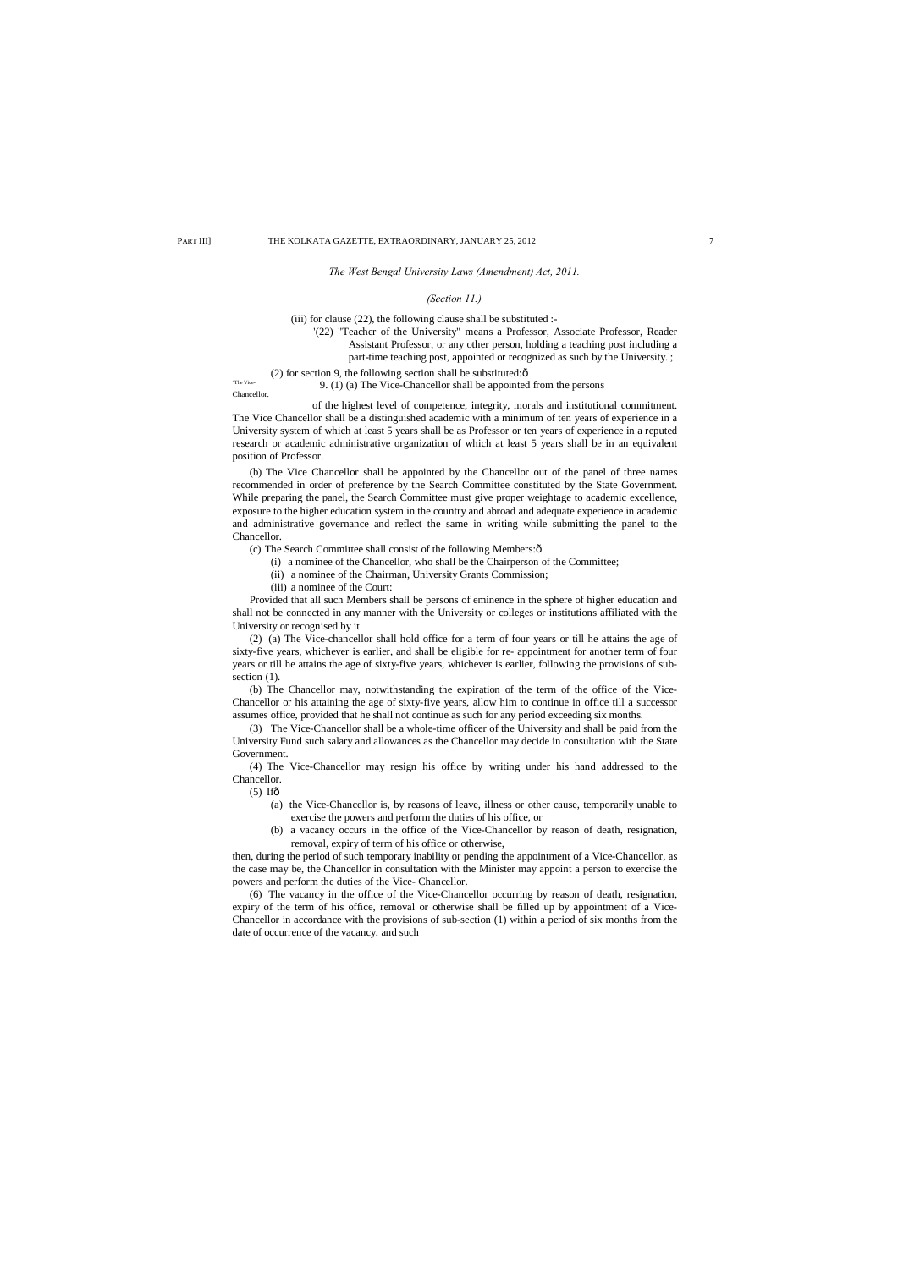## *The West Bengal University Laws (Amendment) Act, 2011.*

## *(Section 11.)*

(iii) for clause (22), the following clause shall be substituted :-

(2) for section 9, the following section shall be substituted: $\hat{o}$ The Vice-<br>9. (1) (a) The Vice-Chancellor shall be appointed from the persons Chancellor.

'(22) "Teacher of the University" means a Professor, Associate Professor, Reader Assistant Professor, or any other person, holding a teaching post including a part-time teaching post, appointed or recognized as such by the University.';

of the highest level of competence, integrity, morals and institutional commitment. The Vice Chancellor shall be a distinguished academic with a minimum of ten years of experience in a University system of which at least 5 years shall be as Professor or ten years of experience in a reputed research or academic administrative organization of which at least 5 years shall be in an equivalent position of Professor.

- (c) The Search Committee shall consist of the following Members: $\hat{o}$ 
	- (i) a nominee of the Chancellor, who shall be the Chairperson of the Committee;
	- (ii) a nominee of the Chairman, University Grants Commission;
	- (iii) a nominee of the Court:

(2) (a) The Vice-chancellor shall hold office for a term of four years or till he attains the age of sixty-five years, whichever is earlier, and shall be eligible for re- appointment for another term of four years or till he attains the age of sixty-five years, whichever is earlier, following the provisions of subsection  $(1)$ .

(b) The Vice Chancellor shall be appointed by the Chancellor out of the panel of three names recommended in order of preference by the Search Committee constituted by the State Government. While preparing the panel, the Search Committee must give proper weightage to academic excellence, exposure to the higher education system in the country and abroad and adequate experience in academic and administrative governance and reflect the same in writing while submitting the panel to the Chancellor.

Provided that all such Members shall be persons of eminence in the sphere of higher education and shall not be connected in any manner with the University or colleges or institutions affiliated with the University or recognised by it.

(b) The Chancellor may, notwithstanding the expiration of the term of the office of the Vice-Chancellor or his attaining the age of sixty-five years, allow him to continue in office till a successor assumes office, provided that he shall not continue as such for any period exceeding six months.

(3) The Vice-Chancellor shall be a whole-time officer of the University and shall be paid from the University Fund such salary and allowances as the Chancellor may decide in consultation with the State Government.

(4) The Vice-Chancellor may resign his office by writing under his hand addressed to the Chancellor.

 $(5)$  Ifô

- (a) the Vice-Chancellor is, by reasons of leave, illness or other cause, temporarily unable to exercise the powers and perform the duties of his office, or
- (b) a vacancy occurs in the office of the Vice-Chancellor by reason of death, resignation, removal, expiry of term of his office or otherwise,

then, during the period of such temporary inability or pending the appointment of a Vice-Chancellor, as the case may be, the Chancellor in consultation with the Minister may appoint a person to exercise the powers and perform the duties of the Vice- Chancellor.

(6) The vacancy in the office of the Vice-Chancellor occurring by reason of death, resignation, expiry of the term of his office, removal or otherwise shall be filled up by appointment of a Vice-Chancellor in accordance with the provisions of sub-section (1) within a period of six months from the date of occurrence of the vacancy, and such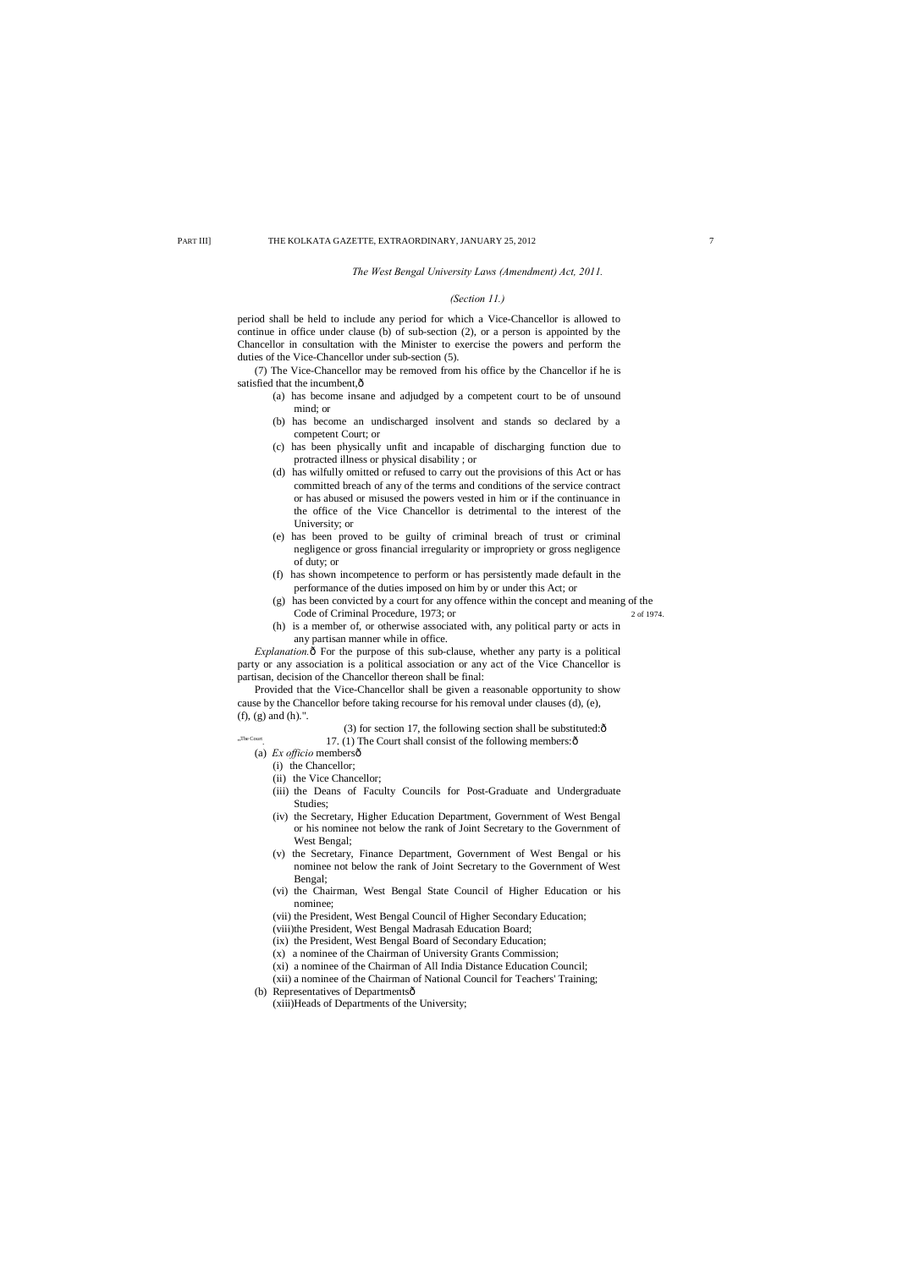#### *The West Bengal University Laws (Amendment) Act, 2011.*

## *(Section 11.)*

(7) The Vice-Chancellor may be removed from his office by the Chancellor if he is satisfied that the incumbent, $\hat{o}$ 

period shall be held to include any period for which a Vice-Chancellor is allowed to continue in office under clause (b) of sub-section (2), or a person is appointed by the Chancellor in consultation with the Minister to exercise the powers and perform the duties of the Vice-Chancellor under sub-section (5).

*Explanation.* $\hat{o}$  For the purpose of this sub-clause, whether any party is a political party or any association is a political association or any act of the Vice Chancellor is partisan, decision of the Chancellor thereon shall be final:

- (a) has become insane and adjudged by a competent court to be of unsound mind; or
- (b) has become an undischarged insolvent and stands so declared by a competent Court; or
- (c) has been physically unfit and incapable of discharging function due to protracted illness or physical disability ; or
- (d) has wilfully omitted or refused to carry out the provisions of this Act or has committed breach of any of the terms and conditions of the service contract or has abused or misused the powers vested in him or if the continuance in the office of the Vice Chancellor is detrimental to the interest of the University; or
- (e) has been proved to be guilty of criminal breach of trust or criminal negligence or gross financial irregularity or impropriety or gross negligence of duty; or
- (f) has shown incompetence to perform or has persistently made default in the performance of the duties imposed on him by or under this Act; or
- (g) has been convicted by a court for any offence within the concept and meaning of the Code of Criminal Procedure, 1973; or 2 of 1974.
- (h) is a member of, or otherwise associated with, any political party or acts in any partisan manner while in office.

- (3) for section 17, the following section shall be substituted: $\hat{o}$
- 17. (1) The Court shall consist of the following members: $\hat{o}$
- (a) *Ex officio* membersô
	- (i) the Chancellor;

"The Court

Provided that the Vice-Chancellor shall be given a reasonable opportunity to show cause by the Chancellor before taking recourse for his removal under clauses (d), (e), (f), (g) and (h).".

- (ii) the Vice Chancellor;
- (iii) the Deans of Faculty Councils for Post-Graduate and Undergraduate Studies;
- (iv) the Secretary, Higher Education Department, Government of West Bengal or his nominee not below the rank of Joint Secretary to the Government of West Bengal;
- (v) the Secretary, Finance Department, Government of West Bengal or his nominee not below the rank of Joint Secretary to the Government of West Bengal;
- (vi) the Chairman, West Bengal State Council of Higher Education or his nominee;
- (vii) the President, West Bengal Council of Higher Secondary Education;
- (viii)the President, West Bengal Madrasah Education Board;
- (ix) the President, West Bengal Board of Secondary Education;
- (x) a nominee of the Chairman of University Grants Commission;

(xi) a nominee of the Chairman of All India Distance Education Council; (xii) a nominee of the Chairman of National Council for Teachers' Training;

(b) Representatives of Departmentsô

(xiii)Heads of Departments of the University;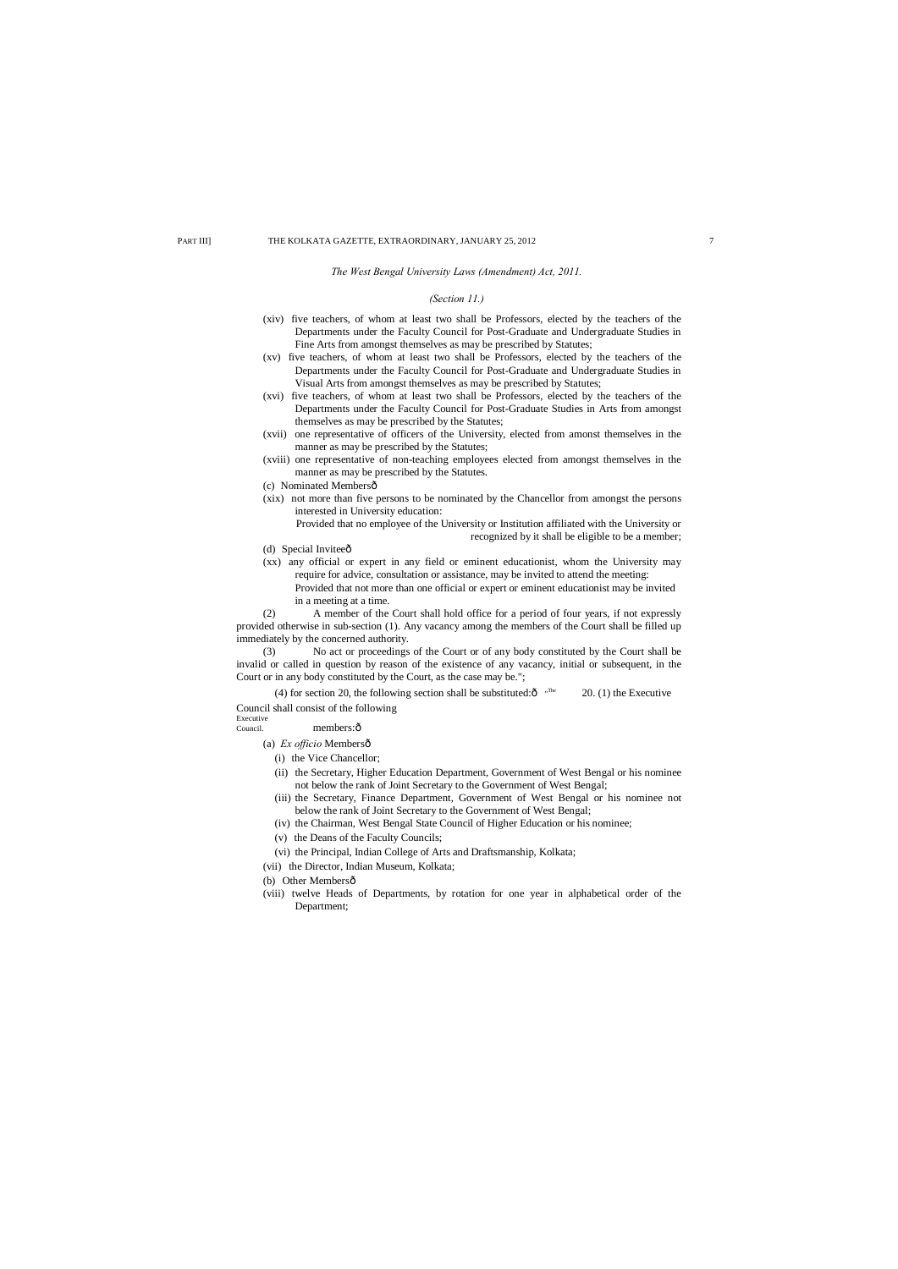*The West Bengal University Laws (Amendment) Act, 2011.*

## *(Section 11.)*

- (xiv) five teachers, of whom at least two shall be Professors, elected by the teachers of the Departments under the Faculty Council for Post-Graduate and Undergraduate Studies in Fine Arts from amongst themselves as may be prescribed by Statutes;
- (xv) five teachers, of whom at least two shall be Professors, elected by the teachers of the Departments under the Faculty Council for Post-Graduate and Undergraduate Studies in Visual Arts from amongst themselves as may be prescribed by Statutes;
- (xvi) five teachers, of whom at least two shall be Professors, elected by the teachers of the Departments under the Faculty Council for Post-Graduate Studies in Arts from amongst themselves as may be prescribed by the Statutes;
- (xvii) one representative of officers of the University, elected from amonst themselves in the manner as may be prescribed by the Statutes;
- (xviii) one representative of non-teaching employees elected from amongst themselves in the manner as may be prescribed by the Statutes.
- (c) Nominated Membersô
- (xix) not more than five persons to be nominated by the Chancellor from amongst the persons interested in University education:

- (d) Special Inviteeô
- (xx) any official or expert in any field or eminent educationist, whom the University may require for advice, consultation or assistance, may be invited to attend the meeting: Provided that not more than one official or expert or eminent educationist may be invited in a meeting at a time.

(4) for section 20, the following section shall be substituted: $\hat{O}$  "The  $20. (1)$  the Executive Council shall consist of the following

# Executive<br>Council.

members: ô

Provided that no employee of the University or Institution affiliated with the University or recognized by it shall be eligible to be a member;

- (a) *Ex officio* Membersô
	- (i) the Vice Chancellor;
	- (ii) the Secretary, Higher Education Department, Government of West Bengal or his nominee not below the rank of Joint Secretary to the Government of West Bengal;
	- (iii) the Secretary, Finance Department, Government of West Bengal or his nominee not below the rank of Joint Secretary to the Government of West Bengal;
	- (iv) the Chairman, West Bengal State Council of Higher Education or his nominee;
	- (v) the Deans of the Faculty Councils;
	- (vi) the Principal, Indian College of Arts and Draftsmanship, Kolkata;
- (vii) the Director, Indian Museum, Kolkata;
- (b) Other Membersô
- (viii) twelve Heads of Departments, by rotation for one year in alphabetical order of the Department;

(2) A member of the Court shall hold office for a period of four years, if not expressly provided otherwise in sub-section (1). Any vacancy among the members of the Court shall be filled up immediately by the concerned authority.

(3) No act or proceedings of the Court or of any body constituted by the Court shall be invalid or called in question by reason of the existence of any vacancy, initial or subsequent, in the Court or in any body constituted by the Court, as the case may be.";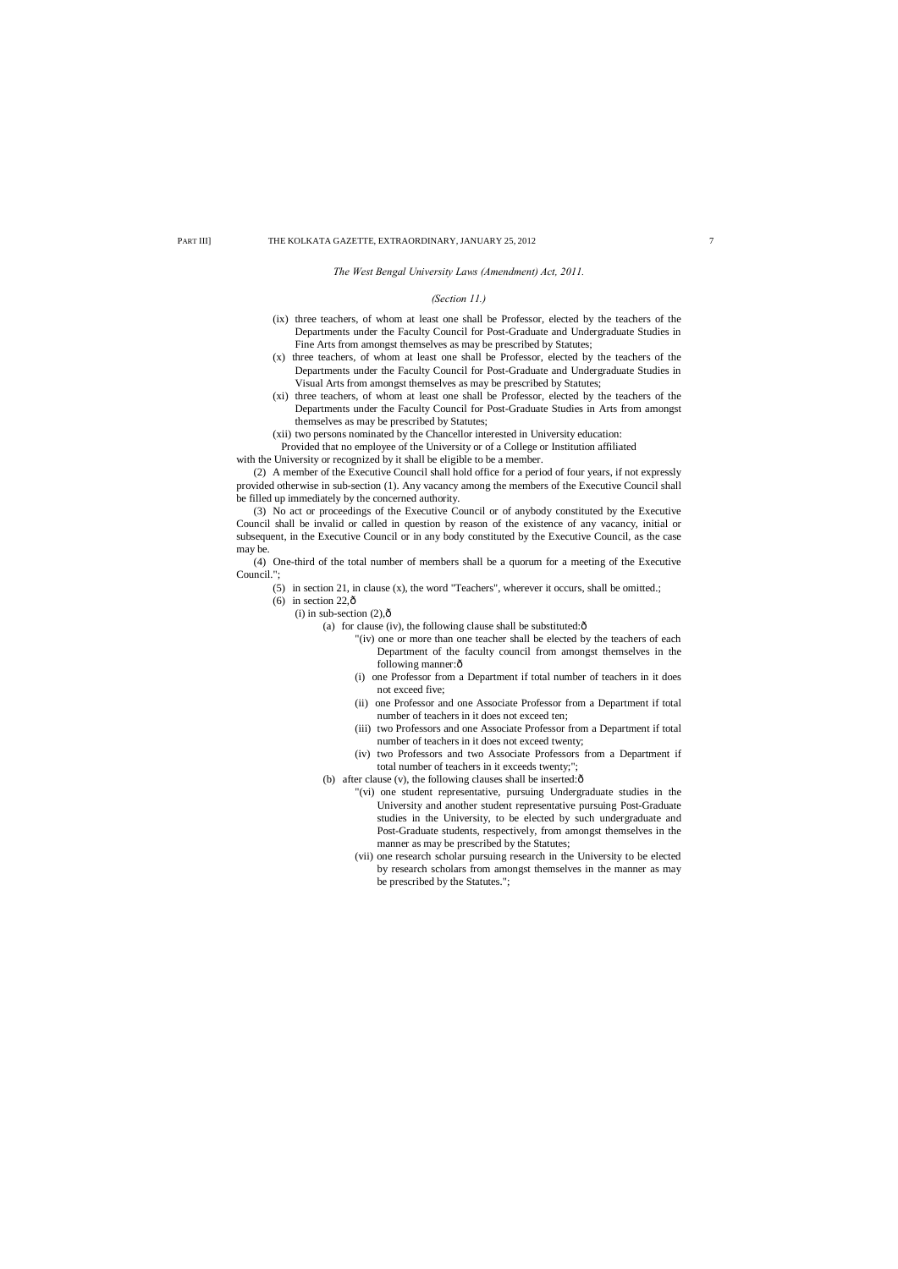*The West Bengal University Laws (Amendment) Act, 2011.*

## *(Section 11.)*

- (ix) three teachers, of whom at least one shall be Professor, elected by the teachers of the Departments under the Faculty Council for Post-Graduate and Undergraduate Studies in Fine Arts from amongst themselves as may be prescribed by Statutes;
- (x) three teachers, of whom at least one shall be Professor, elected by the teachers of the Departments under the Faculty Council for Post-Graduate and Undergraduate Studies in Visual Arts from amongst themselves as may be prescribed by Statutes;
- (xi) three teachers, of whom at least one shall be Professor, elected by the teachers of the Departments under the Faculty Council for Post-Graduate Studies in Arts from amongst themselves as may be prescribed by Statutes;
- (xii) two persons nominated by the Chancellor interested in University education:
- Provided that no employee of the University or of a College or Institution affiliated

with the University or recognized by it shall be eligible to be a member.

(2) A member of the Executive Council shall hold office for a period of four years, if not expressly provided otherwise in sub-section (1). Any vacancy among the members of the Executive Council shall be filled up immediately by the concerned authority.

(3) No act or proceedings of the Executive Council or of anybody constituted by the Executive Council shall be invalid or called in question by reason of the existence of any vacancy, initial or subsequent, in the Executive Council or in any body constituted by the Executive Council, as the case may be.

(4) One-third of the total number of members shall be a quorum for a meeting of the Executive Council.";

- (5) in section 21, in clause (x), the word "Teachers", wherever it occurs, shall be omitted.;
- (6) in section  $22, \hat{0}$ 
	- (i) in sub-section  $(2),\hat{0}$ 
		- (a) for clause (iv), the following clause shall be substituted: $\hat{o}$ 
			- "(iv) one or more than one teacher shall be elected by the teachers of each Department of the faculty council from amongst themselves in the following manner: ô
			- (i) one Professor from a Department if total number of teachers in it does not exceed five;
			- (ii) one Professor and one Associate Professor from a Department if total number of teachers in it does not exceed ten;
			- (iii) two Professors and one Associate Professor from a Department if total number of teachers in it does not exceed twenty;
			- (iv) two Professors and two Associate Professors from a Department if total number of teachers in it exceeds twenty;";
		- (b) after clause (v), the following clauses shall be inserted: $\hat{o}$ 
			- "(vi) one student representative, pursuing Undergraduate studies in the University and another student representative pursuing Post-Graduate studies in the University, to be elected by such undergraduate and Post-Graduate students, respectively, from amongst themselves in the manner as may be prescribed by the Statutes;
			- (vii) one research scholar pursuing research in the University to be elected by research scholars from amongst themselves in the manner as may be prescribed by the Statutes.";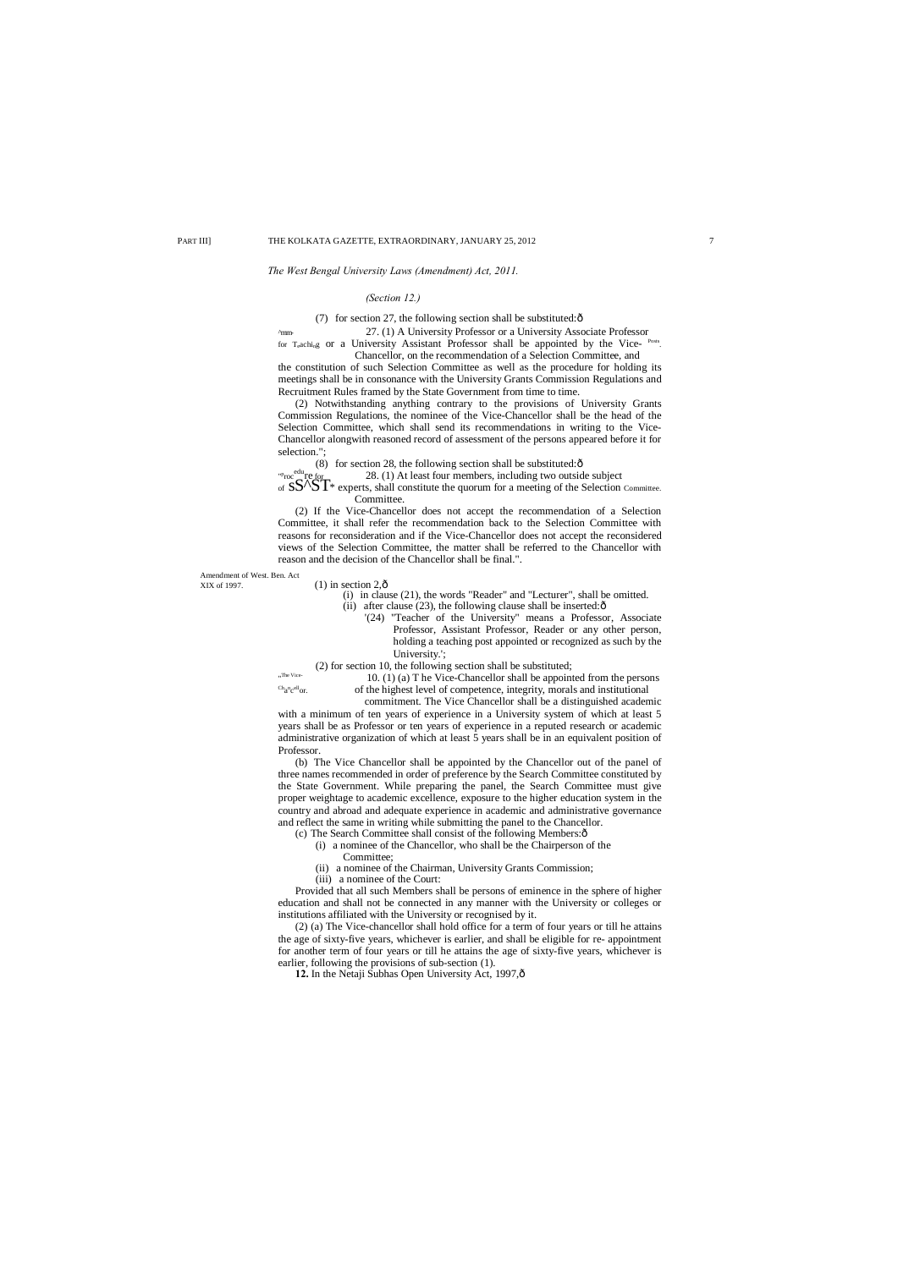## *The West Bengal University Laws (Amendment) Act, 2011.*

^mm- 27. (1) A University Professor or a University Associate Professor for Teaching or a University Assistant Professor shall be appointed by the Vice- Posts.

## *(Section 12.)*

(7) for section 27, the following section shall be substituted: $\hat{o}$ 

Chancellor, on the recommendation of a Selection Committee, and the constitution of such Selection Committee as well as the procedure for holding its meetings shall be in consonance with the University Grants Commission Regulations and Recruitment Rules framed by the State Government from time to time.

" p <sup>rop</sup>roc<sup>edu</sup>re for 28. (1) At least four members, including two outside subject<br>of  $S\mathbf{S}^{\prime\prime}\mathbf{S}^{\prime\prime}$  experts, shall constitute the quorum for a meeting of the Selection Committee.

(2) Notwithstanding anything contrary to the provisions of University Grants Commission Regulations, the nominee of the Vice-Chancellor shall be the head of the Selection Committee, which shall send its recommendations in writing to the Vice-Chancellor alongwith reasoned record of assessment of the persons appeared before it for selection.";

(8) for section 28, the following section shall be substituted: $\hat{o}$ 

- (ii) after clause  $(23)$ , the following clause shall be inserted: $\hat{\text{o}}$ 
	- '(24) "Teacher of the University" means a Professor, Associate Professor, Assistant Professor, Reader or any other person, holding a teaching post appointed or recognized as such by the University.';

Committee.

(2) If the Vice-Chancellor does not accept the recommendation of a Selection Committee, it shall refer the recommendation back to the Selection Committee with reasons for reconsideration and if the Vice-Chancellor does not accept the reconsidered views of the Selection Committee, the matter shall be referred to the Chancellor with reason and the decision of the Chancellor shall be final.".

Amendment of West. Ben. Act<br>XIX of 1997.

## $(1)$  in section 2, $\hat{0}$

(i) in clause (21), the words "Reader" and "Lecturer", shall be omitted.

(2) (a) The Vice-chancellor shall hold office for a term of four years or till he attains the age of sixty-five years, whichever is earlier, and shall be eligible for re- appointment for another term of four years or till he attains the age of sixty-five years, whichever is earlier, following the provisions of sub-section (1). 12. In the Netaji Subhas Open University Act, 1997, ô

(2) for section 10, the following section shall be substituted;

"The Vice  $\mathrm{c}^{\mathrm{h}}$ <sub>a</sub><sup>n</sup>c

10. (1) (a) T he Vice-Chancellor shall be appointed from the persons of the highest level of competence, integrity, morals and institutional

commitment. The Vice Chancellor shall be a distinguished academic with a minimum of ten years of experience in a University system of which at least 5 years shall be as Professor or ten years of experience in a reputed research or academic administrative organization of which at least 5 years shall be in an equivalent position of Professor.

(b) The Vice Chancellor shall be appointed by the Chancellor out of the panel of three names recommended in order of preference by the Search Committee constituted by the State Government. While preparing the panel, the Search Committee must give proper weightage to academic excellence, exposure to the higher education system in the country and abroad and adequate experience in academic and administrative governance and reflect the same in writing while submitting the panel to the Chancellor.

(c) The Search Committee shall consist of the following Members:—

- (i) a nominee of the Chancellor, who shall be the Chairperson of the
	- Committee;
- (ii) a nominee of the Chairman, University Grants Commission;

(iii) a nominee of the Court:

Provided that all such Members shall be persons of eminence in the sphere of higher education and shall not be connected in any manner with the University or colleges or institutions affiliated with the University or recognised by it.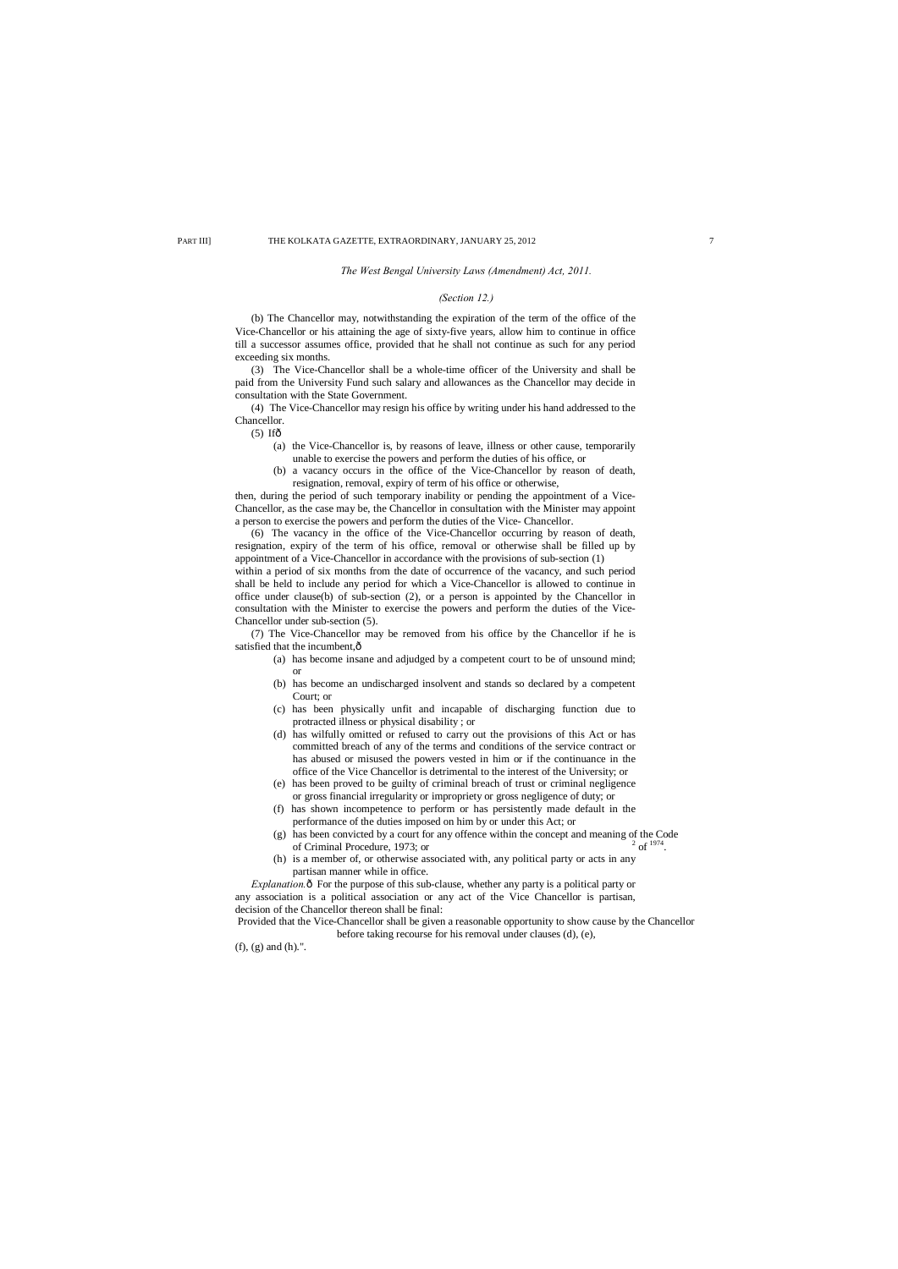#### *The West Bengal University Laws (Amendment) Act, 2011.*

## *(Section 12.)*

(b) The Chancellor may, notwithstanding the expiration of the term of the office of the Vice-Chancellor or his attaining the age of sixty-five years, allow him to continue in office till a successor assumes office, provided that he shall not continue as such for any period exceeding six months.

- $(5)$  If $\hat{\sigma}$ 
	- (a) the Vice-Chancellor is, by reasons of leave, illness or other cause, temporarily unable to exercise the powers and perform the duties of his office, or
	- (b) a vacancy occurs in the office of the Vice-Chancellor by reason of death, resignation, removal, expiry of term of his office or otherwise,

(3) The Vice-Chancellor shall be a whole-time officer of the University and shall be paid from the University Fund such salary and allowances as the Chancellor may decide in consultation with the State Government.

(4) The Vice-Chancellor may resign his office by writing under his hand addressed to the Chancellor.

(7) The Vice-Chancellor may be removed from his office by the Chancellor if he is satisfied that the incumbent, $\hat{o}$ 

then, during the period of such temporary inability or pending the appointment of a Vice-Chancellor, as the case may be, the Chancellor in consultation with the Minister may appoint a person to exercise the powers and perform the duties of the Vice- Chancellor.

(6) The vacancy in the office of the Vice-Chancellor occurring by reason of death, resignation, expiry of the term of his office, removal or otherwise shall be filled up by appointment of a Vice-Chancellor in accordance with the provisions of sub-section (1) within a period of six months from the date of occurrence of the vacancy, and such period shall be held to include any period for which a Vice-Chancellor is allowed to continue in office under clause(b) of sub-section (2), or a person is appointed by the Chancellor in consultation with the Minister to exercise the powers and perform the duties of the Vice-Chancellor under sub-section (5).

*Explanation*. $\delta$  For the purpose of this sub-clause, whether any party is a political party or any association is a political association or any act of the Vice Chancellor is partisan, decision of the Chancellor thereon shall be final:

- (a) has become insane and adjudged by a competent court to be of unsound mind; or
- (b) has become an undischarged insolvent and stands so declared by a competent Court; or
- (c) has been physically unfit and incapable of discharging function due to protracted illness or physical disability ; or
- (d) has wilfully omitted or refused to carry out the provisions of this Act or has committed breach of any of the terms and conditions of the service contract or has abused or misused the powers vested in him or if the continuance in the office of the Vice Chancellor is detrimental to the interest of the University; or
- (e) has been proved to be guilty of criminal breach of trust or criminal negligence or gross financial irregularity or impropriety or gross negligence of duty; or
- (f) has shown incompetence to perform or has persistently made default in the performance of the duties imposed on him by or under this Act; or
- (g) has been convicted by a court for any offence within the concept and meaning of the Code of Criminal Procedure, 1973; or of Criminal Procedure, 1973; or
- (h) is a member of, or otherwise associated with, any political party or acts in any partisan manner while in office.

Provided that the Vice-Chancellor shall be given a reasonable opportunity to show cause by the Chancellor before taking recourse for his removal under clauses (d), (e),

(f), (g) and (h).".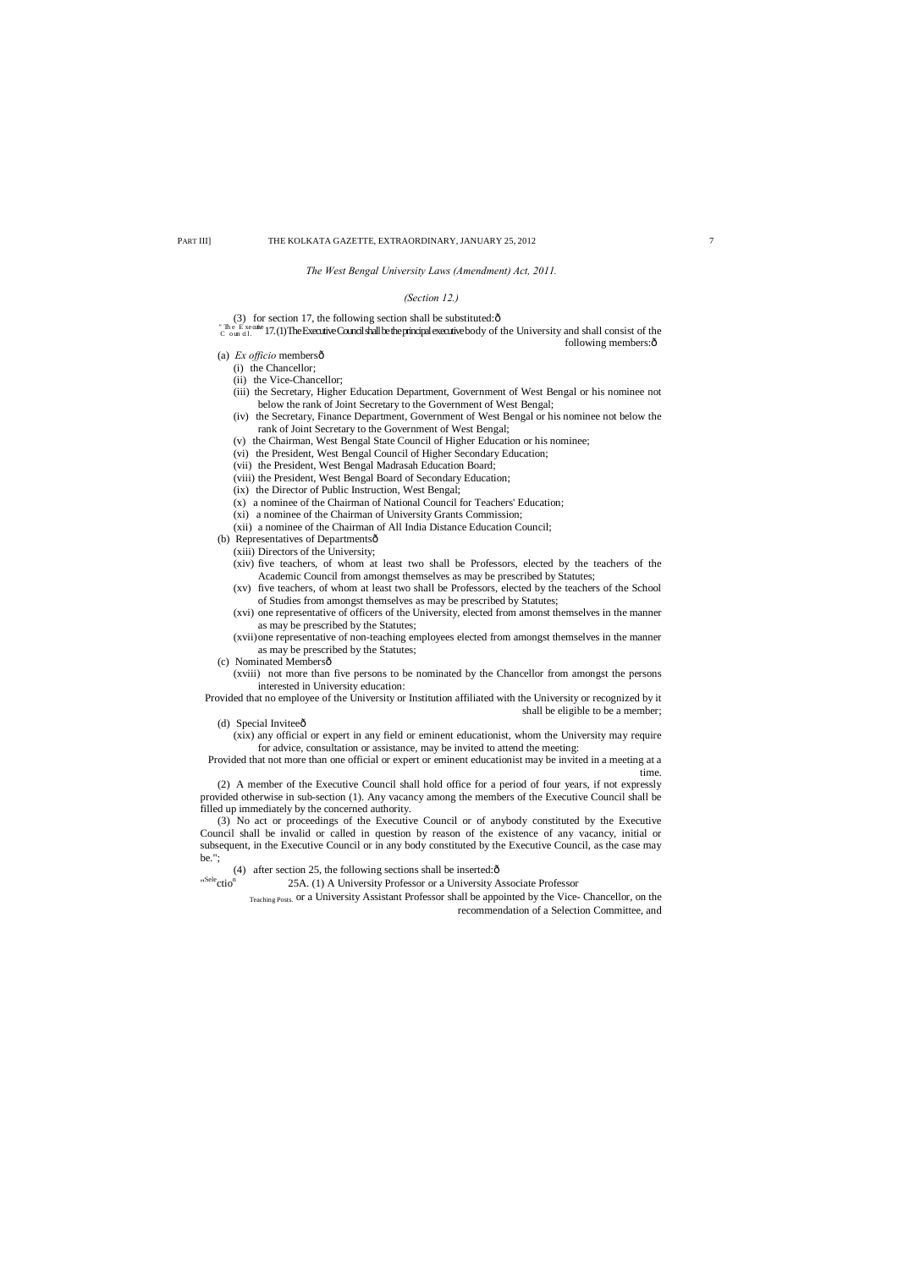## *The West Bengal University Laws (Amendment) Act, 2011.*

## *(Section 12.)*

(3) for section 17, the following section shall be substituted: $\hat{o}$ 

" The Executive Council shall be the principal executive body of the University and shall consist of the Council shall consist of the following members: $\hat{o}$ 

- (a) *Ex officio* membersô
	- (i) the Chancellor;
	- (ii) the Vice-Chancellor;
	- (iii) the Secretary, Higher Education Department, Government of West Bengal or his nominee not below the rank of Joint Secretary to the Government of West Bengal;
	- (iv) the Secretary, Finance Department, Government of West Bengal or his nominee not below the rank of Joint Secretary to the Government of West Bengal;
	- (v) the Chairman, West Bengal State Council of Higher Education or his nominee;
	- (vi) the President, West Bengal Council of Higher Secondary Education;
	- (vii) the President, West Bengal Madrasah Education Board;
	- (viii) the President, West Bengal Board of Secondary Education;
	- (ix) the Director of Public Instruction, West Bengal;
	- (x) a nominee of the Chairman of National Council for Teachers' Education;
	- (xi) a nominee of the Chairman of University Grants Commission;
	- (xii) a nominee of the Chairman of All India Distance Education Council;
- (b) Representatives of Departmentsô
- (xiii) Directors of the University;
- (xiv) five teachers, of whom at least two shall be Professors, elected by the teachers of the Academic Council from amongst themselves as may be prescribed by Statutes;
- (xv) five teachers, of whom at least two shall be Professors, elected by the teachers of the School of Studies from amongst themselves as may be prescribed by Statutes;
- (xvi) one representative of officers of the University, elected from amonst themselves in the manner as may be prescribed by the Statutes;
- (xvii)one representative of non-teaching employees elected from amongst themselves in the manner as may be prescribed by the Statutes;
- (c) Nominated Membersô
	- (xviii) not more than five persons to be nominated by the Chancellor from amongst the persons interested in University education:

Provided that no employee of the University or Institution affiliated with the University or recognized by it shall be eligible to be a member;

(d) Special Inviteeô

"Sele<sub>ctio</sub>n

(xix) any official or expert in any field or eminent educationist, whom the University may require for advice, consultation or assistance, may be invited to attend the meeting:

Provided that not more than one official or expert or eminent educationist may be invited in a meeting at a time.

(2) A member of the Executive Council shall hold office for a period of four years, if not expressly provided otherwise in sub-section (1). Any vacancy among the members of the Executive Council shall be filled up immediately by the concerned authority.

(3) No act or proceedings of the Executive Council or of anybody constituted by the Executive Council shall be invalid or called in question by reason of the existence of any vacancy, initial or subsequent, in the Executive Council or in any body constituted by the Executive Council, as the case may be.";

(4) after section 25, the following sections shall be inserted: $\hat{\text{o}}$ 

25A. (1) A University Professor or a University Associate Professor

Teaching Posts. or a University Assistant Professor shall be appointed by the Vice- Chancellor, on the recommendation of a Selection Committee, and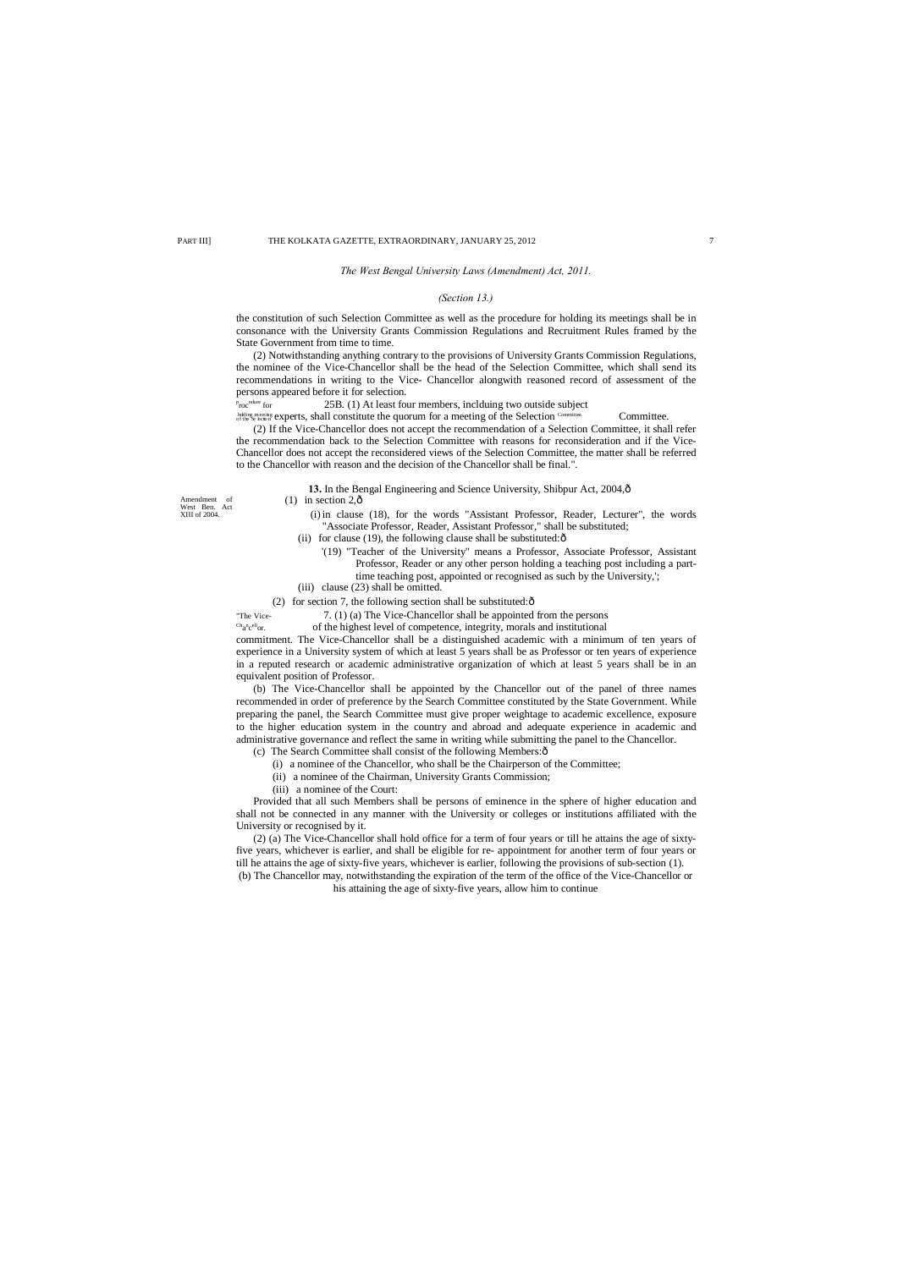Amendment of West Ben. Act XIII of 2004.

 $\mathrm{c}^{\mathrm{h}}$ a<sup>n</sup>c

#### *The West Bengal University Laws (Amendment) Act, 2011.*

## *(Section 13.)*

the constitution of such Selection Committee as well as the procedure for holding its meetings shall be in consonance with the University Grants Commission Regulations and Recruitment Rules framed by the State Government from time to time.

(2) Notwithstanding anything contrary to the provisions of University Grants Commission Regulations, the nominee of the Vice-Chancellor shall be the head of the Selection Committee, which shall send its recommendations in writing to the Vice- Chancellor alongwith reasoned record of assessment of the persons appeared before it for selection.

 $\operatorname*{Proc}^{\operatorname*{edure}}$  for 25B. (1) At least four members, inclduing two outside subject

Milin meeting experts, shall constitute the quorum for a meeting of the Selection Committee. Committee.

- $(1)$  in section 2, $\hat{\text{o}}$ 
	- (i) in clause (18), for the words "Assistant Professor, Reader, Lecturer", the words "Associate Professor, Reader, Assistant Professor," shall be substituted;
	- (ii) for clause (19), the following clause shall be substituted: $\delta$ 
		- '(19) "Teacher of the University" means a Professor, Associate Professor, Assistant Professor, Reader or any other person holding a teaching post including a parttime teaching post, appointed or recognised as such by the University,';
	- (iii) clause (23) shall be omitted.

(2) for section 7, the following section shall be substituted: $\hat{\text{o}}$ 

(2) If the Vice-Chancellor does not accept the recommendation of a Selection Committee, it shall refer the recommendation back to the Selection Committee with reasons for reconsideration and if the Vice-Chancellor does not accept the reconsidered views of the Selection Committee, the matter shall be referred to the Chancellor with reason and the decision of the Chancellor shall be final.".

13. In the Bengal Engineering and Science University, Shibpur Act, 2004, ô

"The Vice- 7. (1) (a) The Vice-Chancellor shall be appointed from the persons

of the highest level of competence, integrity, morals and institutional

commitment. The Vice-Chancellor shall be a distinguished academic with a minimum of ten years of experience in a University system of which at least 5 years shall be as Professor or ten years of experience in a reputed research or academic administrative organization of which at least 5 years shall be in an equivalent position of Professor.

(b) The Vice-Chancellor shall be appointed by the Chancellor out of the panel of three names recommended in order of preference by the Search Committee constituted by the State Government. While preparing the panel, the Search Committee must give proper weightage to academic excellence, exposure to the higher education system in the country and abroad and adequate experience in academic and administrative governance and reflect the same in writing while submitting the panel to the Chancellor.

(c) The Search Committee shall consist of the following Members: $\hat{o}$ 

- (i) a nominee of the Chancellor, who shall be the Chairperson of the Committee;
- (ii) a nominee of the Chairman, University Grants Commission;
- (iii) a nominee of the Court:

Provided that all such Members shall be persons of eminence in the sphere of higher education and shall not be connected in any manner with the University or colleges or institutions affiliated with the University or recognised by it.

(2) (a) The Vice-Chancellor shall hold office for a term of four years or till he attains the age of sixtyfive years, whichever is earlier, and shall be eligible for re- appointment for another term of four years or till he attains the age of sixty-five years, whichever is earlier, following the provisions of sub-section (1). (b) The Chancellor may, notwithstanding the expiration of the term of the office of the Vice-Chancellor or

his attaining the age of sixty-five years, allow him to continue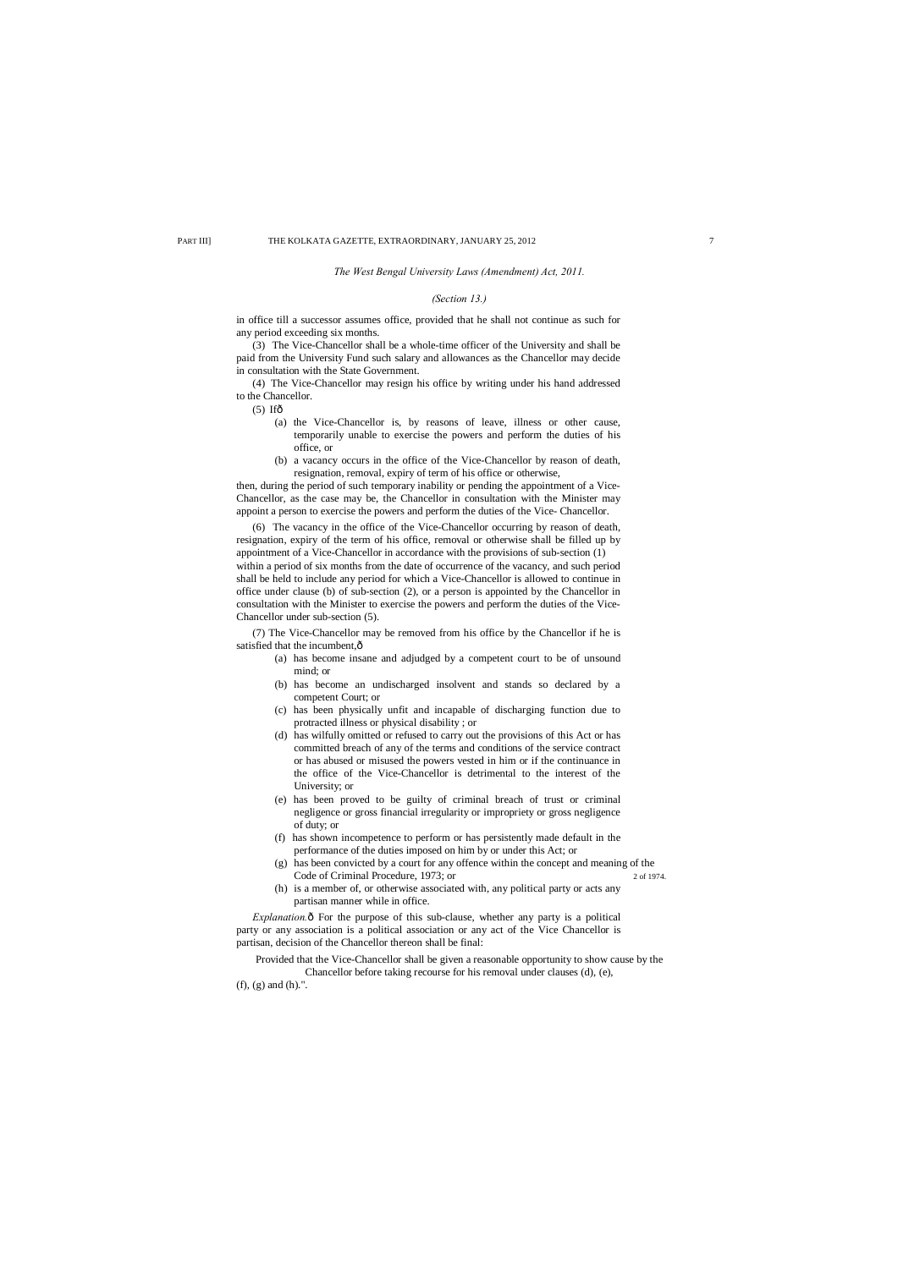## *The West Bengal University Laws (Amendment) Act, 2011.*

## *(Section 13.)*

in office till a successor assumes office, provided that he shall not continue as such for any period exceeding six months.

(3) The Vice-Chancellor shall be a whole-time officer of the University and shall be paid from the University Fund such salary and allowances as the Chancellor may decide in consultation with the State Government.

(4) The Vice-Chancellor may resign his office by writing under his hand addressed to the Chancellor.

 $(5)$  Ifô

- (a) the Vice-Chancellor is, by reasons of leave, illness or other cause, temporarily unable to exercise the powers and perform the duties of his office, or
- (b) a vacancy occurs in the office of the Vice-Chancellor by reason of death, resignation, removal, expiry of term of his office or otherwise,

(7) The Vice-Chancellor may be removed from his office by the Chancellor if he is satisfied that the incumbent, $\hat{o}$ 

then, during the period of such temporary inability or pending the appointment of a Vice-Chancellor, as the case may be, the Chancellor in consultation with the Minister may appoint a person to exercise the powers and perform the duties of the Vice- Chancellor.

(6) The vacancy in the office of the Vice-Chancellor occurring by reason of death, resignation, expiry of the term of his office, removal or otherwise shall be filled up by appointment of a Vice-Chancellor in accordance with the provisions of sub-section (1) within a period of six months from the date of occurrence of the vacancy, and such period shall be held to include any period for which a Vice-Chancellor is allowed to continue in office under clause (b) of sub-section (2), or a person is appointed by the Chancellor in consultation with the Minister to exercise the powers and perform the duties of the Vice-Chancellor under sub-section (5).

*Explanation.* $\hat{o}$  For the purpose of this sub-clause, whether any party is a political party or any association is a political association or any act of the Vice Chancellor is partisan, decision of the Chancellor thereon shall be final:

- (a) has become insane and adjudged by a competent court to be of unsound mind; or
- (b) has become an undischarged insolvent and stands so declared by a competent Court; or
- (c) has been physically unfit and incapable of discharging function due to protracted illness or physical disability ; or
- (d) has wilfully omitted or refused to carry out the provisions of this Act or has committed breach of any of the terms and conditions of the service contract or has abused or misused the powers vested in him or if the continuance in the office of the Vice-Chancellor is detrimental to the interest of the University; or
- (e) has been proved to be guilty of criminal breach of trust or criminal negligence or gross financial irregularity or impropriety or gross negligence of duty; or
- (f) has shown incompetence to perform or has persistently made default in the performance of the duties imposed on him by or under this Act; or
- (g) has been convicted by a court for any offence within the concept and meaning of the Code of Criminal Procedure, 1973; or 2 of 1974.
- (h) is a member of, or otherwise associated with, any political party or acts any partisan manner while in office.

Provided that the Vice-Chancellor shall be given a reasonable opportunity to show cause by the Chancellor before taking recourse for his removal under clauses (d), (e), (f), (g) and (h).".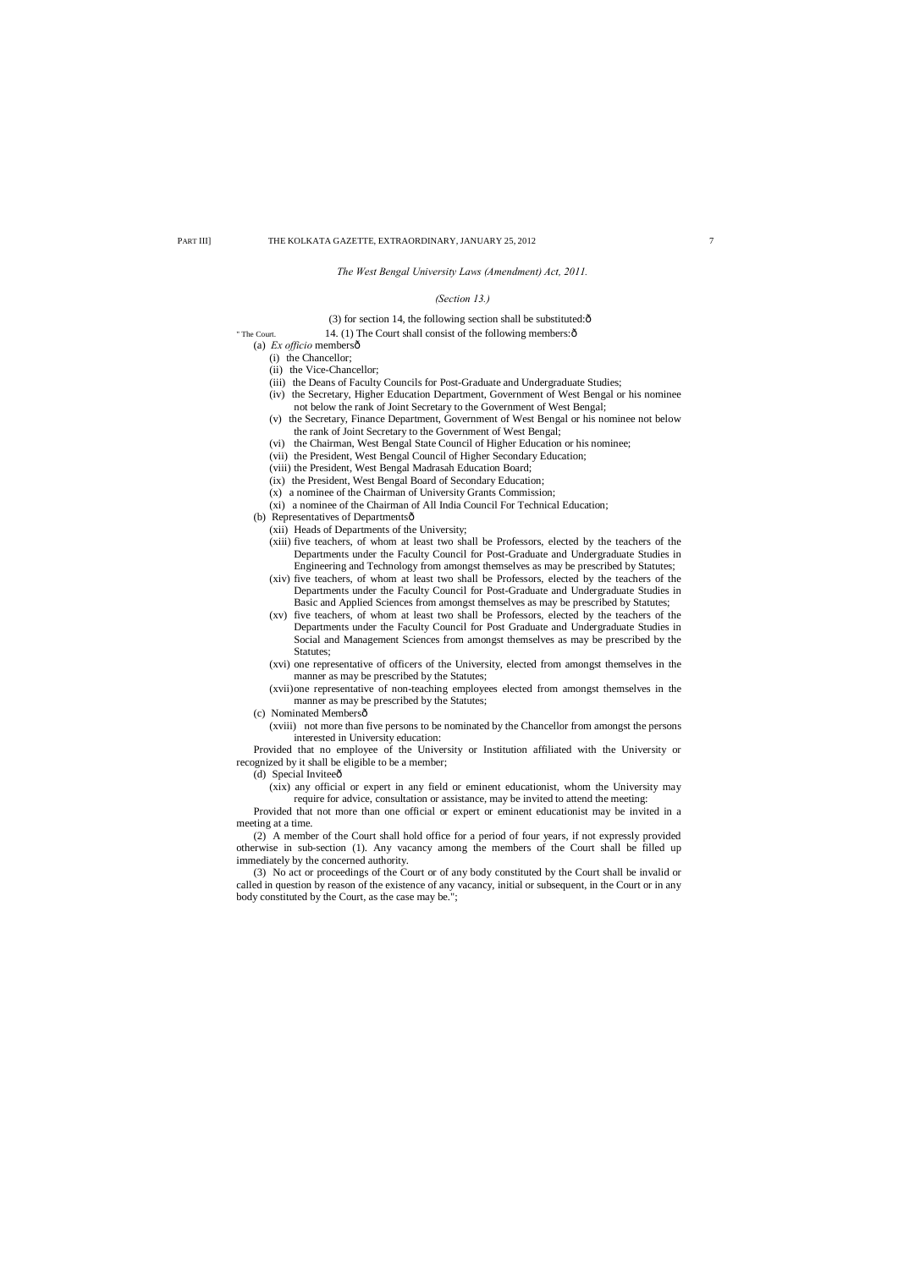## *The West Bengal University Laws (Amendment) Act, 2011.*

## *(Section 13.)*

#### (3) for section 14, the following section shall be substituted: $\hat{o}$

## " The Court. 14. (1) The Court shall consist of the following members: $\hat{o}$

- (a) *Ex officio* membersô
	- (i) the Chancellor;
	- (ii) the Vice-Chancellor;
	- (iii) the Deans of Faculty Councils for Post-Graduate and Undergraduate Studies;
	- (iv) the Secretary, Higher Education Department, Government of West Bengal or his nominee not below the rank of Joint Secretary to the Government of West Bengal;
	- (v) the Secretary, Finance Department, Government of West Bengal or his nominee not below the rank of Joint Secretary to the Government of West Bengal;
	- (vi) the Chairman, West Bengal State Council of Higher Education or his nominee;
	- (vii) the President, West Bengal Council of Higher Secondary Education;
	- (viii) the President, West Bengal Madrasah Education Board;
	- (ix) the President, West Bengal Board of Secondary Education;
	- (x) a nominee of the Chairman of University Grants Commission;
	- (xi) a nominee of the Chairman of All India Council For Technical Education;
- (b) Representatives of Departmentsô
	- (xii) Heads of Departments of the University;
	- (xiii) five teachers, of whom at least two shall be Professors, elected by the teachers of the Departments under the Faculty Council for Post-Graduate and Undergraduate Studies in Engineering and Technology from amongst themselves as may be prescribed by Statutes;
	- (xiv) five teachers, of whom at least two shall be Professors, elected by the teachers of the Departments under the Faculty Council for Post-Graduate and Undergraduate Studies in Basic and Applied Sciences from amongst themselves as may be prescribed by Statutes;
	- (xv) five teachers, of whom at least two shall be Professors, elected by the teachers of the Departments under the Faculty Council for Post Graduate and Undergraduate Studies in Social and Management Sciences from amongst themselves as may be prescribed by the Statutes;
	- (xvi) one representative of officers of the University, elected from amongst themselves in the manner as may be prescribed by the Statutes;
	- (xvii)one representative of non-teaching employees elected from amongst themselves in the manner as may be prescribed by the Statutes;
- (c) Nominated Membersô
	- (xviii) not more than five persons to be nominated by the Chancellor from amongst the persons interested in University education:

- (d) Special Inviteeô
	- (xix) any official or expert in any field or eminent educationist, whom the University may require for advice, consultation or assistance, may be invited to attend the meeting:

Provided that no employee of the University or Institution affiliated with the University or recognized by it shall be eligible to be a member;

Provided that not more than one official or expert or eminent educationist may be invited in a meeting at a time.

(2) A member of the Court shall hold office for a period of four years, if not expressly provided otherwise in sub-section (1). Any vacancy among the members of the Court shall be filled up immediately by the concerned authority.

(3) No act or proceedings of the Court or of any body constituted by the Court shall be invalid or called in question by reason of the existence of any vacancy, initial or subsequent, in the Court or in any body constituted by the Court, as the case may be.";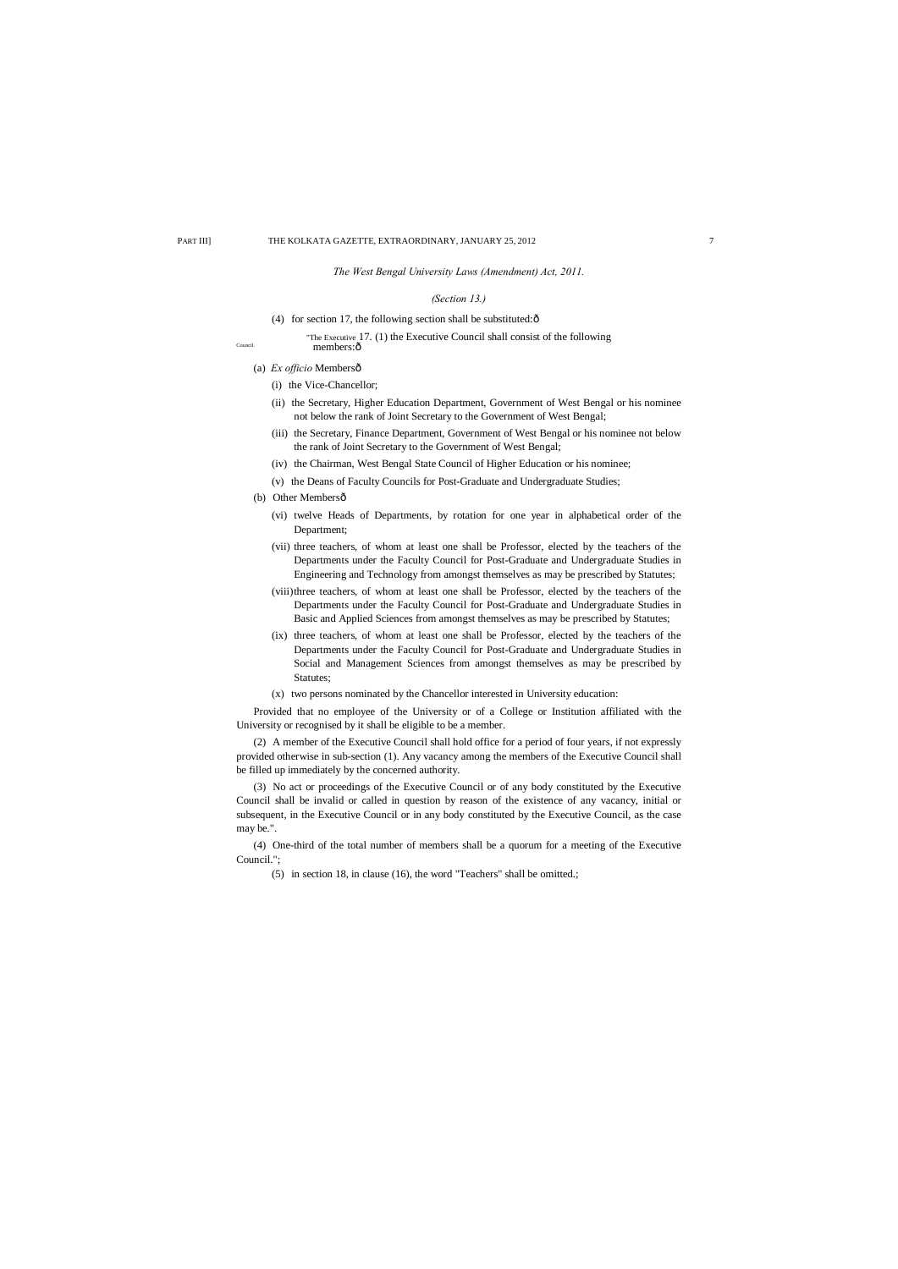## *The West Bengal University Laws (Amendment) Act, 2011.*

## *(Section 13.)*

- (4) for section 17, the following section shall be substituted: $\delta$
- "The Executive 17. (1) the Executive Council shall consist of the following Council. **members:** $\hat{0}$ 
	- (a) *Ex officio* Membersô
		- (i) the Vice-Chancellor;
		- (ii) the Secretary, Higher Education Department, Government of West Bengal or his nominee not below the rank of Joint Secretary to the Government of West Bengal;
		- (iii) the Secretary, Finance Department, Government of West Bengal or his nominee not below the rank of Joint Secretary to the Government of West Bengal;
		- (iv) the Chairman, West Bengal State Council of Higher Education or his nominee;
		- (v) the Deans of Faculty Councils for Post-Graduate and Undergraduate Studies;
	- (b) Other Membersô
		- (vi) twelve Heads of Departments, by rotation for one year in alphabetical order of the Department;
		- (vii) three teachers, of whom at least one shall be Professor, elected by the teachers of the Departments under the Faculty Council for Post-Graduate and Undergraduate Studies in Engineering and Technology from amongst themselves as may be prescribed by Statutes;
		- (viii)three teachers, of whom at least one shall be Professor, elected by the teachers of the Departments under the Faculty Council for Post-Graduate and Undergraduate Studies in Basic and Applied Sciences from amongst themselves as may be prescribed by Statutes;
		- (ix) three teachers, of whom at least one shall be Professor, elected by the teachers of the Departments under the Faculty Council for Post-Graduate and Undergraduate Studies in Social and Management Sciences from amongst themselves as may be prescribed by Statutes;
		- (x) two persons nominated by the Chancellor interested in University education:

Provided that no employee of the University or of a College or Institution affiliated with the University or recognised by it shall be eligible to be a member.

(2) A member of the Executive Council shall hold office for a period of four years, if not expressly provided otherwise in sub-section (1). Any vacancy among the members of the Executive Council shall be filled up immediately by the concerned authority.

(3) No act or proceedings of the Executive Council or of any body constituted by the Executive Council shall be invalid or called in question by reason of the existence of any vacancy, initial or subsequent, in the Executive Council or in any body constituted by the Executive Council, as the case may be.".

(4) One-third of the total number of members shall be a quorum for a meeting of the Executive Council.";

(5) in section 18, in clause (16), the word "Teachers" shall be omitted.;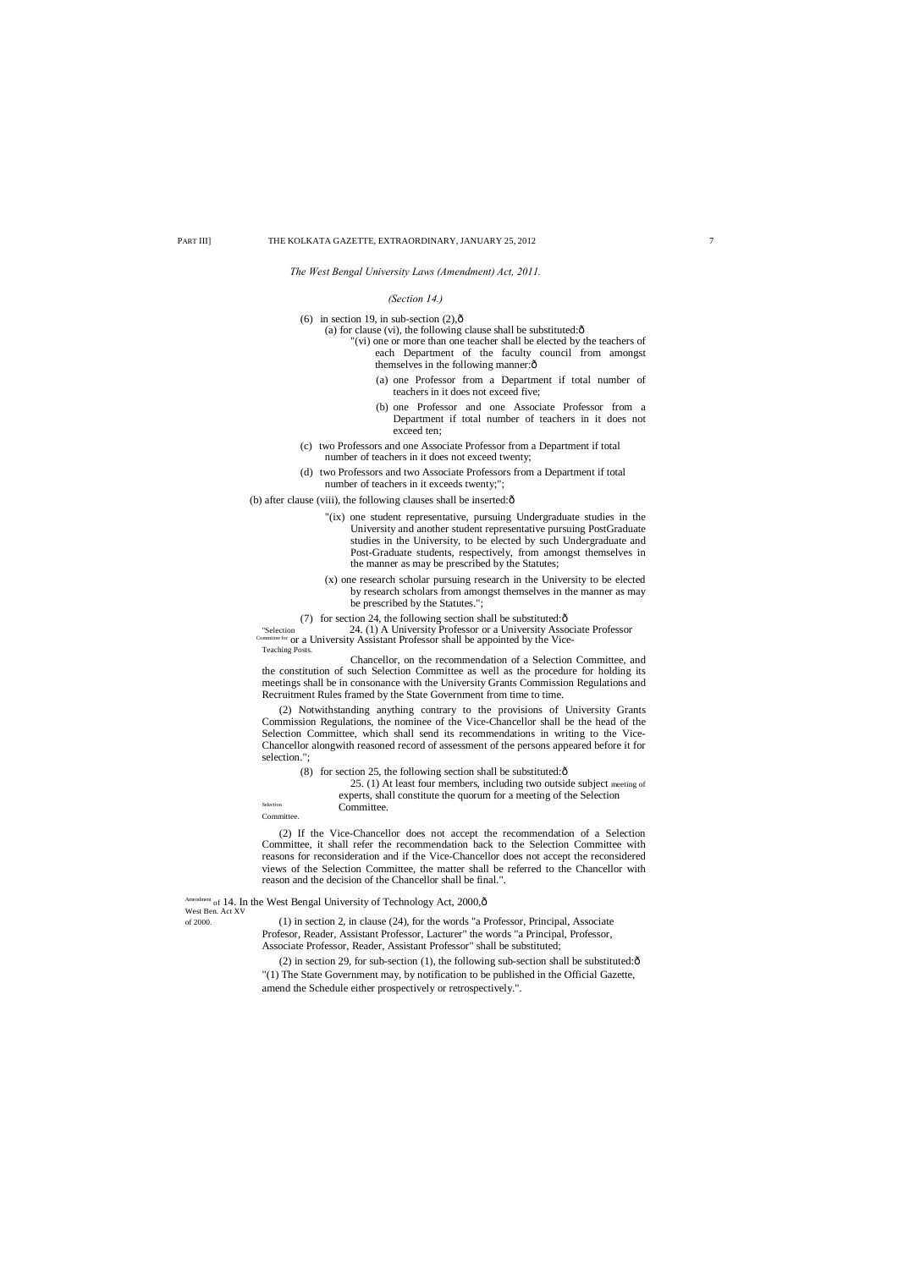*The West Bengal University Laws (Amendment) Act, 2011.*

#### *(Section 14.)*

(6) in section 19, in sub-section  $(2)$ , $\hat{0}$ 

- (a) for clause (vi), the following clause shall be substituted: $\hat{o}$ 
	- "(vi) one or more than one teacher shall be elected by the teachers of each Department of the faculty council from amongst themselves in the following manner: $\hat{o}$ 
		- (a) one Professor from a Department if total number of teachers in it does not exceed five;
		- (b) one Professor and one Associate Professor from a Department if total number of teachers in it does not exceed ten;
- (c) two Professors and one Associate Professor from a Department if total number of teachers in it does not exceed twenty;
- (d) two Professors and two Associate Professors from a Department if total number of teachers in it exceeds twenty;";

(b) after clause (viii), the following clauses shall be inserted: $\hat{o}$ 

- "(ix) one student representative, pursuing Undergraduate studies in the University and another student representative pursuing PostGraduate studies in the University, to be elected by such Undergraduate and Post-Graduate students, respectively, from amongst themselves in the manner as may be prescribed by the Statutes;
- (x) one research scholar pursuing research in the University to be elected by research scholars from amongst themselves in the manner as may be prescribed by the Statutes.";
- (7) for section 24, the following section shall be substituted: $\hat{o}$

25. (1) At least four members, including two outside subject meeting of experts, shall constitute the quorum for a meeting of the Selection Selection **Committee.** 

"Selection 24. (1) A University Professor or a University Associate Professor Committee for or a University Assistant Professor shall be appointed by the Vice- Teaching Posts.

(2) in section 29, for sub-section (1), the following sub-section shall be substituted: $\hat{\sigma}$ "(1) The State Government may, by notification to be published in the Official Gazette, amend the Schedule either prospectively or retrospectively.".

Chancellor, on the recommendation of a Selection Committee, and the constitution of such Selection Committee as well as the procedure for holding its meetings shall be in consonance with the University Grants Commission Regulations and Recruitment Rules framed by the State Government from time to time.

(2) Notwithstanding anything contrary to the provisions of University Grants Commission Regulations, the nominee of the Vice-Chancellor shall be the head of the Selection Committee, which shall send its recommendations in writing to the Vice-Chancellor alongwith reasoned record of assessment of the persons appeared before it for selection.";

(8) for section 25, the following section shall be substituted: $\hat{\text{o}}$ 

Committee.

(2) If the Vice-Chancellor does not accept the recommendation of a Selection Committee, it shall refer the recommendation back to the Selection Committee with reasons for reconsideration and if the Vice-Chancellor does not accept the reconsidered views of the Selection Committee, the matter shall be referred to the Chancellor with reason and the decision of the Chancellor shall be final.".

West Ben. Act XV

Amendment of 14. In the West Bengal University of Technology Act, 2000, ô

of 2000. (1) in section 2, in clause (24), for the words "a Professor, Principal, Associate Profesor, Reader, Assistant Professor, Lacturer" the words "a Principal, Professor, Associate Professor, Reader, Assistant Professor" shall be substituted;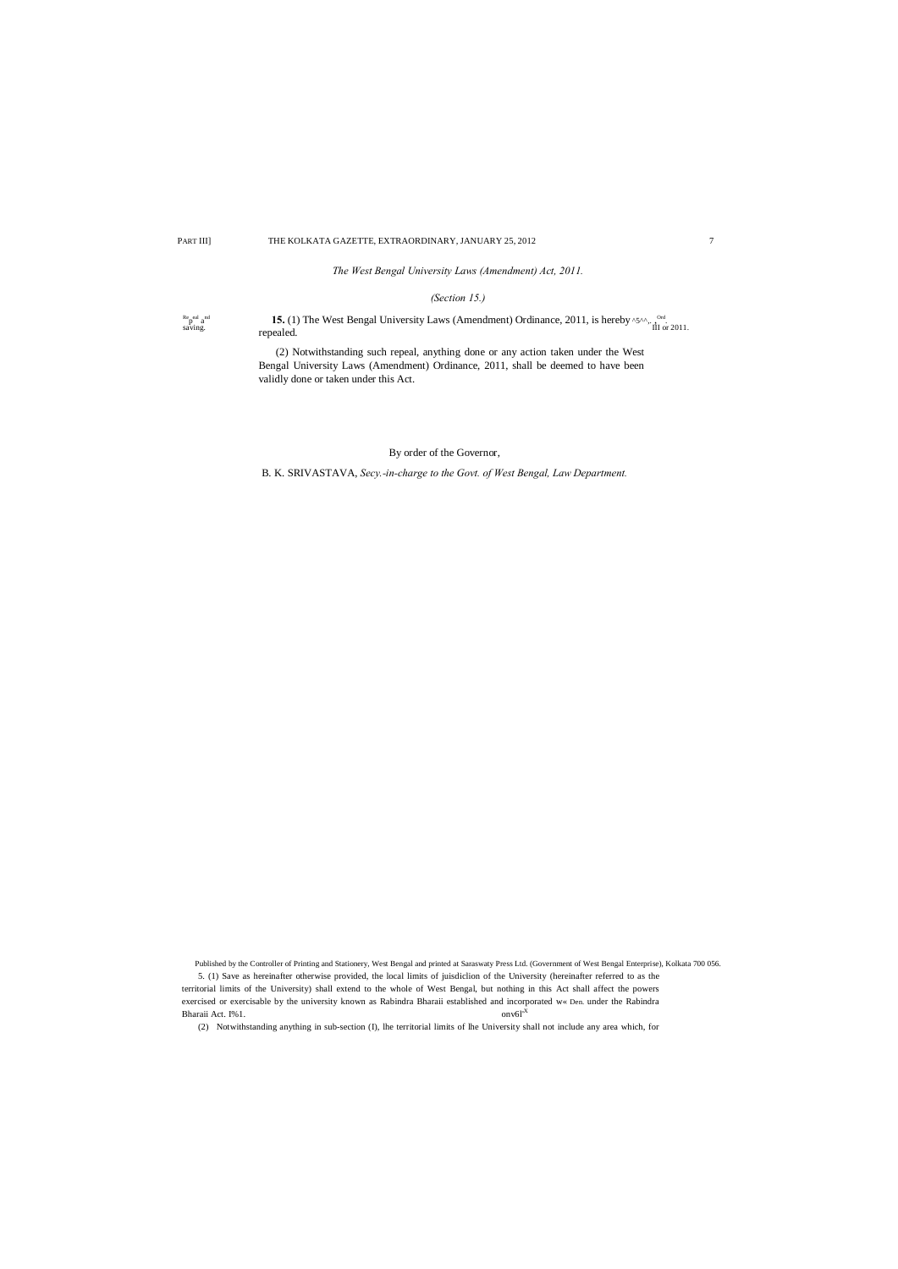*The West Bengal University Laws (Amendment) Act, 2011.*

## *(Section 15.)*

 $Re$ <sub>p</sub>eal  $a$ <sup>nd</sup> saving.

Re<sub>p</sub>eal a<sup>nd</sup> **15.** (1) The West Bengal University Laws (Amendment) Ordinance, 2011, is hereby ^5^^,. , <sup>Ord</sup>.<br>
If or 2011.

5. (1) Save as hereinafter otherwise provided, the local limits of juisdiclion of the University (hereinafter referred to as the territorial limits of the University) shall extend to the whole of West Bengal, but nothing in this Act shall affect the powers exercised or exercisable by the university known as Rabindra Bharaii established and incorporated w« Den. under the Rabindra Bharaii Act. I%1. onv6l<sup>1X</sup>

(2) Notwithstanding such repeal, anything done or any action taken under the West Bengal University Laws (Amendment) Ordinance, 2011, shall be deemed to have been validly done or taken under this Act.

## By order of the Governor,

B. K. SRIVASTAVA, *Secy.-in-charge to the Govt. of West Bengal, Law Department.*

Published by the Controller of Printing and Stationery, West Bengal and printed at Saraswaty Press Ltd. (Government of West Bengal Enterprise), Kolkata 700 056.

(2) Notwithstanding anything in sub-section (I), lhe territorial limits of lhe University shall not include any area which, for